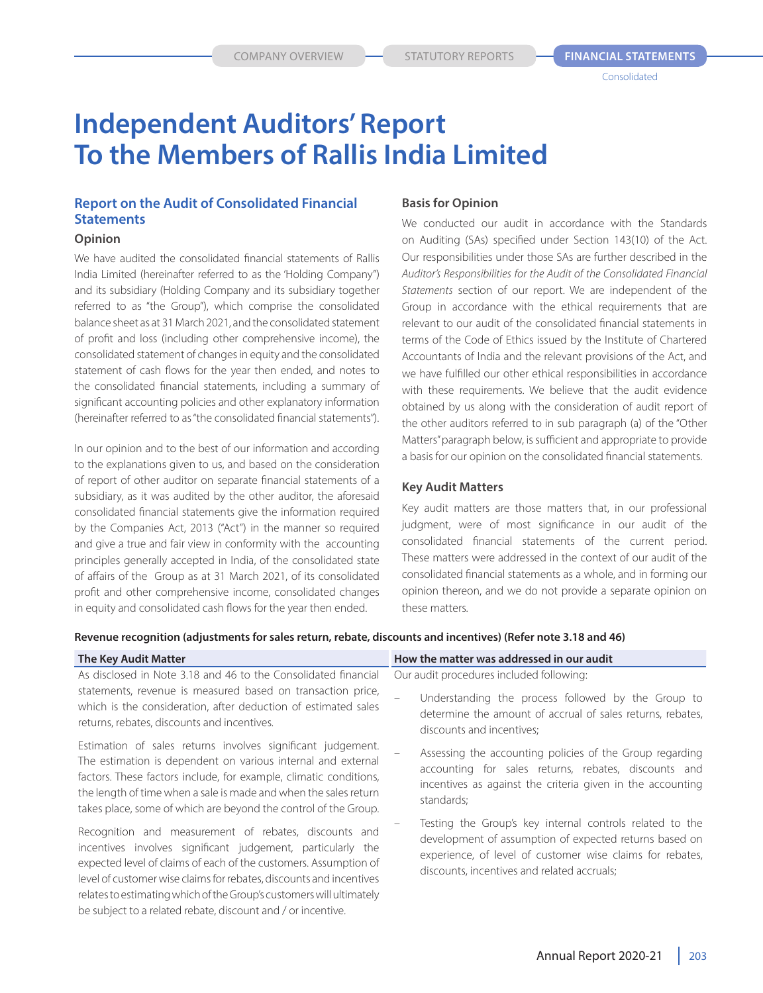Consolidated

# **Independent Auditors' Report To the Members of Rallis India Limited**

### **Report on the Audit of Consolidated Financial Statements**

#### **Opinion**

We have audited the consolidated financial statements of Rallis India Limited (hereinafter referred to as the 'Holding Company") and its subsidiary (Holding Company and its subsidiary together referred to as "the Group"), which comprise the consolidated balance sheet as at 31 March 2021, and the consolidated statement of profit and loss (including other comprehensive income), the consolidated statement of changes in equity and the consolidated statement of cash flows for the year then ended, and notes to the consolidated financial statements, including a summary of significant accounting policies and other explanatory information (hereinafter referred to as "the consolidated financial statements").

In our opinion and to the best of our information and according to the explanations given to us, and based on the consideration of report of other auditor on separate financial statements of a subsidiary, as it was audited by the other auditor, the aforesaid consolidated financial statements give the information required by the Companies Act, 2013 ("Act") in the manner so required and give a true and fair view in conformity with the accounting principles generally accepted in India, of the consolidated state of affairs of the Group as at 31 March 2021, of its consolidated profit and other comprehensive income, consolidated changes in equity and consolidated cash flows for the year then ended.

be subject to a related rebate, discount and / or incentive.

#### **Basis for Opinion**

We conducted our audit in accordance with the Standards on Auditing (SAs) specified under Section 143(10) of the Act. Our responsibilities under those SAs are further described in the *Auditor's Responsibilities for the Audit of the Consolidated Financial Statements* section of our report. We are independent of the Group in accordance with the ethical requirements that are relevant to our audit of the consolidated financial statements in terms of the Code of Ethics issued by the Institute of Chartered Accountants of India and the relevant provisions of the Act, and we have fulfilled our other ethical responsibilities in accordance with these requirements. We believe that the audit evidence obtained by us along with the consideration of audit report of the other auditors referred to in sub paragraph (a) of the "Other Matters" paragraph below, is sufficient and appropriate to provide a basis for our opinion on the consolidated financial statements.

#### **Key Audit Matters**

Key audit matters are those matters that, in our professional judgment, were of most significance in our audit of the consolidated financial statements of the current period. These matters were addressed in the context of our audit of the consolidated financial statements as a whole, and in forming our opinion thereon, and we do not provide a separate opinion on these matters.

#### **Revenue recognition (adjustments for sales return, rebate, discounts and incentives) (Refer note 3.18 and 46)**

| The Key Audit Matter                                                                                                                                                                                                                                                                                                                    | How the matter was addressed in our audit                                                                                                                                                                                      |
|-----------------------------------------------------------------------------------------------------------------------------------------------------------------------------------------------------------------------------------------------------------------------------------------------------------------------------------------|--------------------------------------------------------------------------------------------------------------------------------------------------------------------------------------------------------------------------------|
| As disclosed in Note 3.18 and 46 to the Consolidated financial                                                                                                                                                                                                                                                                          | Our audit procedures included following:                                                                                                                                                                                       |
| statements, revenue is measured based on transaction price,<br>which is the consideration, after deduction of estimated sales<br>returns, rebates, discounts and incentives.                                                                                                                                                            | Understanding the process followed by the Group to<br>determine the amount of accrual of sales returns, rebates,<br>discounts and incentives;                                                                                  |
| Estimation of sales returns involves significant judgement.<br>The estimation is dependent on various internal and external<br>factors. These factors include, for example, climatic conditions,<br>the length of time when a sale is made and when the sales return<br>takes place, some of which are beyond the control of the Group. | Assessing the accounting policies of the Group regarding<br>accounting for sales returns, rebates, discounts and<br>incentives as against the criteria given in the accounting<br>standards;                                   |
| Recognition and measurement of rebates, discounts and<br>incentives involves significant judgement, particularly the<br>expected level of claims of each of the customers. Assumption of<br>level of customer wise claims for rebates, discounts and incentives<br>relates to estimating which of the Group's customers will ultimately | Testing the Group's key internal controls related to the<br>development of assumption of expected returns based on<br>experience, of level of customer wise claims for rebates,<br>discounts, incentives and related accruals; |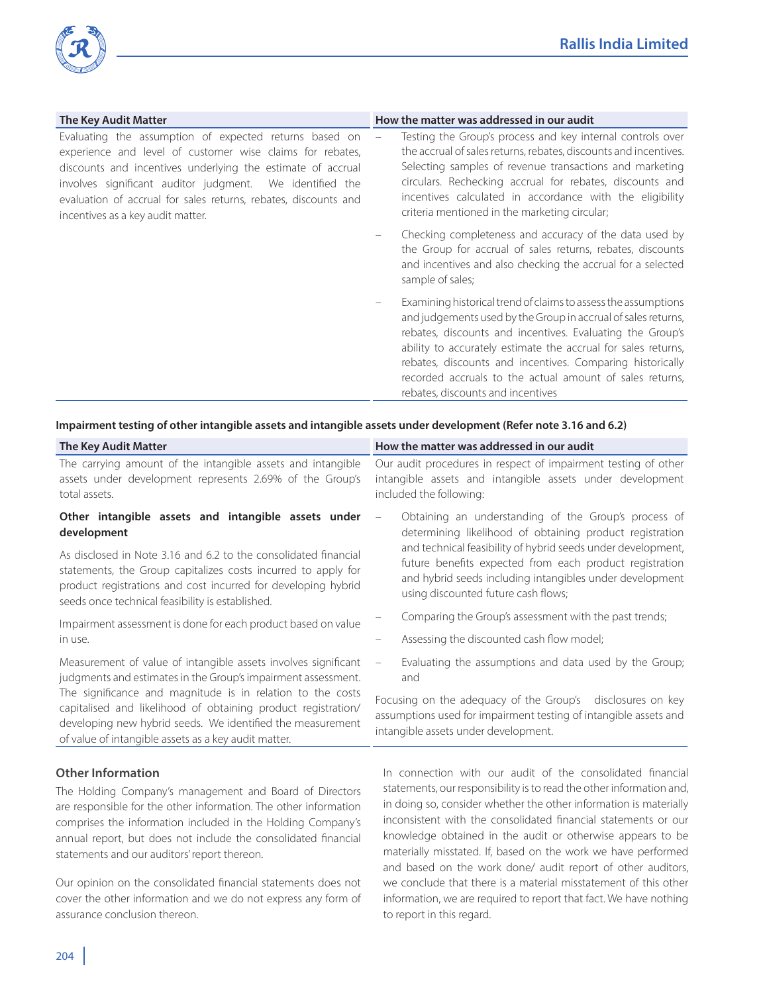

| The Key Audit Matter                                                                                                                                                                                                                                                                                                                                   | How the matter was addressed in our audit                                                                                                                                                                                                                                                                                                                                                      |
|--------------------------------------------------------------------------------------------------------------------------------------------------------------------------------------------------------------------------------------------------------------------------------------------------------------------------------------------------------|------------------------------------------------------------------------------------------------------------------------------------------------------------------------------------------------------------------------------------------------------------------------------------------------------------------------------------------------------------------------------------------------|
| Evaluating the assumption of expected returns based on<br>experience and level of customer wise claims for rebates,<br>discounts and incentives underlying the estimate of accrual<br>involves significant auditor judgment. We identified the<br>evaluation of accrual for sales returns, rebates, discounts and<br>incentives as a key audit matter. | Testing the Group's process and key internal controls over<br>$\overline{\phantom{m}}$<br>the accrual of sales returns, rebates, discounts and incentives.<br>Selecting samples of revenue transactions and marketing<br>circulars. Rechecking accrual for rebates, discounts and<br>incentives calculated in accordance with the eligibility<br>criteria mentioned in the marketing circular; |
|                                                                                                                                                                                                                                                                                                                                                        | Checking completeness and accuracy of the data used by<br>the Group for accrual of sales returns, rebates, discounts<br>and incentives and also checking the accrual for a selected<br>sample of sales;                                                                                                                                                                                        |
|                                                                                                                                                                                                                                                                                                                                                        | Examining historical trend of claims to assess the assumptions<br>and judgements used by the Group in accrual of sales returns,<br>rebates, discounts and incentives. Evaluating the Group's<br>ability to accurately estimate the accrual for sales returns,<br>rebates, discounts and incentives. Comparing historically<br>recorded accruals to the actual amount of sales returns,         |

rebates, discounts and incentives

#### **Impairment testing of other intangible assets and intangible assets under development (Refer note 3.16 and 6.2)**

| The Key Audit Matter                                                                                                                                                                                                                                  | How the matter was addressed in our audit                                                                                                                                                                                  |  |  |  |
|-------------------------------------------------------------------------------------------------------------------------------------------------------------------------------------------------------------------------------------------------------|----------------------------------------------------------------------------------------------------------------------------------------------------------------------------------------------------------------------------|--|--|--|
| The carrying amount of the intangible assets and intangible<br>assets under development represents 2.69% of the Group's<br>total assets.                                                                                                              | Our audit procedures in respect of impairment testing of other<br>intangible assets and intangible assets under development<br>included the following:                                                                     |  |  |  |
| Other intangible assets and intangible assets under<br>development                                                                                                                                                                                    | Obtaining an understanding of the Group's process of<br>determining likelihood of obtaining product registration                                                                                                           |  |  |  |
| As disclosed in Note 3.16 and 6.2 to the consolidated financial<br>statements, the Group capitalizes costs incurred to apply for<br>product registrations and cost incurred for developing hybrid<br>seeds once technical feasibility is established. | and technical feasibility of hybrid seeds under development,<br>future benefits expected from each product registration<br>and hybrid seeds including intangibles under development<br>using discounted future cash flows; |  |  |  |
| Impairment assessment is done for each product based on value                                                                                                                                                                                         | Comparing the Group's assessment with the past trends;                                                                                                                                                                     |  |  |  |
| in use.                                                                                                                                                                                                                                               | Assessing the discounted cash flow model;                                                                                                                                                                                  |  |  |  |
| Measurement of value of intangible assets involves significant<br>judgments and estimates in the Group's impairment assessment.                                                                                                                       | Evaluating the assumptions and data used by the Group;<br>and                                                                                                                                                              |  |  |  |
| The significance and magnitude is in relation to the costs<br>capitalised and likelihood of obtaining product registration/<br>developing new hybrid seeds. We identified the measurement<br>of value of intangible assets as a key audit matter.     | Focusing on the adequacy of the Group's disclosures on key<br>assumptions used for impairment testing of intangible assets and<br>intangible assets under development.                                                     |  |  |  |
|                                                                                                                                                                                                                                                       |                                                                                                                                                                                                                            |  |  |  |

#### **Other Information**

The Holding Company's management and Board of Directors are responsible for the other information. The other information comprises the information included in the Holding Company's annual report, but does not include the consolidated financial statements and our auditors' report thereon.

Our opinion on the consolidated financial statements does not cover the other information and we do not express any form of assurance conclusion thereon.

In connection with our audit of the consolidated financial statements, our responsibility is to read the other information and, in doing so, consider whether the other information is materially inconsistent with the consolidated financial statements or our knowledge obtained in the audit or otherwise appears to be materially misstated. If, based on the work we have performed and based on the work done/ audit report of other auditors, we conclude that there is a material misstatement of this other information, we are required to report that fact. We have nothing to report in this regard.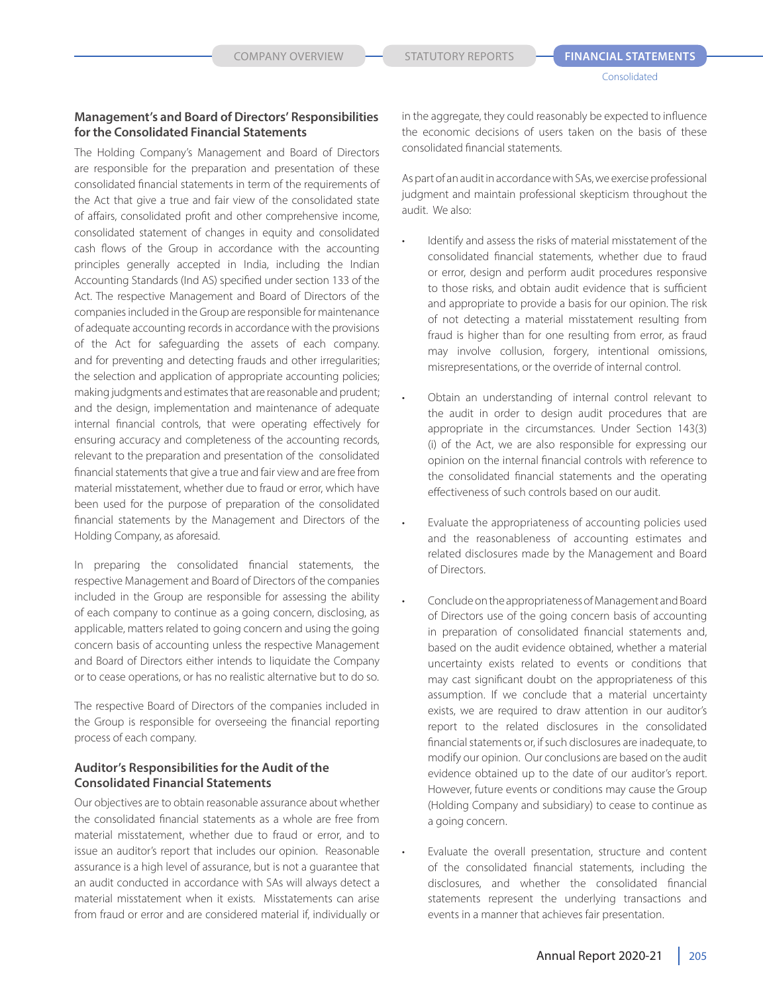### **Management's and Board of Directors' Responsibilities for the Consolidated Financial Statements**

The Holding Company's Management and Board of Directors are responsible for the preparation and presentation of these consolidated financial statements in term of the requirements of the Act that give a true and fair view of the consolidated state of affairs, consolidated profit and other comprehensive income, consolidated statement of changes in equity and consolidated cash flows of the Group in accordance with the accounting principles generally accepted in India, including the Indian Accounting Standards (Ind AS) specified under section 133 of the Act. The respective Management and Board of Directors of the companies included in the Group are responsible for maintenance of adequate accounting records in accordance with the provisions of the Act for safeguarding the assets of each company. and for preventing and detecting frauds and other irregularities; the selection and application of appropriate accounting policies; making judgments and estimates that are reasonable and prudent; and the design, implementation and maintenance of adequate internal financial controls, that were operating effectively for ensuring accuracy and completeness of the accounting records, relevant to the preparation and presentation of the consolidated financial statements that give a true and fair view and are free from material misstatement, whether due to fraud or error, which have been used for the purpose of preparation of the consolidated financial statements by the Management and Directors of the Holding Company, as aforesaid.

In preparing the consolidated financial statements, the respective Management and Board of Directors of the companies included in the Group are responsible for assessing the ability of each company to continue as a going concern, disclosing, as applicable, matters related to going concern and using the going concern basis of accounting unless the respective Management and Board of Directors either intends to liquidate the Company or to cease operations, or has no realistic alternative but to do so.

The respective Board of Directors of the companies included in the Group is responsible for overseeing the financial reporting process of each company.

### **Auditor's Responsibilities for the Audit of the Consolidated Financial Statements**

Our objectives are to obtain reasonable assurance about whether the consolidated financial statements as a whole are free from material misstatement, whether due to fraud or error, and to issue an auditor's report that includes our opinion. Reasonable assurance is a high level of assurance, but is not a guarantee that an audit conducted in accordance with SAs will always detect a material misstatement when it exists. Misstatements can arise from fraud or error and are considered material if, individually or

in the aggregate, they could reasonably be expected to influence the economic decisions of users taken on the basis of these consolidated financial statements.

As part of an audit in accordance with SAs, we exercise professional judgment and maintain professional skepticism throughout the audit. We also:

- Identify and assess the risks of material misstatement of the consolidated financial statements, whether due to fraud or error, design and perform audit procedures responsive to those risks, and obtain audit evidence that is sufficient and appropriate to provide a basis for our opinion. The risk of not detecting a material misstatement resulting from fraud is higher than for one resulting from error, as fraud may involve collusion, forgery, intentional omissions, misrepresentations, or the override of internal control.
- Obtain an understanding of internal control relevant to the audit in order to design audit procedures that are appropriate in the circumstances. Under Section 143(3) (i) of the Act, we are also responsible for expressing our opinion on the internal financial controls with reference to the consolidated financial statements and the operating effectiveness of such controls based on our audit.
- Evaluate the appropriateness of accounting policies used and the reasonableness of accounting estimates and related disclosures made by the Management and Board of Directors.
- Conclude on the appropriateness of Management and Board of Directors use of the going concern basis of accounting in preparation of consolidated financial statements and, based on the audit evidence obtained, whether a material uncertainty exists related to events or conditions that may cast significant doubt on the appropriateness of this assumption. If we conclude that a material uncertainty exists, we are required to draw attention in our auditor's report to the related disclosures in the consolidated financial statements or, if such disclosures are inadequate, to modify our opinion. Our conclusions are based on the audit evidence obtained up to the date of our auditor's report. However, future events or conditions may cause the Group (Holding Company and subsidiary) to cease to continue as a going concern.
	- Evaluate the overall presentation, structure and content of the consolidated financial statements, including the disclosures, and whether the consolidated financial statements represent the underlying transactions and events in a manner that achieves fair presentation.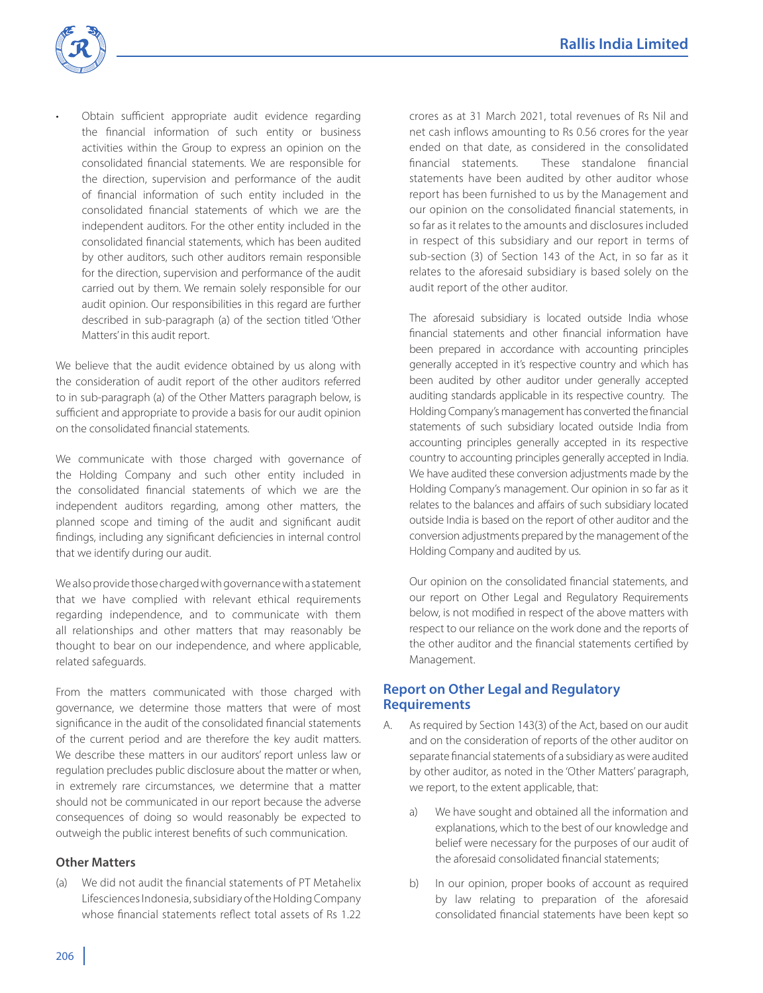

Obtain sufficient appropriate audit evidence regarding the financial information of such entity or business activities within the Group to express an opinion on the consolidated financial statements. We are responsible for the direction, supervision and performance of the audit of financial information of such entity included in the consolidated financial statements of which we are the independent auditors. For the other entity included in the consolidated financial statements, which has been audited by other auditors, such other auditors remain responsible for the direction, supervision and performance of the audit carried out by them. We remain solely responsible for our audit opinion. Our responsibilities in this regard are further described in sub-paragraph (a) of the section titled 'Other Matters' in this audit report.

We believe that the audit evidence obtained by us along with the consideration of audit report of the other auditors referred to in sub-paragraph (a) of the Other Matters paragraph below, is sufficient and appropriate to provide a basis for our audit opinion on the consolidated financial statements.

We communicate with those charged with governance of the Holding Company and such other entity included in the consolidated financial statements of which we are the independent auditors regarding, among other matters, the planned scope and timing of the audit and significant audit findings, including any significant deficiencies in internal control that we identify during our audit.

We also provide those charged with governance with a statement that we have complied with relevant ethical requirements regarding independence, and to communicate with them all relationships and other matters that may reasonably be thought to bear on our independence, and where applicable, related safeguards.

From the matters communicated with those charged with governance, we determine those matters that were of most significance in the audit of the consolidated financial statements of the current period and are therefore the key audit matters. We describe these matters in our auditors' report unless law or regulation precludes public disclosure about the matter or when, in extremely rare circumstances, we determine that a matter should not be communicated in our report because the adverse consequences of doing so would reasonably be expected to outweigh the public interest benefits of such communication.

#### **Other Matters**

(a) We did not audit the financial statements of PT Metahelix Lifesciences Indonesia, subsidiary of the Holding Company whose financial statements reflect total assets of Rs 1.22

crores as at 31 March 2021, total revenues of Rs Nil and net cash inflows amounting to Rs 0.56 crores for the year ended on that date, as considered in the consolidated financial statements. These standalone financial statements have been audited by other auditor whose report has been furnished to us by the Management and our opinion on the consolidated financial statements, in so far as it relates to the amounts and disclosures included in respect of this subsidiary and our report in terms of sub-section (3) of Section 143 of the Act, in so far as it relates to the aforesaid subsidiary is based solely on the audit report of the other auditor.

 The aforesaid subsidiary is located outside India whose financial statements and other financial information have been prepared in accordance with accounting principles generally accepted in it's respective country and which has been audited by other auditor under generally accepted auditing standards applicable in its respective country. The Holding Company's management has converted the financial statements of such subsidiary located outside India from accounting principles generally accepted in its respective country to accounting principles generally accepted in India. We have audited these conversion adjustments made by the Holding Company's management. Our opinion in so far as it relates to the balances and affairs of such subsidiary located outside India is based on the report of other auditor and the conversion adjustments prepared by the management of the Holding Company and audited by us.

 Our opinion on the consolidated financial statements, and our report on Other Legal and Regulatory Requirements below, is not modified in respect of the above matters with respect to our reliance on the work done and the reports of the other auditor and the financial statements certified by Management.

### **Report on Other Legal and Regulatory Requirements**

- A. As required by Section 143(3) of the Act, based on our audit and on the consideration of reports of the other auditor on separate financial statements of a subsidiary as were audited by other auditor, as noted in the 'Other Matters' paragraph, we report, to the extent applicable, that:
	- a) We have sought and obtained all the information and explanations, which to the best of our knowledge and belief were necessary for the purposes of our audit of the aforesaid consolidated financial statements;
	- b) In our opinion, proper books of account as required by law relating to preparation of the aforesaid consolidated financial statements have been kept so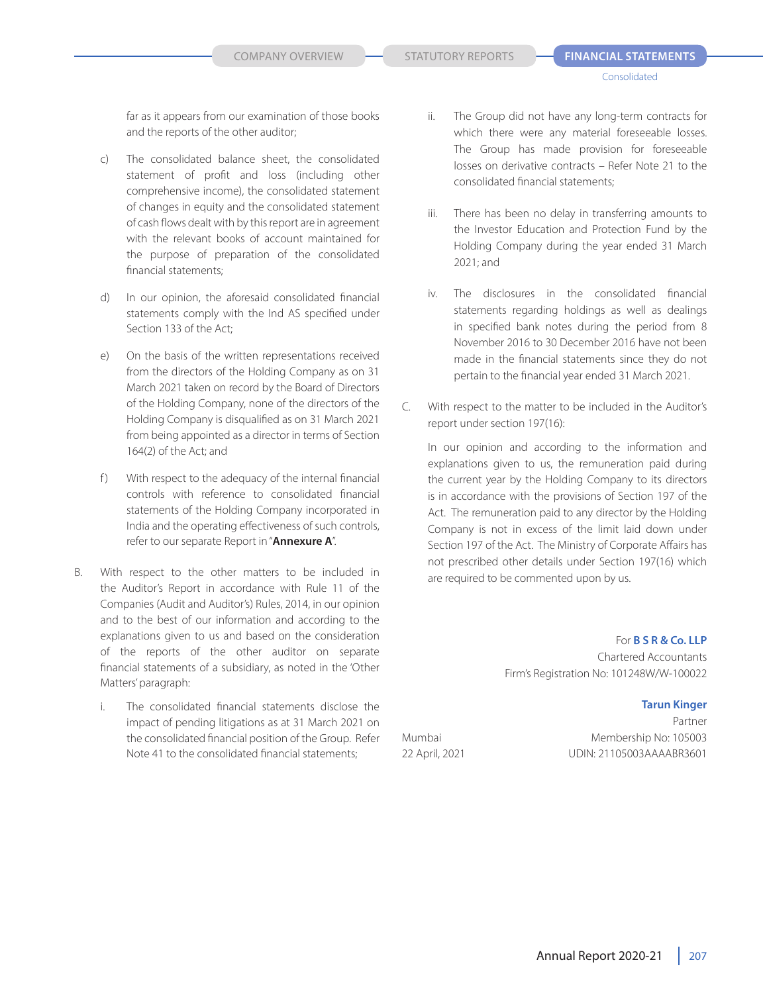Consolidated

far as it appears from our examination of those books and the reports of the other auditor;

- c) The consolidated balance sheet, the consolidated statement of profit and loss (including other comprehensive income), the consolidated statement of changes in equity and the consolidated statement of cash flows dealt with by this report are in agreement with the relevant books of account maintained for the purpose of preparation of the consolidated financial statements;
- d) In our opinion, the aforesaid consolidated financial statements comply with the Ind AS specified under Section 133 of the Act;
- e) On the basis of the written representations received from the directors of the Holding Company as on 31 March 2021 taken on record by the Board of Directors of the Holding Company, none of the directors of the Holding Company is disqualified as on 31 March 2021 from being appointed as a director in terms of Section 164(2) of the Act; and
- f) With respect to the adequacy of the internal financial controls with reference to consolidated financial statements of the Holding Company incorporated in India and the operating effectiveness of such controls, refer to our separate Report in "**Annexure A**".
- B. With respect to the other matters to be included in the Auditor's Report in accordance with Rule 11 of the Companies (Audit and Auditor's) Rules, 2014, in our opinion and to the best of our information and according to the explanations given to us and based on the consideration of the reports of the other auditor on separate financial statements of a subsidiary, as noted in the 'Other Matters' paragraph:
	- i. The consolidated financial statements disclose the impact of pending litigations as at 31 March 2021 on the consolidated financial position of the Group. Refer Note 41 to the consolidated financial statements;
- ii. The Group did not have any long-term contracts for which there were any material foreseeable losses. The Group has made provision for foreseeable losses on derivative contracts – Refer Note 21 to the consolidated financial statements;
- iii. There has been no delay in transferring amounts to the Investor Education and Protection Fund by the Holding Company during the year ended 31 March 2021; and
- iv. The disclosures in the consolidated financial statements regarding holdings as well as dealings in specified bank notes during the period from 8 November 2016 to 30 December 2016 have not been made in the financial statements since they do not pertain to the financial year ended 31 March 2021.
- C. With respect to the matter to be included in the Auditor's report under section 197(16):

 In our opinion and according to the information and explanations given to us, the remuneration paid during the current year by the Holding Company to its directors is in accordance with the provisions of Section 197 of the Act. The remuneration paid to any director by the Holding Company is not in excess of the limit laid down under Section 197 of the Act. The Ministry of Corporate Affairs has not prescribed other details under Section 197(16) which are required to be commented upon by us.

### For **B S R & Co. LLP**

Chartered Accountants Firm's Registration No: 101248W/W-100022

#### **Tarun Kinger**

Partner Mumbai Membership No: 105003 22 April, 2021 UDIN: 21105003AAAABR3601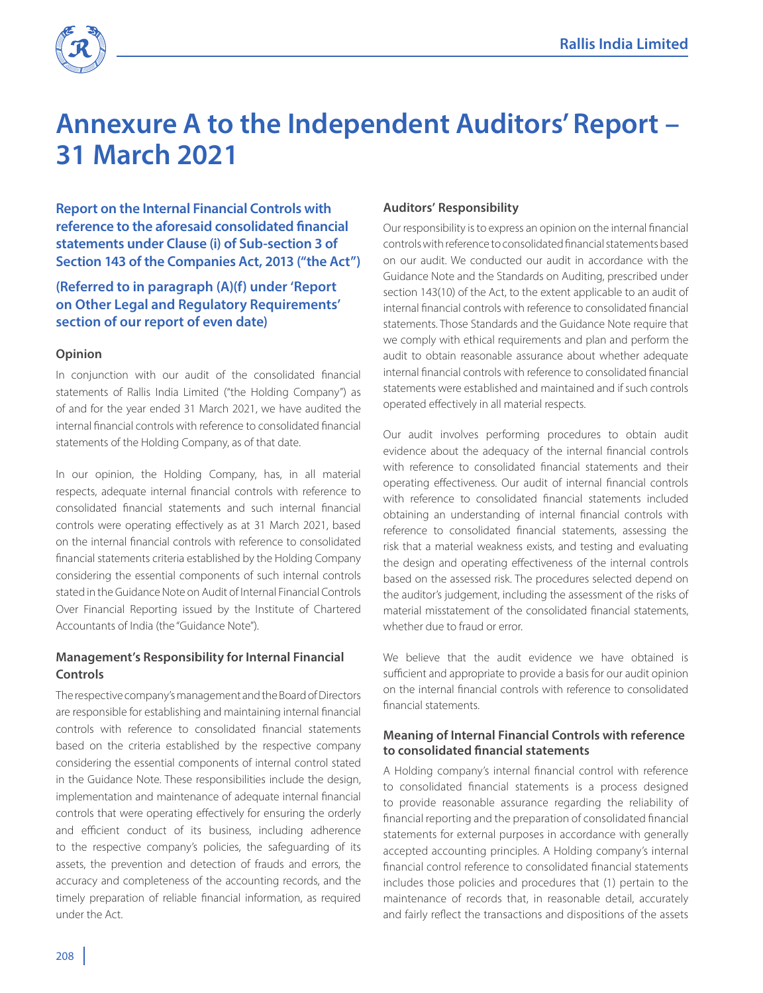

# **Annexure A to the Independent Auditors' Report – 31 March 2021**

**Report on the Internal Financial Controls with reference to the aforesaid consolidated financial statements under Clause (i) of Sub-section 3 of Section 143 of the Companies Act, 2013 ("the Act")**

## **(Referred to in paragraph (A)(f) under 'Report on Other Legal and Regulatory Requirements' section of our report of even date)**

### **Opinion**

In conjunction with our audit of the consolidated financial statements of Rallis India Limited ("the Holding Company") as of and for the year ended 31 March 2021, we have audited the internal financial controls with reference to consolidated financial statements of the Holding Company, as of that date.

In our opinion, the Holding Company, has, in all material respects, adequate internal financial controls with reference to consolidated financial statements and such internal financial controls were operating effectively as at 31 March 2021, based on the internal financial controls with reference to consolidated financial statements criteria established by the Holding Company considering the essential components of such internal controls stated in the Guidance Note on Audit of Internal Financial Controls Over Financial Reporting issued by the Institute of Chartered Accountants of India (the "Guidance Note").

### **Management's Responsibility for Internal Financial Controls**

The respective company's management and the Board of Directors are responsible for establishing and maintaining internal financial controls with reference to consolidated financial statements based on the criteria established by the respective company considering the essential components of internal control stated in the Guidance Note. These responsibilities include the design, implementation and maintenance of adequate internal financial controls that were operating effectively for ensuring the orderly and efficient conduct of its business, including adherence to the respective company's policies, the safeguarding of its assets, the prevention and detection of frauds and errors, the accuracy and completeness of the accounting records, and the timely preparation of reliable financial information, as required under the Act.

### **Auditors' Responsibility**

Our responsibility is to express an opinion on the internal financial controls with reference to consolidated financial statements based on our audit. We conducted our audit in accordance with the Guidance Note and the Standards on Auditing, prescribed under section 143(10) of the Act, to the extent applicable to an audit of internal financial controls with reference to consolidated financial statements. Those Standards and the Guidance Note require that we comply with ethical requirements and plan and perform the audit to obtain reasonable assurance about whether adequate internal financial controls with reference to consolidated financial statements were established and maintained and if such controls operated effectively in all material respects.

Our audit involves performing procedures to obtain audit evidence about the adequacy of the internal financial controls with reference to consolidated financial statements and their operating effectiveness. Our audit of internal financial controls with reference to consolidated financial statements included obtaining an understanding of internal financial controls with reference to consolidated financial statements, assessing the risk that a material weakness exists, and testing and evaluating the design and operating effectiveness of the internal controls based on the assessed risk. The procedures selected depend on the auditor's judgement, including the assessment of the risks of material misstatement of the consolidated financial statements, whether due to fraud or error.

We believe that the audit evidence we have obtained is sufficient and appropriate to provide a basis for our audit opinion on the internal financial controls with reference to consolidated financial statements.

### **Meaning of Internal Financial Controls with reference to consolidated financial statements**

A Holding company's internal financial control with reference to consolidated financial statements is a process designed to provide reasonable assurance regarding the reliability of financial reporting and the preparation of consolidated financial statements for external purposes in accordance with generally accepted accounting principles. A Holding company's internal financial control reference to consolidated financial statements includes those policies and procedures that (1) pertain to the maintenance of records that, in reasonable detail, accurately and fairly reflect the transactions and dispositions of the assets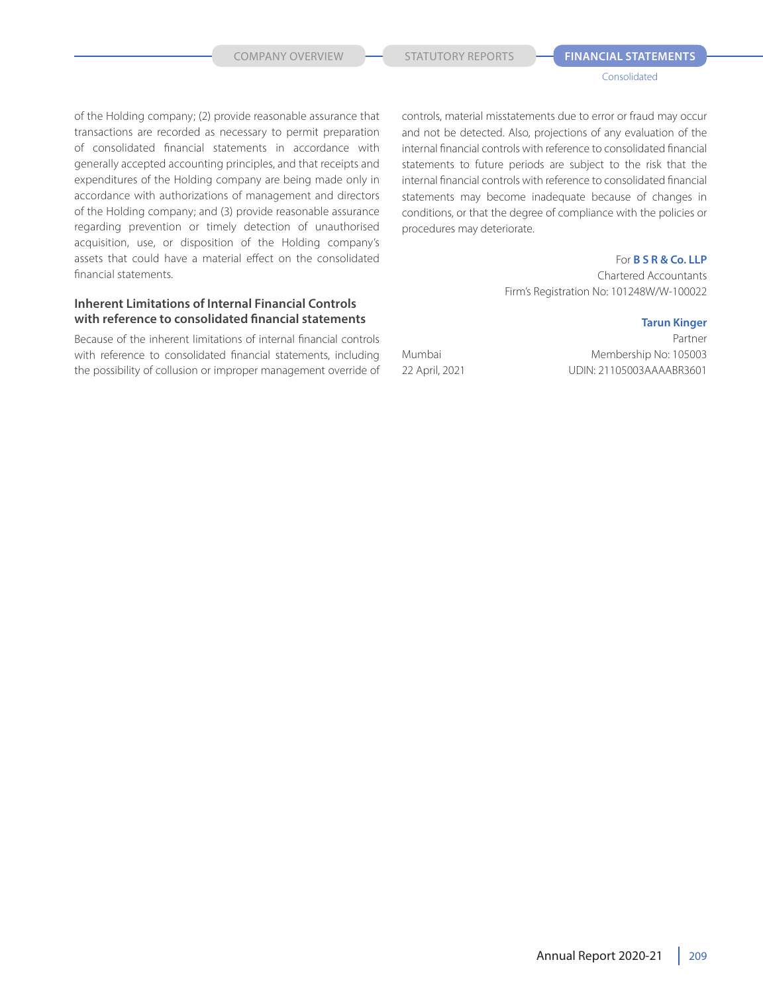of the Holding company; (2) provide reasonable assurance that transactions are recorded as necessary to permit preparation of consolidated financial statements in accordance with generally accepted accounting principles, and that receipts and expenditures of the Holding company are being made only in accordance with authorizations of management and directors of the Holding company; and (3) provide reasonable assurance regarding prevention or timely detection of unauthorised acquisition, use, or disposition of the Holding company's assets that could have a material effect on the consolidated financial statements.

### **Inherent Limitations of Internal Financial Controls with reference to consolidated financial statements**

Because of the inherent limitations of internal financial controls with reference to consolidated financial statements, including the possibility of collusion or improper management override of controls, material misstatements due to error or fraud may occur and not be detected. Also, projections of any evaluation of the internal financial controls with reference to consolidated financial statements to future periods are subject to the risk that the internal financial controls with reference to consolidated financial statements may become inadequate because of changes in conditions, or that the degree of compliance with the policies or procedures may deteriorate.

#### For **B S R & Co. LLP**

Chartered Accountants Firm's Registration No: 101248W/W-100022

### **Tarun Kinger**

Partner Mumbai Membership No: 105003 22 April, 2021 UDIN: 21105003AAAABR3601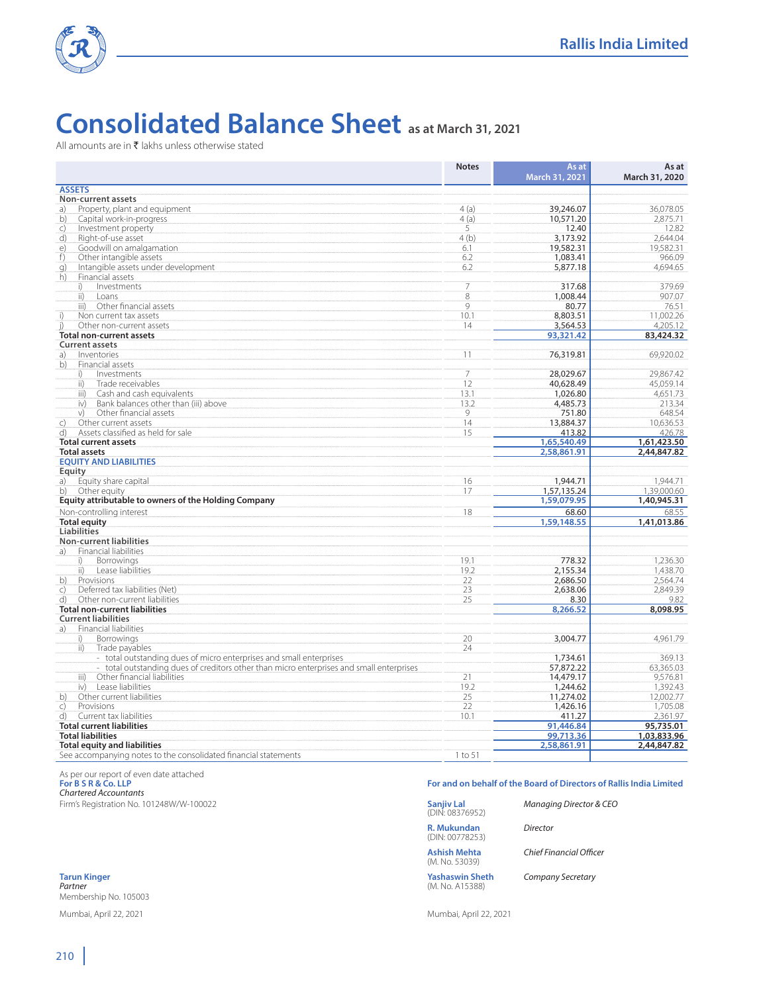

# **Consolidated Balance Sheet as at March 31, 2021**

All amounts are in  $\bar{\tau}$  lakhs unless otherwise stated

|                                                                                          | <b>Notes</b>   | As at<br>March 31, 2021 | As at<br>March 31, 2020 |
|------------------------------------------------------------------------------------------|----------------|-------------------------|-------------------------|
| <b>ASSETS</b>                                                                            |                |                         |                         |
| Non-current assets                                                                       |                |                         |                         |
| Property, plant and equipment<br>a)                                                      | 4(a)           | 39,246.07               | 36,078.05               |
| Capital work-in-progress<br>b)                                                           | 4(a)           | 10,571.20               | 2,875.71                |
| Investment property<br>$\mathsf{C}$                                                      | 5              | 12.40                   | 12.82                   |
| Right-of-use asset<br>d)                                                                 | 4(b)           | 3.173.92                | 2.644.04                |
| Goodwill on amalgamation<br>e)                                                           | 6.1            | 19,582.31               | 19,582.31               |
| $f$ )<br>Other intangible assets                                                         | 6.2            | 1,083.41                | 966.09                  |
| Intangible assets under development<br>q)                                                | 6.2            | 5,877.18                | 4.694.65                |
| Financial assets<br>h)                                                                   |                |                         |                         |
| Investments<br>i)                                                                        | $\overline{7}$ | 317.68                  | 379.69                  |
| Loans<br>ii)                                                                             | 8              | 1,008.44                | 907.07                  |
| Other financial assets<br>iii)                                                           | $\overline{Q}$ | 80.77                   | 76.51                   |
| $\left  \right\rangle$<br>Non current tax assets                                         | 10.1           | 8,803.51                | 11,002.26               |
| $\mathsf{j}$ )<br>Other non-current assets                                               | 14             | 3,564.53                | 4.205.12                |
| <b>Total non-current assets</b>                                                          |                | 93,321.42               | 83,424.32               |
| <b>Current assets</b>                                                                    |                |                         |                         |
| Inventories<br>a)                                                                        | 11             | 76,319.81               | 69,920.02               |
| Financial assets<br>b)                                                                   |                |                         |                         |
| Investments<br>i)                                                                        | 7              | 28,029.67               | 29,867.42               |
| Trade receivables<br>ii)                                                                 | 12             | 40.628.49               | 45,059.14               |
| Cash and cash equivalents<br>iii)                                                        | 13.1           | 1,026.80                | 4.651.73                |
| Bank balances other than (iii) above<br>iv)                                              | 13.2           | 4,485.73                | 213.34                  |
| Other financial assets<br>V)                                                             | 9              | 751.80                  | 648.54                  |
| Other current assets<br>$\mathsf{C}$                                                     | 14             | 13,884.37               | 10.636.53               |
| Assets classified as held for sale<br>d)                                                 | 15             | 413.82                  | 426.78                  |
| <b>Total current assets</b>                                                              |                | 1,65,540.49             | 1,61,423.50             |
| <b>Total assets</b>                                                                      |                | 2,58,861.91             | 2,44,847.82             |
| <b>EQUITY AND LIABILITIES</b>                                                            |                |                         |                         |
| Equity                                                                                   |                |                         |                         |
| Equity share capital<br>a)                                                               | 16             | 1.944.71                | 1.944.71                |
| Other equity<br>b)                                                                       | 17             | 1,57,135.24             | 1,39,000.60             |
| Equity attributable to owners of the Holding Company                                     |                | 1,59,079.95             | 1,40,945.31             |
| Non-controlling interest                                                                 | 18             | 68.60                   | 68.55                   |
| <b>Total equity</b>                                                                      |                | 1,59,148.55             | 1,41,013.86             |
| Liabilities                                                                              |                |                         |                         |
| Non-current liabilities                                                                  |                |                         |                         |
| Financial liabilities<br>a)                                                              |                |                         |                         |
| <b>Borrowings</b><br>i)                                                                  | 19.1           | 778.32                  | 1,236.30                |
| Lease liabilities<br>$\mathsf{ii}$                                                       | 19.2           | 2.155.34                | 1,438.70                |
| Provisions<br>b)                                                                         | 22             | 2,686.50                | 2,564.74                |
| Deferred tax liabilities (Net)<br>$\mathsf{C}$                                           | 23             | 2,638.06                | 2.849.39                |
| Other non-current liabilities<br>d)                                                      | 25             | 8.30                    | 9.82                    |
| <b>Total non-current liabilities</b>                                                     |                | 8,266.52                | 8,098.95                |
| <b>Current liabilities</b>                                                               |                |                         |                         |
| Financial liabilities<br>a)                                                              |                |                         |                         |
| Borrowings<br>i)                                                                         | 20             | 3,004.77                | 4,961.79                |
| Trade payables<br>ii)                                                                    | 24             |                         |                         |
| - total outstanding dues of micro enterprises and small enterprises                      |                | 1,734.61                | 369.13                  |
| - total outstanding dues of creditors other than micro enterprises and small enterprises |                | 57,872.22               | 63,365.03               |
| Other financial liabilities<br>iii)                                                      | 21             | 14,479.17               | 9,576.81                |
| iv) Lease liabilities                                                                    | 19.2           | 1,244.62                | 1,392.43                |
| Other current liabilities<br>b)                                                          | 25             | 11,274.02               | 12,002.77               |
| Provisions<br>$\mathsf{C}$                                                               | 22             | 1,426.16                | 1,705.08                |
| Current tax liabilities<br>d)                                                            | 10.1           | 411.27                  | 2,361.97                |
| <b>Total current liabilities</b>                                                         |                | 91.446.84               | 95,735.01               |
| <b>Total liabilities</b>                                                                 |                | 99,713.36               | 1,03,833.96             |
| <b>Total equity and liabilities</b>                                                      |                | 2,58,861.91             | 2,44,847.82             |
| See accompanying notes to the consolidated financial statements                          | 1 to 51        |                         |                         |

As per our report of even date attached For  $B S R & Co. LLP$ 

#### *Chartered Accountants*

### For and on behalf of the Board of Directors of Rallis India Limited

| Tarun Kinger                             | <b>Yashaswin Sheth</b>                | <b>Company Secretary</b> |  |
|------------------------------------------|---------------------------------------|--------------------------|--|
|                                          | <b>Ashish Mehta</b><br>(M. No. 53039) | Chief Financial Officer  |  |
|                                          | R. Mukundan<br>(DIN: 00778253)        | <b>Director</b>          |  |
| Firm's Registration No. 101248W/W-100022 | <b>Sanjiv Lal</b><br>(DIN: 08376952)  | Managing Director & CEO  |  |

*Partner* (M. No. A15388) Membership No. 105003

Mumbai, April 22, 2021 Mumbai, April 22, 2021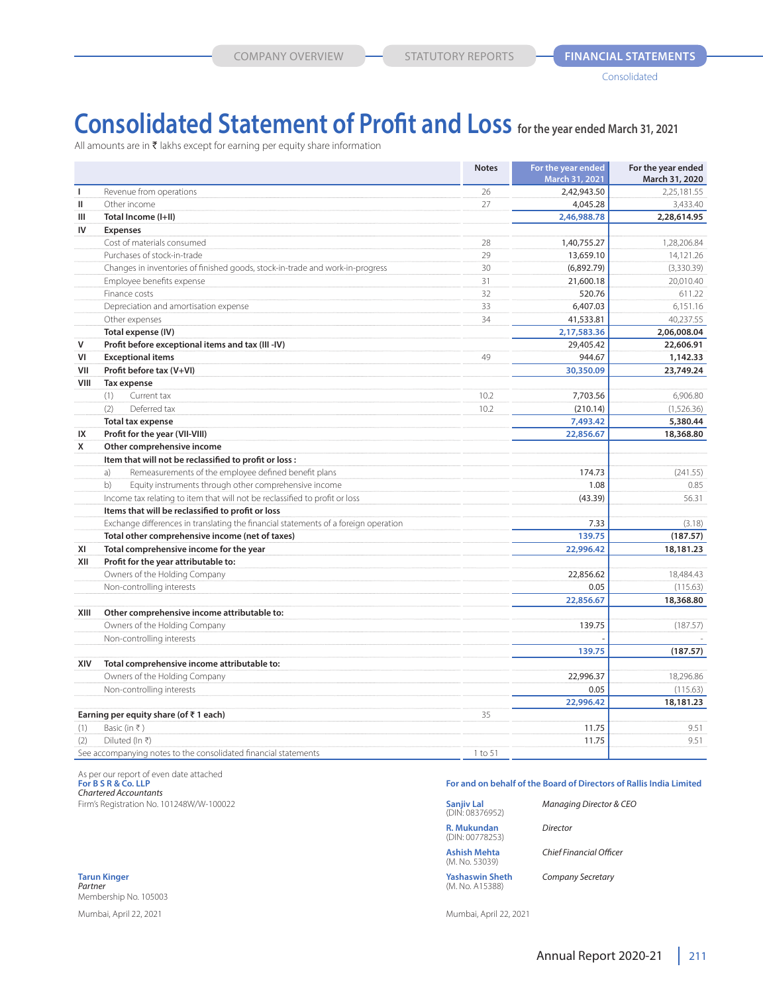Consolidated

# **Consolidated Statement of Profit and Loss for the year ended March 31, 2021**

All amounts are in  $\bar{\tau}$  lakhs except for earning per equity share information

|              |                                                                                     | <b>Notes</b> | For the year ended<br>March 31, 2021 | For the year ended<br>March 31, 2020 |
|--------------|-------------------------------------------------------------------------------------|--------------|--------------------------------------|--------------------------------------|
| $\mathbf{I}$ | Revenue from operations                                                             | 26           | 2,42,943.50                          | 2,25,181.55                          |
| Ш            | Other income                                                                        | 27           | 4,045.28                             | 3,433.40                             |
| III          | Total Income (I+II)                                                                 |              | 2,46,988.78                          | 2,28,614.95                          |
| IV           | <b>Expenses</b>                                                                     |              |                                      |                                      |
|              | Cost of materials consumed                                                          | 28           | 1,40,755.27                          | 1,28,206.84                          |
|              | Purchases of stock-in-trade                                                         | 29           | 13,659.10                            | 14,121.26                            |
|              | Changes in inventories of finished goods, stock-in-trade and work-in-progress       | 30           | (6,892.79)                           | (3,330.39)                           |
|              | Employee benefits expense                                                           | 31           | 21,600.18                            | 20,010.40                            |
|              | Finance costs                                                                       | 32           | 520.76                               | 611.22                               |
|              | Depreciation and amortisation expense                                               | 33           | 6,407.03                             | 6,151.16                             |
|              | Other expenses                                                                      | 34           | 41,533.81                            | 40,237.55                            |
|              | Total expense (IV)                                                                  |              | 2,17,583.36                          | 2,06,008.04                          |
| v            | Profit before exceptional items and tax (III -IV)                                   |              | 29,405.42                            | 22,606.91                            |
| VI           | <b>Exceptional items</b>                                                            | 49           | 944.67                               | 1,142.33                             |
| VII          | Profit before tax (V+VI)                                                            |              | 30,350.09                            | 23,749.24                            |
| VIII         | Tax expense                                                                         |              |                                      |                                      |
|              | (1)<br>Current tax                                                                  | 10.2         | 7,703.56                             | 6,906.80                             |
|              | (2)<br>Deferred tax                                                                 | 10.2         | (210.14)                             | (1,526.36)                           |
|              | Total tax expense                                                                   |              | 7,493.42                             | 5,380.44                             |
| IX           | Profit for the year (VII-VIII)                                                      |              | 22,856.67                            | 18,368.80                            |
| x            | Other comprehensive income                                                          |              |                                      |                                      |
|              | Item that will not be reclassified to profit or loss:                               |              |                                      |                                      |
|              | Remeasurements of the employee defined benefit plans<br>a)                          |              | 174.73                               | (241.55)                             |
|              | Equity instruments through other comprehensive income<br>b)                         |              | 1.08                                 | 0.85                                 |
|              | Income tax relating to item that will not be reclassified to profit or loss         |              | (43.39)                              | 56.31                                |
|              | Items that will be reclassified to profit or loss                                   |              |                                      |                                      |
|              | Exchange differences in translating the financial statements of a foreign operation |              | 7.33                                 | (3.18)                               |
|              | Total other comprehensive income (net of taxes)                                     |              | 139.75                               | (187.57)                             |
| XI           | Total comprehensive income for the year                                             |              | 22,996.42                            | 18,181.23                            |
| XII          | Profit for the year attributable to:                                                |              |                                      |                                      |
|              | Owners of the Holding Company                                                       |              | 22.856.62                            | 18,484.43                            |
|              | Non-controlling interests                                                           |              | 0.05                                 | (115.63)                             |
|              |                                                                                     |              | 22,856.67                            | 18,368.80                            |
| XIII         | Other comprehensive income attributable to:                                         |              |                                      |                                      |
|              | Owners of the Holding Company                                                       |              | 139.75                               | (187.57)                             |
|              | Non-controlling interests                                                           |              |                                      |                                      |
|              |                                                                                     |              | 139.75                               | (187.57)                             |
| <b>XIV</b>   | Total comprehensive income attributable to:                                         |              |                                      |                                      |
|              | Owners of the Holding Company                                                       |              | 22,996.37                            | 18,296.86                            |
|              | Non-controlling interests                                                           |              | 0.05                                 | (115.63)                             |
|              |                                                                                     |              | 22,996.42                            | 18,181.23                            |
|              | Earning per equity share (of $\overline{\tau}$ 1 each)                              | 35           |                                      |                                      |
| (1)          | Basic (in ₹)                                                                        |              | 11.75                                | 9.51                                 |
| (2)          | Diluted (In ₹)                                                                      |              | 11.75                                | 9.51                                 |
|              | See accompanying notes to the consolidated financial statements                     | 1 to 51      |                                      |                                      |
|              |                                                                                     |              |                                      |                                      |

As per our report of even date attached *Chartered Accountants*

| Charleto Accountains                     |
|------------------------------------------|
| Firm's Registration No. 101248W/W-100022 |
|                                          |

#### For and on behalf of the Board of Directors of Rallis India Limited

| Firm's Registration No. 101248W/W-100022 | <b>Saniiv Lal</b><br>(DIN: 08376952)    | Managing Director & CEO        |
|------------------------------------------|-----------------------------------------|--------------------------------|
|                                          | R. Mukundan<br>(DIN: 00778253)          | Director                       |
|                                          | <b>Ashish Mehta</b><br>(M. No. 53039)   | <b>Chief Financial Officer</b> |
| <b>Tarun Kinger</b><br>Partner           | <b>Yashaswin Sheth</b><br>(M No 415388) | <b>Company Secretary</b>       |

*Partner* (M. No. A15388) Membership No. 105003 Mumbai, April 22, 2021 Mumbai, April 22, 2021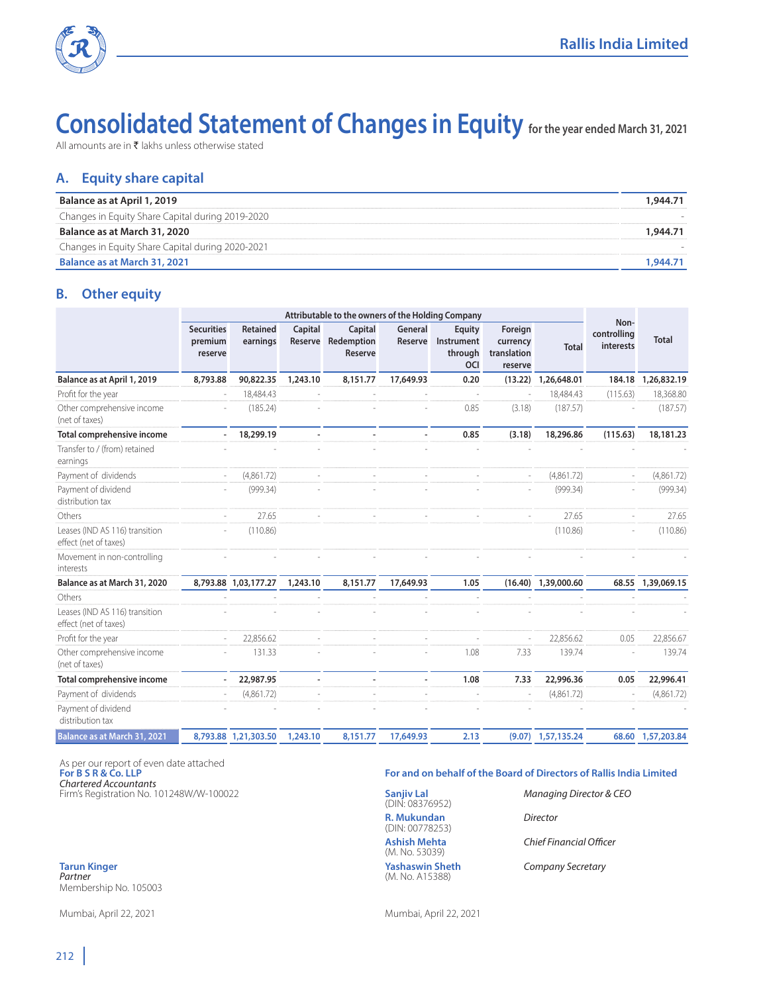

# **Consolidated Statement of Changes in Equity for the year ended March 31, 2021**

All amounts are in  $\bar{\tau}$  lakhs unless otherwise stated

### **A. Equity share capital**

| Balance as at April 1, 2019                      |  |
|--------------------------------------------------|--|
| Changes in Equity Share Capital during 2019-2020 |  |
| Balance as at March 31, 2020                     |  |
| Changes in Equity Share Capital during 2020-2021 |  |
| Balance as at March 31, 2021                     |  |

### **B. Other equity**

|                                                         | Attributable to the owners of the Holding Company |                      |          |                                          |                    |                                               |                                               | Non-                  |                          |                   |
|---------------------------------------------------------|---------------------------------------------------|----------------------|----------|------------------------------------------|--------------------|-----------------------------------------------|-----------------------------------------------|-----------------------|--------------------------|-------------------|
|                                                         | <b>Securities</b><br>premium<br>reserve           | Retained<br>earnings | Capital  | Capital<br>Reserve Redemption<br>Reserve | General<br>Reserve | Equity<br>Instrument<br>through<br><b>OCI</b> | Foreign<br>currency<br>translation<br>reserve | <b>Total</b>          | controlling<br>interests | <b>Total</b>      |
| Balance as at April 1, 2019                             | 8,793.88                                          | 90,822.35            | 1,243.10 | 8,151.77                                 | 17,649.93          | 0.20                                          | (13.22)                                       | 1,26,648.01           | 184.18                   | 1,26,832.19       |
| Profit for the year                                     |                                                   | 18.484.43            |          |                                          |                    |                                               |                                               | 18,484.43             | (115.63)                 | 18,368.80         |
| Other comprehensive income<br>(net of taxes)            |                                                   | (185.24)             |          |                                          |                    | 0.85                                          | (3.18)                                        | (187.57)              |                          | (187.57)          |
| Total comprehensive income                              |                                                   | 18,299.19            |          |                                          |                    | 0.85                                          | (3.18)                                        | 18,296.86             | (115.63)                 | 18,181.23         |
| Transfer to / (from) retained<br>earnings               |                                                   |                      |          |                                          |                    |                                               |                                               |                       |                          |                   |
| Payment of dividends                                    |                                                   | (4,861.72)           |          |                                          |                    |                                               |                                               | (4,861.72)            |                          | (4,861.72)        |
| Payment of dividend<br>distribution tax                 |                                                   | (999.34)             |          |                                          |                    |                                               |                                               | (999.34)              |                          | (999.34)          |
| Others                                                  |                                                   | 27.65                |          |                                          |                    |                                               |                                               | 27.65                 |                          | 27.65             |
| Leases (IND AS 116) transition<br>effect (net of taxes) |                                                   | (110.86)             |          |                                          |                    |                                               |                                               | (110.86)              |                          | (110.86)          |
| Movement in non-controlling<br>interests                |                                                   |                      |          |                                          |                    |                                               |                                               |                       |                          |                   |
| Balance as at March 31, 2020                            |                                                   | 8,793.88 1,03,177.27 | 1,243.10 | 8,151.77                                 | 17,649.93          | 1.05                                          |                                               | $(16.40)$ 1,39,000.60 |                          | 68.55 1,39,069.15 |
| Others                                                  |                                                   |                      |          |                                          |                    |                                               |                                               |                       |                          |                   |
| Leases (IND AS 116) transition<br>effect (net of taxes) |                                                   |                      |          |                                          |                    |                                               |                                               |                       |                          |                   |
| Profit for the year                                     |                                                   | 22,856.62            |          |                                          |                    |                                               |                                               | 22,856.62             | 0.05                     | 22,856.67         |
| Other comprehensive income<br>(net of taxes)            |                                                   | 131.33               |          |                                          |                    | 1.08                                          | 7.33                                          | 139.74                |                          | 139.74            |
| Total comprehensive income                              |                                                   | 22,987.95            |          |                                          |                    | 1.08                                          | 7.33                                          | 22,996.36             | 0.05                     | 22,996.41         |
| Payment of dividends                                    |                                                   | (4,861.72)           |          |                                          |                    |                                               |                                               | (4,861.72)            |                          | (4,861.72)        |
| Payment of dividend<br>distribution tax                 |                                                   |                      |          |                                          |                    |                                               |                                               |                       |                          |                   |
| Balance as at March 31, 2021                            |                                                   | 8,793.88 1,21,303.50 | 1,243.10 | 8,151.77                                 | 17,649.93          | 2.13                                          |                                               | $(9.07)$ 1,57,135.24  |                          | 68.60 1,57,203.84 |

As per our report of even date attached For  $B S R & Co. LLP$ *Chartered Accountants* Firm's Registration No. 101248W/W-100022 **Sanjiv Lal** *Managing Director & CEO*

**Tarun Kinger Yashaswin Sheth** *Company Secretary Partner* (M. No. A15388) Membership No. 105003

#### For and on behalf of the Board of Directors of Rallis India Limited

| <b>Sanjiv Lal</b><br>(DIN: 08376952)      |
|-------------------------------------------|
| R. Mukundan<br>(DIN: 00778253)            |
| <b>Ashish Mehta</b><br>(M. No. 53039)     |
| <b>Yashaswin Sheth</b><br>(M. No. A15388) |

**R. Mukundan** *Director* **Ashish Mehta** *Chief Financial Officer*

Mumbai, April 22, 2021 Mumbai, April 22, 2021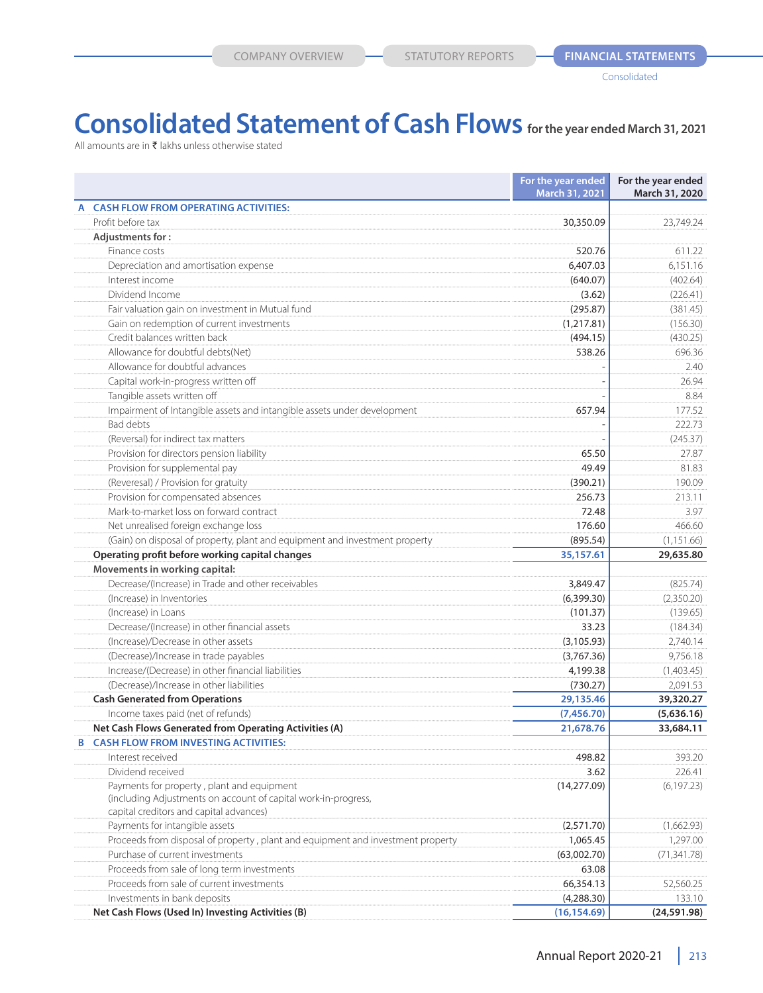Consolidated

# **Consolidated Statement of Cash Flows for the year ended March 31, 2021**

All amounts are in  $\bar{\tau}$  lakhs unless otherwise stated

|                                                        |                                                                                 | For the year ended<br>March 31, 2021 | For the year ended<br>March 31, 2020 |
|--------------------------------------------------------|---------------------------------------------------------------------------------|--------------------------------------|--------------------------------------|
| <b>CASH FLOW FROM OPERATING ACTIVITIES:</b>            |                                                                                 |                                      |                                      |
| Profit before tax                                      |                                                                                 | 30,350.09                            | 23,749.24                            |
| Adjustments for:                                       |                                                                                 |                                      |                                      |
| Finance costs                                          |                                                                                 | 520.76                               | 611.22                               |
| Depreciation and amortisation expense                  |                                                                                 | 6,407.03                             | 6,151.16                             |
| Interest income                                        |                                                                                 | (640.07)                             | (402.64)                             |
| Dividend Income                                        |                                                                                 | (3.62)                               | (226.41)                             |
| Fair valuation gain on investment in Mutual fund       |                                                                                 | (295.87)                             | (381.45)                             |
| Gain on redemption of current investments              |                                                                                 | (1,217.81)                           | (156.30)                             |
| Credit balances written back                           |                                                                                 | (494.15)                             | (430.25)                             |
| Allowance for doubtful debts(Net)                      |                                                                                 | 538.26                               | 696.36                               |
| Allowance for doubtful advances                        |                                                                                 |                                      | 2.40                                 |
| Capital work-in-progress written off                   |                                                                                 |                                      | 26.94                                |
| Tangible assets written off                            |                                                                                 |                                      | 8.84                                 |
|                                                        | Impairment of Intangible assets and intangible assets under development         | 657.94                               | 177.52                               |
| Bad debts                                              |                                                                                 |                                      | 222.73                               |
| (Reversal) for indirect tax matters                    |                                                                                 |                                      | (245.37)                             |
| Provision for directors pension liability              |                                                                                 | 65.50                                | 27.87                                |
| Provision for supplemental pay                         |                                                                                 | 49.49                                | 81.83                                |
| (Reveresal) / Provision for gratuity                   |                                                                                 | (390.21)                             | 190.09                               |
| Provision for compensated absences                     |                                                                                 | 256.73                               | 213.11                               |
| Mark-to-market loss on forward contract                |                                                                                 | 72.48                                | 3.97                                 |
| Net unrealised foreign exchange loss                   |                                                                                 | 176.60                               | 466.60                               |
|                                                        | (Gain) on disposal of property, plant and equipment and investment property     | (895.54)                             | (1, 151.66)                          |
| Operating profit before working capital changes        |                                                                                 | 35,157.61                            | 29,635.80                            |
| Movements in working capital:                          |                                                                                 |                                      |                                      |
| Decrease/(Increase) in Trade and other receivables     |                                                                                 | 3,849.47                             | (825.74)                             |
| (Increase) in Inventories                              |                                                                                 | (6, 399.30)                          | (2,350.20)                           |
| (Increase) in Loans                                    |                                                                                 | (101.37)                             | (139.65)                             |
| Decrease/(Increase) in other financial assets          |                                                                                 | 33.23                                | (184.34)                             |
| (Increase)/Decrease in other assets                    |                                                                                 | (3, 105.93)                          | 2,740.14                             |
| (Decrease)/Increase in trade payables                  |                                                                                 | (3,767.36)                           | 9,756.18                             |
| Increase/(Decrease) in other financial liabilities     |                                                                                 | 4,199.38                             | (1,403.45)                           |
| (Decrease)/Increase in other liabilities               |                                                                                 | (730.27)                             | 2,091.53                             |
| <b>Cash Generated from Operations</b>                  |                                                                                 | 29,135.46                            | 39,320.27                            |
| Income taxes paid (net of refunds)                     |                                                                                 | (7,456.70)                           | (5,636.16)                           |
| Net Cash Flows Generated from Operating Activities (A) |                                                                                 | 21,678.76                            | 33,684.11                            |
| <b>CASH FLOW FROM INVESTING ACTIVITIES:</b><br>B       |                                                                                 |                                      |                                      |
| Interest received                                      |                                                                                 | 498.82                               | 393.20                               |
| Dividend received                                      |                                                                                 | 3.62                                 | 226.41                               |
| Payments for property, plant and equipment             |                                                                                 | (14, 277.09)                         | (6, 197.23)                          |
| capital creditors and capital advances)                | (including Adjustments on account of capital work-in-progress,                  |                                      |                                      |
| Payments for intangible assets                         |                                                                                 | (2,571.70)                           | (1,662.93)                           |
|                                                        | Proceeds from disposal of property, plant and equipment and investment property | 1,065.45                             | 1,297.00                             |
| Purchase of current investments                        |                                                                                 | (63,002.70)                          | (71, 341.78)                         |
| Proceeds from sale of long term investments            |                                                                                 | 63.08                                |                                      |
| Proceeds from sale of current investments              |                                                                                 | 66,354.13                            | 52,560.25                            |
| Investments in bank deposits                           |                                                                                 | (4,288.30)                           | 133.10                               |
| Net Cash Flows (Used In) Investing Activities (B)      |                                                                                 | (16, 154.69)                         | (24, 591.98)                         |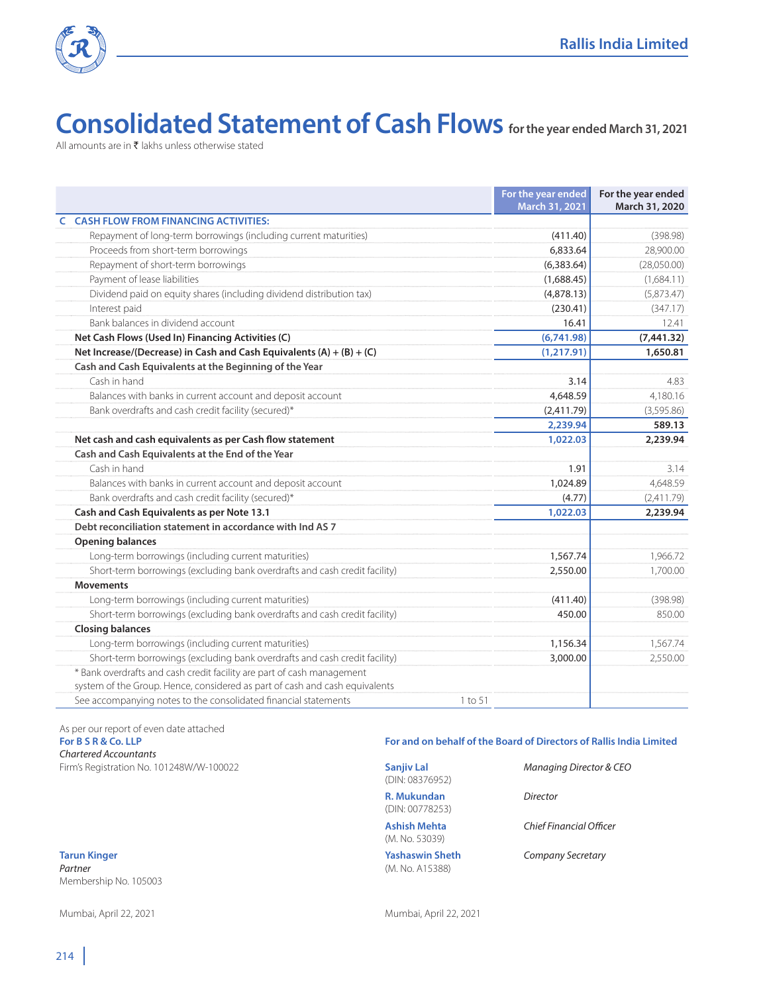

# **Consolidated Statement of Cash Flows for the year ended March 31, 2021**

All amounts are in  $\bar{\tau}$  lakhs unless otherwise stated

|                                                                             |             | For the year ended<br>March 31, 2021 | For the year ended<br>March 31, 2020 |
|-----------------------------------------------------------------------------|-------------|--------------------------------------|--------------------------------------|
| <b>C CASH FLOW FROM FINANCING ACTIVITIES:</b>                               |             |                                      |                                      |
| Repayment of long-term borrowings (including current maturities)            |             | (411.40)                             | (398.98)                             |
| Proceeds from short-term borrowings                                         |             | 6,833.64                             | 28,900.00                            |
| Repayment of short-term borrowings                                          |             | (6, 383.64)                          | (28,050.00)                          |
| Payment of lease liabilities                                                |             | (1,688.45)                           | (1,684.11)                           |
| Dividend paid on equity shares (including dividend distribution tax)        |             | (4,878.13)                           | (5,873.47)                           |
| Interest paid                                                               |             | (230.41)                             | (347.17)                             |
| Bank balances in dividend account                                           |             | 16.41                                | 12.41                                |
| Net Cash Flows (Used In) Financing Activities (C)                           |             | (6,741.98)                           | (7, 441.32)                          |
| Net Increase/(Decrease) in Cash and Cash Equivalents $(A) + (B) + (C)$      |             | (1, 217.91)                          | 1,650.81                             |
| Cash and Cash Equivalents at the Beginning of the Year                      |             |                                      |                                      |
| Cash in hand                                                                |             | 3.14                                 | 4.83                                 |
| Balances with banks in current account and deposit account                  |             | 4,648.59                             | 4,180.16                             |
| Bank overdrafts and cash credit facility (secured)*                         |             | (2,411.79)                           | (3,595.86)                           |
|                                                                             |             | 2,239.94                             | 589.13                               |
| Net cash and cash equivalents as per Cash flow statement                    |             | 1,022.03                             | 2,239.94                             |
| Cash and Cash Equivalents at the End of the Year                            |             |                                      |                                      |
| Cash in hand                                                                |             | 1.91                                 | 3.14                                 |
| Balances with banks in current account and deposit account                  |             | 1,024.89                             | 4,648.59                             |
| Bank overdrafts and cash credit facility (secured)*                         |             | (4.77)                               | (2,411.79)                           |
| Cash and Cash Equivalents as per Note 13.1                                  |             | 1,022.03                             | 2,239.94                             |
| Debt reconciliation statement in accordance with Ind AS 7                   |             |                                      |                                      |
| <b>Opening balances</b>                                                     |             |                                      |                                      |
| Long-term borrowings (including current maturities)                         |             | 1,567.74                             | 1,966.72                             |
| Short-term borrowings (excluding bank overdrafts and cash credit facility)  |             | 2,550.00                             | 1,700.00                             |
| <b>Movements</b>                                                            |             |                                      |                                      |
| Long-term borrowings (including current maturities)                         |             | (411.40)                             | (398.98)                             |
| Short-term borrowings (excluding bank overdrafts and cash credit facility)  |             | 450.00                               | 850.00                               |
| <b>Closing balances</b>                                                     |             |                                      |                                      |
| Long-term borrowings (including current maturities)                         |             | 1,156.34                             | 1,567.74                             |
| Short-term borrowings (excluding bank overdrafts and cash credit facility)  |             | 3,000.00                             | 2,550.00                             |
| * Bank overdrafts and cash credit facility are part of cash management      |             |                                      |                                      |
| system of the Group. Hence, considered as part of cash and cash equivalents |             |                                      |                                      |
| See accompanying notes to the consolidated financial statements             | $1$ to $51$ |                                      |                                      |

# As per our report of even date attached<br>For B S R & Co. LLP

*Chartered Accountants*

| Firm's Registration No. 101248W/W-100022 |  |
|------------------------------------------|--|
|------------------------------------------|--|

# **Tarun Kinger Yashaswin Sheth** *Company Secretary*

Membership No. 105003

Mumbai, April 22, 2021 Mumbai, April 22, 2021

#### For and on behalf of the Board of Directors of Rallis India Limited

**Sanjiv Lal** *Managing Director & CEO* (DIN: 08376952)

**R. Mukundan** *Director* (DIN: 00778253)

(M. No. 53039)

*(M. No. A15388)* 

**Ashish Mehta** *Chief Financial Officer*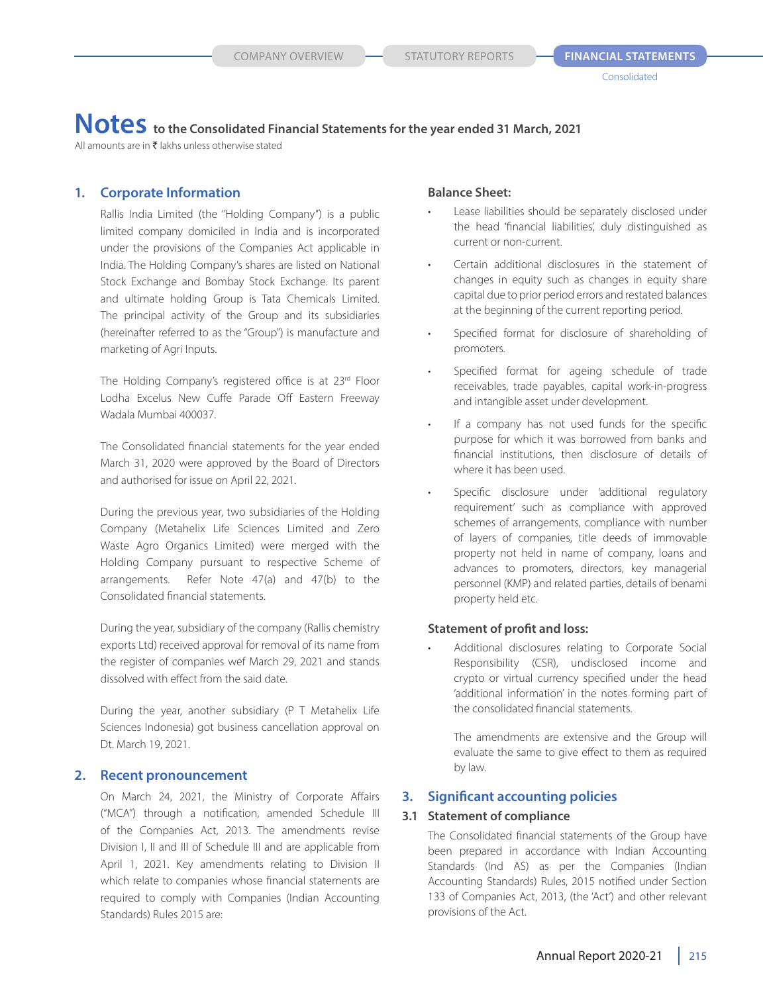All amounts are in  $\bar{\tau}$  lakhs unless otherwise stated

#### **1. Corporate Information**

Rallis India Limited (the ''Holding Company'') is a public limited company domiciled in India and is incorporated under the provisions of the Companies Act applicable in India. The Holding Company's shares are listed on National Stock Exchange and Bombay Stock Exchange. Its parent and ultimate holding Group is Tata Chemicals Limited. The principal activity of the Group and its subsidiaries (hereinafter referred to as the "Group") is manufacture and marketing of Agri Inputs.

The Holding Company's registered office is at 23rd Floor Lodha Excelus New Cuffe Parade Off Eastern Freeway Wadala Mumbai 400037.

 The Consolidated financial statements for the year ended March 31, 2020 were approved by the Board of Directors and authorised for issue on April 22, 2021.

 During the previous year, two subsidiaries of the Holding Company (Metahelix Life Sciences Limited and Zero Waste Agro Organics Limited) were merged with the Holding Company pursuant to respective Scheme of arrangements. Refer Note 47(a) and 47(b) to the Consolidated financial statements.

 During the year, subsidiary of the company (Rallis chemistry exports Ltd) received approval for removal of its name from the register of companies wef March 29, 2021 and stands dissolved with effect from the said date.

 During the year, another subsidiary (P T Metahelix Life Sciences Indonesia) got business cancellation approval on Dt. March 19, 2021.

### **2. Recent pronouncement**

 On March 24, 2021, the Ministry of Corporate Affairs ("MCA") through a notification, amended Schedule III of the Companies Act, 2013. The amendments revise Division I, II and III of Schedule III and are applicable from April 1, 2021. Key amendments relating to Division II which relate to companies whose financial statements are required to comply with Companies (Indian Accounting Standards) Rules 2015 are:

#### **Balance Sheet:**

- Lease liabilities should be separately disclosed under the head 'financial liabilities', duly distinguished as current or non-current.
- Certain additional disclosures in the statement of changes in equity such as changes in equity share capital due to prior period errors and restated balances at the beginning of the current reporting period.
- Specified format for disclosure of shareholding of promoters.
- Specified format for ageing schedule of trade receivables, trade payables, capital work-in-progress and intangible asset under development.
- If a company has not used funds for the specific purpose for which it was borrowed from banks and financial institutions, then disclosure of details of where it has been used.
- Specific disclosure under 'additional regulatory requirement' such as compliance with approved schemes of arrangements, compliance with number of layers of companies, title deeds of immovable property not held in name of company, loans and advances to promoters, directors, key managerial personnel (KMP) and related parties, details of benami property held etc.

#### **Statement of profit and loss:**

 • Additional disclosures relating to Corporate Social Responsibility (CSR), undisclosed income and crypto or virtual currency specified under the head 'additional information' in the notes forming part of the consolidated financial statements.

 The amendments are extensive and the Group will evaluate the same to give effect to them as required by law.

### **3. Significant accounting policies**

### **3.1 Statement of compliance**

 The Consolidated financial statements of the Group have been prepared in accordance with Indian Accounting Standards (Ind AS) as per the Companies (Indian Accounting Standards) Rules, 2015 notified under Section 133 of Companies Act, 2013, (the 'Act') and other relevant provisions of the Act.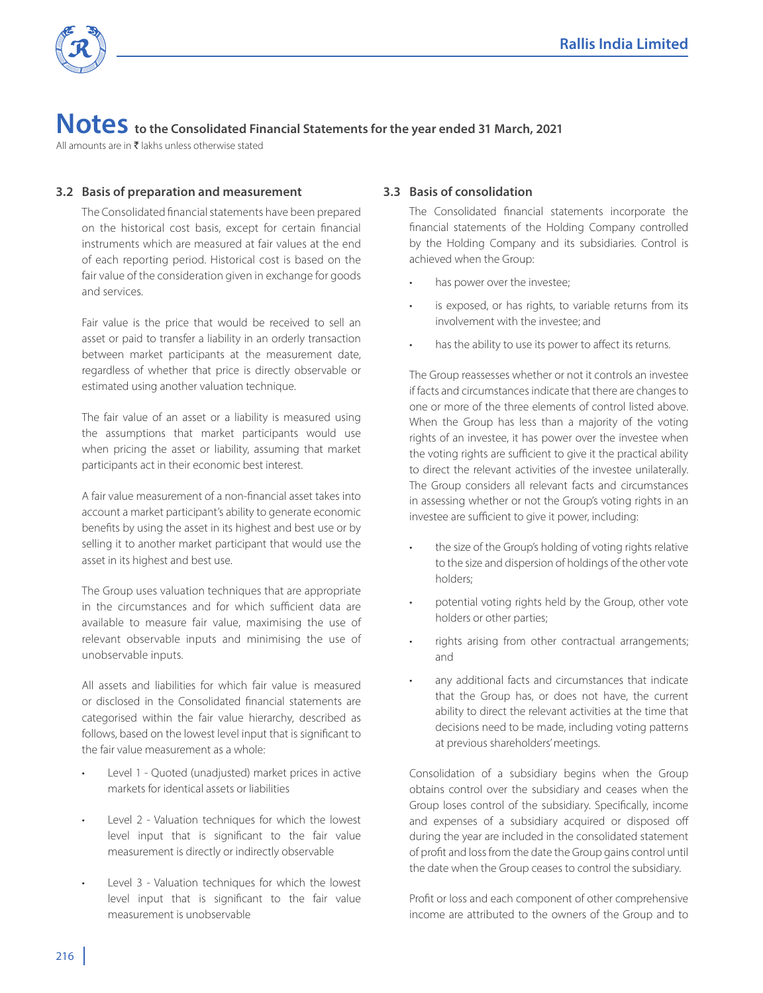

All amounts are in  $\bar{\tau}$  lakhs unless otherwise stated

### **3.2 Basis of preparation and measurement**

 The Consolidated financial statements have been prepared on the historical cost basis, except for certain financial instruments which are measured at fair values at the end of each reporting period. Historical cost is based on the fair value of the consideration given in exchange for goods and services.

 Fair value is the price that would be received to sell an asset or paid to transfer a liability in an orderly transaction between market participants at the measurement date, regardless of whether that price is directly observable or estimated using another valuation technique.

 The fair value of an asset or a liability is measured using the assumptions that market participants would use when pricing the asset or liability, assuming that market participants act in their economic best interest.

 A fair value measurement of a non-financial asset takes into account a market participant's ability to generate economic benefits by using the asset in its highest and best use or by selling it to another market participant that would use the asset in its highest and best use.

 The Group uses valuation techniques that are appropriate in the circumstances and for which sufficient data are available to measure fair value, maximising the use of relevant observable inputs and minimising the use of unobservable inputs.

 All assets and liabilities for which fair value is measured or disclosed in the Consolidated financial statements are categorised within the fair value hierarchy, described as follows, based on the lowest level input that is significant to the fair value measurement as a whole:

- Level 1 Quoted (unadjusted) market prices in active markets for identical assets or liabilities
- Level 2 Valuation techniques for which the lowest level input that is significant to the fair value measurement is directly or indirectly observable
- Level 3 Valuation techniques for which the lowest level input that is significant to the fair value measurement is unobservable

### **3.3 Basis of consolidation**

 The Consolidated financial statements incorporate the financial statements of the Holding Company controlled by the Holding Company and its subsidiaries. Control is achieved when the Group:

- has power over the investee;
- is exposed, or has rights, to variable returns from its involvement with the investee; and
- has the ability to use its power to affect its returns.

 The Group reassesses whether or not it controls an investee if facts and circumstances indicate that there are changes to one or more of the three elements of control listed above. When the Group has less than a majority of the voting rights of an investee, it has power over the investee when the voting rights are sufficient to give it the practical ability to direct the relevant activities of the investee unilaterally. The Group considers all relevant facts and circumstances in assessing whether or not the Group's voting rights in an investee are sufficient to give it power, including:

- the size of the Group's holding of voting rights relative to the size and dispersion of holdings of the other vote holders;
- potential voting rights held by the Group, other vote holders or other parties;
- rights arising from other contractual arrangements; and
- any additional facts and circumstances that indicate that the Group has, or does not have, the current ability to direct the relevant activities at the time that decisions need to be made, including voting patterns at previous shareholders' meetings.

 Consolidation of a subsidiary begins when the Group obtains control over the subsidiary and ceases when the Group loses control of the subsidiary. Specifically, income and expenses of a subsidiary acquired or disposed off during the year are included in the consolidated statement of profit and loss from the date the Group gains control until the date when the Group ceases to control the subsidiary.

 Profit or loss and each component of other comprehensive income are attributed to the owners of the Group and to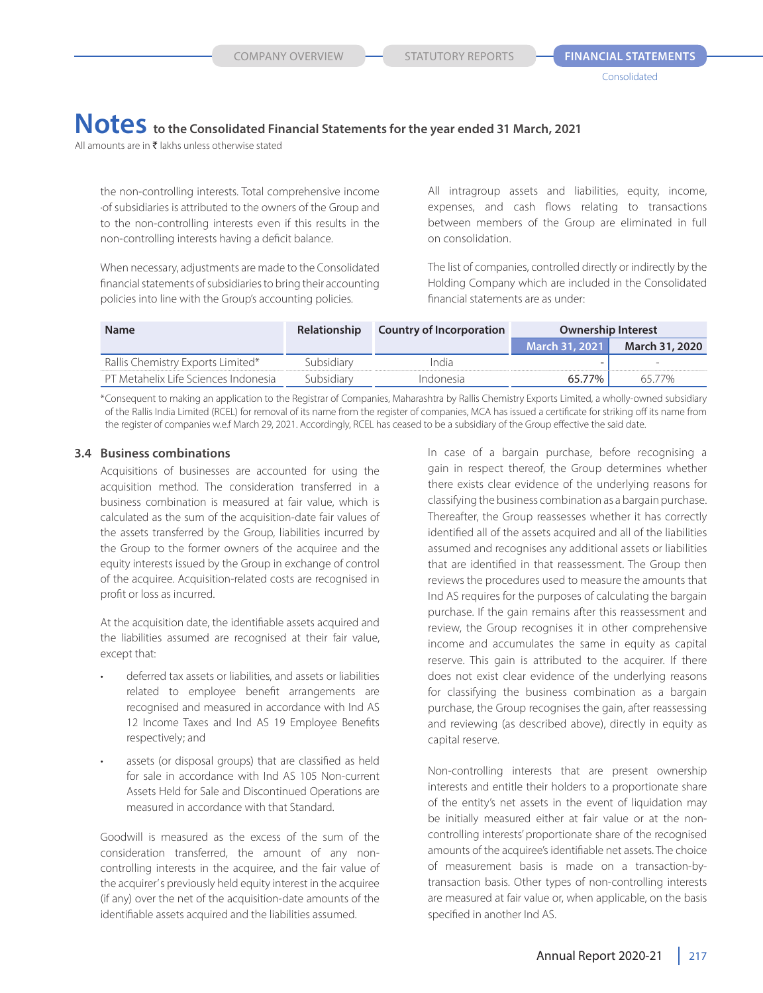Consolidated

# **Notes to the Consolidated Financial Statements for the year ended 31 March, 2021**

All amounts are in  $\bar{\tau}$  lakhs unless otherwise stated

the non-controlling interests. Total comprehensive income ·of subsidiaries is attributed to the owners of the Group and to the non-controlling interests even if this results in the non-controlling interests having a deficit balance.

 When necessary, adjustments are made to the Consolidated financial statements of subsidiaries to bring their accounting policies into line with the Group's accounting policies.

 All intragroup assets and liabilities, equity, income, expenses, and cash flows relating to transactions between members of the Group are eliminated in full on consolidation.

 The list of companies, controlled directly or indirectly by the Holding Company which are included in the Consolidated financial statements are as under:

| <b>Name</b>                          | Relationship | Country of Incorporation | <b>Ownership Interest</b> |                          |
|--------------------------------------|--------------|--------------------------|---------------------------|--------------------------|
|                                      |              |                          | <b>March 31, 2021</b>     | March 31, 2020           |
| Rallis Chemistry Exports Limited*    | Subsidiarv   | India                    |                           | $\overline{\phantom{a}}$ |
| PT Metahelix Life Sciences Indonesia | Subsidiarv   | Indonesia                | 65 77%                    | 77%                      |

\*Consequent to making an application to the Registrar of Companies, Maharashtra by Rallis Chemistry Exports Limited, a wholly-owned subsidiary of the Rallis India Limited (RCEL) for removal of its name from the register of companies, MCA has issued a certificate for striking off its name from the register of companies w.e.f March 29, 2021. Accordingly, RCEL has ceased to be a subsidiary of the Group effective the said date.

#### **3.4 Business combinations**

 Acquisitions of businesses are accounted for using the acquisition method. The consideration transferred in a business combination is measured at fair value, which is calculated as the sum of the acquisition-date fair values of the assets transferred by the Group, liabilities incurred by the Group to the former owners of the acquiree and the equity interests issued by the Group in exchange of control of the acquiree. Acquisition-related costs are recognised in profit or loss as incurred.

 At the acquisition date, the identifiable assets acquired and the liabilities assumed are recognised at their fair value, except that:

- deferred tax assets or liabilities, and assets or liabilities related to employee benefit arrangements are recognised and measured in accordance with Ind AS 12 Income Taxes and Ind AS 19 Employee Benefits respectively; and
- assets (or disposal groups) that are classified as held for sale in accordance with Ind AS 105 Non-current Assets Held for Sale and Discontinued Operations are measured in accordance with that Standard.

 Goodwill is measured as the excess of the sum of the consideration transferred, the amount of any noncontrolling interests in the acquiree, and the fair value of the acquirer's previously held equity interest in the acquiree (if any) over the net of the acquisition-date amounts of the identifiable assets acquired and the liabilities assumed.

 In case of a bargain purchase, before recognising a gain in respect thereof, the Group determines whether there exists clear evidence of the underlying reasons for classifying the business combination as a bargain purchase. Thereafter, the Group reassesses whether it has correctly identified all of the assets acquired and all of the liabilities assumed and recognises any additional assets or liabilities that are identified in that reassessment. The Group then reviews the procedures used to measure the amounts that Ind AS requires for the purposes of calculating the bargain purchase. If the gain remains after this reassessment and review, the Group recognises it in other comprehensive income and accumulates the same in equity as capital reserve. This gain is attributed to the acquirer. If there does not exist clear evidence of the underlying reasons for classifying the business combination as a bargain purchase, the Group recognises the gain, after reassessing and reviewing (as described above), directly in equity as capital reserve.

 Non-controlling interests that are present ownership interests and entitle their holders to a proportionate share of the entity's net assets in the event of liquidation may be initially measured either at fair value or at the noncontrolling interests' proportionate share of the recognised amounts of the acquiree's identifiable net assets. The choice of measurement basis is made on a transaction-bytransaction basis. Other types of non-controlling interests are measured at fair value or, when applicable, on the basis specified in another Ind AS.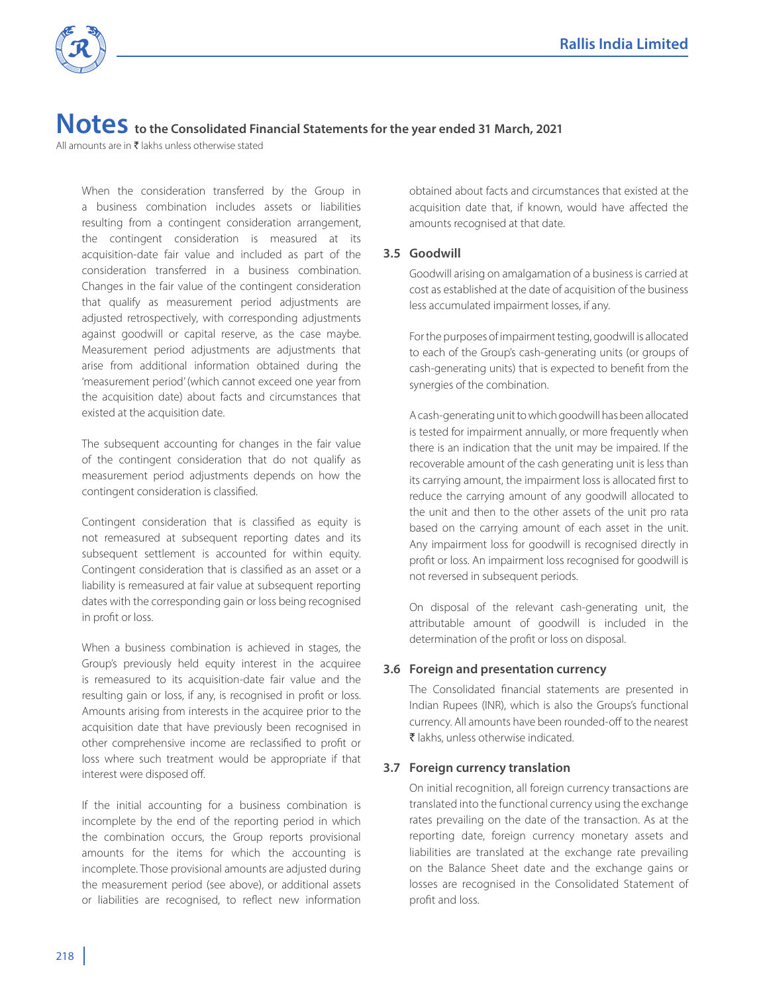

All amounts are in  $\bar{\tau}$  lakhs unless otherwise stated

 When the consideration transferred by the Group in a business combination includes assets or liabilities resulting from a contingent consideration arrangement, the contingent consideration is measured at its acquisition-date fair value and included as part of the consideration transferred in a business combination. Changes in the fair value of the contingent consideration that qualify as measurement period adjustments are adjusted retrospectively, with corresponding adjustments against goodwill or capital reserve, as the case maybe. Measurement period adjustments are adjustments that arise from additional information obtained during the 'measurement period' (which cannot exceed one year from the acquisition date) about facts and circumstances that existed at the acquisition date.

 The subsequent accounting for changes in the fair value of the contingent consideration that do not qualify as measurement period adjustments depends on how the contingent consideration is classified.

 Contingent consideration that is classified as equity is not remeasured at subsequent reporting dates and its subsequent settlement is accounted for within equity. Contingent consideration that is classified as an asset or a liability is remeasured at fair value at subsequent reporting dates with the corresponding gain or loss being recognised in profit or loss.

 When a business combination is achieved in stages, the Group's previously held equity interest in the acquiree is remeasured to its acquisition-date fair value and the resulting gain or loss, if any, is recognised in profit or loss. Amounts arising from interests in the acquiree prior to the acquisition date that have previously been recognised in other comprehensive income are reclassified to profit or loss where such treatment would be appropriate if that interest were disposed off.

 If the initial accounting for a business combination is incomplete by the end of the reporting period in which the combination occurs, the Group reports provisional amounts for the items for which the accounting is incomplete. Those provisional amounts are adjusted during the measurement period (see above), or additional assets or liabilities are recognised, to reflect new information

obtained about facts and circumstances that existed at the acquisition date that, if known, would have affected the amounts recognised at that date.

### **3.5 Goodwill**

 Goodwill arising on amalgamation of a business is carried at cost as established at the date of acquisition of the business less accumulated impairment losses, if any.

 For the purposes of impairment testing, goodwill is allocated to each of the Group's cash-generating units (or groups of cash-generating units) that is expected to benefit from the synergies of the combination.

 A cash-generating unit to which goodwill has been allocated is tested for impairment annually, or more frequently when there is an indication that the unit may be impaired. If the recoverable amount of the cash generating unit is less than its carrying amount, the impairment loss is allocated first to reduce the carrying amount of any goodwill allocated to the unit and then to the other assets of the unit pro rata based on the carrying amount of each asset in the unit. Any impairment loss for goodwill is recognised directly in profit or loss. An impairment loss recognised for goodwill is not reversed in subsequent periods.

 On disposal of the relevant cash-generating unit, the attributable amount of goodwill is included in the determination of the profit or loss on disposal.

### **3.6 Foreign and presentation currency**

 The Consolidated financial statements are presented in Indian Rupees (INR), which is also the Groups's functional currency. All amounts have been rounded-off to the nearest ₹ lakhs, unless otherwise indicated.

#### **3.7 Foreign currency translation**

 On initial recognition, all foreign currency transactions are translated into the functional currency using the exchange rates prevailing on the date of the transaction. As at the reporting date, foreign currency monetary assets and liabilities are translated at the exchange rate prevailing on the Balance Sheet date and the exchange gains or losses are recognised in the Consolidated Statement of profit and loss.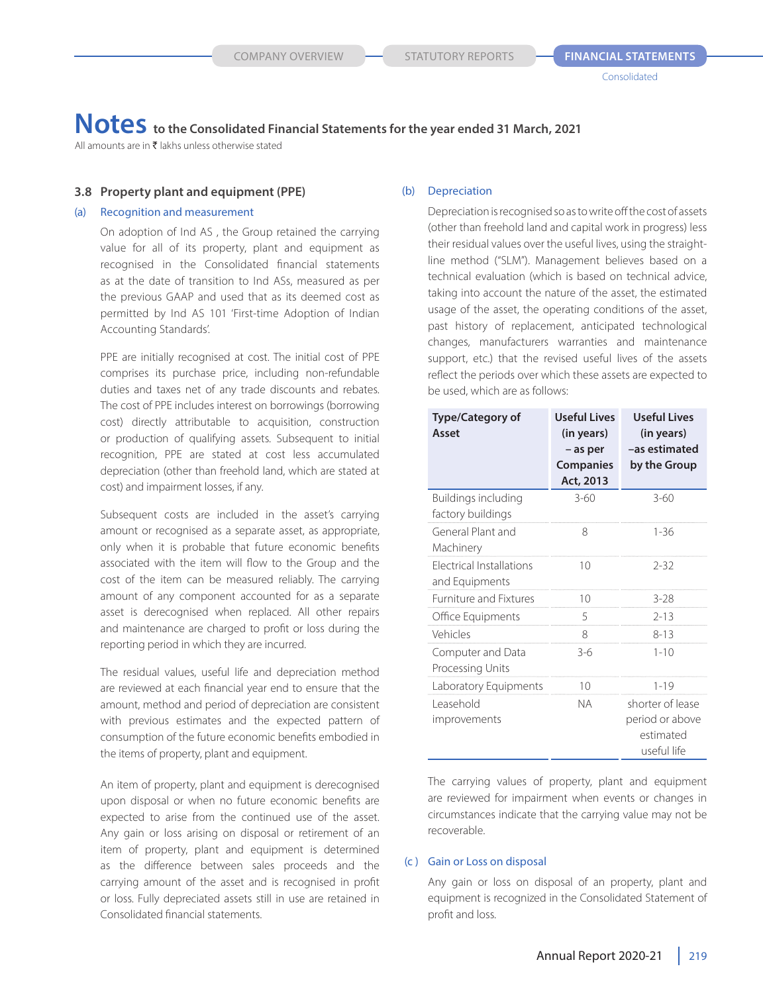All amounts are in  $\bar{\tau}$  lakhs unless otherwise stated

#### **3.8 Property plant and equipment (PPE)**

#### (a) Recognition and measurement

On adoption of Ind AS , the Group retained the carrying value for all of its property, plant and equipment as recognised in the Consolidated financial statements as at the date of transition to Ind ASs, measured as per the previous GAAP and used that as its deemed cost as permitted by Ind AS 101 'First-time Adoption of Indian Accounting Standards'.

 PPE are initially recognised at cost. The initial cost of PPE comprises its purchase price, including non-refundable duties and taxes net of any trade discounts and rebates. The cost of PPE includes interest on borrowings (borrowing cost) directly attributable to acquisition, construction or production of qualifying assets. Subsequent to initial recognition, PPE are stated at cost less accumulated depreciation (other than freehold land, which are stated at cost) and impairment losses, if any.

 Subsequent costs are included in the asset's carrying amount or recognised as a separate asset, as appropriate, only when it is probable that future economic benefits associated with the item will flow to the Group and the cost of the item can be measured reliably. The carrying amount of any component accounted for as a separate asset is derecognised when replaced. All other repairs and maintenance are charged to profit or loss during the reporting period in which they are incurred.

 The residual values, useful life and depreciation method are reviewed at each financial year end to ensure that the amount, method and period of depreciation are consistent with previous estimates and the expected pattern of consumption of the future economic benefits embodied in the items of property, plant and equipment.

 An item of property, plant and equipment is derecognised upon disposal or when no future economic benefits are expected to arise from the continued use of the asset. Any gain or loss arising on disposal or retirement of an item of property, plant and equipment is determined as the difference between sales proceeds and the carrying amount of the asset and is recognised in profit or loss. Fully depreciated assets still in use are retained in Consolidated financial statements.

#### (b) Depreciation

 Depreciation is recognised so as to write off the cost of assets (other than freehold land and capital work in progress) less their residual values over the useful lives, using the straightline method ("SLM"). Management believes based on a technical evaluation (which is based on technical advice, taking into account the nature of the asset, the estimated usage of the asset, the operating conditions of the asset, past history of replacement, anticipated technological changes, manufacturers warranties and maintenance support, etc.) that the revised useful lives of the assets reflect the periods over which these assets are expected to be used, which are as follows:

| <b>Type/Category of</b><br>Asset                  | Useful Lives<br>(in years)<br>- as per<br><b>Companies</b><br>Act, 2013 | Useful Lives<br>(in years)<br>-as estimated<br>by the Group     |
|---------------------------------------------------|-------------------------------------------------------------------------|-----------------------------------------------------------------|
| Buildings including<br>factory buildings          | $3 - 60$                                                                | $3 - 60$                                                        |
| General Plant and<br>Machinery                    | 8                                                                       | 1-36                                                            |
| <b>Electrical Installations</b><br>and Equipments | 10                                                                      | 2-32                                                            |
| Furniture and Fixtures                            | 10                                                                      | $3-28$                                                          |
| Office Equipments                                 | 5                                                                       | $2 - 13$                                                        |
| Vehicles                                          | 8                                                                       | $8 - 13$                                                        |
| Computer and Data<br>Processing Units             | $3-6$                                                                   | $1 - 10$                                                        |
| Laboratory Equipments                             | 10                                                                      | $1 - 19$                                                        |
| Leasehold<br>improvements                         | NА                                                                      | shorter of lease<br>period or above<br>estimated<br>useful life |

 The carrying values of property, plant and equipment are reviewed for impairment when events or changes in circumstances indicate that the carrying value may not be recoverable.

#### (c ) Gain or Loss on disposal

 Any gain or loss on disposal of an property, plant and equipment is recognized in the Consolidated Statement of profit and loss.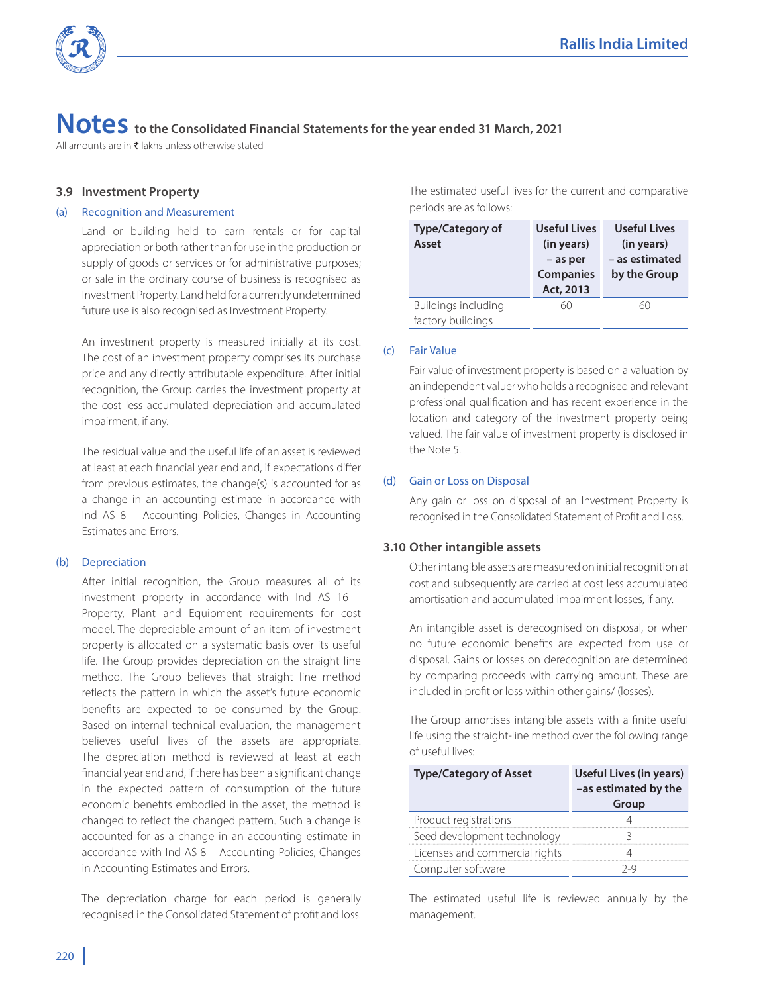

All amounts are in  $\bar{\tau}$  lakhs unless otherwise stated

#### **3.9 Investment Property**

#### (a) Recognition and Measurement

 Land or building held to earn rentals or for capital appreciation or both rather than for use in the production or supply of goods or services or for administrative purposes; or sale in the ordinary course of business is recognised as Investment Property. Land held for a currently undetermined future use is also recognised as Investment Property.

 An investment property is measured initially at its cost. The cost of an investment property comprises its purchase price and any directly attributable expenditure. After initial recognition, the Group carries the investment property at the cost less accumulated depreciation and accumulated impairment, if any.

 The residual value and the useful life of an asset is reviewed at least at each financial year end and, if expectations differ from previous estimates, the change(s) is accounted for as a change in an accounting estimate in accordance with Ind AS 8 – Accounting Policies, Changes in Accounting Estimates and Errors.

#### (b) Depreciation

 After initial recognition, the Group measures all of its investment property in accordance with Ind AS 16 – Property, Plant and Equipment requirements for cost model. The depreciable amount of an item of investment property is allocated on a systematic basis over its useful life. The Group provides depreciation on the straight line method. The Group believes that straight line method reflects the pattern in which the asset's future economic benefits are expected to be consumed by the Group. Based on internal technical evaluation, the management believes useful lives of the assets are appropriate. The depreciation method is reviewed at least at each financial year end and, if there has been a significant change in the expected pattern of consumption of the future economic benefits embodied in the asset, the method is changed to reflect the changed pattern. Such a change is accounted for as a change in an accounting estimate in accordance with Ind AS 8 – Accounting Policies, Changes in Accounting Estimates and Errors.

 The depreciation charge for each period is generally recognised in the Consolidated Statement of profit and loss.

 The estimated useful lives for the current and comparative periods are as follows:

| <b>Type/Category of</b><br>Asset         | Useful Lives<br>(in years)<br>- as per<br>Companies<br>Act, 2013 | Useful Lives<br>(in years)<br>- as estimated<br>by the Group |
|------------------------------------------|------------------------------------------------------------------|--------------------------------------------------------------|
| Buildings including<br>factory buildings | 60                                                               | 60                                                           |

#### (c) Fair Value

Fair value of investment property is based on a valuation by an independent valuer who holds a recognised and relevant professional qualification and has recent experience in the location and category of the investment property being valued. The fair value of investment property is disclosed in the Note 5.

#### (d) Gain or Loss on Disposal

 Any gain or loss on disposal of an Investment Property is recognised in the Consolidated Statement of Profit and Loss.

#### **3.10 Other intangible assets**

 Other intangible assets are measured on initial recognition at cost and subsequently are carried at cost less accumulated amortisation and accumulated impairment losses, if any.

 An intangible asset is derecognised on disposal, or when no future economic benefits are expected from use or disposal. Gains or losses on derecognition are determined by comparing proceeds with carrying amount. These are included in profit or loss within other gains/ (losses).

 The Group amortises intangible assets with a finite useful life using the straight-line method over the following range of useful lives:

| <b>Type/Category of Asset</b>  | Useful Lives (in years)<br>-as estimated by the<br>Group |
|--------------------------------|----------------------------------------------------------|
| Product registrations          |                                                          |
| Seed development technology    |                                                          |
| Licenses and commercial rights |                                                          |
| Computer software              |                                                          |

 The estimated useful life is reviewed annually by the management.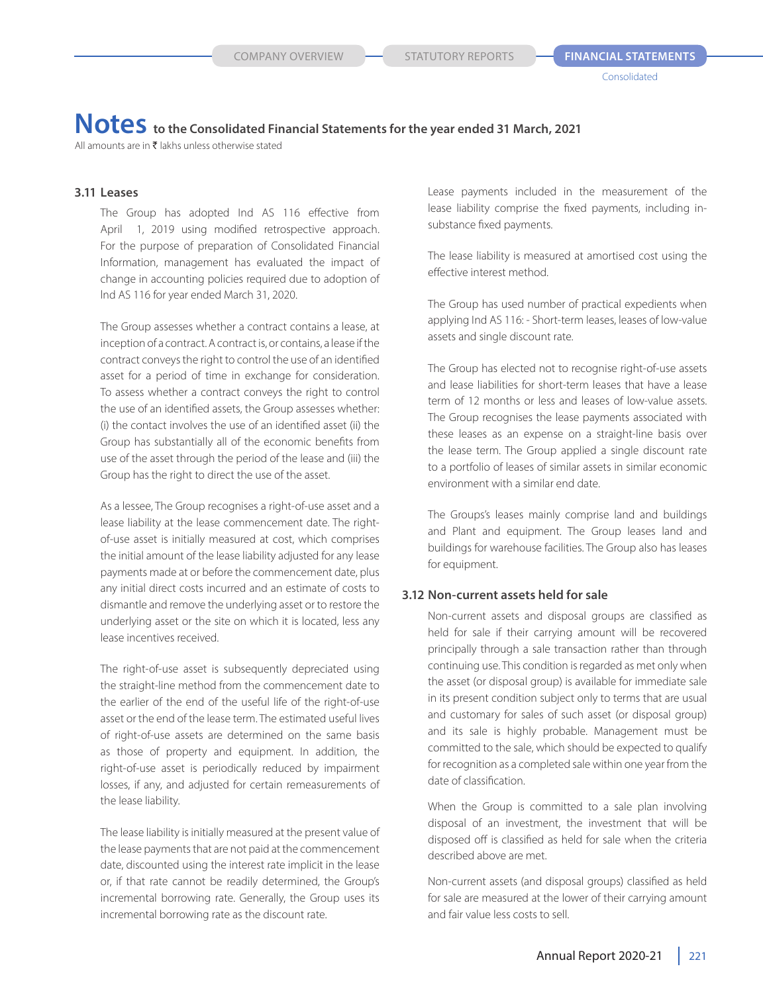All amounts are in  $\bar{\tau}$  lakhs unless otherwise stated

#### **3.11 Leases**

 The Group has adopted Ind AS 116 effective from April 1, 2019 using modified retrospective approach. For the purpose of preparation of Consolidated Financial Information, management has evaluated the impact of change in accounting policies required due to adoption of lnd AS 116 for year ended March 31, 2020.

 The Group assesses whether a contract contains a lease, at inception of a contract. A contract is, or contains, a lease if the contract conveys the right to control the use of an identified asset for a period of time in exchange for consideration. To assess whether a contract conveys the right to control the use of an identified assets, the Group assesses whether: (i) the contact involves the use of an identified asset (ii) the Group has substantially all of the economic benefits from use of the asset through the period of the lease and (iii) the Group has the right to direct the use of the asset.

 As a lessee, The Group recognises a right-of-use asset and a lease liability at the lease commencement date. The rightof-use asset is initially measured at cost, which comprises the initial amount of the lease liability adjusted for any lease payments made at or before the commencement date, plus any initial direct costs incurred and an estimate of costs to dismantle and remove the underlying asset or to restore the underlying asset or the site on which it is located, less any lease incentives received.

 The right-of-use asset is subsequently depreciated using the straight-line method from the commencement date to the earlier of the end of the useful life of the right-of-use asset or the end of the lease term. The estimated useful lives of right-of-use assets are determined on the same basis as those of property and equipment. In addition, the right-of-use asset is periodically reduced by impairment losses, if any, and adjusted for certain remeasurements of the lease liability.

 The lease liability is initially measured at the present value of the lease payments that are not paid at the commencement date, discounted using the interest rate implicit in the lease or, if that rate cannot be readily determined, the Group's incremental borrowing rate. Generally, the Group uses its incremental borrowing rate as the discount rate.

Lease payments included in the measurement of the lease liability comprise the fixed payments, including insubstance fixed payments.

 The lease liability is measured at amortised cost using the effective interest method.

 The Group has used number of practical expedients when applying Ind AS 116: - Short-term leases, leases of low-value assets and single discount rate.

 The Group has elected not to recognise right-of-use assets and lease liabilities for short-term leases that have a lease term of 12 months or less and leases of low-value assets. The Group recognises the lease payments associated with these leases as an expense on a straight-line basis over the lease term. The Group applied a single discount rate to a portfolio of leases of similar assets in similar economic environment with a similar end date.

 The Groups's leases mainly comprise land and buildings and Plant and equipment. The Group leases land and buildings for warehouse facilities. The Group also has leases for equipment.

#### **3.12 Non-current assets held for sale**

 Non-current assets and disposal groups are classified as held for sale if their carrying amount will be recovered principally through a sale transaction rather than through continuing use. This condition is regarded as met only when the asset (or disposal group) is available for immediate sale in its present condition subject only to terms that are usual and customary for sales of such asset (or disposal group) and its sale is highly probable. Management must be committed to the sale, which should be expected to qualify for recognition as a completed sale within one year from the date of classification.

 When the Group is committed to a sale plan involving disposal of an investment, the investment that will be disposed off is classified as held for sale when the criteria described above are met.

 Non-current assets (and disposal groups) classified as held for sale are measured at the lower of their carrying amount and fair value less costs to sell.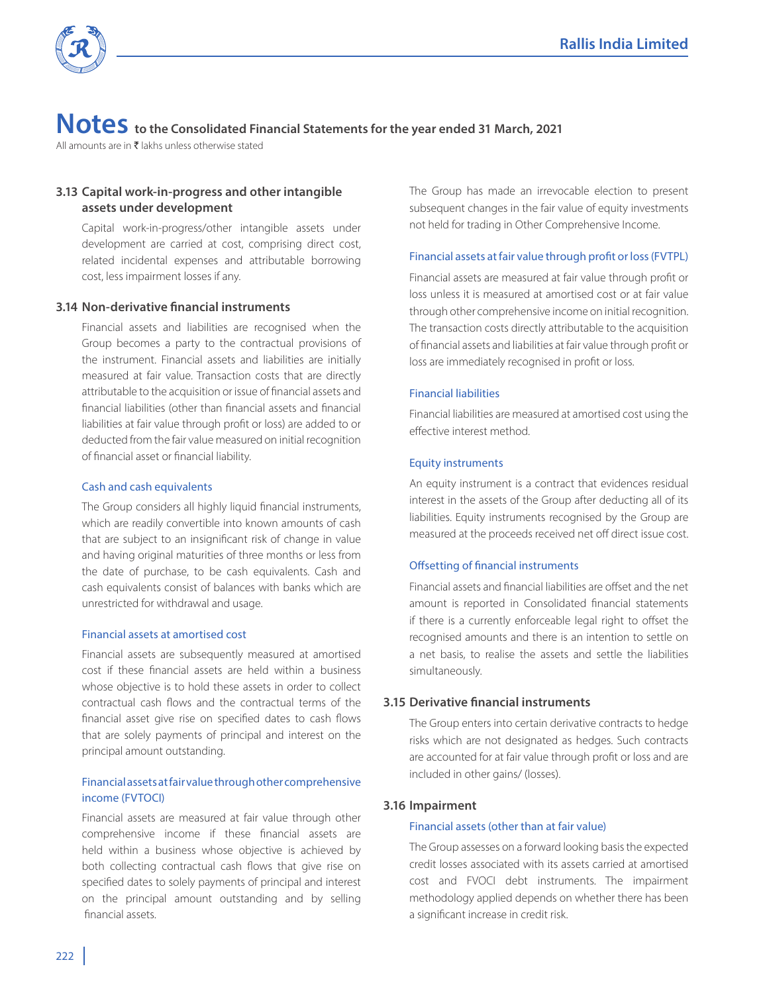

All amounts are in  $\bar{\tau}$  lakhs unless otherwise stated

### **3.13 Capital work-in-progress and other intangible assets under development**

 Capital work-in-progress/other intangible assets under development are carried at cost, comprising direct cost, related incidental expenses and attributable borrowing cost, less impairment losses if any.

### **3.14 Non-derivative financial instruments**

 Financial assets and liabilities are recognised when the Group becomes a party to the contractual provisions of the instrument. Financial assets and liabilities are initially measured at fair value. Transaction costs that are directly attributable to the acquisition or issue of financial assets and financial liabilities (other than financial assets and financial liabilities at fair value through profit or loss) are added to or deducted from the fair value measured on initial recognition of financial asset or financial liability.

#### Cash and cash equivalents

 The Group considers all highly liquid financial instruments, which are readily convertible into known amounts of cash that are subject to an insignificant risk of change in value and having original maturities of three months or less from the date of purchase, to be cash equivalents. Cash and cash equivalents consist of balances with banks which are unrestricted for withdrawal and usage.

#### Financial assets at amortised cost

 Financial assets are subsequently measured at amortised cost if these financial assets are held within a business whose objective is to hold these assets in order to collect contractual cash flows and the contractual terms of the financial asset give rise on specified dates to cash flows that are solely payments of principal and interest on the principal amount outstanding.

#### Financial assets at fair value through other comprehensive income (FVTOCI)

 Financial assets are measured at fair value through other comprehensive income if these financial assets are held within a business whose objective is achieved by both collecting contractual cash flows that give rise on specified dates to solely payments of principal and interest on the principal amount outstanding and by selling financial assets.

The Group has made an irrevocable election to present subsequent changes in the fair value of equity investments not held for trading in Other Comprehensive Income.

#### Financial assets at fair value through profit or loss (FVTPL)

 Financial assets are measured at fair value through profit or loss unless it is measured at amortised cost or at fair value through other comprehensive income on initial recognition. The transaction costs directly attributable to the acquisition of financial assets and liabilities at fair value through profit or loss are immediately recognised in profit or loss.

#### Financial liabilities

 Financial liabilities are measured at amortised cost using the effective interest method.

#### Equity instruments

 An equity instrument is a contract that evidences residual interest in the assets of the Group after deducting all of its liabilities. Equity instruments recognised by the Group are measured at the proceeds received net off direct issue cost.

#### Offsetting of financial instruments

 Financial assets and financial liabilities are offset and the net amount is reported in Consolidated financial statements if there is a currently enforceable legal right to offset the recognised amounts and there is an intention to settle on a net basis, to realise the assets and settle the liabilities simultaneously.

### **3.15 Derivative financial instruments**

 The Group enters into certain derivative contracts to hedge risks which are not designated as hedges. Such contracts are accounted for at fair value through profit or loss and are included in other gains/ (losses).

#### **3.16 Impairment**

#### Financial assets (other than at fair value)

 The Group assesses on a forward looking basis the expected credit losses associated with its assets carried at amortised cost and FVOCI debt instruments. The impairment methodology applied depends on whether there has been a significant increase in credit risk.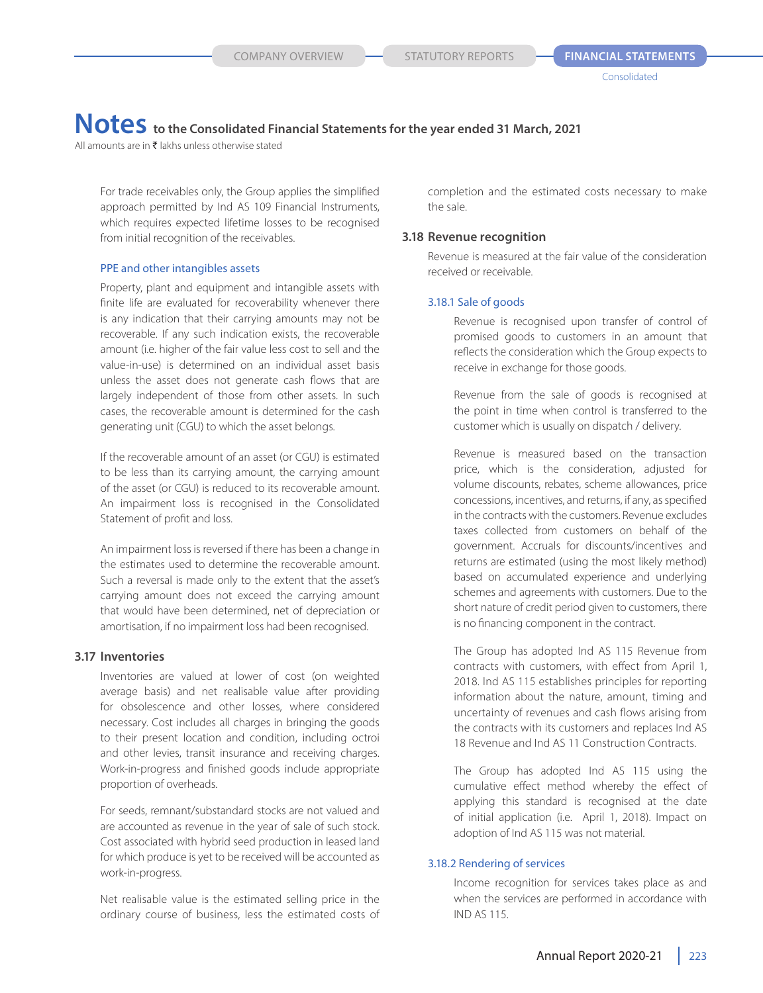All amounts are in  $\bar{\tau}$  lakhs unless otherwise stated

For trade receivables only, the Group applies the simplified approach permitted by Ind AS 109 Financial Instruments, which requires expected lifetime losses to be recognised from initial recognition of the receivables.

#### PPE and other intangibles assets

 Property, plant and equipment and intangible assets with finite life are evaluated for recoverability whenever there is any indication that their carrying amounts may not be recoverable. If any such indication exists, the recoverable amount (i.e. higher of the fair value less cost to sell and the value-in-use) is determined on an individual asset basis unless the asset does not generate cash flows that are largely independent of those from other assets. In such cases, the recoverable amount is determined for the cash generating unit (CGU) to which the asset belongs.

 If the recoverable amount of an asset (or CGU) is estimated to be less than its carrying amount, the carrying amount of the asset (or CGU) is reduced to its recoverable amount. An impairment loss is recognised in the Consolidated Statement of profit and loss.

 An impairment loss is reversed if there has been a change in the estimates used to determine the recoverable amount. Such a reversal is made only to the extent that the asset's carrying amount does not exceed the carrying amount that would have been determined, net of depreciation or amortisation, if no impairment loss had been recognised.

#### **3.17 Inventories**

 Inventories are valued at lower of cost (on weighted average basis) and net realisable value after providing for obsolescence and other losses, where considered necessary. Cost includes all charges in bringing the goods to their present location and condition, including octroi and other levies, transit insurance and receiving charges. Work-in-progress and finished goods include appropriate proportion of overheads.

 For seeds, remnant/substandard stocks are not valued and are accounted as revenue in the year of sale of such stock. Cost associated with hybrid seed production in leased land for which produce is yet to be received will be accounted as work-in-progress.

 Net realisable value is the estimated selling price in the ordinary course of business, less the estimated costs of completion and the estimated costs necessary to make the sale.

#### **3.18 Revenue recognition**

 Revenue is measured at the fair value of the consideration received or receivable.

#### 3.18.1 Sale of goods

 Revenue is recognised upon transfer of control of promised goods to customers in an amount that reflects the consideration which the Group expects to receive in exchange for those goods.

 Revenue from the sale of goods is recognised at the point in time when control is transferred to the customer which is usually on dispatch / delivery.

 Revenue is measured based on the transaction price, which is the consideration, adjusted for volume discounts, rebates, scheme allowances, price concessions, incentives, and returns, if any, as specified in the contracts with the customers. Revenue excludes taxes collected from customers on behalf of the government. Accruals for discounts/incentives and returns are estimated (using the most likely method) based on accumulated experience and underlying schemes and agreements with customers. Due to the short nature of credit period given to customers, there is no financing component in the contract.

 The Group has adopted Ind AS 115 Revenue from contracts with customers, with effect from April 1, 2018. Ind AS 115 establishes principles for reporting information about the nature, amount, timing and uncertainty of revenues and cash flows arising from the contracts with its customers and replaces Ind AS 18 Revenue and Ind AS 11 Construction Contracts.

 The Group has adopted Ind AS 115 using the cumulative effect method whereby the effect of applying this standard is recognised at the date of initial application (i.e. April 1, 2018). Impact on adoption of Ind AS 115 was not material.

#### 3.18.2 Rendering of services

 Income recognition for services takes place as and when the services are performed in accordance with IND AS 115.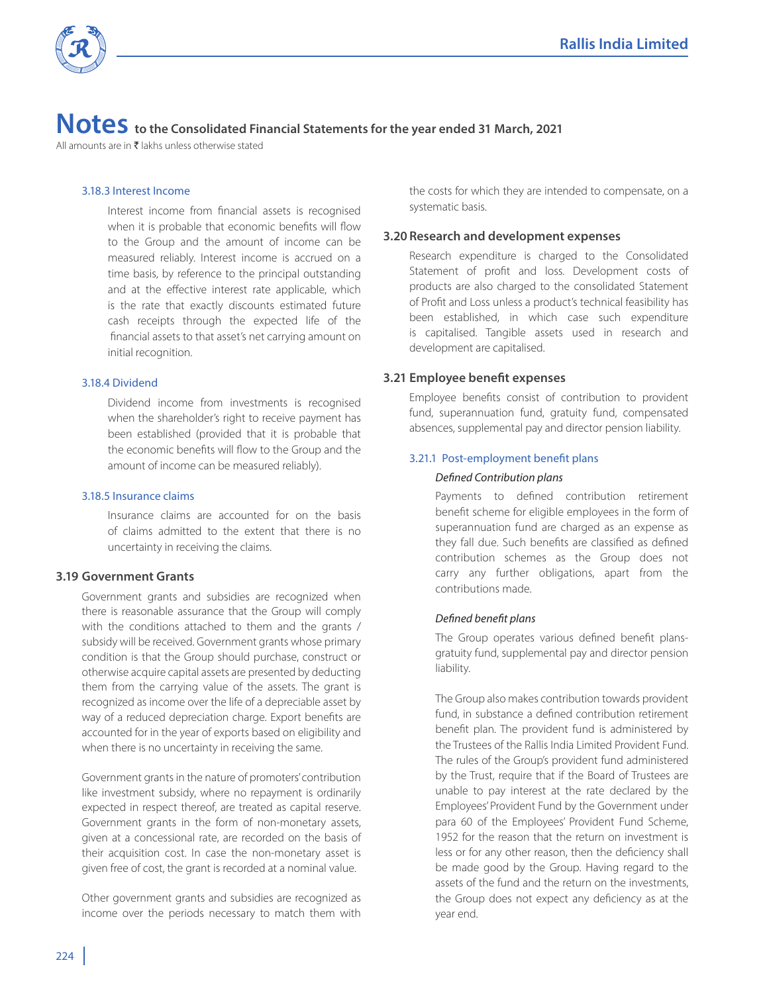

All amounts are in  $\bar{\tau}$  lakhs unless otherwise stated

#### 3.18.3 Interest Income

 Interest income from financial assets is recognised when it is probable that economic benefits will flow to the Group and the amount of income can be measured reliably. Interest income is accrued on a time basis, by reference to the principal outstanding and at the effective interest rate applicable, which is the rate that exactly discounts estimated future cash receipts through the expected life of the financial assets to that asset's net carrying amount on initial recognition.

#### 3.18.4 Dividend

 Dividend income from investments is recognised when the shareholder's right to receive payment has been established (provided that it is probable that the economic benefits will flow to the Group and the amount of income can be measured reliably).

#### 3.18.5 Insurance claims

 Insurance claims are accounted for on the basis of claims admitted to the extent that there is no uncertainty in receiving the claims.

#### **3.19 Government Grants**

Government grants and subsidies are recognized when there is reasonable assurance that the Group will comply with the conditions attached to them and the grants / subsidy will be received. Government grants whose primary condition is that the Group should purchase, construct or otherwise acquire capital assets are presented by deducting them from the carrying value of the assets. The grant is recognized as income over the life of a depreciable asset by way of a reduced depreciation charge. Export benefits are accounted for in the year of exports based on eligibility and when there is no uncertainty in receiving the same.

 Government grants in the nature of promoters' contribution like investment subsidy, where no repayment is ordinarily expected in respect thereof, are treated as capital reserve. Government grants in the form of non-monetary assets, given at a concessional rate, are recorded on the basis of their acquisition cost. In case the non-monetary asset is given free of cost, the grant is recorded at a nominal value.

 Other government grants and subsidies are recognized as income over the periods necessary to match them with

the costs for which they are intended to compensate, on a systematic basis.

#### **3.20 Research and development expenses**

 Research expenditure is charged to the Consolidated Statement of profit and loss. Development costs of products are also charged to the consolidated Statement of Profit and Loss unless a product's technical feasibility has been established, in which case such expenditure is capitalised. Tangible assets used in research and development are capitalised.

#### **3.21 Employee benefit expenses**

 Employee benefits consist of contribution to provident fund, superannuation fund, gratuity fund, compensated absences, supplemental pay and director pension liability.

#### 3.21.1 Post-employment benefit plans

#### *Defined Contribution plans*

 Payments to defined contribution retirement benefit scheme for eligible employees in the form of superannuation fund are charged as an expense as they fall due. Such benefits are classified as defined contribution schemes as the Group does not carry any further obligations, apart from the contributions made.

#### *Defined benefit plans*

 The Group operates various defined benefit plansgratuity fund, supplemental pay and director pension liability.

 The Group also makes contribution towards provident fund, in substance a defined contribution retirement benefit plan. The provident fund is administered by the Trustees of the Rallis India Limited Provident Fund. The rules of the Group's provident fund administered by the Trust, require that if the Board of Trustees are unable to pay interest at the rate declared by the Employees' Provident Fund by the Government under para 60 of the Employees' Provident Fund Scheme, 1952 for the reason that the return on investment is less or for any other reason, then the deficiency shall be made good by the Group. Having regard to the assets of the fund and the return on the investments, the Group does not expect any deficiency as at the year end.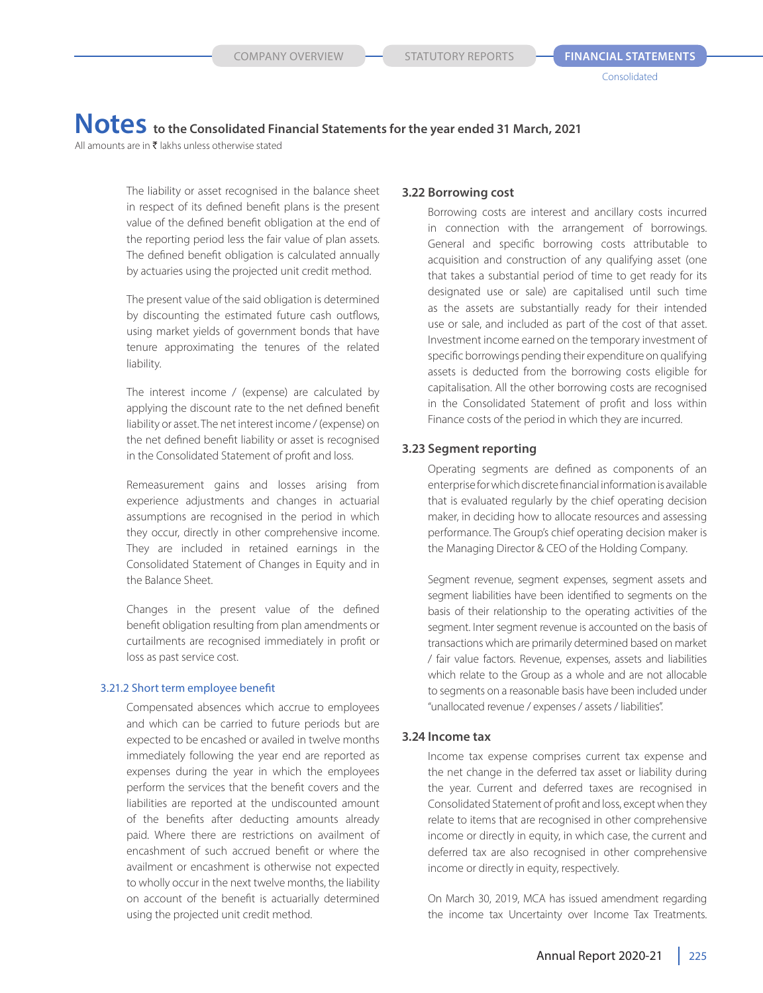All amounts are in  $\bar{\tau}$  lakhs unless otherwise stated

 The liability or asset recognised in the balance sheet in respect of its defined benefit plans is the present value of the defined benefit obligation at the end of the reporting period less the fair value of plan assets. The defined benefit obligation is calculated annually by actuaries using the projected unit credit method.

 The present value of the said obligation is determined by discounting the estimated future cash outflows, using market yields of government bonds that have tenure approximating the tenures of the related liability.

 The interest income / (expense) are calculated by applying the discount rate to the net defined benefit liability or asset. The net interest income / (expense) on the net defined benefit liability or asset is recognised in the Consolidated Statement of profit and loss.

 Remeasurement gains and losses arising from experience adjustments and changes in actuarial assumptions are recognised in the period in which they occur, directly in other comprehensive income. They are included in retained earnings in the Consolidated Statement of Changes in Equity and in the Balance Sheet.

 Changes in the present value of the defined benefit obligation resulting from plan amendments or curtailments are recognised immediately in profit or loss as past service cost.

#### 3.21.2 Short term employee benefit

 Compensated absences which accrue to employees and which can be carried to future periods but are expected to be encashed or availed in twelve months immediately following the year end are reported as expenses during the year in which the employees perform the services that the benefit covers and the liabilities are reported at the undiscounted amount of the benefits after deducting amounts already paid. Where there are restrictions on availment of encashment of such accrued benefit or where the availment or encashment is otherwise not expected to wholly occur in the next twelve months, the liability on account of the benefit is actuarially determined using the projected unit credit method.

#### **3.22 Borrowing cost**

 Borrowing costs are interest and ancillary costs incurred in connection with the arrangement of borrowings. General and specific borrowing costs attributable to acquisition and construction of any qualifying asset (one that takes a substantial period of time to get ready for its designated use or sale) are capitalised until such time as the assets are substantially ready for their intended use or sale, and included as part of the cost of that asset. Investment income earned on the temporary investment of specific borrowings pending their expenditure on qualifying assets is deducted from the borrowing costs eligible for capitalisation. All the other borrowing costs are recognised in the Consolidated Statement of profit and loss within Finance costs of the period in which they are incurred.

#### **3.23 Segment reporting**

 Operating segments are defined as components of an enterprise for which discrete financial information is available that is evaluated regularly by the chief operating decision maker, in deciding how to allocate resources and assessing performance. The Group's chief operating decision maker is the Managing Director & CEO of the Holding Company.

 Segment revenue, segment expenses, segment assets and segment liabilities have been identified to segments on the basis of their relationship to the operating activities of the segment. Inter segment revenue is accounted on the basis of transactions which are primarily determined based on market / fair value factors. Revenue, expenses, assets and liabilities which relate to the Group as a whole and are not allocable to segments on a reasonable basis have been included under "unallocated revenue / expenses / assets / liabilities".

#### **3.24 Income tax**

 Income tax expense comprises current tax expense and the net change in the deferred tax asset or liability during the year. Current and deferred taxes are recognised in Consolidated Statement of profit and loss, except when they relate to items that are recognised in other comprehensive income or directly in equity, in which case, the current and deferred tax are also recognised in other comprehensive income or directly in equity, respectively.

 On March 30, 2019, MCA has issued amendment regarding the income tax Uncertainty over Income Tax Treatments.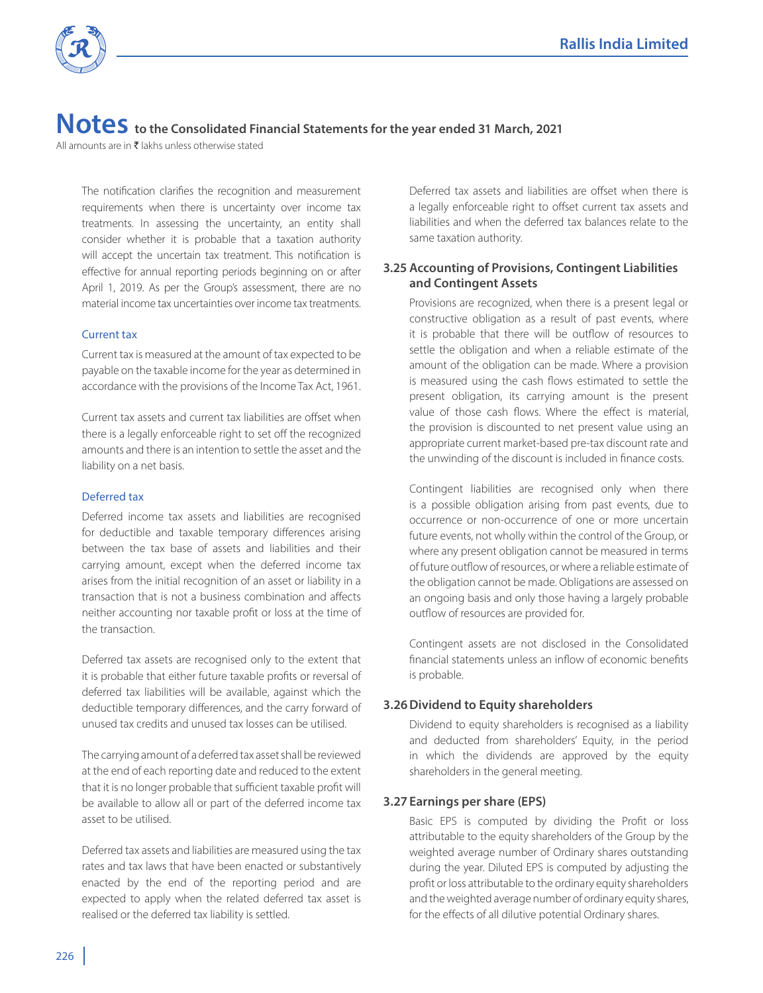

All amounts are in  $\bar{\tau}$  lakhs unless otherwise stated

The notification clarifies the recognition and measurement requirements when there is uncertainty over income tax treatments. In assessing the uncertainty, an entity shall consider whether it is probable that a taxation authority will accept the uncertain tax treatment. This notification is effective for annual reporting periods beginning on or after April 1, 2019. As per the Group's assessment, there are no material income tax uncertainties over income tax treatments.

#### Current tax

 Current tax is measured at the amount of tax expected to be payable on the taxable income for the year as determined in accordance with the provisions of the Income Tax Act, 1961.

 Current tax assets and current tax liabilities are offset when there is a legally enforceable right to set off the recognized amounts and there is an intention to settle the asset and the liability on a net basis.

#### Deferred tax

 Deferred income tax assets and liabilities are recognised for deductible and taxable temporary differences arising between the tax base of assets and liabilities and their carrying amount, except when the deferred income tax arises from the initial recognition of an asset or liability in a transaction that is not a business combination and affects neither accounting nor taxable profit or loss at the time of the transaction.

 Deferred tax assets are recognised only to the extent that it is probable that either future taxable profits or reversal of deferred tax liabilities will be available, against which the deductible temporary differences, and the carry forward of unused tax credits and unused tax losses can be utilised.

 The carrying amount of a deferred tax asset shall be reviewed at the end of each reporting date and reduced to the extent that it is no longer probable that sufficient taxable profit will be available to allow all or part of the deferred income tax asset to be utilised.

 Deferred tax assets and liabilities are measured using the tax rates and tax laws that have been enacted or substantively enacted by the end of the reporting period and are expected to apply when the related deferred tax asset is realised or the deferred tax liability is settled.

 Deferred tax assets and liabilities are offset when there is a legally enforceable right to offset current tax assets and liabilities and when the deferred tax balances relate to the same taxation authority.

### **3.25 Accounting of Provisions, Contingent Liabilities and Contingent Assets**

 Provisions are recognized, when there is a present legal or constructive obligation as a result of past events, where it is probable that there will be outflow of resources to settle the obligation and when a reliable estimate of the amount of the obligation can be made. Where a provision is measured using the cash flows estimated to settle the present obligation, its carrying amount is the present value of those cash flows. Where the effect is material, the provision is discounted to net present value using an appropriate current market-based pre-tax discount rate and the unwinding of the discount is included in finance costs.

 Contingent liabilities are recognised only when there is a possible obligation arising from past events, due to occurrence or non-occurrence of one or more uncertain future events, not wholly within the control of the Group, or where any present obligation cannot be measured in terms of future outflow of resources, or where a reliable estimate of the obligation cannot be made. Obligations are assessed on an ongoing basis and only those having a largely probable outflow of resources are provided for.

 Contingent assets are not disclosed in the Consolidated financial statements unless an inflow of economic benefits is probable.

#### **3.26Dividend to Equity shareholders**

 Dividend to equity shareholders is recognised as a liability and deducted from shareholders' Equity, in the period in which the dividends are approved by the equity shareholders in the general meeting.

#### **3.27 Earnings per share (EPS)**

 Basic EPS is computed by dividing the Profit or loss attributable to the equity shareholders of the Group by the weighted average number of Ordinary shares outstanding during the year. Diluted EPS is computed by adjusting the profit or loss attributable to the ordinary equity shareholders and the weighted average number of ordinary equity shares, for the effects of all dilutive potential Ordinary shares.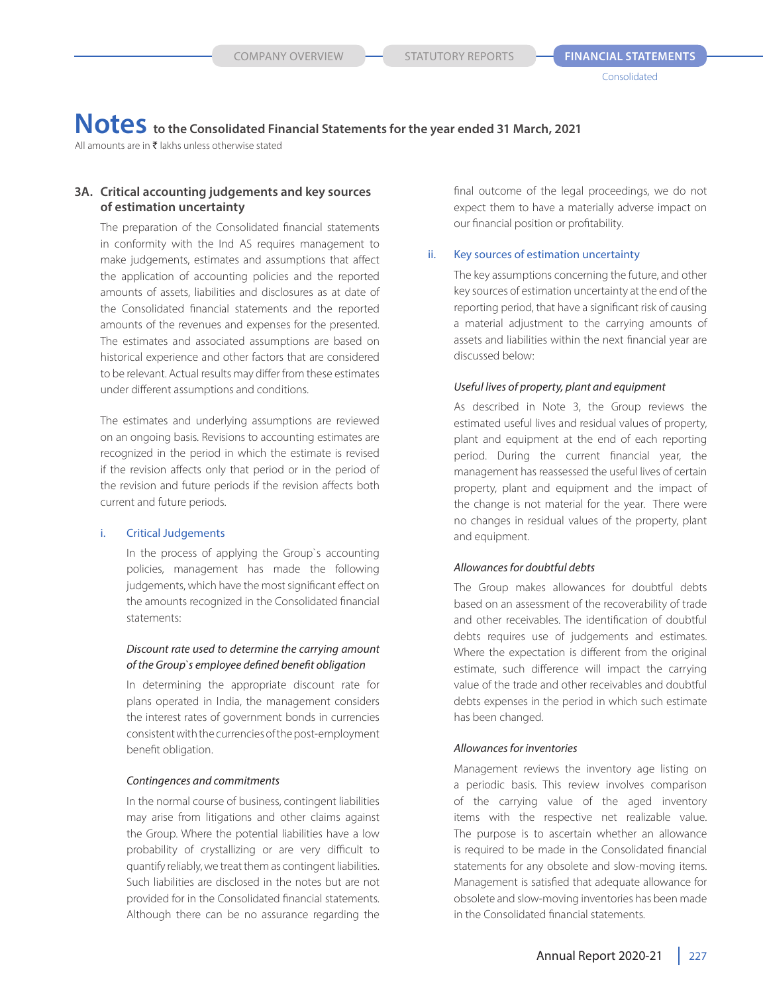All amounts are in  $\bar{\tau}$  lakhs unless otherwise stated

### **3A. Critical accounting judgements and key sources of estimation uncertainty**

 The preparation of the Consolidated financial statements in conformity with the Ind AS requires management to make judgements, estimates and assumptions that affect the application of accounting policies and the reported amounts of assets, liabilities and disclosures as at date of the Consolidated financial statements and the reported amounts of the revenues and expenses for the presented. The estimates and associated assumptions are based on historical experience and other factors that are considered to be relevant. Actual results may differ from these estimates under different assumptions and conditions.

 The estimates and underlying assumptions are reviewed on an ongoing basis. Revisions to accounting estimates are recognized in the period in which the estimate is revised if the revision affects only that period or in the period of the revision and future periods if the revision affects both current and future periods.

#### i. Critical Judgements

 In the process of applying the Group`s accounting policies, management has made the following judgements, which have the most significant effect on the amounts recognized in the Consolidated financial statements:

#### *Discount rate used to determine the carrying amount of the Group`s employee defined benefit obligation*

 In determining the appropriate discount rate for plans operated in India, the management considers the interest rates of government bonds in currencies consistent with the currencies of the post-employment benefit obligation.

#### *Contingences and commitments*

 In the normal course of business, contingent liabilities may arise from litigations and other claims against the Group. Where the potential liabilities have a low probability of crystallizing or are very difficult to quantify reliably, we treat them as contingent liabilities. Such liabilities are disclosed in the notes but are not provided for in the Consolidated financial statements. Although there can be no assurance regarding the

final outcome of the legal proceedings, we do not expect them to have a materially adverse impact on our financial position or profitability.

#### ii. Key sources of estimation uncertainty

 The key assumptions concerning the future, and other key sources of estimation uncertainty at the end of the reporting period, that have a significant risk of causing a material adjustment to the carrying amounts of assets and liabilities within the next financial year are discussed below:

#### *Useful lives of property, plant and equipment*

 As described in Note 3, the Group reviews the estimated useful lives and residual values of property, plant and equipment at the end of each reporting period. During the current financial year, the management has reassessed the useful lives of certain property, plant and equipment and the impact of the change is not material for the year. There were no changes in residual values of the property, plant and equipment.

#### *Allowances for doubtful debts*

 The Group makes allowances for doubtful debts based on an assessment of the recoverability of trade and other receivables. The identification of doubtful debts requires use of judgements and estimates. Where the expectation is different from the original estimate, such difference will impact the carrying value of the trade and other receivables and doubtful debts expenses in the period in which such estimate has been changed.

#### *Allowances for inventories*

 Management reviews the inventory age listing on a periodic basis. This review involves comparison of the carrying value of the aged inventory items with the respective net realizable value. The purpose is to ascertain whether an allowance is required to be made in the Consolidated financial statements for any obsolete and slow-moving items. Management is satisfied that adequate allowance for obsolete and slow-moving inventories has been made in the Consolidated financial statements.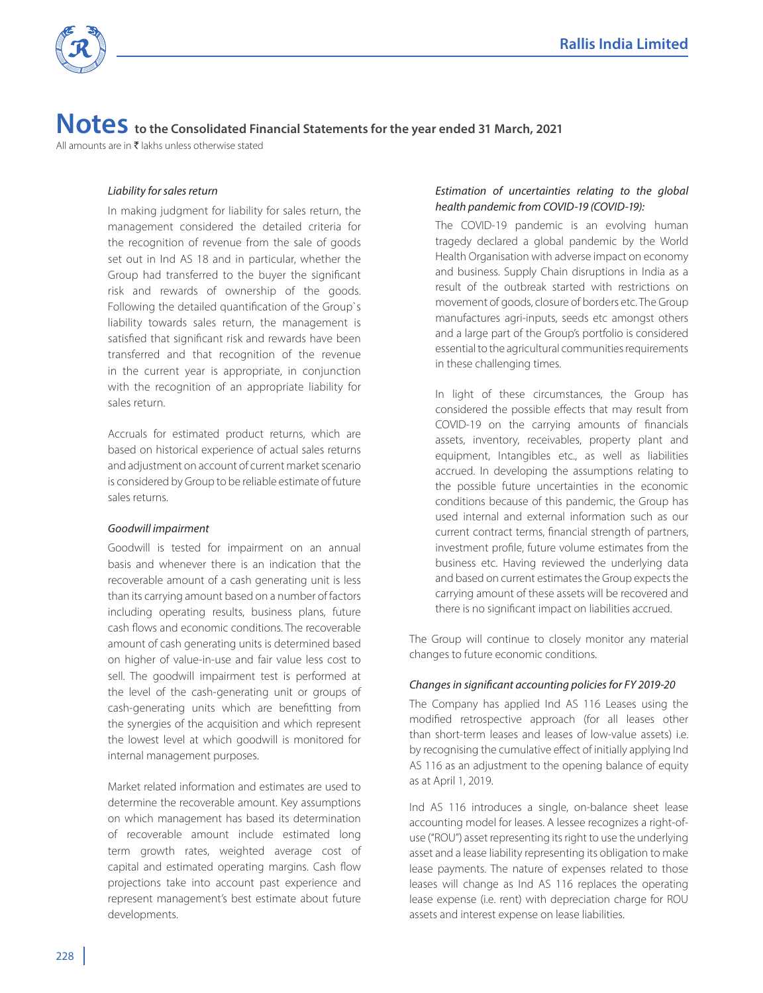

All amounts are in  $\bar{\tau}$  lakhs unless otherwise stated

#### *Liability for sales return*

 In making judgment for liability for sales return, the management considered the detailed criteria for the recognition of revenue from the sale of goods set out in Ind AS 18 and in particular, whether the Group had transferred to the buyer the significant risk and rewards of ownership of the goods. Following the detailed quantification of the Group`s liability towards sales return, the management is satisfied that significant risk and rewards have been transferred and that recognition of the revenue in the current year is appropriate, in conjunction with the recognition of an appropriate liability for sales return.

 Accruals for estimated product returns, which are based on historical experience of actual sales returns and adjustment on account of current market scenario is considered by Group to be reliable estimate of future sales returns.

#### *Goodwill impairment*

 Goodwill is tested for impairment on an annual basis and whenever there is an indication that the recoverable amount of a cash generating unit is less than its carrying amount based on a number of factors including operating results, business plans, future cash flows and economic conditions. The recoverable amount of cash generating units is determined based on higher of value-in-use and fair value less cost to sell. The goodwill impairment test is performed at the level of the cash-generating unit or groups of cash-generating units which are benefitting from the synergies of the acquisition and which represent the lowest level at which goodwill is monitored for internal management purposes.

 Market related information and estimates are used to determine the recoverable amount. Key assumptions on which management has based its determination of recoverable amount include estimated long term growth rates, weighted average cost of capital and estimated operating margins. Cash flow projections take into account past experience and represent management's best estimate about future developments.

### *Estimation of uncertainties relating to the global health pandemic from COVID‐19 (COVID‐19):*

The COVID-19 pandemic is an evolving human tragedy declared a global pandemic by the World Health Organisation with adverse impact on economy and business. Supply Chain disruptions in India as a result of the outbreak started with restrictions on movement of goods, closure of borders etc. The Group manufactures agri-inputs, seeds etc amongst others and a large part of the Group's portfolio is considered essential to the agricultural communities requirements in these challenging times.

 In light of these circumstances, the Group has considered the possible effects that may result from COVID‐19 on the carrying amounts of financials assets, inventory, receivables, property plant and equipment, Intangibles etc., as well as liabilities accrued. In developing the assumptions relating to the possible future uncertainties in the economic conditions because of this pandemic, the Group has used internal and external information such as our current contract terms, financial strength of partners, investment profile, future volume estimates from the business etc. Having reviewed the underlying data and based on current estimates the Group expects the carrying amount of these assets will be recovered and there is no significant impact on liabilities accrued.

 The Group will continue to closely monitor any material changes to future economic conditions.

#### *Changes in significant accounting policies for FY 2019-20*

 The Company has applied Ind AS 116 Leases using the modified retrospective approach (for all leases other than short-term leases and leases of low-value assets) i.e. by recognising the cumulative effect of initially applying Ind AS 116 as an adjustment to the opening balance of equity as at April 1, 2019.

 Ind AS 116 introduces a single, on-balance sheet lease accounting model for leases. A lessee recognizes a right-ofuse ("ROU") asset representing its right to use the underlying asset and a lease liability representing its obligation to make lease payments. The nature of expenses related to those leases will change as Ind AS 116 replaces the operating lease expense (i.e. rent) with depreciation charge for ROU assets and interest expense on lease liabilities.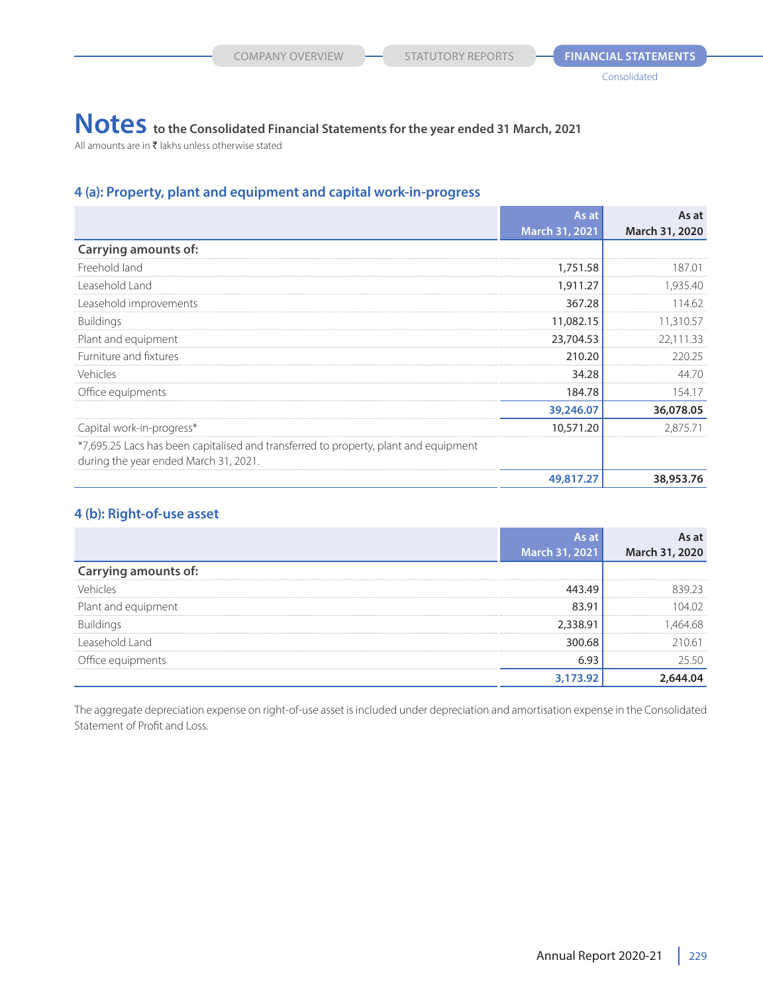All amounts are in  $\bar{\tau}$  lakhs unless otherwise stated

### **4 (a): Property, plant and equipment and capital work-in-progress**

|                                                                                                                               | As at<br>March 31, 2021 | As at<br>March 31, 2020 |
|-------------------------------------------------------------------------------------------------------------------------------|-------------------------|-------------------------|
| <b>Carrying amounts of:</b>                                                                                                   |                         |                         |
| Freehold land                                                                                                                 | 1,751.58                | 187.01                  |
| Leasehold Land                                                                                                                | 1,911.27                | 1,935.40                |
| Leasehold improvements                                                                                                        | 367.28                  | 114.62                  |
| <b>Buildings</b>                                                                                                              | 11,082.15               | 11,310.57               |
| Plant and equipment                                                                                                           | 23,704.53               | 22,111.33               |
| Furniture and fixtures                                                                                                        | 210.20                  | 220.25                  |
| Vehicles                                                                                                                      | 34.28                   | 44.70                   |
| Office equipments                                                                                                             | 184.78                  | 154.17                  |
|                                                                                                                               | 39,246.07               | 36,078.05               |
| Capital work-in-progress*                                                                                                     | 10,571.20               | 2,875.71                |
| *7,695.25 Lacs has been capitalised and transferred to property, plant and equipment<br>during the year ended March 31, 2021. |                         |                         |
|                                                                                                                               | 49,817.27               | 38,953.76               |

### **4 (b): Right-of-use asset**

|                             | March 31, 2021 | March 31, 2020 |
|-----------------------------|----------------|----------------|
| <b>Carrying amounts of:</b> |                |                |
| /ehirles                    |                |                |
| Plant and equipment         | 83 Q'          | 0402           |
| <b>Buildings</b>            | .338.91        | -4 68 -        |
| Leasehold Land              |                | 1061           |
| Office equipments           |                | ,550           |
|                             |                |                |

The aggregate depreciation expense on right-of-use asset is included under depreciation and amortisation expense in the Consolidated Statement of Profit and Loss.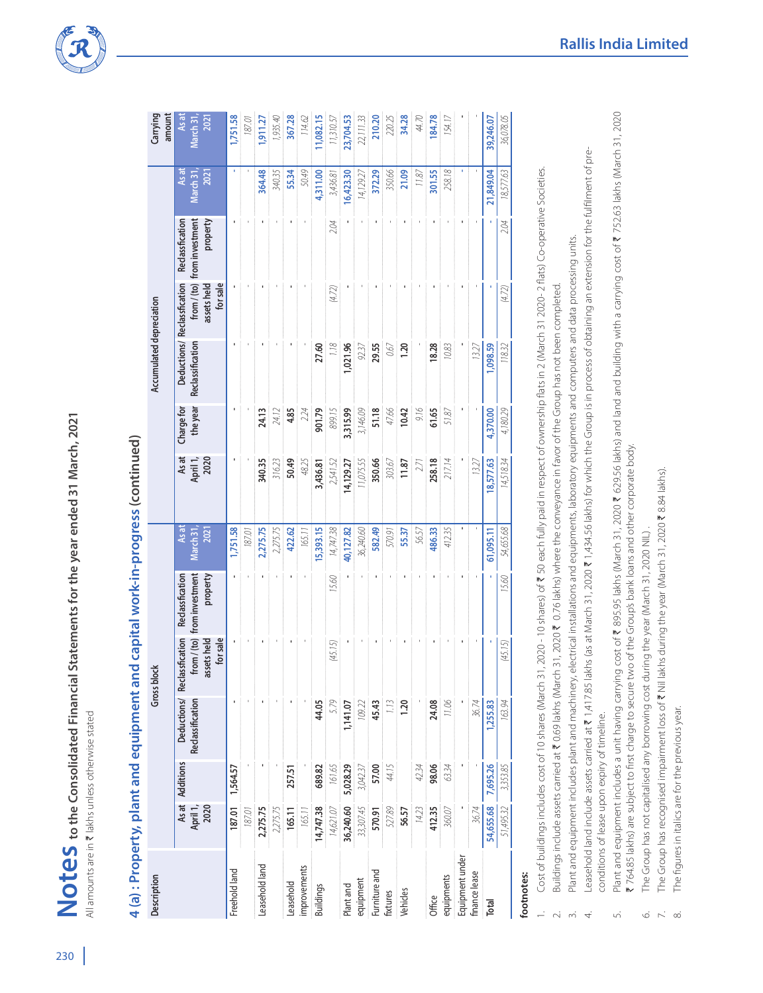| コンコンニン<br>Į                                                                                              |
|----------------------------------------------------------------------------------------------------------|
| .<br>האמא האי<br>)<br>5<br>b<br>B<br>D                                                                   |
| ;<br>;                                                                                                   |
| t                                                                                                        |
| ĺ                                                                                                        |
| $\frac{1}{2}$<br>j<br>J                                                                                  |
| □<br>♪<br>♪<br>֧֧֧֧֧֧֧֧֧֧֧֧֧֧֦֧֧֧֚֚֚֚֚֚֓֓֓֓֓֓֓֓֬֓֓֬֓֓֬֓֓֬֓֝֬֓֬֝֬֓֬֓֓֬֓֬<br>֧֧֧֪֧֪֧֧֪֪֪֪֪֪֪֪֪֪֪֪֪֪֪֪֪֪֜֩֬ |
| ا<br>ا                                                                                                   |

All amounts are in ₹ lakhs unless otherwise stated All amounts are in  $\bar{\tau}$  lakhs unless otherwise stated

| こうこうこう うりご りりりをう うとう<br>֚֚֬                                                              |
|------------------------------------------------------------------------------------------|
|                                                                                          |
| Ī                                                                                        |
|                                                                                          |
|                                                                                          |
|                                                                                          |
|                                                                                          |
|                                                                                          |
|                                                                                          |
|                                                                                          |
|                                                                                          |
|                                                                                          |
|                                                                                          |
|                                                                                          |
|                                                                                          |
| <b>A man of annually</b>                                                                 |
|                                                                                          |
|                                                                                          |
|                                                                                          |
|                                                                                          |
|                                                                                          |
|                                                                                          |
|                                                                                          |
|                                                                                          |
|                                                                                          |
|                                                                                          |
|                                                                                          |
|                                                                                          |
|                                                                                          |
|                                                                                          |
|                                                                                          |
|                                                                                          |
|                                                                                          |
|                                                                                          |
|                                                                                          |
|                                                                                          |
|                                                                                          |
| d d d d d d d d                                                                          |
| ֧֚֝<br>֧֖֧֚֚֚֚֚֚֚֚֚֚֚֚֚֚֚֚֚֚֚֚֚֚֚֚֚֝֝֝ <u>֟</u><br>ׇׇׇׇ֧֪֪֧֧֧֧֖֧֧֚֩֩֩֓֟֩֬֓֬֩֓֬֓֬֟֓֬֝֬֩֩֬ |
|                                                                                          |
|                                                                                          |
|                                                                                          |
|                                                                                          |
|                                                                                          |
|                                                                                          |
|                                                                                          |
|                                                                                          |
|                                                                                          |
|                                                                                          |
|                                                                                          |
|                                                                                          |
|                                                                                          |
|                                                                                          |
|                                                                                          |
|                                                                                          |

| Description     |           |                 |                  | Gross block             |                 |           |           |            | Accumulated depreciation |                             |                             |           | Carrying<br>amount |
|-----------------|-----------|-----------------|------------------|-------------------------|-----------------|-----------|-----------|------------|--------------------------|-----------------------------|-----------------------------|-----------|--------------------|
|                 |           | As at Additions | Deductions/      | Reclassfication         | Reclassfication | As at     | As at     | Charge for |                          | Deductions/ Reclassfication | Reclassfication             | As at     | As at              |
|                 | April 1,  |                 | Reclassification | from / (to)             | from investment | March 31  | April 1,  | the year   | Reclassification         |                             | from / (to) from investment | Vlarch 31 | March 31           |
|                 | 2020      |                 |                  | for sale<br>assets held | property        | 2021      | 2020      |            |                          | for sale<br>assets held     | property                    | 2021      | <b>2021</b>        |
| Freehold land   | 187.01    | 1,564.57        |                  |                         |                 | 1,751.58  |           |            |                          |                             |                             |           | 1,751.58           |
|                 | 187.01    |                 |                  |                         |                 | 187.01    |           |            |                          |                             |                             |           | 187.01             |
| easehold land   | 2,275.75  |                 |                  |                         |                 | 2,275.75  | 340.35    | 24.13      |                          |                             |                             | 364.48    | 1,911.27           |
|                 | 2,275.75  |                 |                  |                         |                 | 2,275.75  | 316.23    | 24.12      |                          |                             |                             | 340.35    | 1,935.40           |
| Leasehold       | 165.11    | 257.51          |                  |                         |                 | 422.62    | 50.49     | 4.85       |                          |                             |                             | 55.34     | 367.28             |
| improvements    | 165.11    |                 |                  |                         |                 | 165.11    | 48.25     | 2.24       |                          |                             |                             | 50.49     | 114.62             |
| Buildings       | 14,747.38 | 689.82          | 44.05            |                         |                 | 15,393.15 | 3,436.81  | 901.79     | 27.60                    |                             |                             | 4,311.00  | 11,082.15          |
|                 | 14,621.07 | 161.65          | 5.79             | (45.15)                 | 15.60           | 14,747.38 | 2,541.52  | 899.15     | 1.18                     | (4.72)                      | 2.04                        | 3,436.81  | 11,310.57          |
| Plant and       | 36,240.60 | 5,028.29        | 1,141.07         |                         |                 | 40,127.82 | 14,129.27 | 3,315.99   | 1,021.96                 |                             |                             | 16,423.30 | 23,704.53          |
| equipment       | 33,307.45 | 3,042.37        | 109.22           |                         |                 | 36,240.60 | 11,075.55 | 3,146.09   | 92.37                    |                             |                             | 14,129.27 | 22,111.33          |
| Furniture and   | 570.91    | 57.00           | 45.43            |                         |                 | 582.49    | 350.66    | 51.18      | 29.55                    |                             |                             | 372.29    | 210.20             |
| fixtures        | 527.89    | 44.15           | 1.13             |                         |                 | 570.91    | 303.67    | 47.66      | 0.67                     |                             |                             | 350.66    | 220.25             |
| Vehicles        | 56.57     |                 | 1.20             |                         |                 | 55.37     | 11.87     | 10.42      | 1.20                     |                             |                             | 21.09     | 34.28              |
|                 | 14.23     | 42.34           |                  |                         |                 | 56.57     | 271       | 9.16       |                          |                             |                             | 11.87     | 44.70              |
| Office          | 412.35    | 98.06           | 24.08            |                         |                 | 486.33    | 258.18    | 61.65      | 18.28                    |                             |                             | 301.55    | 184.78             |
| equipments      | 360.07    | 63.34           | 11.06            |                         |                 | 412.35    | 217.14    | 51.87      | 10.83                    |                             |                             | 258.18    | 154.17             |
| Equipment under |           |                 |                  |                         |                 |           |           |            |                          |                             |                             |           |                    |
| finance lease   | 36.74     |                 | 36.74            |                         |                 |           | 13.27     |            | 13.27                    |                             |                             |           |                    |
| Total           | 54,655.68 | 7,695.26        | 1,255.83         |                         |                 | 61,095.11 | 18,577.63 | 4,370.00   | 1,098.59                 |                             |                             | 21,849.04 | 39,246.07          |
|                 | 51,495.32 | 3,353.85        | 163.94           | (45.15)                 | 15.60           | 54,655.68 | 14,518.34 | 4,180.29   | 118.32                   | (4.72)                      | 2.04                        | 18,577.63 | 36,078.05          |
|                 |           |                 |                  |                         |                 |           |           |            |                          |                             |                             |           |                    |

# tootnotes: **footnotes:**

Cost of buildings includes cost of 10 shares (March 31, 2020 - 10 shares) of ₹ 50 each fully paild in respect of ownership flats in 2 (March 31 2020- 2 flats) Co-operative Societies. 1. Cost of buildings includes cost of 10 shares (March 31, 2020 - 10 shares) of ` 50 each fully paid in respect of ownership flats in 2 (March 31 2020- 2 flats) Co-operative Societies.  $\overline{a}$ 

Buildings include assets carried at ₹ 0.69 lakhs (March 31, 2020 ₹ 0.76 lakhs) where the conveyance in favor of the Group has not been completed. 2. Buildings include assets carried at ` 0.69 lakhs (March 31, 2020 ` 0.76 lakhs) where the conveyance in favor of the Group has not been completed.  $\sim$ 

Plant and equipment includes plant and machinery, electrical installations and equipments, laboratory equipments and computers and data processing units. 3. Plant and equipment includes plant and machinery, electrical installations and equipments, laboratory equipments and computers and data processing units.  $\vec{m}$ 

Leasehold land include assets carried at ₹1,417.85 lakhs (as at March 31, 2020 ₹1,434.56 lakhs) for which the Group is in process of obtaining an extension for the fulfilment of pre-4. Leasehold land include assets carried at ` 1,417.85 lakhs (as at March 31, 2020 ` 1,434.56 lakhs) for which the Group is in process of obtaining an extension for the fulfilment of preconditions of lease upon expiry of timeline. conditions of lease upon expiry of timeline.  $\overline{4}$ 

Plant and equipment includes a unit having carrying cost of ₹ 895.95 lakhs (March 31, 2020 ₹ 629.56 lakhs) and land and building with a carrying cost of ₹ 752.63 lakhs (March 31, 2020 5. Plant and equipment includes a unit having carrying cost of ` 895.95 lakhs (March 31, 2020 ` 629.56 lakhs) and land and building with a carrying cost of ` 752.63 lakhs (March 31, 2020 ₹ 764.85 lakhs) are subject to first charge to secure two of the Group's bank loans and other corporate body. 764.85 lakhs) are subject to first charge to secure two of the Group's bank loans and other corporate body.  $\vec{S}$ 

The Group has not capitalised any borrowing cost during the year (March 31, 2020 NIL). 6. The Group has not capitalised any borrowing cost during the year (March 31, 2020 NIL) .  $\circ$   $\sim$   $\circ$ 

The Group has recognised impairment loss of ₹ Nil lakhs during the year (March 31, 2020 ₹ 8.84 lakhs). 7. The Group has recognised impairment loss of  $\bar{\bar{\epsilon}}$  Nil lakhs during the year (March 31, 2020  $\bar{\bar{\epsilon}}$  8.84 lakhs).

The figures in italics are for the previous year. 8. The figures in italics are for the previous year.

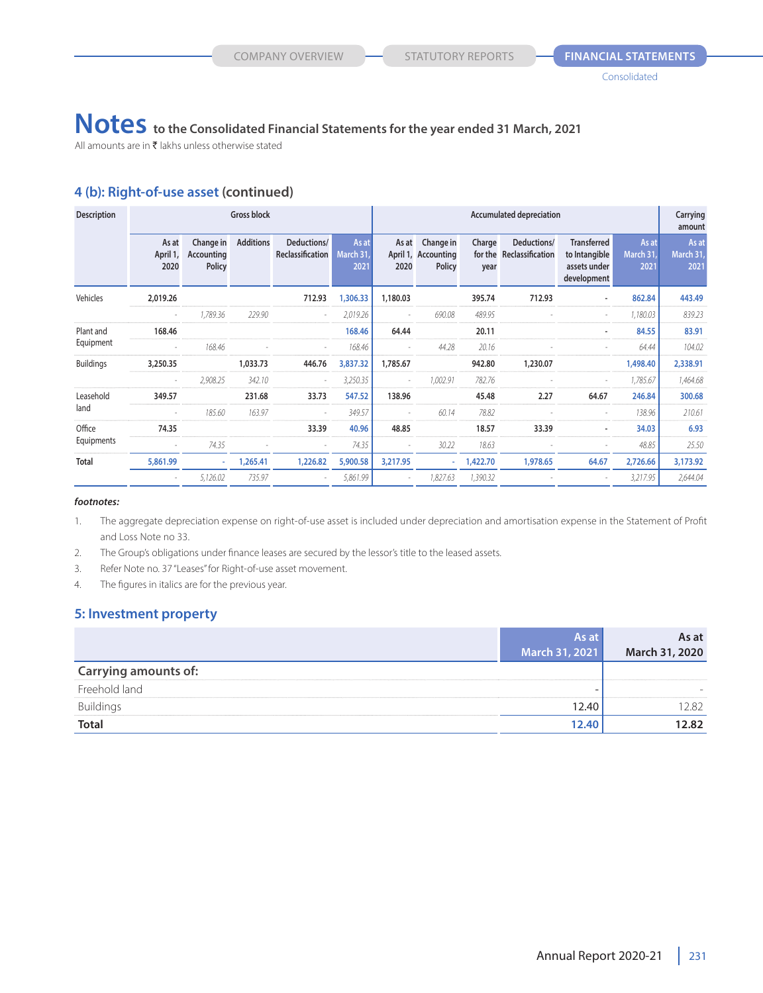All amounts are in  $\bar{\tau}$  lakhs unless otherwise stated

# **4 (b): Right-of-use asset (continued)**

| <b>Description</b>     | Gross block               |                                          |                  |                                 |                            | <b>Accumulated depreciation</b> |                                            |                |                                         |                                                                    |                            | Carrying<br>amount         |
|------------------------|---------------------------|------------------------------------------|------------------|---------------------------------|----------------------------|---------------------------------|--------------------------------------------|----------------|-----------------------------------------|--------------------------------------------------------------------|----------------------------|----------------------------|
|                        | As at<br>April 1,<br>2020 | Change in<br>Accounting<br><b>Policy</b> | <b>Additions</b> | Deductions/<br>Reclassification | As at<br>March 31,<br>2021 | As at<br>2020                   | Change in<br>April 1, Accounting<br>Policy | Charge<br>year | Deductions/<br>for the Reclassification | <b>Transferred</b><br>to Intangible<br>assets under<br>development | As at<br>March 31,<br>2021 | As at<br>March 31,<br>2021 |
| Vehicles               | 2,019.26                  |                                          |                  | 712.93                          | 1,306.33                   | 1,180.03                        |                                            | 395.74         | 712.93                                  | $\overline{\phantom{a}}$                                           | 862.84                     | 443.49                     |
|                        |                           | 1.789.36                                 | 229.90           |                                 | 2,019.26                   |                                 | 690.08                                     | 489.95         |                                         |                                                                    | 1,180.03                   | 839.23                     |
| Plant and<br>Equipment | 168.46                    |                                          |                  |                                 | 168.46                     | 64.44                           |                                            | 20.11          |                                         |                                                                    | 84.55                      | 83.91                      |
|                        |                           | 168.46                                   |                  |                                 | 168.46                     |                                 | 44.28                                      | 20.16          |                                         |                                                                    | 64.44                      | 104.02                     |
| <b>Buildings</b>       | 3,250.35                  |                                          | 1,033.73         | 446.76                          | 3,837.32                   | 1,785.67                        |                                            | 942.80         | 1,230.07                                |                                                                    | 1,498.40                   | 2,338.91                   |
|                        |                           | 2,908.25                                 | 342.10           |                                 | 3,250.35                   |                                 | 1,002.91                                   | 782.76         |                                         |                                                                    | 1,785.67                   | 1,464.68                   |
| Leasehold              | 349.57                    |                                          | 231.68           | 33.73                           | 547.52                     | 138.96                          |                                            | 45.48          | 2.27                                    | 64.67                                                              | 246.84                     | 300.68                     |
| land                   |                           | 185.60                                   | 163.97           |                                 | 349.57                     |                                 | 60.14                                      | 78.82          |                                         |                                                                    | 138.96                     | 210.61                     |
| Office                 | 74.35                     |                                          |                  | 33.39                           | 40.96                      | 48.85                           |                                            | 18.57          | 33.39                                   |                                                                    | 34.03                      | 6.93                       |
| Equipments             |                           | 74.35                                    |                  |                                 | 74.35                      |                                 | 30.22                                      | 18.63          |                                         |                                                                    | 48.85                      | 25.50                      |
| Total                  | 5,861.99                  | ÷                                        | 1,265.41         | 1,226.82                        | 5,900.58                   | 3,217.95                        | ٠                                          | 1,422.70       | 1,978.65                                | 64.67                                                              | 2,726.66                   | 3,173.92                   |
|                        |                           | 5,126.02                                 | 735.97           |                                 | 5,861.99                   |                                 | 1,827.63                                   | 1,390.32       |                                         |                                                                    | 3,217.95                   | 2,644.04                   |

#### *footnotes:*

1. The aggregate depreciation expense on right-of-use asset is included under depreciation and amortisation expense in the Statement of Profit and Loss Note no 33.

- 2. The Group's obligations under finance leases are secured by the lessor's title to the leased assets.
- 3. Refer Note no. 37 "Leases" for Right-of-use asset movement.
- 4. The figures in italics are for the previous year.

### **5: Investment property**

|                             | As at          |                       |
|-----------------------------|----------------|-----------------------|
|                             | March 31, 2021 | <b>March 31, 2020</b> |
| <b>Carrying amounts of:</b> |                |                       |
| Freehold land               |                |                       |
| <b>Buildings</b>            | 12 40          | 282                   |
| Total                       | 12.40          | ר א                   |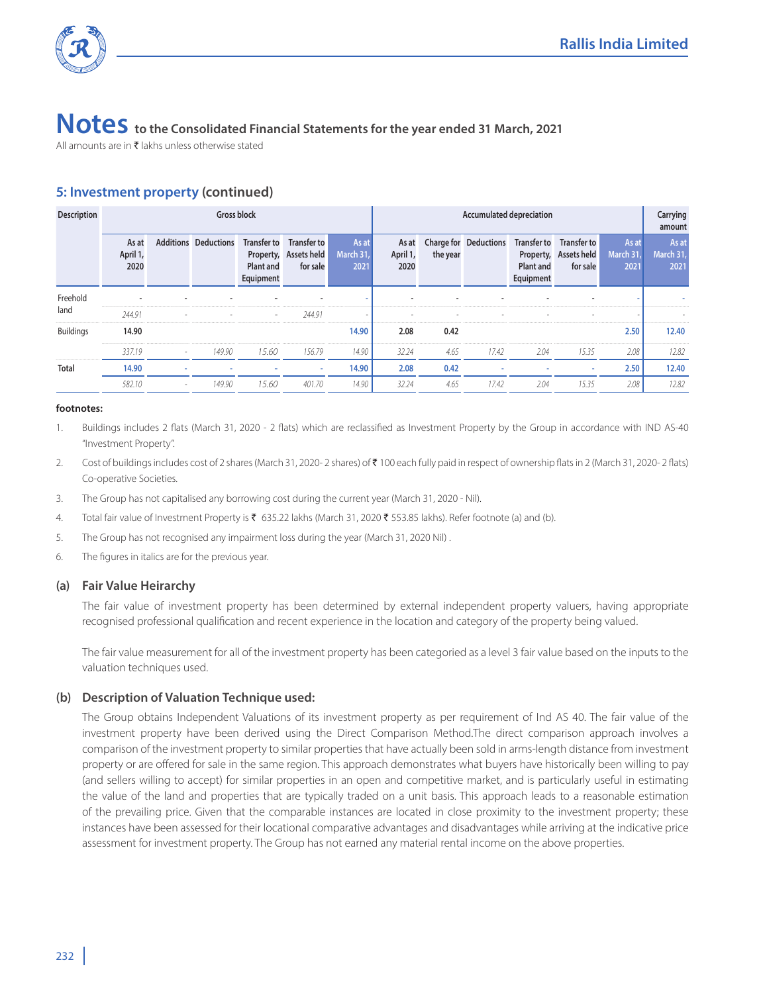

All amounts are in  $\bar{\tau}$  lakhs unless otherwise stated

## **5: Investment property (continued)**

| <b>Description</b> | Gross block               |        |                             |                                       |                                                  | <b>Accumulated depreciation</b> |                           |          |                              |                                              |                                                         | Carrying<br>amount        |                           |
|--------------------|---------------------------|--------|-----------------------------|---------------------------------------|--------------------------------------------------|---------------------------------|---------------------------|----------|------------------------------|----------------------------------------------|---------------------------------------------------------|---------------------------|---------------------------|
|                    | As at<br>April 1,<br>2020 |        | <b>Additions Deductions</b> | Transfer to<br>Plant and<br>Equipment | Transfer to<br>Property, Assets held<br>for sale | As at<br>March 31,<br>2021      | As at<br>April 1,<br>2020 | the year | <b>Charge for Deductions</b> | <b>Transfer to</b><br>Plant and<br>Equipment | <b>Transfer to</b><br>Property, Assets held<br>for sale | As at<br>March 31<br>2021 | As at<br>March 31<br>2021 |
| Freehold           |                           |        |                             |                                       |                                                  |                                 |                           |          |                              |                                              |                                                         |                           |                           |
| land               | 244.91                    |        |                             |                                       | 244 91                                           |                                 |                           |          |                              |                                              |                                                         |                           |                           |
| <b>Buildings</b>   | 14.90                     |        |                             |                                       |                                                  | 14.90                           | 2.08                      | 0.42     |                              |                                              |                                                         | 2.50                      | 12.40                     |
|                    | 337.19                    |        | 149.90                      | 15.60                                 | 156.79                                           | 14.90                           | 32.24                     | 4.65     | 17.42                        | 2.04                                         | 15.35                                                   | 2.08                      | 12.82                     |
| Total              | 14.90                     |        |                             |                                       | ۰                                                | 14.90                           | 2.08                      | 0.42     |                              |                                              |                                                         | 2.50                      | 12.40                     |
|                    | 582.10                    | $\sim$ | 149.90                      | 15.60                                 | 401.70                                           | 14.90                           | 32.24                     | 4.65     | 17.42                        | 2.04                                         | 15.35                                                   | 2.08                      | 12.82                     |

#### **footnotes:**

- 1. Buildings includes 2 flats (March 31, 2020 2 flats) which are reclassified as Investment Property by the Group in accordance with IND AS-40 "Investment Property".
- 2. Cost of buildings includes cost of 2 shares (March 31, 2020-2 shares) of  $\bar{\tau}$  100 each fully paid in respect of ownership flats in 2 (March 31, 2020-2 flats) Co-operative Societies.
- 3. The Group has not capitalised any borrowing cost during the current year (March 31, 2020 Nil).
- 4. Total fair value of Investment Property is ₹ 635.22 lakhs (March 31, 2020 ₹ 553.85 lakhs). Refer footnote (a) and (b).
- 5. The Group has not recognised any impairment loss during the year (March 31, 2020 Nil) .
- 6. The figures in italics are for the previous year.

#### **(a) Fair Value Heirarchy**

 The fair value of investment property has been determined by external independent property valuers, having appropriate recognised professional qualification and recent experience in the location and category of the property being valued.

 The fair value measurement for all of the investment property has been categoried as a level 3 fair value based on the inputs to the valuation techniques used.

#### **(b) Description of Valuation Technique used:**

The Group obtains Independent Valuations of its investment property as per requirement of Ind AS 40. The fair value of the investment property have been derived using the Direct Comparison Method.The direct comparison approach involves a comparison of the investment property to similar properties that have actually been sold in arms-length distance from investment property or are offered for sale in the same region. This approach demonstrates what buyers have historically been willing to pay (and sellers willing to accept) for similar properties in an open and competitive market, and is particularly useful in estimating the value of the land and properties that are typically traded on a unit basis. This approach leads to a reasonable estimation of the prevailing price. Given that the comparable instances are located in close proximity to the investment property; these instances have been assessed for their locational comparative advantages and disadvantages while arriving at the indicative price assessment for investment property. The Group has not earned any material rental income on the above properties.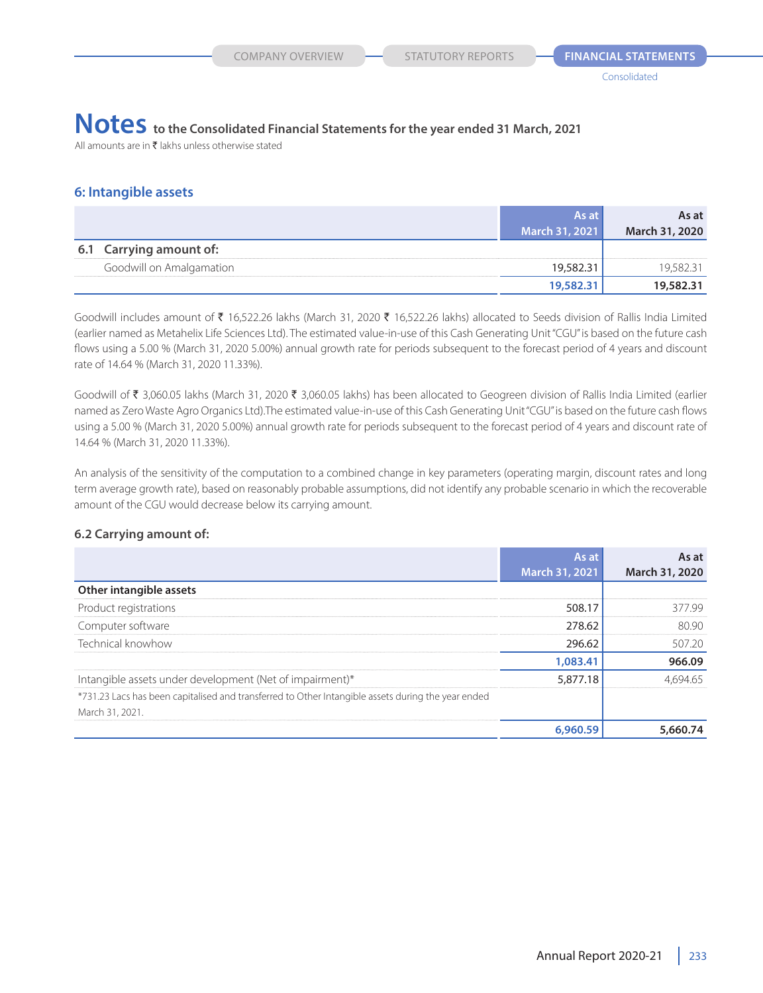All amounts are in  $\bar{\tau}$  lakhs unless otherwise stated

### **6: Intangible assets**

|                          | 'As atı        | As at          |
|--------------------------|----------------|----------------|
|                          | March 31, 2021 | March 31, 2020 |
| 6.1 Carrying amount of:  |                |                |
| Goodwill on Amalgamation |                |                |
|                          |                | 19.582.31      |

Goodwill includes amount of  $\bar{\tau}$  16,522.26 lakhs (March 31, 2020  $\bar{\tau}$  16,522.26 lakhs) allocated to Seeds division of Rallis India Limited (earlier named as Metahelix Life Sciences Ltd). The estimated value-in-use of this Cash Generating Unit "CGU'' is based on the future cash flows using a 5.00 % (March 31, 2020 5.00%) annual growth rate for periods subsequent to the forecast period of 4 years and discount rate of 14.64 % (March 31, 2020 11.33%).

Goodwill of ₹ 3,060.05 lakhs (March 31, 2020 ₹ 3,060.05 lakhs) has been allocated to Geogreen division of Rallis India Limited (earlier named as Zero Waste Agro Organics Ltd).The estimated value-in-use of this Cash Generating Unit "CGU'' is based on the future cash flows using a 5.00 % (March 31, 2020 5.00%) annual growth rate for periods subsequent to the forecast period of 4 years and discount rate of 14.64 % (March 31, 2020 11.33%).

An analysis of the sensitivity of the computation to a combined change in key parameters (operating margin, discount rates and long term average growth rate), based on reasonably probable assumptions, did not identify any probable scenario in which the recoverable amount of the CGU would decrease below its carrying amount.

### **6.2 Carrying amount of:**

|                                                                                                    | As at          | As at          |
|----------------------------------------------------------------------------------------------------|----------------|----------------|
|                                                                                                    | March 31, 2021 | March 31, 2020 |
| Other intangible assets                                                                            |                |                |
| Product registrations                                                                              | 508 17         | 37799          |
| Computer software                                                                                  | 278.62         | 80.90          |
| Technical knowhow                                                                                  | 296.62         | 507.20         |
|                                                                                                    | 1,083.41       | 966.09         |
| Intangible assets under development (Net of impairment)*                                           | 5,877.18       |                |
| *731.23 Lacs has been capitalised and transferred to Other Intangible assets during the year ended |                |                |
| March 31, 2021.                                                                                    |                |                |
|                                                                                                    |                |                |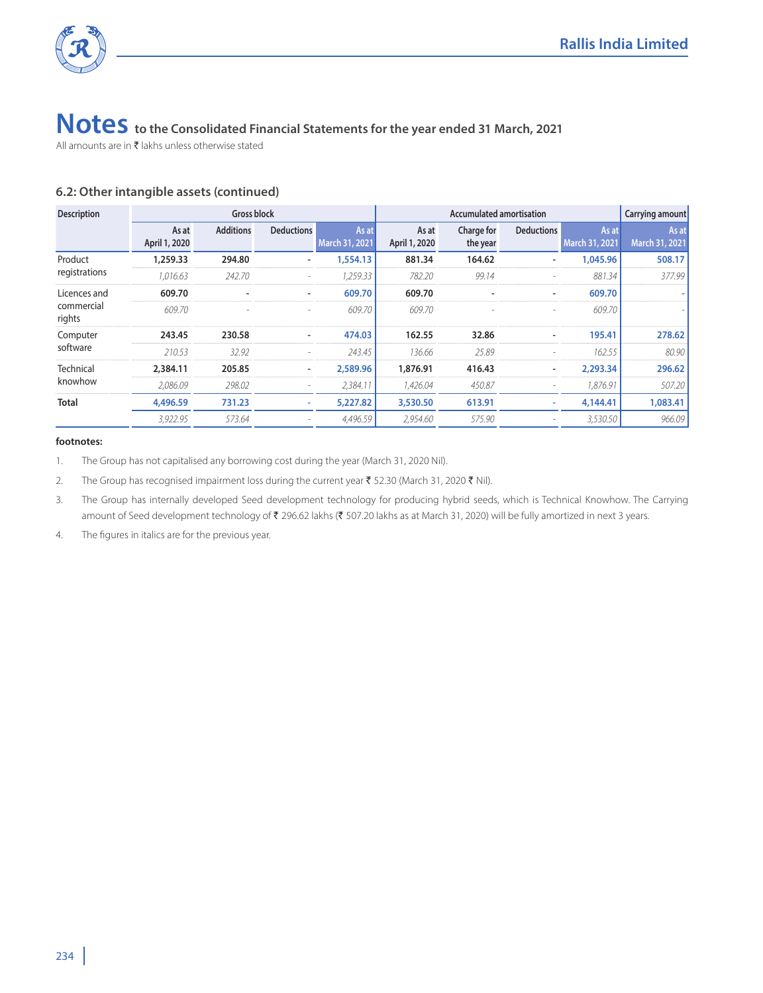

All amounts are in  $\bar{\tau}$  lakhs unless otherwise stated

### **6.2: Other intangible assets (continued)**

| <b>Gross block</b><br><b>Accumulated amortisation</b><br><b>Description</b> |                        |                  |                          |                         |                        | <b>Carrying amount</b> |                   |                         |                                |
|-----------------------------------------------------------------------------|------------------------|------------------|--------------------------|-------------------------|------------------------|------------------------|-------------------|-------------------------|--------------------------------|
|                                                                             | As at<br>April 1, 2020 | <b>Additions</b> | <b>Deductions</b>        | As at<br>March 31, 2021 | As at<br>April 1, 2020 | Charge for<br>the year | <b>Deductions</b> | As at<br>March 31, 2021 | As at<br><b>March 31, 2021</b> |
| Product                                                                     | 1,259.33               | 294.80           |                          | 1,554.13                | 881.34                 | 164.62                 |                   | 1.045.96                | 508.17                         |
| registrations                                                               | 1.016.63               | 242.70           |                          | 1.259.33                | 782.20                 | 99.14                  |                   | 881.34                  | 377.99                         |
| Licences and                                                                | 609.70                 |                  |                          | 609.70                  | 609.70                 |                        |                   | 609.70                  |                                |
| commercial<br>rights                                                        | 609.70                 |                  |                          | 609.70                  | 609.70                 |                        |                   | 609.70                  |                                |
| Computer                                                                    | 243.45                 | 230.58           |                          | 474.03                  | 162.55                 | 32.86                  |                   | 195.41                  | 278.62                         |
| software                                                                    | 210.53                 | 32.92            |                          | 243.45                  | 136.66                 | 25.89                  |                   | 162.55                  | 80.90                          |
| Technical                                                                   | 2,384.11               | 205.85           |                          | 2.589.96                | 1,876.91               | 416.43                 |                   | 2.293.34                | 296.62                         |
| knowhow                                                                     | 2,086.09               | 298.02           | $\overline{\phantom{0}}$ | 2,384.11                | 1,426.04               | 450.87                 |                   | 1,876.91                | 507.20                         |
| Total                                                                       | 4.496.59               | 731.23           |                          | 5,227.82                | 3,530.50               | 613.91                 |                   | 4.144.41                | 1,083.41                       |
|                                                                             | 3.922.95               | 573.64           |                          | 4,496.59                | 2.954.60               | 575.90                 |                   | 3,530.50                | 966.09                         |

#### **footnotes:**

1. The Group has not capitalised any borrowing cost during the year (March 31, 2020 Nil).

2. The Group has recognised impairment loss during the current year ₹ 52.30 (March 31, 2020 ₹ Nil).

3. The Group has internally developed Seed development technology for producing hybrid seeds, which is Technical Knowhow. The Carrying amount of Seed development technology of ₹ 296.62 lakhs (₹ 507.20 lakhs as at March 31, 2020) will be fully amortized in next 3 years.

4. The figures in italics are for the previous year.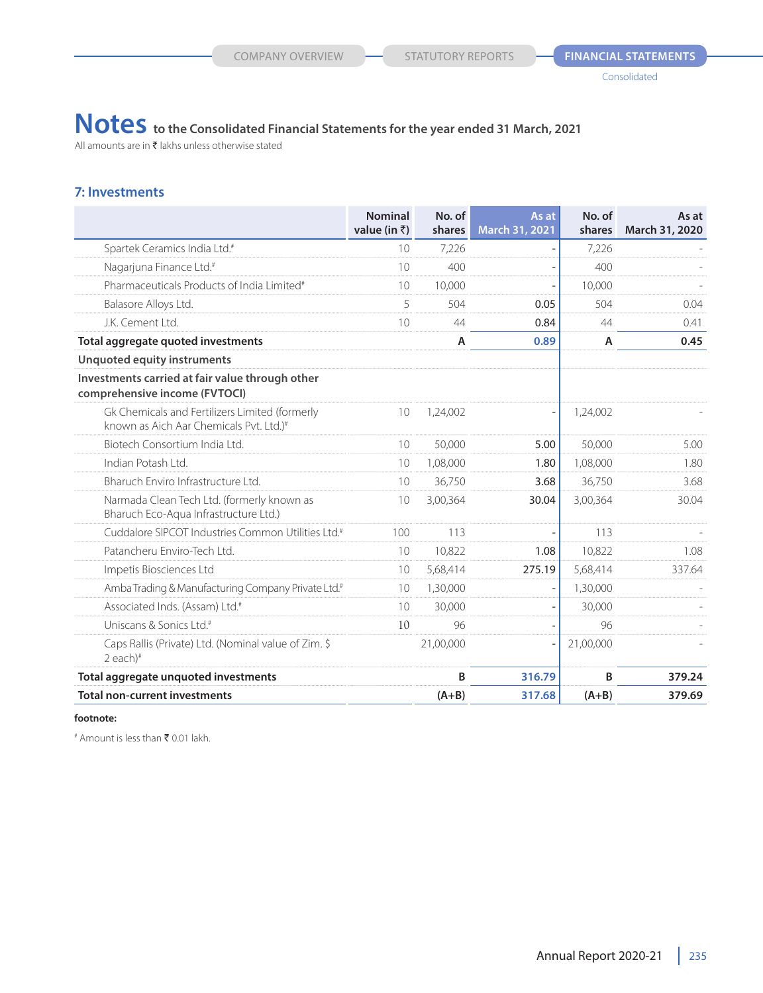All amounts are in  $\bar{\tau}$  lakhs unless otherwise stated

### **7: Investments**

|                                                                                                       | <b>Nominal</b><br>value (in $\bar{z}$ ) | No. of<br>shares | As at<br>March 31, 2021 | No. of<br>shares | As at<br>March 31, 2020 |
|-------------------------------------------------------------------------------------------------------|-----------------------------------------|------------------|-------------------------|------------------|-------------------------|
| Spartek Ceramics India Ltd.#                                                                          | 10                                      | 7,226            |                         | 7,226            |                         |
| Nagarjuna Finance Ltd. <sup>#</sup>                                                                   | 10                                      | 400              |                         | 400              |                         |
| Pharmaceuticals Products of India Limited <sup>#</sup>                                                | 10 <sup>1</sup>                         | 10,000           |                         | 10,000           |                         |
| Balasore Alloys Ltd.                                                                                  | 5                                       | 504              | 0.05                    | 504              | 0.04                    |
| J.K. Cement Ltd.                                                                                      | 10                                      | 44               | 0.84                    | 44               | 0.41                    |
| Total aggregate quoted investments                                                                    |                                         | A                | 0.89                    | A                | 0.45                    |
| <b>Unquoted equity instruments</b>                                                                    |                                         |                  |                         |                  |                         |
| Investments carried at fair value through other<br>comprehensive income (FVTOCI)                      |                                         |                  |                         |                  |                         |
| Gk Chemicals and Fertilizers Limited (formerly<br>known as Aich Aar Chemicals Pvt. Ltd.) <sup>#</sup> | 10                                      | 1,24,002         |                         | 1,24,002         |                         |
| Biotech Consortium India Ltd.                                                                         | $10 \,$                                 | 50.000           | 5.00                    | 50,000           | 5.00                    |
| Indian Potash I td.                                                                                   | 10                                      | 1,08,000         | 1.80                    | 1,08,000         | 1.80                    |
| Bharuch Enviro Infrastructure Ltd.                                                                    | 10 <sup>2</sup>                         | 36,750           | 3.68                    | 36,750           | 3.68                    |
| Narmada Clean Tech Ltd. (formerly known as<br>Bharuch Eco-Aqua Infrastructure Ltd.)                   | 10                                      | 3,00,364         | 30.04                   | 3,00,364         | 30.04                   |
| Cuddalore SIPCOT Industries Common Utilities Ltd. <sup>#</sup>                                        | 100                                     | 113              |                         | 113              |                         |
| Patancheru Enviro-Tech Ltd.                                                                           | 10                                      | 10,822           | 1.08                    | 10,822           | 1.08                    |
| Impetis Biosciences Ltd                                                                               | 10                                      | 5,68,414         | 275.19                  | 5,68,414         | 337.64                  |
| Amba Trading & Manufacturing Company Private Ltd. <sup>#</sup>                                        | 10                                      | 1,30,000         |                         | 1,30,000         |                         |
| Associated Inds. (Assam) Ltd. <sup>#</sup>                                                            | 10                                      | 30,000           |                         | 30,000           |                         |
| Uniscans & Sonics Ltd. <sup>#</sup>                                                                   | 10                                      | 96               |                         | 96               |                         |
| Caps Rallis (Private) Ltd. (Nominal value of Zim. \$<br>$2$ each) <sup>#</sup>                        |                                         | 21,00,000        |                         | 21,00,000        |                         |
| Total aggregate unquoted investments                                                                  |                                         | B                | 316.79                  | В                | 379.24                  |
| <b>Total non-current investments</b>                                                                  |                                         | $(A+B)$          | 317.68                  | $(A+B)$          | 379.69                  |

#### **footnote:**

# Amount is less than ₹ 0.01 lakh.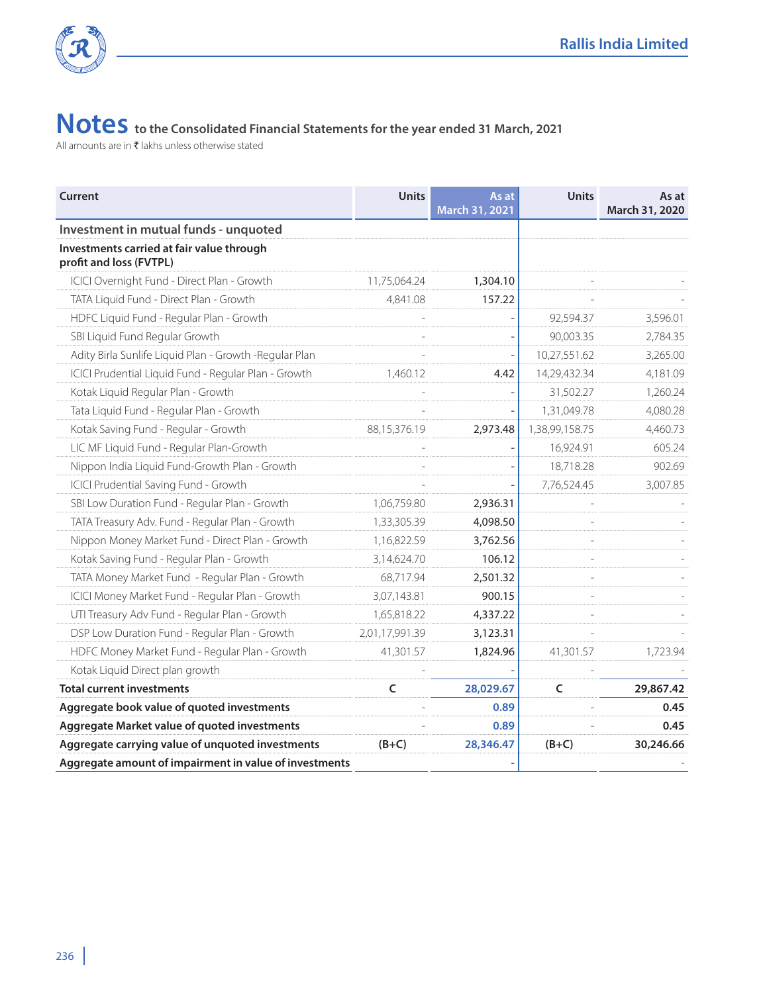

All amounts are in  $\bar{\tau}$  lakhs unless otherwise stated

| Current                                                              | <b>Units</b>   | As at<br>March 31, 2021 | <b>Units</b>   | As at<br>March 31, 2020 |
|----------------------------------------------------------------------|----------------|-------------------------|----------------|-------------------------|
| Investment in mutual funds - unquoted                                |                |                         |                |                         |
| Investments carried at fair value through<br>profit and loss (FVTPL) |                |                         |                |                         |
| ICICI Overnight Fund - Direct Plan - Growth                          | 11,75,064.24   | 1,304.10                |                |                         |
| TATA Liquid Fund - Direct Plan - Growth                              | 4,841.08       | 157.22                  |                |                         |
| HDFC Liquid Fund - Regular Plan - Growth                             |                |                         | 92,594.37      | 3,596.01                |
| SBI Liquid Fund Regular Growth                                       |                |                         | 90,003.35      | 2,784.35                |
| Adity Birla Sunlife Liquid Plan - Growth -Regular Plan               |                |                         | 10,27,551.62   | 3,265.00                |
| ICICI Prudential Liquid Fund - Regular Plan - Growth                 | 1,460.12       | 4.42                    | 14,29,432.34   | 4,181.09                |
| Kotak Liquid Regular Plan - Growth                                   |                |                         | 31,502.27      | 1,260.24                |
| Tata Liquid Fund - Regular Plan - Growth                             |                |                         | 1,31,049.78    | 4,080.28                |
| Kotak Saving Fund - Regular - Growth                                 | 88,15,376.19   | 2,973.48                | 1,38,99,158.75 | 4,460.73                |
| LIC MF Liquid Fund - Regular Plan-Growth                             |                |                         | 16,924.91      | 605.24                  |
| Nippon India Liquid Fund-Growth Plan - Growth                        |                |                         | 18,718.28      | 902.69                  |
| ICICI Prudential Saving Fund - Growth                                |                |                         | 7,76,524.45    | 3,007.85                |
| SBI Low Duration Fund - Regular Plan - Growth                        | 1,06,759.80    | 2,936.31                |                |                         |
| TATA Treasury Adv. Fund - Regular Plan - Growth                      | 1,33,305.39    | 4,098.50                |                |                         |
| Nippon Money Market Fund - Direct Plan - Growth                      | 1,16,822.59    | 3,762.56                |                |                         |
| Kotak Saving Fund - Regular Plan - Growth                            | 3,14,624.70    | 106.12                  |                |                         |
| TATA Money Market Fund - Regular Plan - Growth                       | 68,717.94      | 2,501.32                |                |                         |
| ICICI Money Market Fund - Regular Plan - Growth                      | 3,07,143.81    | 900.15                  |                |                         |
| UTI Treasury Adv Fund - Regular Plan - Growth                        | 1,65,818.22    | 4,337.22                |                |                         |
| DSP Low Duration Fund - Regular Plan - Growth                        | 2,01,17,991.39 | 3,123.31                |                |                         |
| HDFC Money Market Fund - Regular Plan - Growth                       | 41,301.57      | 1,824.96                | 41,301.57      | 1,723.94                |
| Kotak Liquid Direct plan growth                                      |                |                         |                |                         |
| <b>Total current investments</b>                                     | C              | 28,029.67               | C              | 29,867.42               |
| Aggregate book value of quoted investments                           |                | 0.89                    |                | 0.45                    |
| Aggregate Market value of quoted investments                         |                | 0.89                    |                | 0.45                    |
| Aggregate carrying value of unquoted investments                     | $(B+C)$        | 28,346.47               | $(B+C)$        | 30,246.66               |
| Aggregate amount of impairment in value of investments               |                |                         |                |                         |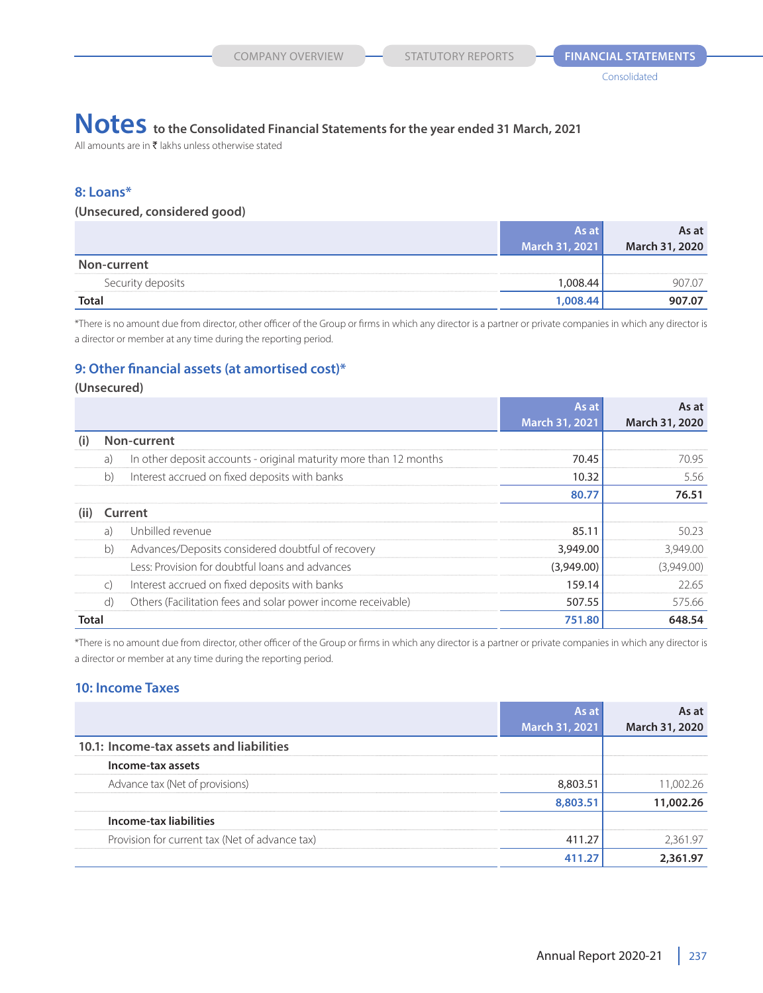All amounts are in  $\bar{\tau}$  lakhs unless otherwise stated

# **8: Loans\***

#### **(Unsecured, considered good)**

|                   | As at          | As at          |
|-------------------|----------------|----------------|
|                   | March 31, 2021 | March 31, 2020 |
| Non-current       |                | .              |
| Security deposits |                | 307 OZ         |
| Total             |                | כח '           |

\*There is no amount due from director, other officer of the Group or firms in which any director is a partner or private companies in which any director is a director or member at any time during the reporting period.

### **9: Other financial assets (at amortised cost)\***

### **(Unsecured)**

|       |           |                                                                   | As at          | As at          |
|-------|-----------|-------------------------------------------------------------------|----------------|----------------|
|       |           |                                                                   | March 31, 2021 | March 31, 2020 |
|       |           | Non-current                                                       |                |                |
|       | a)        | In other deposit accounts - original maturity more than 12 months | 70.45          | 70.95          |
|       | b)        | Interest accrued on fixed deposits with banks                     | 10.32          | 5.56           |
|       |           |                                                                   | 80.77          | 76.51          |
|       |           | Current                                                           |                |                |
|       | a)        | Unbilled revenue                                                  | 85.11          | 5023           |
|       | b)        | Advances/Deposits considered doubtful of recovery                 | 3,949.00       | 3,949.00       |
|       |           | Less: Provision for doubtful loans and advances                   | (3.949.00)     | (3,949.00)     |
|       | $\subset$ | Interest accrued on fixed deposits with banks                     | 159.14         | 22.65          |
|       | d)        | Others (Facilitation fees and solar power income receivable)      | 507.55         | 575.66         |
| Total |           |                                                                   | 751.80         | 648.54         |

\*There is no amount due from director, other officer of the Group or firms in which any director is a partner or private companies in which any director is a director or member at any time during the reporting period.

### **10: Income Taxes**

|                                                | March 31, 2021 | <b>March 31, 2020</b> |
|------------------------------------------------|----------------|-----------------------|
| 10.1: Income-tax assets and liabilities        |                |                       |
| Income-tax assets                              |                |                       |
| Advance tax (Net of provisions)                | 8.803.51       |                       |
|                                                | 8.803.5        |                       |
| Income-tax liabilities                         |                |                       |
| Provision for current tax (Net of advance tax) |                | ) 361 97              |
|                                                |                |                       |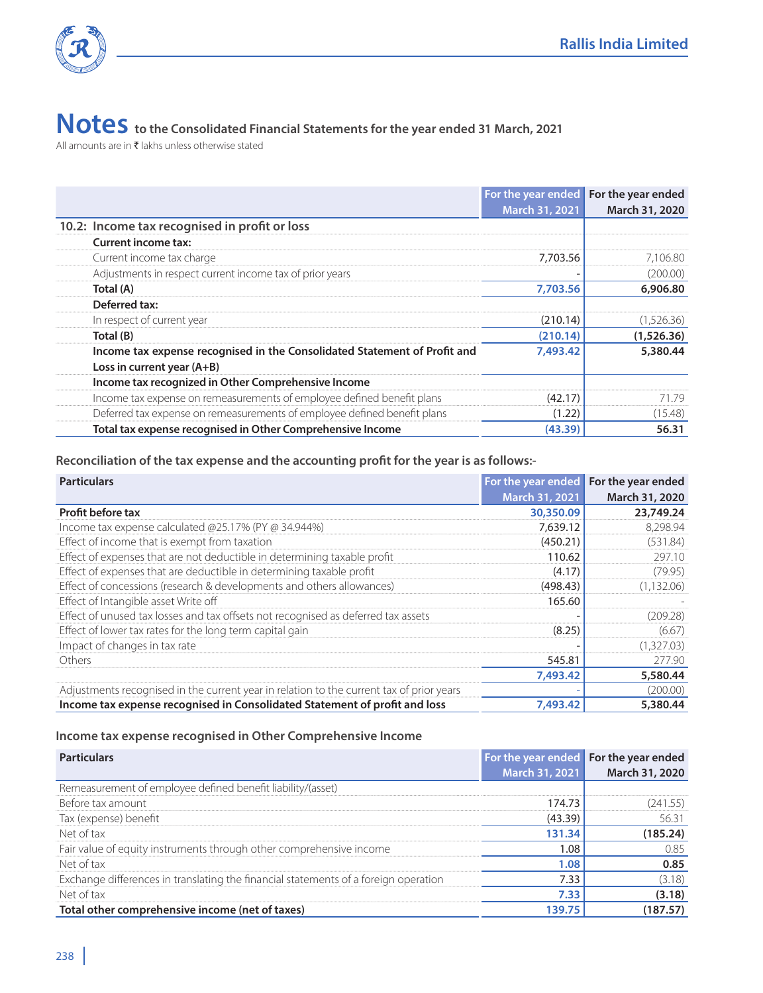

All amounts are in  $\bar{\tau}$  lakhs unless otherwise stated

|                                                                           | For the year ended | For the year ended |
|---------------------------------------------------------------------------|--------------------|--------------------|
|                                                                           | March 31, 2021     | March 31, 2020     |
| 10.2: Income tax recognised in profit or loss                             |                    |                    |
| <b>Current income tax:</b>                                                |                    |                    |
| Current income tax charge                                                 | 7,703.56           | 7,106.80           |
| Adjustments in respect current income tax of prior years                  |                    | (200.00)           |
| Total (A)                                                                 | 7,703.56           | 6,906.80           |
| Deferred tax:                                                             |                    |                    |
| In respect of current year                                                | (210.14)           | (1,526.36)         |
| Total (B)                                                                 | (210.14)           | (1,526.36)         |
| Income tax expense recognised in the Consolidated Statement of Profit and | 7,493.42           | 5,380.44           |
| Loss in current year $(A+B)$                                              |                    |                    |
| Income tax recognized in Other Comprehensive Income                       |                    |                    |
| Income tax expense on remeasurements of employee defined benefit plans    | (42.17)            | 71.79              |
| Deferred tax expense on remeasurements of employee defined benefit plans  | (1.22)             | (15.48)            |
| Total tax expense recognised in Other Comprehensive Income                | (43.39)            | 56.31              |

### **Reconciliation of the tax expense and the accounting profit for the year is as follows:-**

| <b>Particulars</b>                                                                       | For the year ended | For the year ended |
|------------------------------------------------------------------------------------------|--------------------|--------------------|
|                                                                                          | March 31, 2021     | March 31, 2020     |
| Profit before tax                                                                        | 30,350.09          | 23,749.24          |
| Income tax expense calculated @25.17% (PY @ 34.944%)                                     | 7,639.12           | 8.298.94           |
| Effect of income that is exempt from taxation                                            | (450.21)           | (531.84)           |
| Effect of expenses that are not deductible in determining taxable profit                 | 110.62             | 297.10             |
| Effect of expenses that are deductible in determining taxable profit                     | (4.17)             | (79.95)            |
| Effect of concessions (research & developments and others allowances)                    | (498.43)           | (1, 132.06)        |
| Effect of Intangible asset Write off                                                     | 165.60             |                    |
| Effect of unused tax losses and tax offsets not recognised as deferred tax assets        |                    | (209.28)           |
| Effect of lower tax rates for the long term capital gain                                 | (8.25)             | (6.67)             |
| Impact of changes in tax rate                                                            |                    | (1,327.03)         |
| Others                                                                                   | 545.81             | 277.90             |
|                                                                                          | 7,493.42           | 5,580.44           |
| Adjustments recognised in the current year in relation to the current tax of prior years |                    | (200.00)           |
| Income tax expense recognised in Consolidated Statement of profit and loss               | 7,493.42           | 5,380.44           |

### **Income tax expense recognised in Other Comprehensive Income**

| <b>Particulars</b>                                                                  | For the year ended For the year ended |                               |
|-------------------------------------------------------------------------------------|---------------------------------------|-------------------------------|
|                                                                                     |                                       | March 31, 2021 March 31, 2020 |
| Remeasurement of employee defined benefit liability/(asset)                         |                                       |                               |
| Before tax amount                                                                   | 174.73                                |                               |
| Tax (expense) benefit                                                               | (43.39)                               | 56 31                         |
| Net of tax                                                                          | 131.34                                | 185.24)                       |
| Fair value of equity instruments through other comprehensive income                 | .08                                   | 0.85                          |
| Net of tax                                                                          | -08                                   | 0.85                          |
| Exchange differences in translating the financial statements of a foreign operation | 7.33                                  | (3.18)                        |
| Net of tax                                                                          |                                       | (3.18)                        |
| Total other comprehensive income (net of taxes)                                     | 139.7                                 |                               |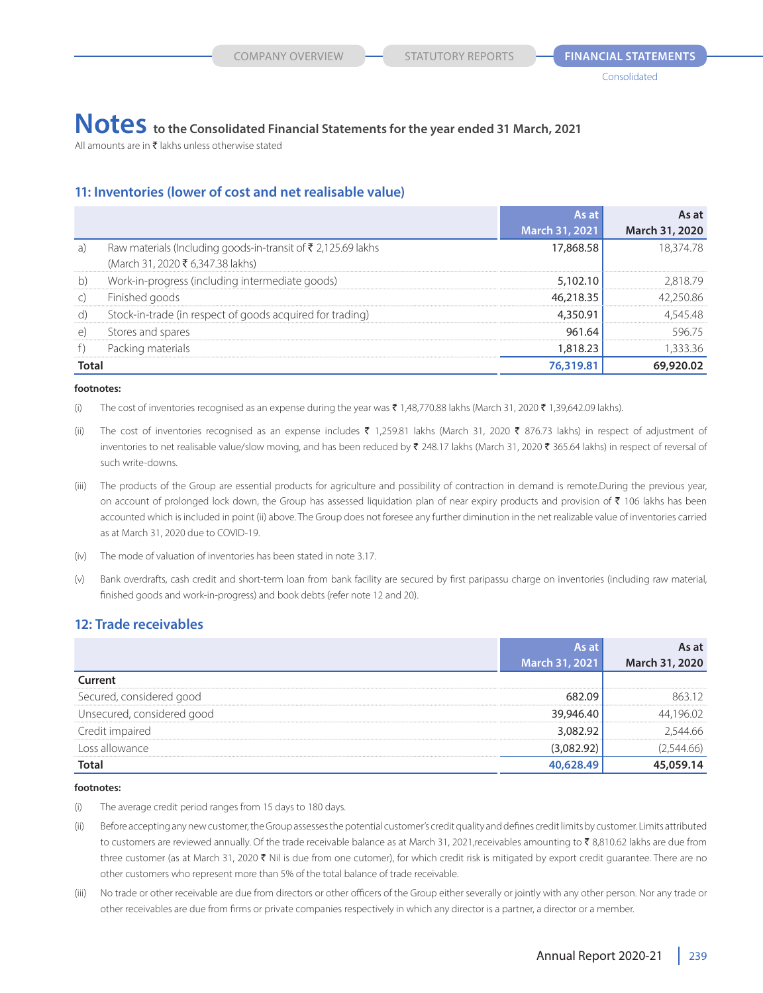All amounts are in  $\bar{\tau}$  lakhs unless otherwise stated

### **11: Inventories (lower of cost and net realisable value)**

|      |                                                                                                    |                | As at                 |
|------|----------------------------------------------------------------------------------------------------|----------------|-----------------------|
|      |                                                                                                    | March 31, 2021 | <b>March 31, 2020</b> |
| a)   | Raw materials (Including goods-in-transit of ₹ 2,125.69 lakhs<br>(March 31, 2020 ₹ 6,347.38 lakhs) | 17,868.58      | 18.374.78             |
| b)   | Work-in-progress (including intermediate goods)                                                    | 5.102.10       |                       |
|      | Finished goods                                                                                     | 46,218.35      |                       |
|      | Stock-in-trade (in respect of goods acquired for trading)                                          | 4.350.91       |                       |
| e.   | Stores and spares                                                                                  | 961.64         | 59675                 |
|      | Packing materials                                                                                  | 1,818.23       | .333.36               |
| Tota |                                                                                                    | 76.319.8       | 69,920.02             |

#### **footnotes:**

- (i) The cost of inventories recognised as an expense during the year was  $\bar{\tau}$  1,48,770.88 lakhs (March 31, 2020  $\bar{\tau}$  1,39,642.09 lakhs).
- (ii) The cost of inventories recognised as an expense includes  $\bar{\tau}$  1,259.81 lakhs (March 31, 2020  $\bar{\tau}$  876.73 lakhs) in respect of adjustment of inventories to net realisable value/slow moving, and has been reduced by  $\bar{\mathfrak{c}}$  248.17 lakhs (March 31, 2020  $\bar{\mathfrak{c}}$  365.64 lakhs) in respect of reversal of such write-downs.
- (iii) The products of the Group are essential products for agriculture and possibility of contraction in demand is remote.During the previous year, on account of prolonged lock down, the Group has assessed liquidation plan of near expiry products and provision of  $\bar{z}$  106 lakhs has been accounted which is included in point (ii) above. The Group does not foresee any further diminution in the net realizable value of inventories carried as at March 31, 2020 due to COVID-19.
- (iv) The mode of valuation of inventories has been stated in note 3.17.
- (v) Bank overdrafts, cash credit and short-term loan from bank facility are secured by first paripassu charge on inventories (including raw material, finished goods and work-in-progress) and book debts (refer note 12 and 20).

### **12: Trade receivables**

|                                      | <b>March 31, 2021</b> | March 31, 2020 |
|--------------------------------------|-----------------------|----------------|
| Current                              |                       |                |
| ured, considered good:<br><b>SEC</b> |                       |                |
| considered aood<br>cured.            |                       |                |
| Credit impaired                      |                       |                |
| Loss allowance                       |                       |                |
| Tota                                 |                       |                |

#### **footnotes:**

(i) The average credit period ranges from 15 days to 180 days.

- (ii) Before accepting any new customer, the Group assesses the potential customer's credit quality and defines credit limits by customer. Limits attributed to customers are reviewed annually. Of the trade receivable balance as at March 31, 2021, receivables amounting to  $\bar{\tau}$  8,810.62 lakhs are due from three customer (as at March 31, 2020 ₹ Nil is due from one cutomer), for which credit risk is mitigated by export credit guarantee. There are no other customers who represent more than 5% of the total balance of trade receivable.
- (iii) No trade or other receivable are due from directors or other officers of the Group either severally or jointly with any other person. Nor any trade or other receivables are due from firms or private companies respectively in which any director is a partner, a director or a member.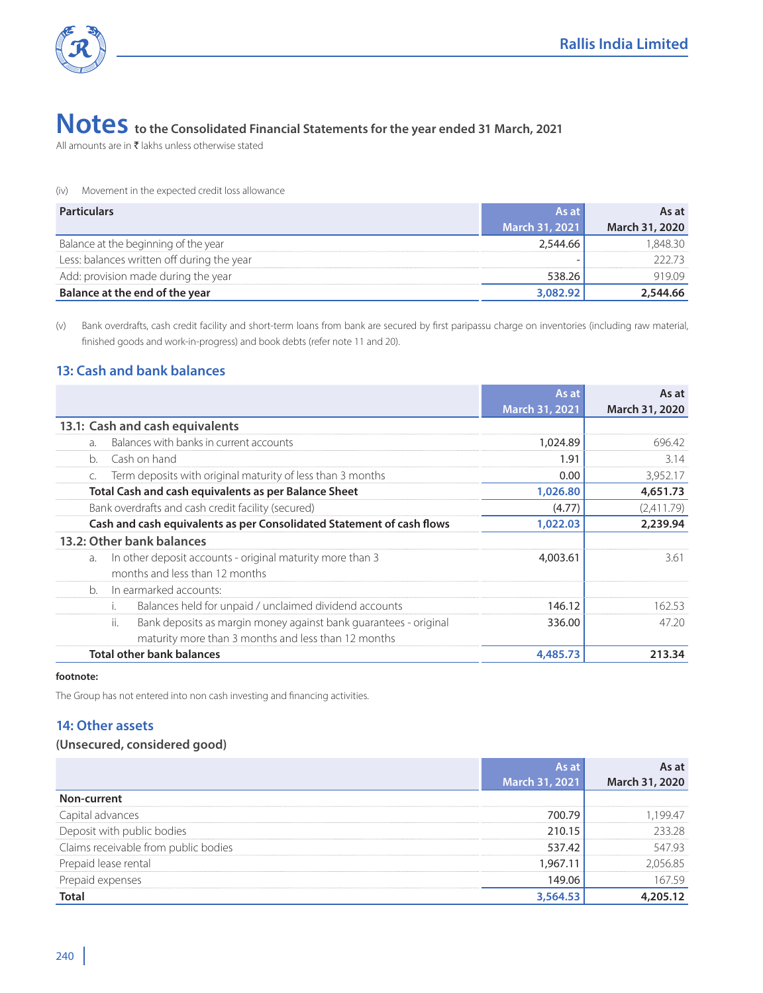

All amounts are in  $\bar{\tau}$  lakhs unless otherwise stated

#### (iv) Movement in the expected credit loss allowance

| <b>Particulars</b>                         | As at          | As atl         |
|--------------------------------------------|----------------|----------------|
|                                            | March 31, 2021 | March 31, 2020 |
| Balance at the beginning of the year       | 2.544.66       | 848.30         |
| Less: balances written off during the year |                |                |
| Add: provision made during the year        | 538.26         | 919 N9         |
| Balance at the end of the year             | 3.082.9        | 2,544.66       |

(v) Bank overdrafts, cash credit facility and short-term loans from bank are secured by first paripassu charge on inventories (including raw material, finished goods and work-in-progress) and book debts (refer note 11 and 20).

## **13: Cash and bank balances**

|                                                                         | As at          | As at          |
|-------------------------------------------------------------------------|----------------|----------------|
|                                                                         | March 31, 2021 | March 31, 2020 |
| 13.1: Cash and cash equivalents                                         |                |                |
| Balances with banks in current accounts<br>$\partial$ .                 | 1.024.89       | 696.42         |
| Cash on hand<br>b.                                                      | 1.91           | 3.14           |
| Term deposits with original maturity of less than 3 months              | 0.00           | 3,952.17       |
| Total Cash and cash equivalents as per Balance Sheet                    | 1,026.80       | 4,651.73       |
| Bank overdrafts and cash credit facility (secured)                      | (4.77)         | (2,411,79)     |
| Cash and cash equivalents as per Consolidated Statement of cash flows   | 1,022.03       | 2,239.94       |
| 13.2: Other bank balances                                               |                |                |
| In other deposit accounts - original maturity more than 3<br>a.         | 4,003.61       | 3.61           |
| months and less than 12 months                                          |                |                |
| In earmarked accounts:<br>h.                                            |                |                |
| Balances held for unpaid / unclaimed dividend accounts                  | 146.12         | 162.53         |
| Bank deposits as margin money against bank guarantees - original<br>ii. | 336.00         | 47 20          |
| maturity more than 3 months and less than 12 months                     |                |                |
| <b>Total other bank balances</b>                                        | 4,485.73       | 213.34         |

**footnote:**

The Group has not entered into non cash investing and financing activities.

## **14: Other assets**

#### **(Unsecured, considered good)**

|                                      | <b>March 31, 2021</b> | March 31, 2020 |
|--------------------------------------|-----------------------|----------------|
| Non-current                          |                       |                |
| al advances:                         |                       |                |
| it with public bodies                | 21 O 1                | 28             |
| Claims receivable from public bodies | 53742                 | 1 Q 3          |
| paid lease rental                    |                       |                |
| Prepaid expenses                     |                       | 6759           |
| lotal                                |                       |                |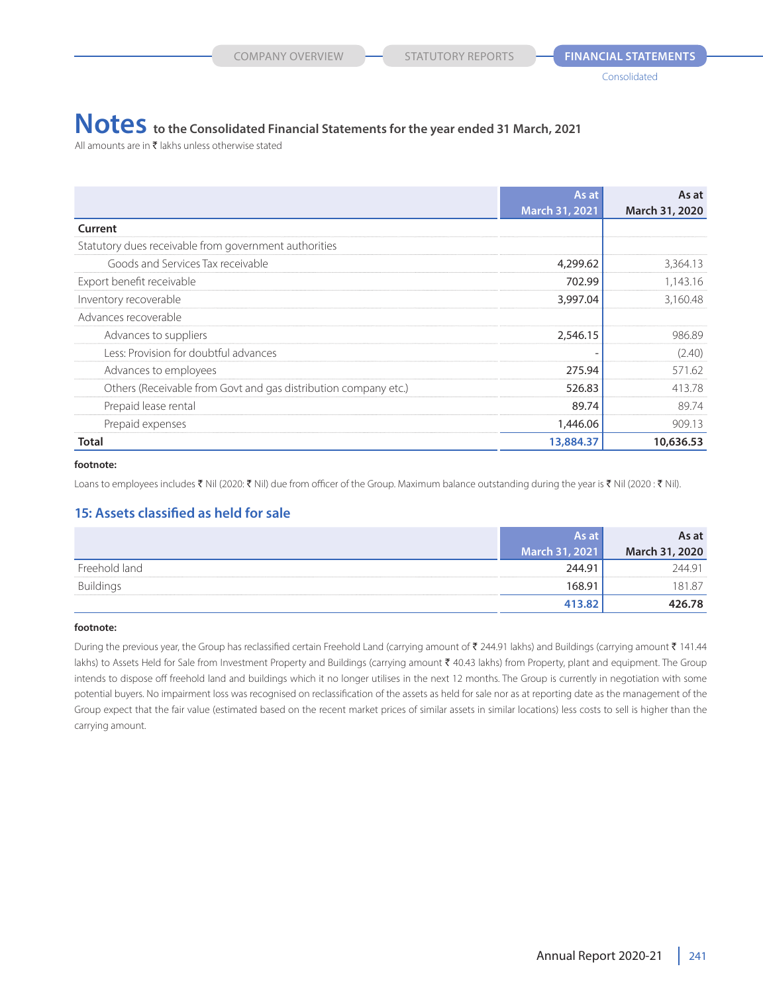All amounts are in  $\bar{\tau}$  lakhs unless otherwise stated

|                                                                 | As at<br>March 31, 2021 | As at<br>March 31, 2020 |
|-----------------------------------------------------------------|-------------------------|-------------------------|
| Current                                                         |                         |                         |
| Statutory dues receivable from government authorities           |                         |                         |
| Goods and Services Tax receivable                               | 4,299.62                | 3,364.13                |
| Export benefit receivable                                       | 702.99                  | 1,143.16                |
| Inventory recoverable                                           | 3,997.04                | 3,160.48                |
| Advances recoverable                                            |                         |                         |
| Advances to suppliers                                           | 2,546.15                | 986.89                  |
| Less: Provision for doubtful advances                           |                         | (2.40)                  |
| Advances to employees                                           | 275.94                  | 571.62                  |
| Others (Receivable from Govt and gas distribution company etc.) | 526.83                  | 413.78                  |
| Prepaid lease rental                                            | 89.74                   | 89.74                   |
| Prepaid expenses                                                | 1,446.06                | 909.13                  |
| Total                                                           | 13,884.37               | 10,636.53               |

#### **footnote:**

Loans to employees includes ₹ Nil (2020: ₹ Nil) due from officer of the Group. Maximum balance outstanding during the year is ₹ Nil (2020 : ₹ Nil).

### **15: Assets classified as held for sale**

|               | As at          | As at          |
|---------------|----------------|----------------|
|               | March 31, 2021 | March 31, 2020 |
| Freehold land | <i>CAAC</i>    | 24491          |
|               | 68.9           | 8187           |
|               |                | 26 7.R         |

#### **footnote:**

During the previous year, the Group has reclassified certain Freehold Land (carrying amount of  $\bar{\tau}$  244.91 lakhs) and Buildings (carrying amount  $\bar{\tau}$  141.44 lakhs) to Assets Held for Sale from Investment Property and Buildings (carrying amount ₹ 40.43 lakhs) from Property, plant and equipment. The Group intends to dispose off freehold land and buildings which it no longer utilises in the next 12 months. The Group is currently in negotiation with some potential buyers. No impairment loss was recognised on reclassification of the assets as held for sale nor as at reporting date as the management of the Group expect that the fair value (estimated based on the recent market prices of similar assets in similar locations) less costs to sell is higher than the carrying amount.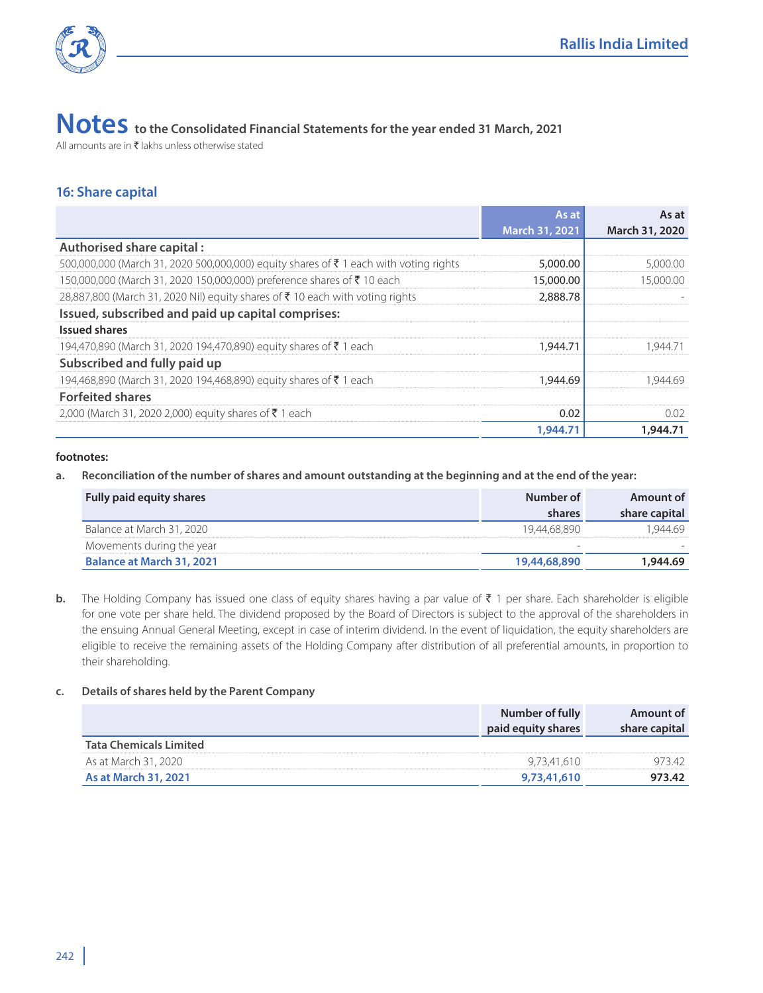

All amounts are in  $\bar{\tau}$  lakhs unless otherwise stated

## **16: Share capital**

|                                                                                       | As at          | As at          |
|---------------------------------------------------------------------------------------|----------------|----------------|
|                                                                                       | March 31, 2021 | March 31, 2020 |
| Authorised share capital:                                                             |                |                |
| 500,000,000 (March 31, 2020 500,000,000) equity shares of ₹ 1 each with voting rights | 5,000.00       | 5,000.00       |
| 150,000,000 (March 31, 2020 150,000,000) preference shares of ₹ 10 each               | 15,000.00      | 15,000.00      |
| 28,887,800 (March 31, 2020 Nil) equity shares of ₹ 10 each with voting rights         | 2,888.78       |                |
| Issued, subscribed and paid up capital comprises:                                     |                |                |
| <b>Issued shares</b>                                                                  |                |                |
| 194,470,890 (March 31, 2020 194,470,890) equity shares of ₹ 1 each                    | 1,944.71       | 1.944.71       |
| Subscribed and fully paid up                                                          |                |                |
| 194,468,890 (March 31, 2020 194,468,890) equity shares of ₹ 1 each                    | 1,944.69       | 1.944.69       |
| <b>Forfeited shares</b>                                                               |                |                |
| 2,000 (March 31, 2020 2,000) equity shares of ₹1 each                                 | 0.02           | 0.02           |
|                                                                                       | 1,944.71       | 1,944.71       |

#### **footnotes:**

#### **a. Reconciliation of the number of shares and amount outstanding at the beginning and at the end of the year:**

| <b>Fully paid equity shares</b>  | Number of    | Amount of     |
|----------------------------------|--------------|---------------|
|                                  | shares       | share capital |
| Balance at March 31, 2020        | 1944.68.890  |               |
| Movements during the year        | -            |               |
| <b>Balance at March 31, 2021</b> | 19,44,68,890 | 944.69. ا     |

**b.** The Holding Company has issued one class of equity shares having a par value of ₹ 1 per share. Each shareholder is eligible for one vote per share held. The dividend proposed by the Board of Directors is subject to the approval of the shareholders in the ensuing Annual General Meeting, except in case of interim dividend. In the event of liquidation, the equity shareholders are eligible to receive the remaining assets of the Holding Company after distribution of all preferential amounts, in proportion to their shareholding.

#### **c. Details of shares held by the Parent Company**

|                               | Number of fully    | Amount of     |
|-------------------------------|--------------------|---------------|
|                               | paid equity shares | share capital |
| <b>Tata Chemicals Limited</b> |                    |               |
| As at March 31, 2020          | 9.73.41.610        |               |
| As at March 31, 2021          | 9.73.41.610        |               |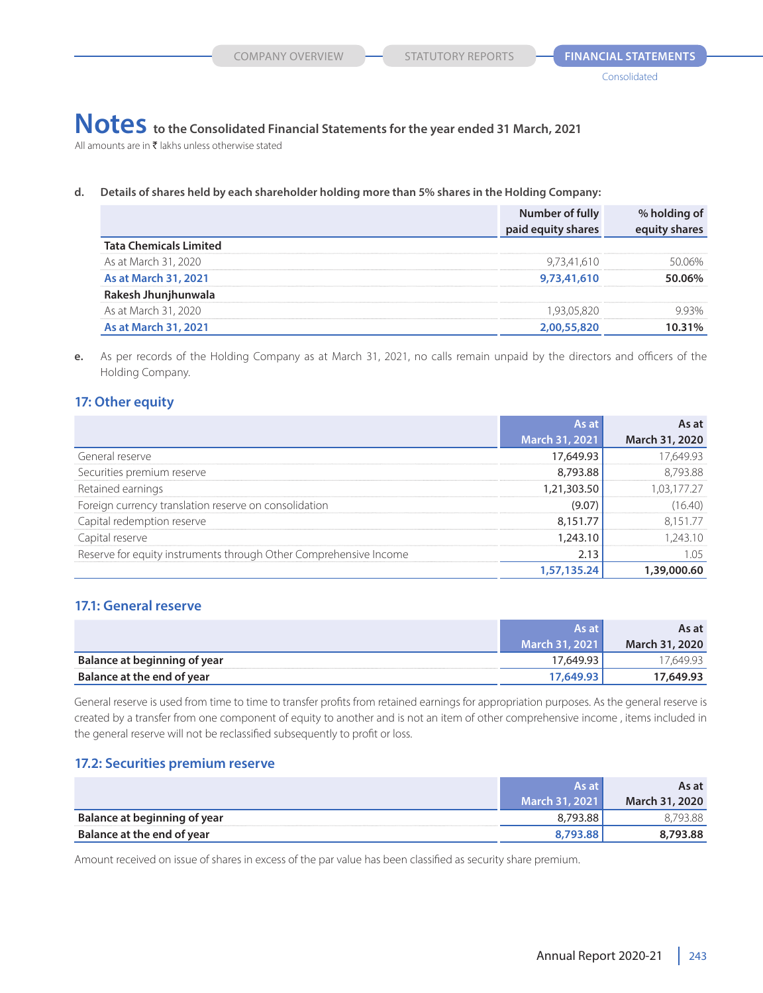All amounts are in  $\bar{\tau}$  lakhs unless otherwise stated

#### **d. Details of shares held by each shareholder holding more than 5% shares in the Holding Company:**

|                               | Number of fully |  |
|-------------------------------|-----------------|--|
| <b>Tata Chemicals Limited</b> |                 |  |
| As at March 31, 2020          | 9.73.41.610     |  |
| As at March 31, 2021          | 9,73,41,610     |  |
| kesh Jhunjhunwaia             |                 |  |
| As at March 31, 2020          |                 |  |
| As at March 31, 2021          |                 |  |

**e.** As per records of the Holding Company as at March 31, 2021, no calls remain unpaid by the directors and officers of the Holding Company.

## **17: Other equity**

|                                                                   | March 31, 2021 | March 31, 2020 |
|-------------------------------------------------------------------|----------------|----------------|
| General reserve                                                   | 17 649 93      |                |
| Securities premium reserve                                        | 8,793.88       |                |
| Retained earnings                                                 | 1.21.303.50    |                |
| Foreign currency translation reserve on consolidation             |                |                |
| Capital redemption reserve                                        | 8 1 5 1 7 7    |                |
| Capital reserve                                                   |                |                |
| Reserve for equity instruments through Other Comprehensive Income |                |                |
|                                                                   |                |                |

### **17.1: General reserve**

|                              | As at                 | As at          |
|------------------------------|-----------------------|----------------|
|                              | <b>March 31, 2021</b> | March 31, 2020 |
| Balance at beginning of year | 17,649.93             | 7.649.93       |
| Balance at the end of year   | 17,649.93             | 17,649.93      |

General reserve is used from time to time to transfer profits from retained earnings for appropriation purposes. As the general reserve is created by a transfer from one component of equity to another and is not an item of other comprehensive income , items included in the general reserve will not be reclassified subsequently to profit or loss.

#### **17.2: Securities premium reserve**

|                              | As at                 | As at          |
|------------------------------|-----------------------|----------------|
|                              | <b>March 31, 2021</b> | March 31, 2020 |
| Balance at beginning of year | 8,793.88              | 8.793.88       |
| Balance at the end of year   | 8,793.88              | 8,793.88       |

Amount received on issue of shares in excess of the par value has been classified as security share premium.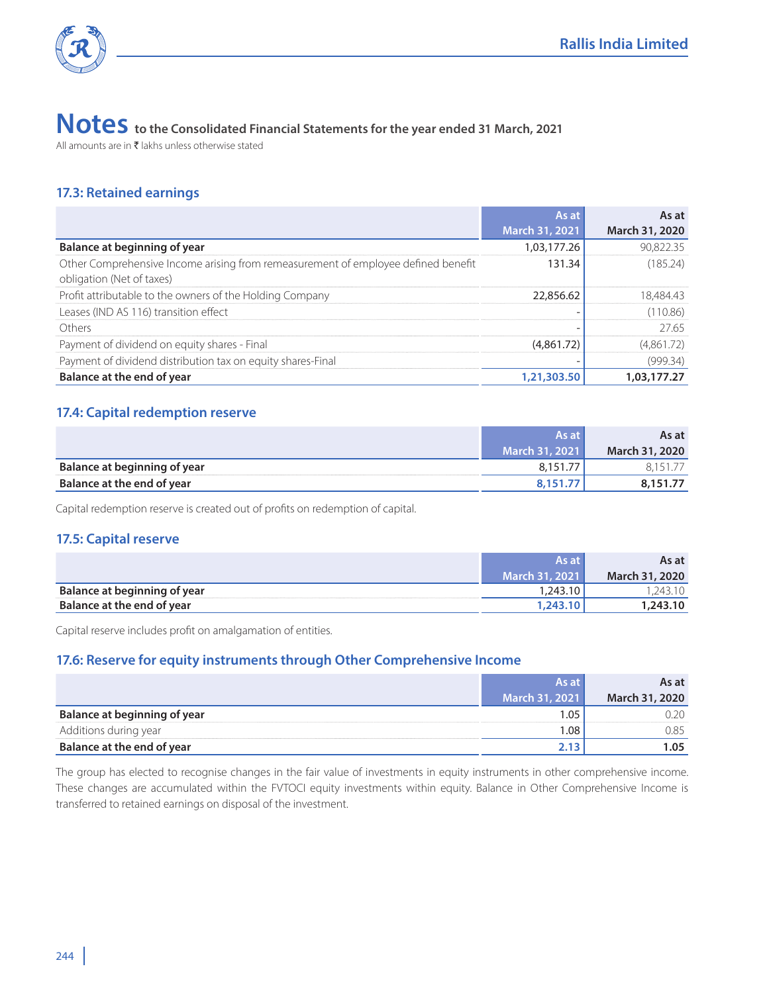

All amounts are in  $\bar{\tau}$  lakhs unless otherwise stated

## **17.3: Retained earnings**

|                                                                                   | As at          | As at          |
|-----------------------------------------------------------------------------------|----------------|----------------|
|                                                                                   | March 31, 2021 | March 31, 2020 |
| Balance at beginning of year                                                      | 1.03.177.26    | 90.822.35      |
| Other Comprehensive Income arising from remeasurement of employee defined benefit | 131.34         | (185.24)       |
| obligation (Net of taxes)                                                         |                |                |
| Profit attributable to the owners of the Holding Company                          | 22.856.62      | 18 484 43      |
| Leases (IND AS 116) transition effect                                             |                | (110.86)       |
| Others                                                                            |                | 27.65          |
| Payment of dividend on equity shares - Final                                      | (4.861.72)     | (4.861.72)     |
| Payment of dividend distribution tax on equity shares-Final                       |                | (999.34)       |
| Balance at the end of year                                                        | 1,21,303.50    | 1,03,177.27    |

## **17.4: Capital redemption reserve**

|                              | As at                 | As at          |
|------------------------------|-----------------------|----------------|
|                              | <b>March 31, 2021</b> | March 31, 2020 |
| Balance at beginning of year | 8.151.77              |                |
| Balance at the end of year   | 8,151,77              | 8,151.77       |

Capital redemption reserve is created out of profits on redemption of capital.

### **17.5: Capital reserve**

|                              | As at          | As at               |
|------------------------------|----------------|---------------------|
|                              | March 31, 2021 | March 31, 2020      |
| Balance at beginning of year | .243.10        | <sup>- 243.</sup> L |
| Balance at the end of year   | 1,243.10       | 1,243.10            |

Capital reserve includes profit on amalgamation of entities.

## **17.6: Reserve for equity instruments through Other Comprehensive Income**

|                              | As at                 | As at          |
|------------------------------|-----------------------|----------------|
|                              | <b>March 31, 2021</b> | March 31, 2020 |
| Balance at beginning of year | 1.05                  |                |
| Additions during year        | 1.08                  |                |
| Balance at the end of year   |                       | 05.،           |

The group has elected to recognise changes in the fair value of investments in equity instruments in other comprehensive income. These changes are accumulated within the FVTOCI equity investments within equity. Balance in Other Comprehensive Income is transferred to retained earnings on disposal of the investment.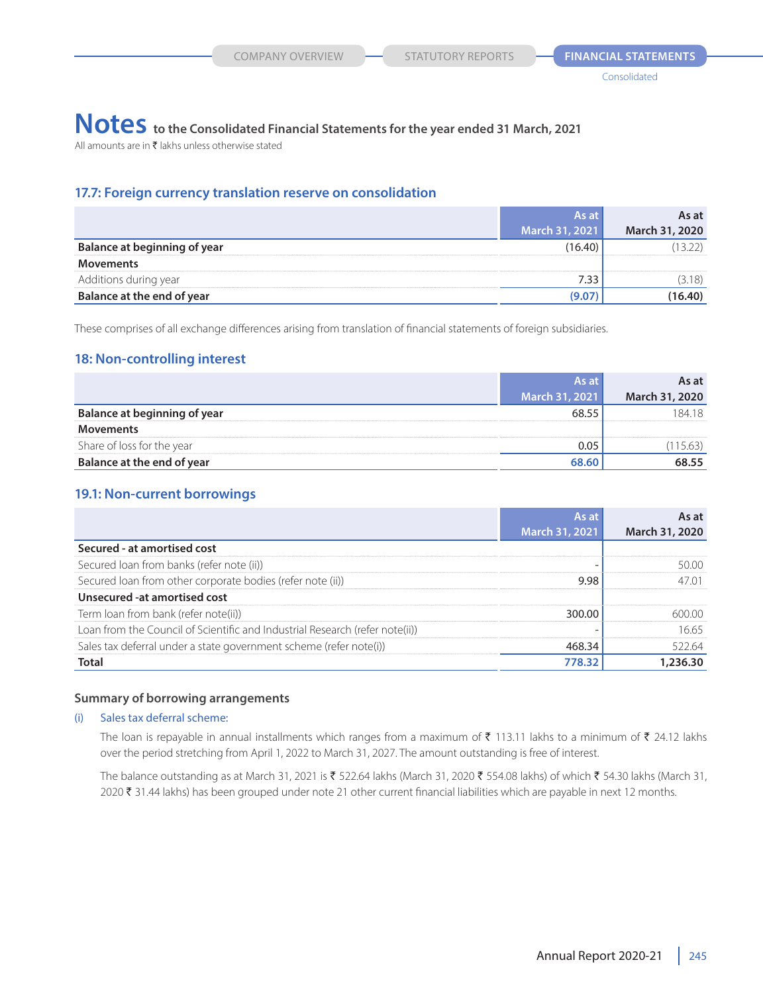All amounts are in  $\bar{\tau}$  lakhs unless otherwise stated

### **17.7: Foreign currency translation reserve on consolidation**

|                              |                | As at                 |
|------------------------------|----------------|-----------------------|
|                              | March 31, 2021 | <b>March 31, 2020</b> |
| Balance at beginning of year | 16.40          |                       |
| Movements                    |                |                       |
| Additions during year        |                |                       |
| Balance at the end of year   |                | 6.40                  |

These comprises of all exchange differences arising from translation of financial statements of foreign subsidiaries.

### **18: Non-controlling interest**

|                              | As a:          |                |
|------------------------------|----------------|----------------|
|                              | March 31, 2021 | March 31, 2020 |
| Balance at beginning of year |                | 8418           |
| <b>Movements</b>             |                |                |
| Share of loss for the year   |                |                |
| Balance at the end of year   |                |                |

#### **19.1: Non-current borrowings**

|                                                                              | March 31, 2021 | March 31, 2020 |
|------------------------------------------------------------------------------|----------------|----------------|
| Secured - at amortised cost                                                  |                |                |
| Secured loan from banks (refer note (ii))                                    |                |                |
| Secured loan from other corporate bodies (refer note (ii))                   | 9 9.R          |                |
| Unsecured -at amortised cost                                                 |                |                |
| Term loan from bank (refer note(ii))                                         |                |                |
| Loan from the Council of Scientific and Industrial Research (refer note(ii)) |                | 1665           |
| Sales tax deferral under a state government scheme (refer note(i))           | 168 34         | 522.64         |
| Total                                                                        | 78.3           |                |

#### **Summary of borrowing arrangements**

#### (i) Sales tax deferral scheme:

The loan is repayable in annual installments which ranges from a maximum of  $\bar{\tau}$  113.11 lakhs to a minimum of  $\bar{\tau}$  24.12 lakhs over the period stretching from April 1, 2022 to March 31, 2027. The amount outstanding is free of interest.

The balance outstanding as at March 31, 2021 is  $\bar{\xi}$  522.64 lakhs (March 31, 2020  $\bar{\xi}$  554.08 lakhs) of which  $\bar{\xi}$  54.30 lakhs (March 31, 2020 ₹ 31.44 lakhs) has been grouped under note 21 other current financial liabilities which are payable in next 12 months.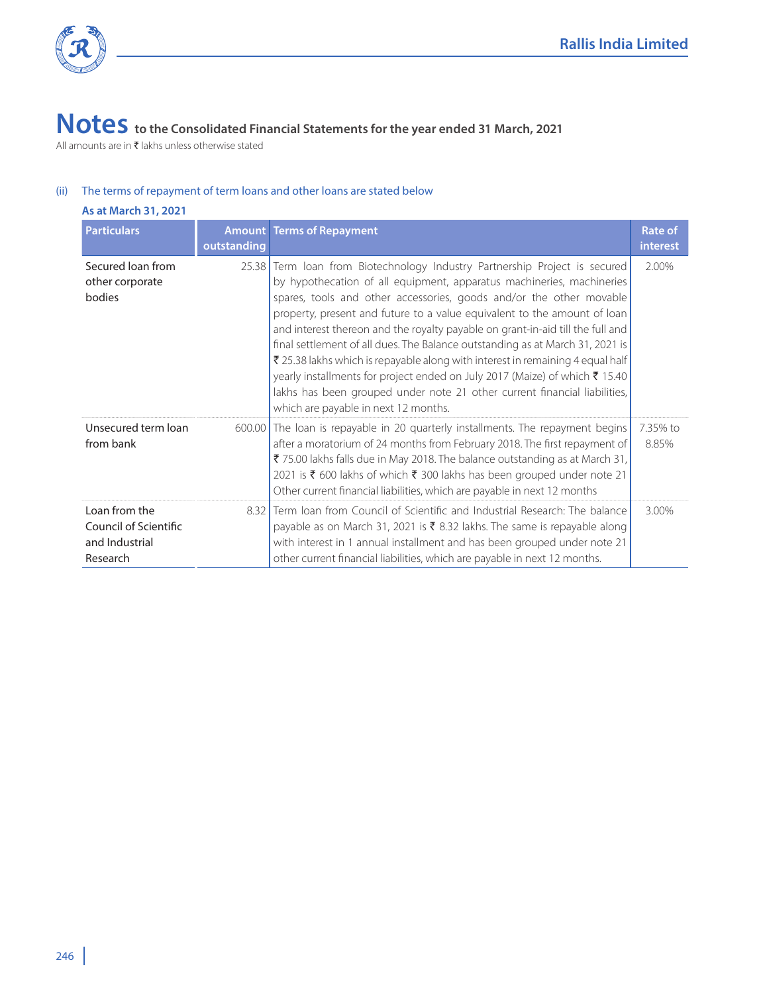

All amounts are in  $\bar{\tau}$  lakhs unless otherwise stated

### (ii) The terms of repayment of term loans and other loans are stated below

| As at March 31, 2021                                                        |             |                                                                                                                                                                                                                                                                                                                                                                                                                                                                                                                                                                                                                                                                                                                                                                 |                     |
|-----------------------------------------------------------------------------|-------------|-----------------------------------------------------------------------------------------------------------------------------------------------------------------------------------------------------------------------------------------------------------------------------------------------------------------------------------------------------------------------------------------------------------------------------------------------------------------------------------------------------------------------------------------------------------------------------------------------------------------------------------------------------------------------------------------------------------------------------------------------------------------|---------------------|
| <b>Particulars</b>                                                          | outstanding | <b>Amount Terms of Repayment</b>                                                                                                                                                                                                                                                                                                                                                                                                                                                                                                                                                                                                                                                                                                                                | Rate of<br>interest |
| Secured loan from<br>other corporate<br>bodies                              |             | 25.38 Term loan from Biotechnology Industry Partnership Project is secured<br>by hypothecation of all equipment, apparatus machineries, machineries<br>spares, tools and other accessories, goods and/or the other movable<br>property, present and future to a value equivalent to the amount of loan<br>and interest thereon and the royalty payable on grant-in-aid till the full and<br>final settlement of all dues. The Balance outstanding as at March 31, 2021 is<br>₹ 25.38 lakhs which is repayable along with interest in remaining 4 equal half<br>yearly installments for project ended on July 2017 (Maize) of which ₹ 15.40<br>lakhs has been grouped under note 21 other current financial liabilities,<br>which are payable in next 12 months. | 2.00%               |
| Unsecured term loan<br>from bank                                            |             | 600.00 The loan is repayable in 20 quarterly installments. The repayment begins<br>after a moratorium of 24 months from February 2018. The first repayment of<br>₹75.00 lakhs falls due in May 2018. The balance outstanding as at March 31,<br>2021 is ₹ 600 lakhs of which ₹ 300 lakhs has been grouped under note 21<br>Other current financial liabilities, which are payable in next 12 months                                                                                                                                                                                                                                                                                                                                                             | 7.35% to<br>8.85%   |
| Loan from the<br><b>Council of Scientific</b><br>and Industrial<br>Research |             | 8.32 Ferm Joan from Council of Scientific and Industrial Research: The balance<br>payable as on March 31, 2021 is ₹ 8.32 lakhs. The same is repayable along<br>with interest in 1 annual installment and has been grouped under note 21<br>other current financial liabilities, which are payable in next 12 months.                                                                                                                                                                                                                                                                                                                                                                                                                                            | 3.00%               |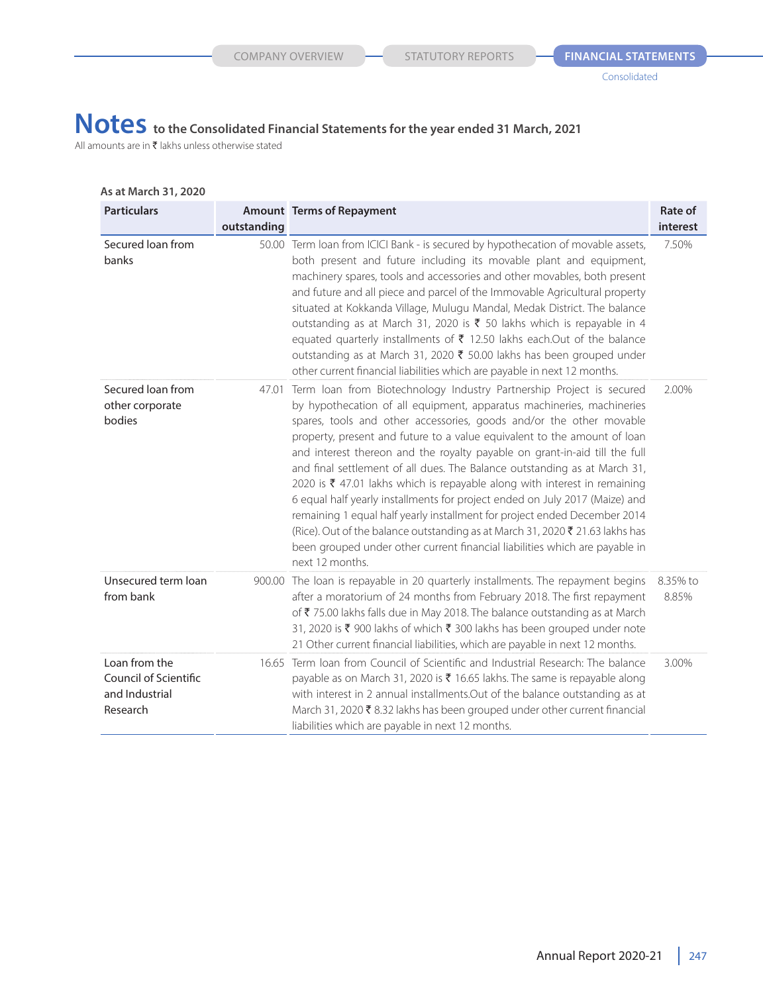All amounts are in  $\bar{\tau}$  lakhs unless otherwise stated

| As at March 31, 2020                                                 |             |                                                                                                                                                                                                                                                                                                                                                                                                                                                                                                                                                                                                                                                                                                                                                                                                                                                                                               |                     |
|----------------------------------------------------------------------|-------------|-----------------------------------------------------------------------------------------------------------------------------------------------------------------------------------------------------------------------------------------------------------------------------------------------------------------------------------------------------------------------------------------------------------------------------------------------------------------------------------------------------------------------------------------------------------------------------------------------------------------------------------------------------------------------------------------------------------------------------------------------------------------------------------------------------------------------------------------------------------------------------------------------|---------------------|
| <b>Particulars</b>                                                   | outstanding | <b>Amount Terms of Repayment</b>                                                                                                                                                                                                                                                                                                                                                                                                                                                                                                                                                                                                                                                                                                                                                                                                                                                              | Rate of<br>interest |
| Secured loan from<br>banks                                           |             | 50.00 Term loan from ICICI Bank - is secured by hypothecation of movable assets,<br>both present and future including its movable plant and equipment,<br>machinery spares, tools and accessories and other movables, both present<br>and future and all piece and parcel of the Immovable Agricultural property<br>situated at Kokkanda Village, Mulugu Mandal, Medak District. The balance<br>outstanding as at March 31, 2020 is ₹ 50 lakhs which is repayable in 4<br>equated quarterly installments of ₹ 12.50 lakhs each.Out of the balance<br>outstanding as at March 31, 2020 ₹ 50.00 lakhs has been grouped under<br>other current financial liabilities which are payable in next 12 months.                                                                                                                                                                                        | 7.50%               |
| Secured loan from<br>other corporate<br>bodies                       |             | 47.01 Term loan from Biotechnology Industry Partnership Project is secured<br>by hypothecation of all equipment, apparatus machineries, machineries<br>spares, tools and other accessories, goods and/or the other movable<br>property, present and future to a value equivalent to the amount of loan<br>and interest thereon and the royalty payable on grant-in-aid till the full<br>and final settlement of all dues. The Balance outstanding as at March 31,<br>2020 is ₹ 47.01 lakhs which is repayable along with interest in remaining<br>6 equal half yearly installments for project ended on July 2017 (Maize) and<br>remaining 1 equal half yearly installment for project ended December 2014<br>(Rice). Out of the balance outstanding as at March 31, 2020 ₹ 21.63 lakhs has<br>been grouped under other current financial liabilities which are payable in<br>next 12 months. | 2.00%               |
| Unsecured term loan<br>from bank                                     |             | 900.00 The loan is repayable in 20 quarterly installments. The repayment begins<br>after a moratorium of 24 months from February 2018. The first repayment<br>of ₹ 75.00 lakhs falls due in May 2018. The balance outstanding as at March<br>31, 2020 is ₹ 900 lakhs of which ₹ 300 lakhs has been grouped under note<br>21 Other current financial liabilities, which are payable in next 12 months.                                                                                                                                                                                                                                                                                                                                                                                                                                                                                         | 8.35% to<br>8.85%   |
| Loan from the<br>Council of Scientific<br>and Industrial<br>Research |             | 16.65 Term Joan from Council of Scientific and Industrial Research: The balance<br>payable as on March 31, 2020 is ₹ 16.65 lakhs. The same is repayable along<br>with interest in 2 annual installments.Out of the balance outstanding as at<br>March 31, 2020 ₹ 8.32 lakhs has been grouped under other current financial<br>liabilities which are payable in next 12 months.                                                                                                                                                                                                                                                                                                                                                                                                                                                                                                                | 3.00%               |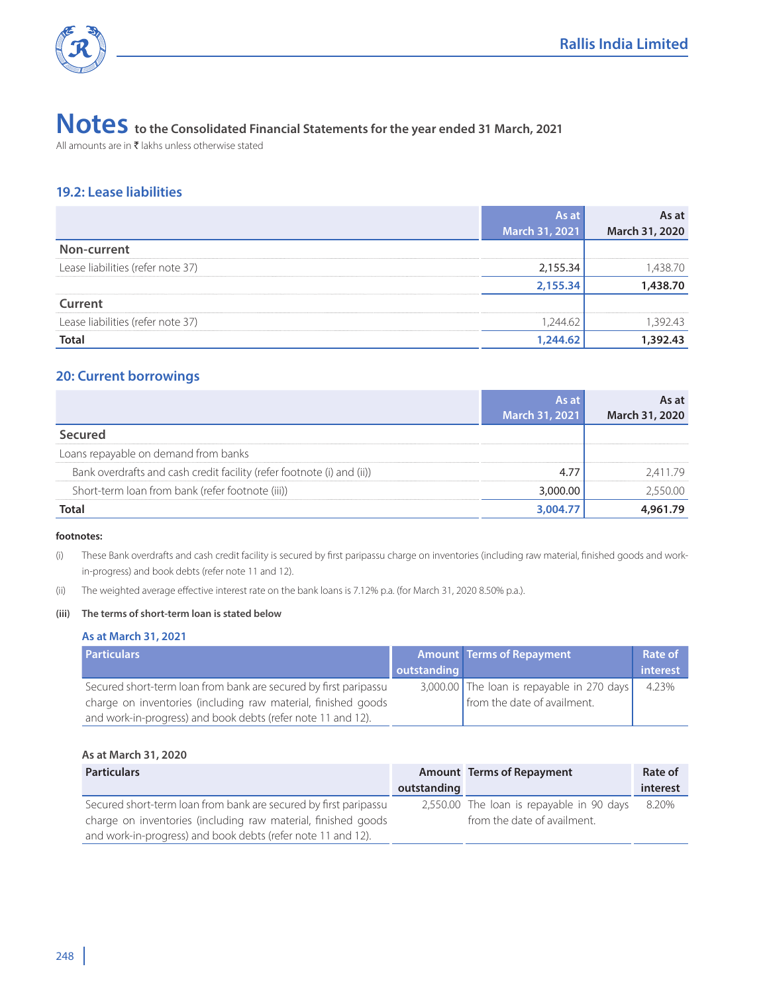

All amounts are in  $\bar{\tau}$  lakhs unless otherwise stated

## **19.2: Lease liabilities**

|                                   | <b>March 31, 2021</b> | March 31, 2020 |
|-----------------------------------|-----------------------|----------------|
| Non-current                       |                       |                |
| Lease liabilities (refer note 37) | 2.155.34              |                |
|                                   | 2.155.34              |                |
| Current                           |                       |                |
| Lease liabilities (refer note 37) |                       |                |
| Total                             |                       |                |

## **20: Current borrowings**

|                                                                        | <b>March 31, 2021</b> | March 31, 2020 |
|------------------------------------------------------------------------|-----------------------|----------------|
| Secured                                                                |                       |                |
| Loans repayable on demand from banks                                   |                       |                |
| Bank overdrafts and cash credit facility (refer footnote (i) and (ii)) |                       |                |
| Short-term loan from bank (refer footnote (iii))                       |                       |                |
|                                                                        |                       |                |

#### **footnotes:**

(i) These Bank overdrafts and cash credit facility is secured by first paripassu charge on inventories (including raw material, finished goods and workin-progress) and book debts (refer note 11 and 12).

(ii) The weighted average effective interest rate on the bank loans is 7.12% p.a. (for March 31, 2020 8.50% p.a.).

#### **(iii) The terms of short-term loan is stated below**

#### **As at March 31, 2021**

| <b>Particulars</b>                                               |             | <b>Amount Terms of Repayment</b>           | Rate of  |
|------------------------------------------------------------------|-------------|--------------------------------------------|----------|
|                                                                  | outstanding |                                            | interest |
| Secured short-term loan from bank are secured by first paripassu |             | 3,000.00 The loan is repayable in 270 days | 4.23%    |
| charge on inventories (including raw material, finished goods    |             | from the date of availment.                |          |
| and work-in-progress) and book debts (refer note 11 and 12).     |             |                                            |          |

## **As at March 31, 2020**

| <b>Particulars</b>                                               |             | <b>Amount</b> Terms of Repayment          | Rate of  |
|------------------------------------------------------------------|-------------|-------------------------------------------|----------|
|                                                                  | outstanding |                                           | interest |
| Secured short-term loan from bank are secured by first paripassu |             | 2,550.00 The loan is repayable in 90 days | 8.20%    |
| charge on inventories (including raw material, finished goods    |             | from the date of availment.               |          |
| and work-in-progress) and book debts (refer note 11 and 12).     |             |                                           |          |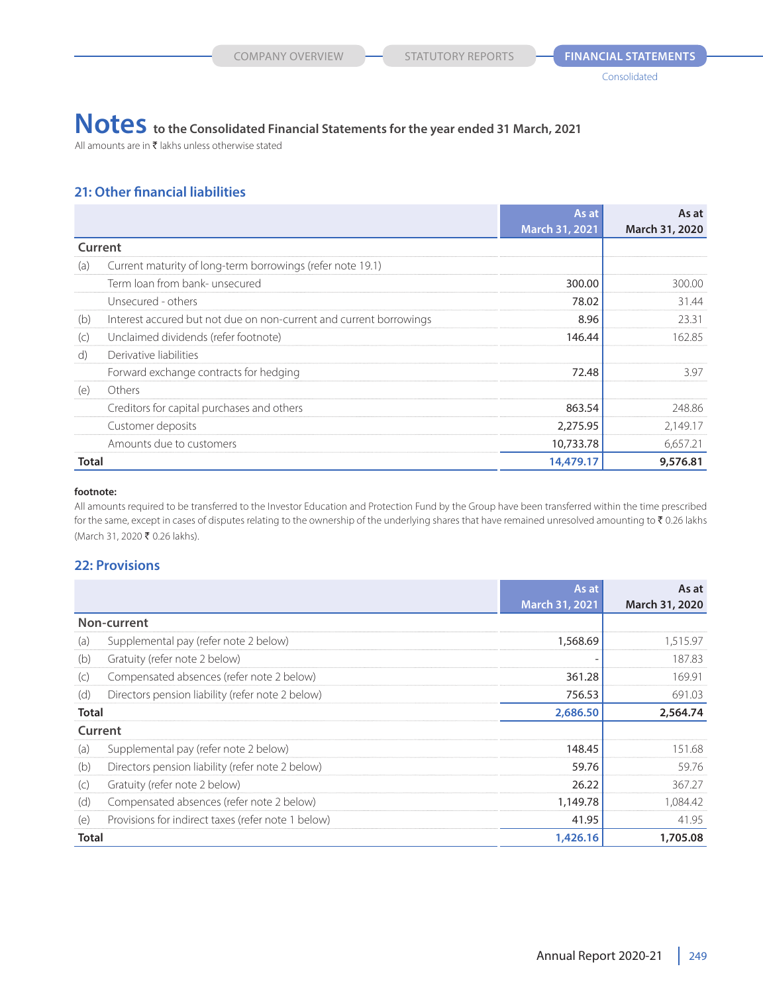All amounts are in  $\bar{\tau}$  lakhs unless otherwise stated

## **21: Other financial liabilities**

|       |                                                                    | As at<br>March 31, 2021 | As at<br>March 31, 2020 |
|-------|--------------------------------------------------------------------|-------------------------|-------------------------|
|       | Current                                                            |                         |                         |
| (a)   | Current maturity of long-term borrowings (refer note 19.1)         |                         |                         |
|       | Term Joan from bank- unsecured                                     | 300.00                  | 300.00                  |
|       | Unsecured - others                                                 | 78.02                   | 31.44                   |
| (b)   | Interest accured but not due on non-current and current borrowings | 8.96                    | 23.31                   |
| (C)   | Unclaimed dividends (refer footnote)                               | 146.44                  | 162.85                  |
| d)    | Derivative liabilities                                             |                         |                         |
|       | Forward exchange contracts for hedging                             | 72.48                   | 3.97                    |
| (e)   | Others                                                             |                         |                         |
|       | Creditors for capital purchases and others                         | 863.54                  | 248.86                  |
|       | Customer deposits                                                  | 2,275.95                | 2,149.17                |
|       | Amounts due to customers                                           | 10,733.78               | 6.657.21                |
| Total |                                                                    | 14,479.17               | 9,576.81                |

#### **footnote:**

All amounts required to be transferred to the Investor Education and Protection Fund by the Group have been transferred within the time prescribed for the same, except in cases of disputes relating to the ownership of the underlying shares that have remained unresolved amounting to  $\bar{\tau}$  0.26 lakhs (March 31, 2020 ₹ 0.26 lakhs).

## **22: Provisions**

|              |                                                    | As at          | As at          |
|--------------|----------------------------------------------------|----------------|----------------|
|              |                                                    | March 31, 2021 | March 31, 2020 |
| Non-current  |                                                    |                |                |
| (a)          | Supplemental pay (refer note 2 below)              | 1,568.69       | 1,515.97       |
| (b)          | Gratuity (refer note 2 below)                      |                | 187.83         |
| (C)          | Compensated absences (refer note 2 below)          | 361.28         | 169.91         |
| (d)          | Directors pension liability (refer note 2 below)   | 756.53         | 691.03         |
| <b>Total</b> |                                                    | 2,686.50       | 2,564.74       |
| Current      |                                                    |                |                |
| (a)          | Supplemental pay (refer note 2 below)              | 148.45         | 151.68         |
| (b)          | Directors pension liability (refer note 2 below)   | 59.76          | 59.76          |
| (C)          | Gratuity (refer note 2 below)                      | 26.22          | 367.27         |
| (d)          | Compensated absences (refer note 2 below)          | 1.149.78       | 1.084.42       |
| (e)          | Provisions for indirect taxes (refer note 1 below) | 41.95          | 41.95          |
| <b>Total</b> |                                                    | 1,426.16       | 1,705.08       |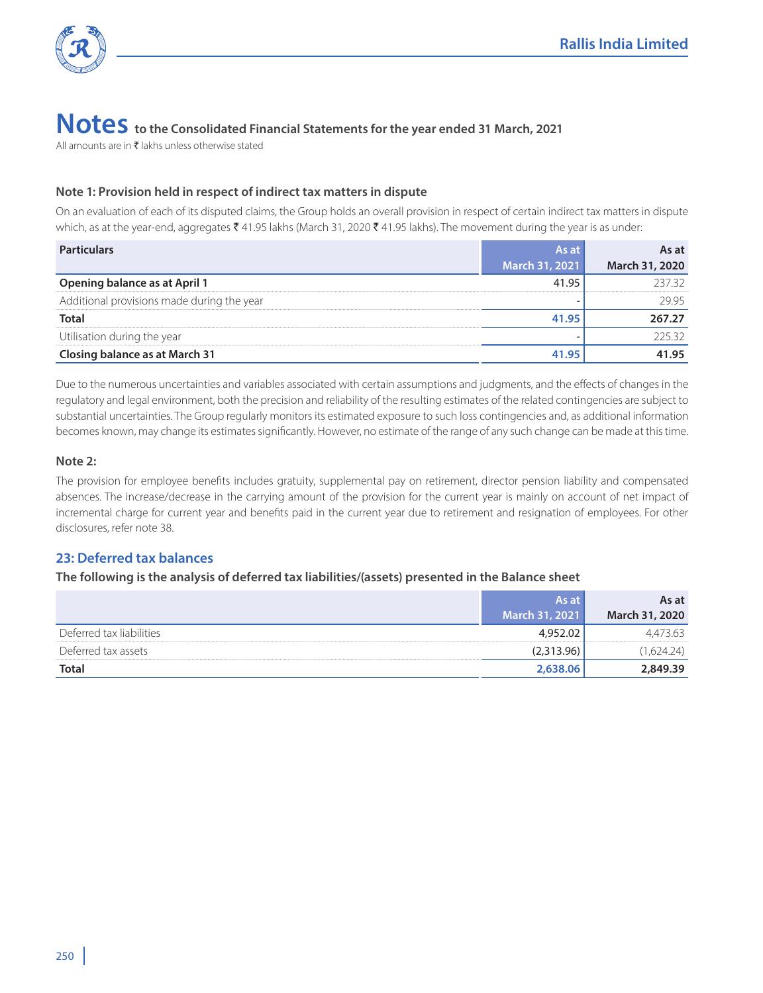

All amounts are in  $\bar{\tau}$  lakhs unless otherwise stated

### **Note 1: Provision held in respect of indirect tax matters in dispute**

On an evaluation of each of its disputed claims, the Group holds an overall provision in respect of certain indirect tax matters in dispute which, as at the year-end, aggregates  $\bar{\mathfrak{e}}$  41.95 lakhs (March 31, 2020  $\bar{\mathfrak{e}}$  41.95 lakhs). The movement during the year is as under:

| rticulars                                  | As at          | As at          |
|--------------------------------------------|----------------|----------------|
|                                            | March 31, 2021 | March 31, 2020 |
| Opening balance as at April 1              | 41.95          | ノマノ マフ         |
| Additional provisions made during the year |                | 29 95          |
| Total                                      | 41.95          | 267.27         |
| Utilisation during the year                |                | 225.32         |
| Closing balance as at March 31             |                | 41.95          |

Due to the numerous uncertainties and variables associated with certain assumptions and judgments, and the effects of changes in the regulatory and legal environment, both the precision and reliability of the resulting estimates of the related contingencies are subject to substantial uncertainties. The Group regularly monitors its estimated exposure to such loss contingencies and, as additional information becomes known, may change its estimates significantly. However, no estimate of the range of any such change can be made at this time.

#### **Note 2:**

The provision for employee benefits includes gratuity, supplemental pay on retirement, director pension liability and compensated absences. The increase/decrease in the carrying amount of the provision for the current year is mainly on account of net impact of incremental charge for current year and benefits paid in the current year due to retirement and resignation of employees. For other disclosures, refer note 38.

## **23: Deferred tax balances**

**The following is the analysis of deferred tax liabilities/(assets) presented in the Balance sheet**

|                          | As at          | As at          |
|--------------------------|----------------|----------------|
|                          | March 31, 2021 | March 31, 2020 |
| Deferred tax liabilities |                | 3.63<br>       |
| Deferred tax assets      | (2.313.96)     | .624.24        |
| Total                    | 2,638.06       | 2,849.39       |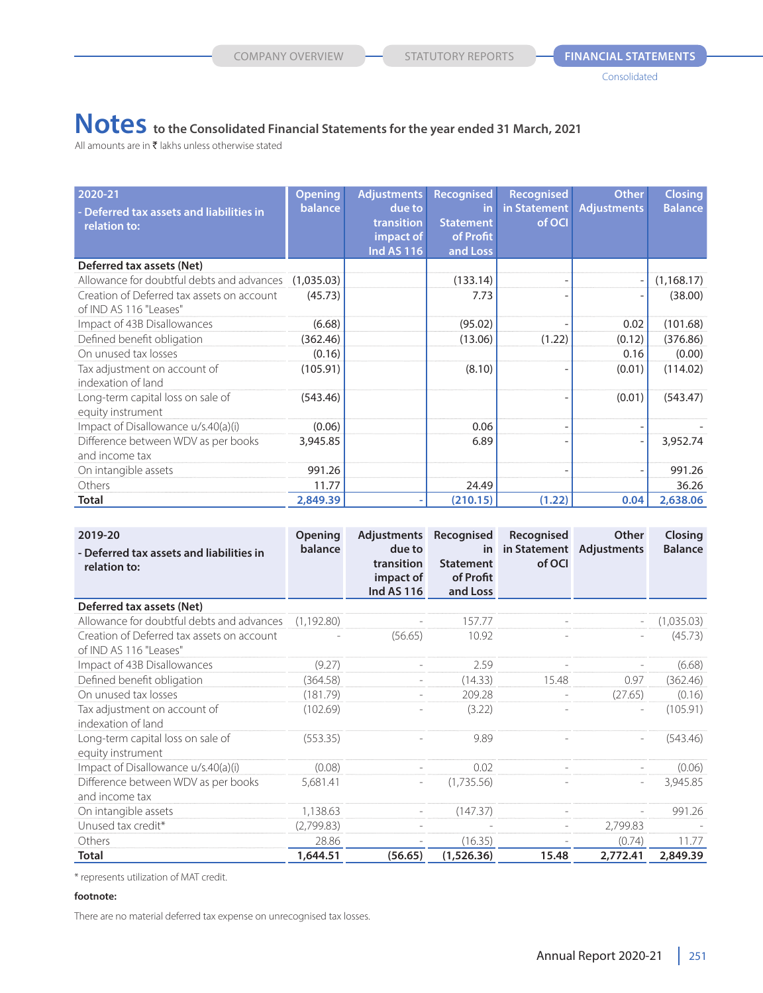Consolidated

# Notes to the Consolidated Financial Statements for the year ended 31 March, 2021

All amounts are in  $\bar{\tau}$  lakhs unless otherwise stated

| 2020-21<br>- Deferred tax assets and liabilities in<br>relation to:  | <b>Opening</b><br><b>balance</b> | <b>Adjustments</b><br>due to<br><b>transition</b><br>impact of<br><b>Ind AS 116</b> | Recognised<br>in.<br><b>Statement</b><br>of Profit<br>and Loss | Recognised<br>in Statement<br>of OCI | <b>Other</b><br><b>Adjustments</b> | <b>Closing</b><br><b>Balance</b> |
|----------------------------------------------------------------------|----------------------------------|-------------------------------------------------------------------------------------|----------------------------------------------------------------|--------------------------------------|------------------------------------|----------------------------------|
| Deferred tax assets (Net)                                            |                                  |                                                                                     |                                                                |                                      |                                    |                                  |
| Allowance for doubtful debts and advances (1,035.03)                 |                                  |                                                                                     | (133.14)                                                       |                                      |                                    | (1,168.17)                       |
| Creation of Deferred tax assets on account<br>of IND AS 116 "Leases" | (45.73)                          |                                                                                     | 7.73                                                           |                                      |                                    | (38.00)                          |
| Impact of 43B Disallowances                                          | (6.68)                           |                                                                                     | (95.02)                                                        |                                      | 0.02                               | (101.68)                         |
| Defined benefit obligation                                           | (362.46)                         |                                                                                     | (13.06)                                                        | (1.22)                               | (0.12)                             | (376.86)                         |
| On unused tax losses                                                 | (0.16)                           |                                                                                     |                                                                |                                      | 0.16                               | (0.00)                           |
| Tax adjustment on account of<br>indexation of land                   | (105.91)                         |                                                                                     | (8.10)                                                         |                                      | (0.01)                             | (114.02)                         |
| Long-term capital loss on sale of<br>equity instrument               | (543.46)                         |                                                                                     |                                                                |                                      | (0.01)                             | (543.47)                         |
| Impact of Disallowance u/s.40(a)(i)                                  | (0.06)                           |                                                                                     | 0.06                                                           |                                      |                                    |                                  |
| Difference between WDV as per books<br>and income tax                | 3,945.85                         |                                                                                     | 6.89                                                           |                                      |                                    | 3,952.74                         |
| On intangible assets                                                 | 991.26                           |                                                                                     |                                                                |                                      |                                    | 991.26                           |
| Others                                                               | 11.77                            |                                                                                     | 24.49                                                          |                                      |                                    | 36.26                            |
| <b>Total</b>                                                         | 2,849.39                         |                                                                                     | (210.15)                                                       | (1.22)                               | 0.04                               | 2,638.06                         |

| 2019-20                                                              | <b>Opening</b> | Adjustments                                            | Recognised                                       | Recognised                         | Other    | <b>Closing</b> |
|----------------------------------------------------------------------|----------------|--------------------------------------------------------|--------------------------------------------------|------------------------------------|----------|----------------|
| - Deferred tax assets and liabilities in<br>relation to:             | balance        | due to<br>transition<br>impact of<br><b>Ind AS 116</b> | in.<br><b>Statement</b><br>of Profit<br>and Loss | in Statement Adjustments<br>of OCI |          | <b>Balance</b> |
| Deferred tax assets (Net)                                            |                |                                                        |                                                  |                                    |          |                |
| Allowance for doubtful debts and advances                            | (1.192.80)     |                                                        | 157.77                                           |                                    |          | (1,035.03)     |
| Creation of Deferred tax assets on account<br>of IND AS 116 "Leases" |                | (56.65)                                                | 10.92                                            |                                    |          | (45.73)        |
| Impact of 43B Disallowances                                          | (9.27)         |                                                        | 2.59                                             |                                    |          | (6.68)         |
| Defined benefit obligation                                           | (364.58)       |                                                        | (14.33)                                          | 15.48                              | 0.97     | (362.46)       |
| On unused tax losses                                                 | (181.79)       |                                                        | 209.28                                           |                                    | (27.65)  | (0.16)         |
| Tax adjustment on account of<br>indexation of land                   | (102.69)       |                                                        | (3.22)                                           |                                    |          | (105.91)       |
| Long-term capital loss on sale of<br>equity instrument               | (553.35)       |                                                        | 9.89                                             |                                    |          | (543.46)       |
| Impact of Disallowance u/s.40(a)(i)                                  | (0.08)         |                                                        | 0.02                                             |                                    |          | (0.06)         |
| Difference between WDV as per books<br>and income tax                | 5,681.41       |                                                        | (1,735.56)                                       |                                    |          | 3,945.85       |
| On intangible assets                                                 | 1,138.63       |                                                        | (147.37)                                         |                                    |          | 991.26         |
| Unused tax credit*                                                   | (2,799.83)     |                                                        |                                                  | $\overline{\phantom{a}}$           | 2,799.83 |                |
| Others                                                               | 28.86          |                                                        | (16.35)                                          |                                    | (0.74)   | 11.77          |
| <b>Total</b>                                                         | 1,644.51       | (56.65)                                                | (1,526.36)                                       | 15.48                              | 2,772.41 | 2,849.39       |

\* represents utilization of MAT credit.

#### **footnote:**

There are no material deferred tax expense on unrecognised tax losses.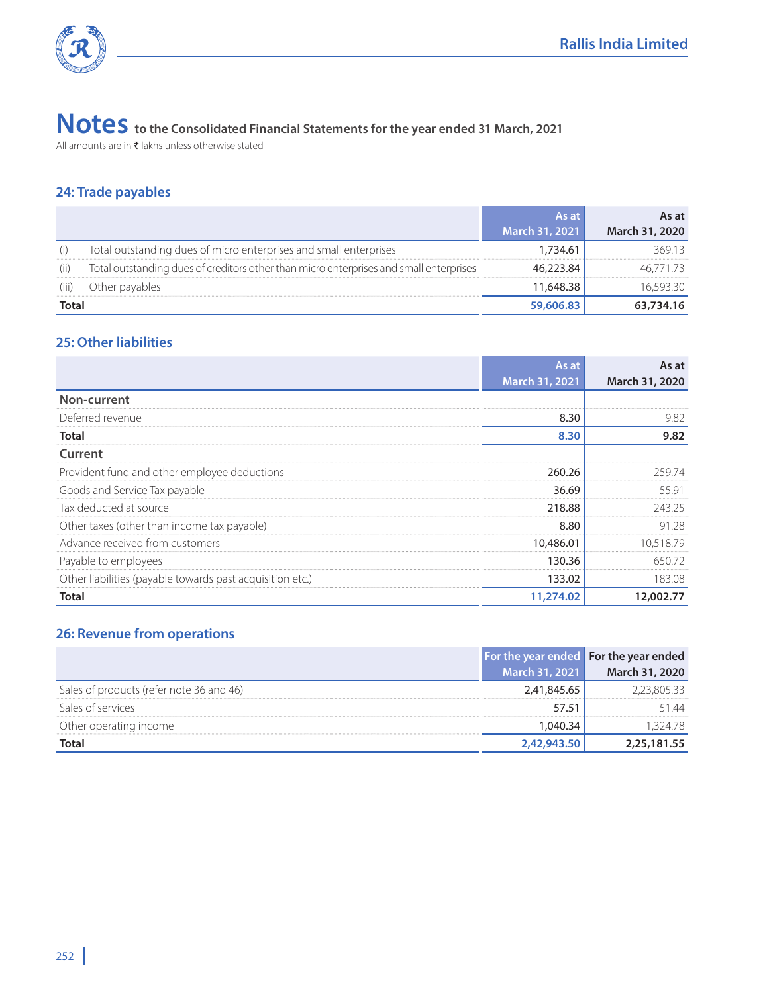

All amounts are in  $\bar{\tau}$  lakhs unless otherwise stated

## **24: Trade payables**

|                                                                                        | As at          |                |
|----------------------------------------------------------------------------------------|----------------|----------------|
|                                                                                        | March 31, 2021 | March 31, 2020 |
| Total outstanding dues of micro enterprises and small enterprises                      | .734.61        | 36913          |
| Total outstanding dues of creditors other than micro enterprises and small enterprises |                |                |
| Other payables                                                                         | 1.648.38       | 1659330        |
|                                                                                        |                | 63,734.16      |

## **25: Other liabilities**

|                                                           | As at          | As at          |
|-----------------------------------------------------------|----------------|----------------|
|                                                           | March 31, 2021 | March 31, 2020 |
| Non-current                                               |                |                |
| Deferred revenue                                          | 8.30           | 9.82           |
| <b>Total</b>                                              | 8.30           | 9.82           |
| Current                                                   |                |                |
| Provident fund and other employee deductions              | 260.26         | 259.74         |
| Goods and Service Tax payable                             | 36.69          | 55.91          |
| Tax deducted at source                                    | 218.88         | 243.25         |
| Other taxes (other than income tax payable)               | 8.80           | 91.28          |
| Advance received from customers                           | 10,486.01      | 10,518.79      |
| Payable to employees                                      | 130.36         | 650.72         |
| Other liabilities (payable towards past acquisition etc.) | 133.02         | 183.08         |
| Total                                                     | 11,274.02      | 12,002.77      |

## **26: Revenue from operations**

|                                          |                | For the year ended   For the year ended |
|------------------------------------------|----------------|-----------------------------------------|
|                                          | March 31, 2021 | March 31, 2020                          |
| Sales of products (refer note 36 and 46) | 2.41.845.65    |                                         |
| Sales of services                        | 57.51          | -44                                     |
| Other operating income                   | . በ4በ 34       |                                         |
| Total                                    | 2,42,943.50    | 2,25,181.55                             |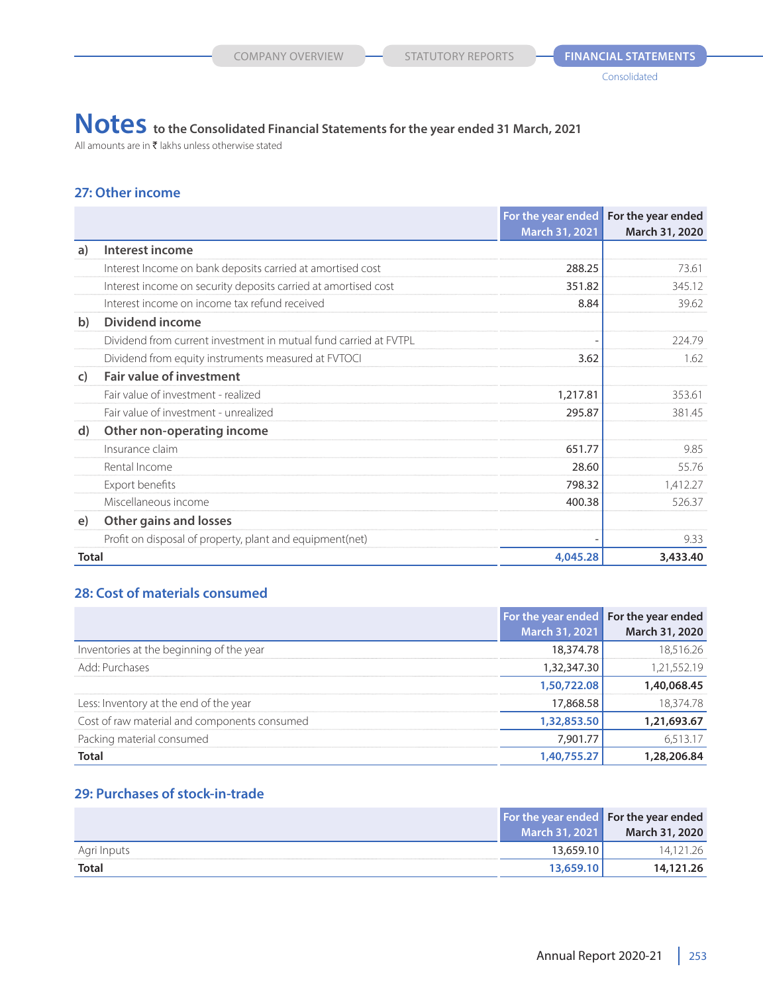All amounts are in  $\bar{\tau}$  lakhs unless otherwise stated

### **27: Other income**

|              |                                                                  |                | For the year ended For the year ended |
|--------------|------------------------------------------------------------------|----------------|---------------------------------------|
|              |                                                                  | March 31, 2021 | March 31, 2020                        |
| a)           | Interest income                                                  |                |                                       |
|              | Interest Income on bank deposits carried at amortised cost       | 288.25         | 73.61                                 |
|              | Interest income on security deposits carried at amortised cost   | 351.82         | 345.12                                |
|              | Interest income on income tax refund received                    | 8.84           | 39.62                                 |
| b)           | Dividend income                                                  |                |                                       |
|              | Dividend from current investment in mutual fund carried at FVTPL |                | 224.79                                |
|              | Dividend from equity instruments measured at FVTOCI              | 3.62           | 1.62                                  |
| $\mathsf{C}$ | <b>Fair value of investment</b>                                  |                |                                       |
|              | Fair value of investment - realized                              | 1,217.81       | 353.61                                |
|              | Fair value of investment - unrealized                            | 295.87         | 381.45                                |
| $\mathsf{d}$ | Other non-operating income                                       |                |                                       |
|              | Insurance claim                                                  | 651.77         | 9.85                                  |
|              | Rental Income                                                    | 28.60          | 55.76                                 |
|              | Export benefits                                                  | 798.32         | 1,412.27                              |
|              | Miscellaneous income                                             | 400.38         | 526.37                                |
| e)           | <b>Other gains and losses</b>                                    |                |                                       |
|              | Profit on disposal of property, plant and equipment(net)         |                | 9.33                                  |
| Total        |                                                                  | 4,045.28       | 3,433.40                              |

## **28: Cost of materials consumed**

|                                              | For the year ended For the year ended |                |
|----------------------------------------------|---------------------------------------|----------------|
|                                              | March 31, 2021                        | March 31, 2020 |
| Inventories at the beginning of the year     | 18,374.78                             | 18.516.26      |
| Add: Purchases                               | 1,32,347.30                           | 1.21.552.19    |
|                                              | 1.50.722.08                           | 1.40.068.45    |
| Less: Inventory at the end of the year       | 17,868.58                             | 18,374.78      |
| Cost of raw material and components consumed | 1,32,853.50                           | 1,21,693.67    |
| Packing material consumed                    | 7.901.77                              | 6.513.17       |
| Total                                        |                                       |                |

## **29: Purchases of stock-in-trade**

|              |                       | For the year ended For the year ended |
|--------------|-----------------------|---------------------------------------|
|              | <b>March 31, 2021</b> | March 31, 2020                        |
| Agri Inputs  | 13,659.10             | 14.121.26                             |
| <b>Total</b> | 13,659.10             | 14,121.26                             |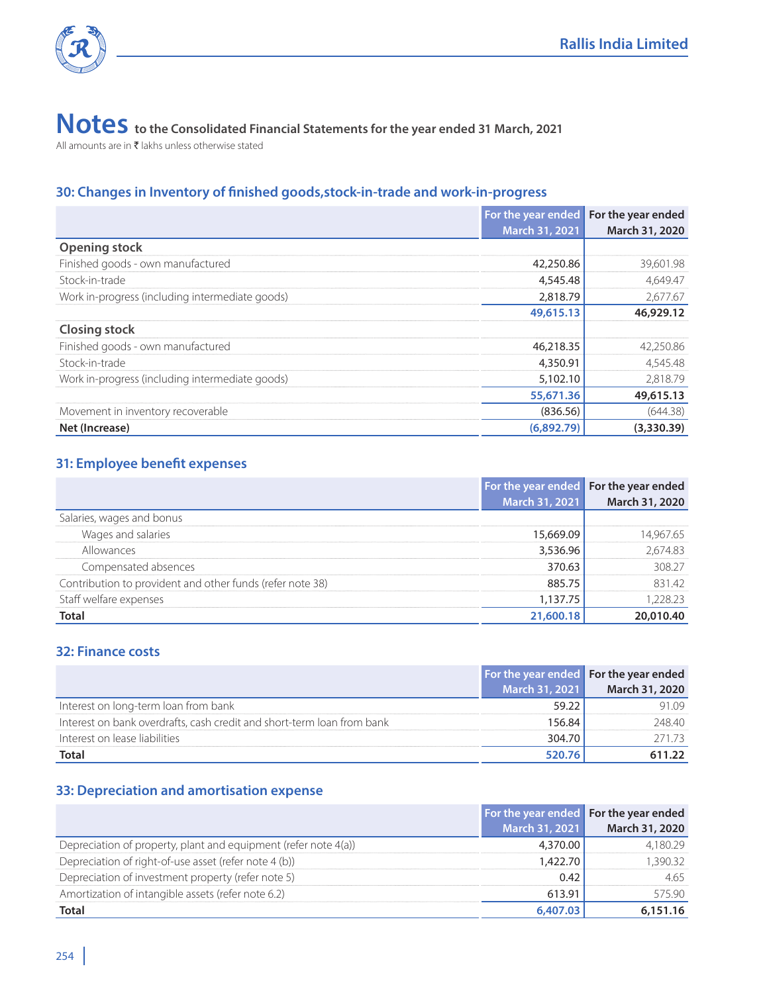

All amounts are in  $\bar{\tau}$  lakhs unless otherwise stated

## **30: Changes in Inventory of finished goods,stock-in-trade and work-in-progress**

|                                                 | For the year ended For the year ended |                |
|-------------------------------------------------|---------------------------------------|----------------|
|                                                 | March 31, 2021                        | March 31, 2020 |
| <b>Opening stock</b>                            |                                       |                |
| Finished goods - own manufactured               | 42,250.86                             | 39,601.98      |
| Stock-in-trade                                  | 4,545.48                              | 4,649.47       |
| Work in-progress (including intermediate goods) | 2,818.79                              | 2,677.67       |
|                                                 | 49,615.13                             | 46,929.12      |
| <b>Closing stock</b>                            |                                       |                |
| Finished goods - own manufactured               | 46,218.35                             | 42,250.86      |
| Stock-in-trade                                  | 4,350.91                              | 4,545.48       |
| Work in-progress (including intermediate goods) | 5,102.10                              | 2.818.79       |
|                                                 | 55,671.36                             | 49,615.13      |
| Movement in inventory recoverable               | (836.56)                              | (644.38)       |
| Net (Increase)                                  | (6,892.79)                            | (3,330.39)     |

## **31: Employee benefit expenses**

|                                                           |           | For the year ended   For the year ended |
|-----------------------------------------------------------|-----------|-----------------------------------------|
|                                                           |           | March 31, 2021 March 31, 2020           |
| Salaries, wages and bonus                                 |           |                                         |
| Wages and salaries                                        | 15 669 09 |                                         |
| Allowances                                                | 3 536 96  |                                         |
| Compensated absences                                      | 370.63    |                                         |
| Contribution to provident and other funds (refer note 38) |           | 831 42                                  |
| Staff welfare expenses                                    | .137.75   |                                         |
| Tota                                                      |           |                                         |

## **32: Finance costs**

|                                                                        |                | For the year ended For the year ended |
|------------------------------------------------------------------------|----------------|---------------------------------------|
|                                                                        | March 31, 2021 | March 31, 2020                        |
| Interest on long-term loan from bank                                   | 59.22          | 1 N9                                  |
| Interest on bank overdrafts, cash credit and short-term loan from bank | 56.84          | 28 40                                 |
| Interest on lease liabilities                                          | 304.70         | 71 73.                                |
| <b>Total</b>                                                           |                |                                       |

## **33: Depreciation and amortisation expense**

|                                                                 |                | For the year ended For the year ended |
|-----------------------------------------------------------------|----------------|---------------------------------------|
|                                                                 | March 31, 2021 | March 31, 2020                        |
| Depreciation of property, plant and equipment (refer note 4(a)) |                | -180.29                               |
| Depreciation of right-of-use asset (refer note 4 (b))           | 1.422.70       |                                       |
| Depreciation of investment property (refer note 5)              |                |                                       |
| Amortization of intangible assets (refer note 6.2)              | 613.91         |                                       |
| Total                                                           |                | 6,151,16                              |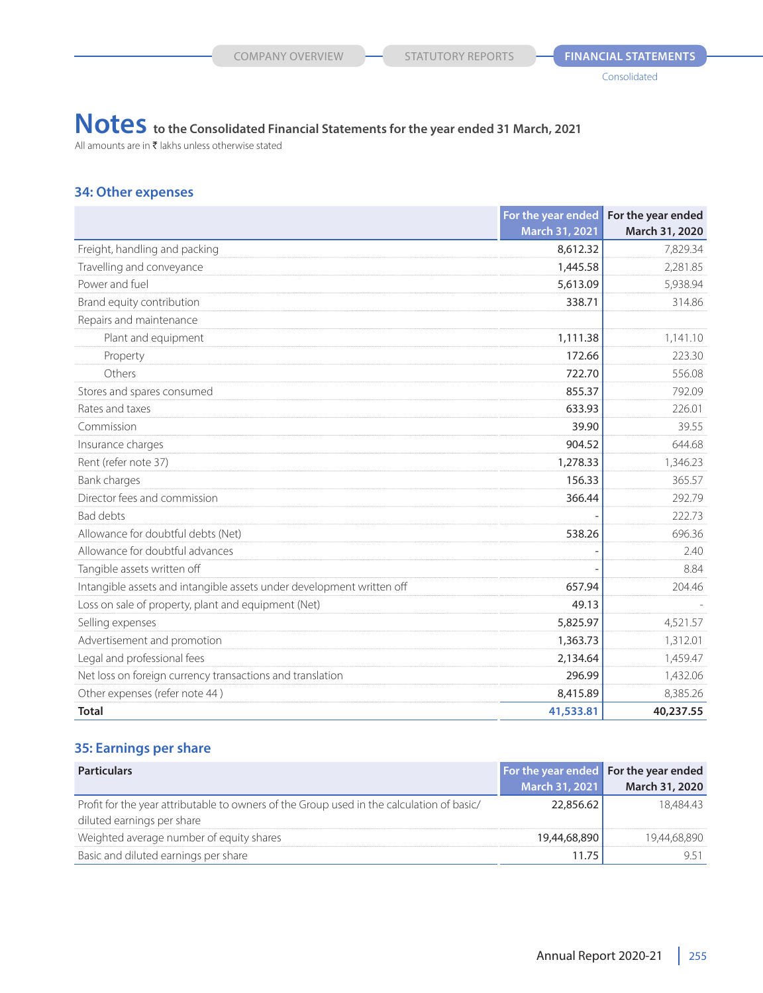All amounts are in  $\bar{\tau}$  lakhs unless otherwise stated

## **34: Other expenses**

|                                                                       | For the year ended | For the year ended |
|-----------------------------------------------------------------------|--------------------|--------------------|
|                                                                       | March 31, 2021     | March 31, 2020     |
| Freight, handling and packing                                         | 8,612.32           | 7,829.34           |
| Travelling and conveyance                                             | 1,445.58           | 2,281.85           |
| Power and fuel                                                        | 5,613.09           | 5,938.94           |
| Brand equity contribution                                             | 338.71             | 314.86             |
| Repairs and maintenance                                               |                    |                    |
| Plant and equipment                                                   | 1,111.38           | 1,141.10           |
| Property                                                              | 172.66             | 223.30             |
| Others                                                                | 722.70             | 556.08             |
| Stores and spares consumed                                            | 855.37             | 792.09             |
| Rates and taxes                                                       | 633.93             | 226.01             |
| Commission                                                            | 39.90              | 39.55              |
| Insurance charges                                                     | 904.52             | 644.68             |
| Rent (refer note 37)                                                  | 1,278.33           | 1,346.23           |
| Bank charges                                                          | 156.33             | 365.57             |
| Director fees and commission                                          | 366.44             | 292.79             |
| <b>Bad debts</b>                                                      |                    | 222.73             |
| Allowance for doubtful debts (Net)                                    | 538.26             | 696.36             |
| Allowance for doubtful advances                                       |                    | 7.40               |
| Tangible assets written off                                           |                    | 8.84               |
| Intangible assets and intangible assets under development written off | 657.94             | 204.46             |
| Loss on sale of property, plant and equipment (Net)                   | 49.13              |                    |
| Selling expenses                                                      | 5,825.97           | 4,521.57           |
| Advertisement and promotion                                           | 1,363.73           | 1,312.01           |
| Legal and professional fees                                           | 2,134.64           | 1,459.47           |
| Net loss on foreign currency transactions and translation             | 296.99             | 1,432.06           |
| Other expenses (refer note 44)                                        | 8,415.89           | 8,385.26           |
| <b>Total</b>                                                          | 41,533.81          | 40,237.55          |

## **35: Earnings per share**

| <b>Particulars</b>                                                                                                      |                | For the year ended For the year ended |
|-------------------------------------------------------------------------------------------------------------------------|----------------|---------------------------------------|
|                                                                                                                         | March 31, 2021 | March 31, 2020                        |
| Profit for the year attributable to owners of the Group used in the calculation of basic/<br>diluted earnings per share | 22,856.62      | 18.484.43                             |
| Weighted average number of equity shares                                                                                | 19.44.68.890   |                                       |
| Basic and diluted earnings per share                                                                                    | 11.75          |                                       |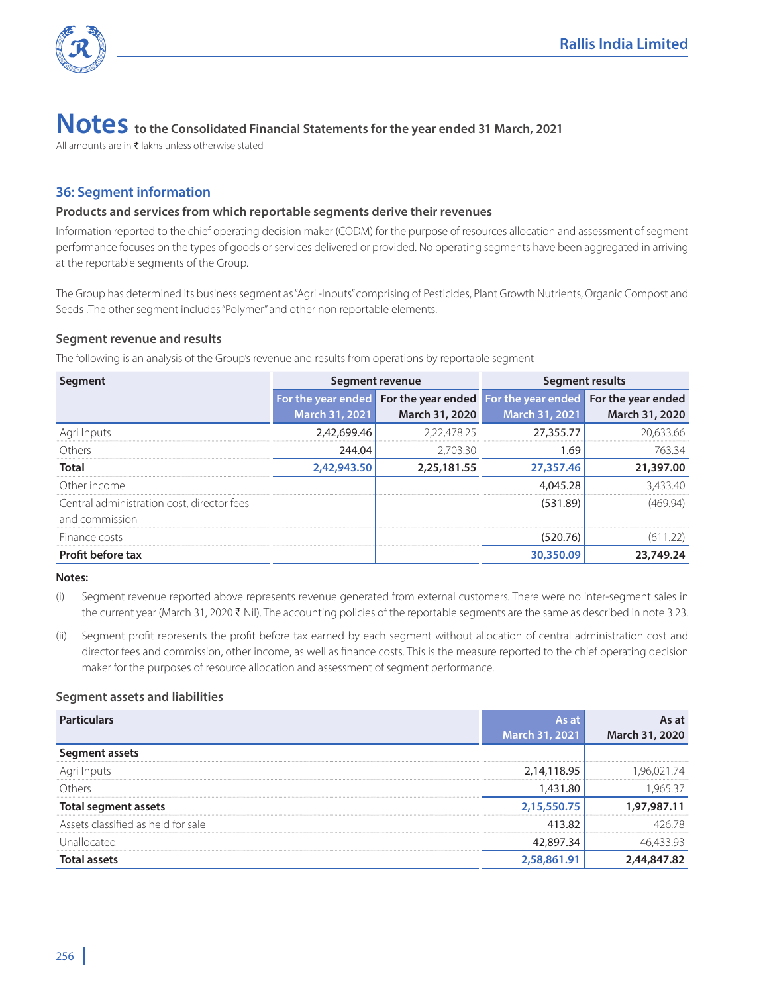

All amounts are in  $\bar{\tau}$  lakhs unless otherwise stated

## **36: Segment information**

#### **Products and services from which reportable segments derive their revenues**

Information reported to the chief operating decision maker (CODM) for the purpose of resources allocation and assessment of segment performance focuses on the types of goods or services delivered or provided. No operating segments have been aggregated in arriving at the reportable segments of the Group.

The Group has determined its business segment as "Agri -Inputs" comprising of Pesticides, Plant Growth Nutrients, Organic Compost and Seeds .The other segment includes "Polymer" and other non reportable elements.

#### **Segment revenue and results**

The following is an analysis of the Group's revenue and results from operations by reportable segment

| Segment                                    | Segment revenue       |                                                                             | Segment results |                |
|--------------------------------------------|-----------------------|-----------------------------------------------------------------------------|-----------------|----------------|
|                                            |                       | For the year ended For the year ended For the year ended For the year ended |                 |                |
|                                            | <b>March 31, 2021</b> | March 31, 2020                                                              | March 31, 2021  | March 31, 2020 |
| Agri Inputs                                | 2.42.699.46           | 2.22.478.25                                                                 | 27,355,77       | 20.633.66      |
| Others                                     | 244.04                | 2.703.30                                                                    | 1.69            | 763.34         |
| <b>Total</b>                               | 2,42,943.50           | 2,25,181.55                                                                 | 27,357.46       | 21,397.00      |
| Other income                               |                       |                                                                             | 4,045.28        | 3.433.40       |
| Central administration cost, director fees |                       |                                                                             | (531.89)        | (469.94)       |
| and commission                             |                       |                                                                             |                 |                |
| Finance costs                              |                       |                                                                             | (520.76)        | (611.22)       |
| Profit before tax                          |                       |                                                                             | 30,350.09       | 23,749.24      |

#### **Notes:**

- (i) Segment revenue reported above represents revenue generated from external customers. There were no inter-segment sales in the current year (March 31, 2020  $\bar{\tau}$  Nil). The accounting policies of the reportable segments are the same as described in note 3.23.
- (ii) Segment profit represents the profit before tax earned by each segment without allocation of central administration cost and director fees and commission, other income, as well as finance costs. This is the measure reported to the chief operating decision maker for the purposes of resource allocation and assessment of segment performance.

#### **Segment assets and liabilities**

| <b>Particulars</b>                 | As at          | As at          |
|------------------------------------|----------------|----------------|
|                                    | March 31, 2021 | March 31, 2020 |
| Segment assets                     |                |                |
| Agri Inputs                        | 2,14,118.95    | -74            |
| Others                             | 1,431.80       |                |
| Total segment assets               | 2,15,550.75    | 1,97,987.11    |
| Assets classified as held for sale | 413.82         | 426.78         |
| Unallocated                        | 42,897.34      |                |
| <b>Total assets</b>                | 2.58.861.9     |                |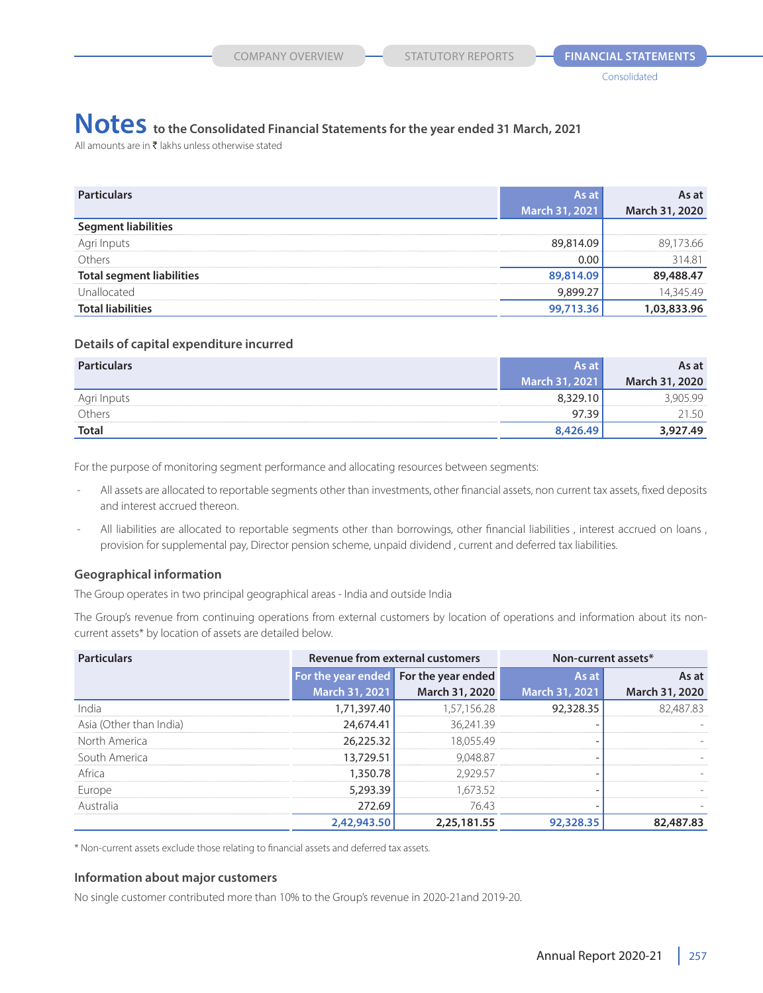All amounts are in  $\bar{\tau}$  lakhs unless otherwise stated

| ulars                     | As at<br>March 31, 2021 | s at<br>March 31, 2020 |
|---------------------------|-------------------------|------------------------|
| ment liabilities<br>sea   |                         |                        |
| . Innuts                  | 89.814.09               | 89.173.66              |
| re rc)                    |                         | 314.81                 |
| Total segment liabilities | 89,814.09               | 89,488.47              |
| llocated.                 |                         |                        |
| <b>Total liabilities</b>  |                         |                        |

#### **Details of capital expenditure incurred**

| ticulars <sup>.</sup> | As at          | As at          |
|-----------------------|----------------|----------------|
|                       | March 31, 2021 | March 31, 2020 |
| , Inputs              |                |                |
| Others                | 97.39          | .50            |
| Total                 | 8,426.49       | 3,927.49       |

For the purpose of monitoring segment performance and allocating resources between segments:

- All assets are allocated to reportable segments other than investments, other financial assets, non current tax assets, fixed deposits and interest accrued thereon.
- All liabilities are allocated to reportable segments other than borrowings, other financial liabilities , interest accrued on loans , provision for supplemental pay, Director pension scheme, unpaid dividend , current and deferred tax liabilities.

#### **Geographical information**

The Group operates in two principal geographical areas - India and outside India

The Group's revenue from continuing operations from external customers by location of operations and information about its noncurrent assets\* by location of assets are detailed below.

| <b>Particulars</b>      | Revenue from external customers |                                       | Non-current assets* |                |
|-------------------------|---------------------------------|---------------------------------------|---------------------|----------------|
|                         |                                 | For the year ended For the year ended | As at               | As at          |
|                         | March 31, 2021                  | March 31, 2020                        | March 31, 2021      | March 31, 2020 |
| India                   | 1,71,397.40                     | 1.57.156.28                           | 92,328.35           | 82.487.83      |
| Asia (Other than India) | 24,674.41                       | 36,241.39                             |                     |                |
| North America           | 26,225.32                       | 18.055.49                             |                     |                |
| South America           | 13.729.51                       | 9.048.87                              |                     |                |
| Africa                  | 1.350.78                        | 2.929.57                              |                     |                |
| Europe                  | 5,293.39                        | .673.52                               |                     |                |
| Australia               | 272.69                          | 76.43                                 |                     |                |
|                         | 2.42.943.50                     | 2,25,181.55                           | 92,328.35           | 82,487.83      |

\* Non-current assets exclude those relating to financial assets and deferred tax assets.

#### **Information about major customers**

No single customer contributed more than 10% to the Group's revenue in 2020-21and 2019-20.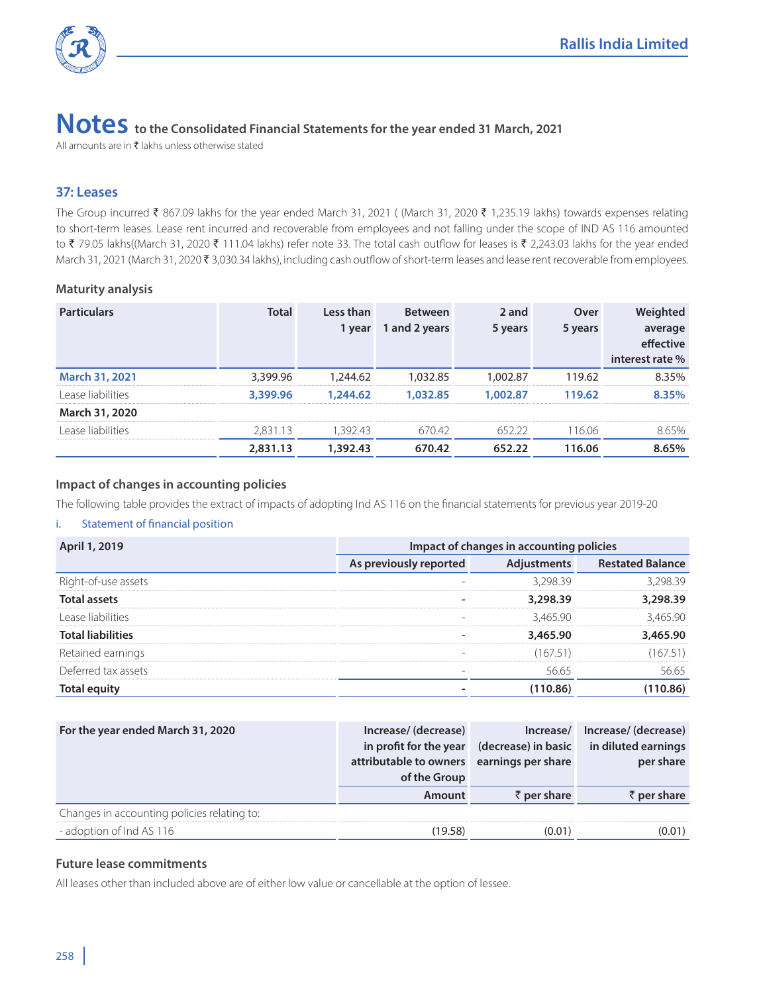

All amounts are in  $\bar{\tau}$  lakhs unless otherwise stated

## **37: Leases**

The Group incurred  $\bar{\xi}$  867.09 lakhs for the year ended March 31, 2021 ((March 31, 2020  $\bar{\xi}$  1,235.19 lakhs) towards expenses relating to short-term leases. Lease rent incurred and recoverable from employees and not falling under the scope of IND AS 116 amounted to ₹79.05 lakhs((March 31, 2020 ₹111.04 lakhs) refer note 33. The total cash outflow for leases is ₹2,243.03 lakhs for the year ended March 31, 2021 (March 31, 2020 ₹ 3,030.34 lakhs), including cash outflow of short-term leases and lease rent recoverable from employees.

#### **Maturity analysis**

| <b>Particulars</b> | <b>Total</b> | Less than<br>1 year | <b>Between</b><br>1 and 2 years | 2 and<br>5 years | Over<br>5 years | <b>Weld</b><br>average<br>effective<br>interest rate % |
|--------------------|--------------|---------------------|---------------------------------|------------------|-----------------|--------------------------------------------------------|
| March 31, 2021     | 3.399.96     | .244.62             | .032.85                         | .002.87          | 11962           | 8 3 5 %                                                |
| ease liabilities   | 3.399.96     | 1,244.62            | 1.032.85                        | 1.002.87         | 119.62          | 8.35%                                                  |
| March 31, 2020     |              |                     |                                 |                  |                 |                                                        |
| ease liabilities   | 2.831.13     | .392.43             | 670.42                          |                  | 1606            | 865%                                                   |
|                    | 2,831.13     | 1,392.43            | 670.42                          |                  | 116.06          | 8.65%                                                  |

### **Impact of changes in accounting policies**

The following table provides the extract of impacts of adopting Ind AS 116 on the financial statements for previous year 2019-20

#### i. Statement of financial position

| April 1, 2019            | Impact of changes in accounting policies |             |                         |  |
|--------------------------|------------------------------------------|-------------|-------------------------|--|
|                          | As previously reported                   | Adjustments | <b>Restated Balance</b> |  |
| ht-of-use assets         |                                          | 3 298 39    |                         |  |
| Total assets             |                                          | 3,298.39    | 3.298.39                |  |
| Lease liabilities        |                                          | 3.465.90    | 3.465.90                |  |
| <b>Total liabilities</b> |                                          | 3,465.90    | 3,465.90                |  |
| Retained earnings        |                                          | 167 51'     |                         |  |
| Deferred tax assets      |                                          | 56.65       | 56.65                   |  |
|                          |                                          |             |                         |  |

| For the year ended March 31, 2020           | Increase/ (decrease)<br>in profit for the year (decrease) in basic<br>attributable to owners earnings per share<br>of the Group | Increase/           | Increase/ (decrease)<br>in diluted earnings<br>per share |
|---------------------------------------------|---------------------------------------------------------------------------------------------------------------------------------|---------------------|----------------------------------------------------------|
|                                             | Amount                                                                                                                          | $\bar{z}$ per share | $\bar{\tau}$ per share                                   |
| Changes in accounting policies relating to: |                                                                                                                                 |                     |                                                          |
| - adoption of Ind AS 116                    | 19.58)                                                                                                                          | (0.01               | (0.01)                                                   |

#### **Future lease commitments**

All leases other than included above are of either low value or cancellable at the option of lessee.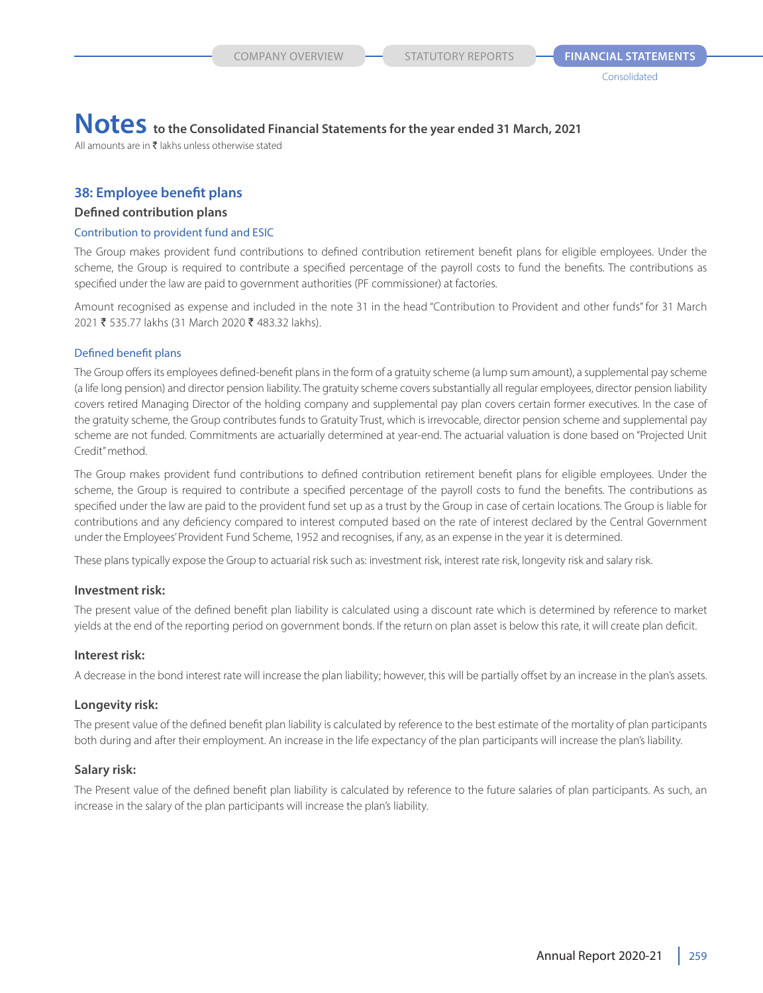All amounts are in  $\bar{\tau}$  lakhs unless otherwise stated

#### **38: Employee benefit plans**

#### **Defined contribution plans**

#### Contribution to provident fund and ESIC

The Group makes provident fund contributions to defined contribution retirement benefit plans for eligible employees. Under the scheme, the Group is required to contribute a specified percentage of the payroll costs to fund the benefits. The contributions as specified under the law are paid to government authorities (PF commissioner) at factories.

Amount recognised as expense and included in the note 31 in the head "Contribution to Provident and other funds" for 31 March 2021 ₹ 535.77 lakhs (31 March 2020 ₹ 483.32 lakhs).

#### Defined benefit plans

The Group offers its employees defined-benefit plans in the form of a gratuity scheme (a lump sum amount), a supplemental pay scheme (a life long pension) and director pension liability. The gratuity scheme covers substantially all regular employees, director pension liability covers retired Managing Director of the holding company and supplemental pay plan covers certain former executives. In the case of the gratuity scheme, the Group contributes funds to Gratuity Trust, which is irrevocable, director pension scheme and supplemental pay scheme are not funded. Commitments are actuarially determined at year-end. The actuarial valuation is done based on "Projected Unit Credit" method.

The Group makes provident fund contributions to defined contribution retirement benefit plans for eligible employees. Under the scheme, the Group is required to contribute a specified percentage of the payroll costs to fund the benefits. The contributions as specified under the law are paid to the provident fund set up as a trust by the Group in case of certain locations. The Group is liable for contributions and any deficiency compared to interest computed based on the rate of interest declared by the Central Government under the Employees' Provident Fund Scheme, 1952 and recognises, if any, as an expense in the year it is determined.

These plans typically expose the Group to actuarial risk such as: investment risk, interest rate risk, longevity risk and salary risk.

#### **Investment risk:**

The present value of the defined benefit plan liability is calculated using a discount rate which is determined by reference to market yields at the end of the reporting period on government bonds. If the return on plan asset is below this rate, it will create plan deficit.

#### **Interest risk:**

A decrease in the bond interest rate will increase the plan liability; however, this will be partially offset by an increase in the plan's assets.

#### **Longevity risk:**

The present value of the defined benefit plan liability is calculated by reference to the best estimate of the mortality of plan participants both during and after their employment. An increase in the life expectancy of the plan participants will increase the plan's liability.

#### **Salary risk:**

The Present value of the defined benefit plan liability is calculated by reference to the future salaries of plan participants. As such, an increase in the salary of the plan participants will increase the plan's liability.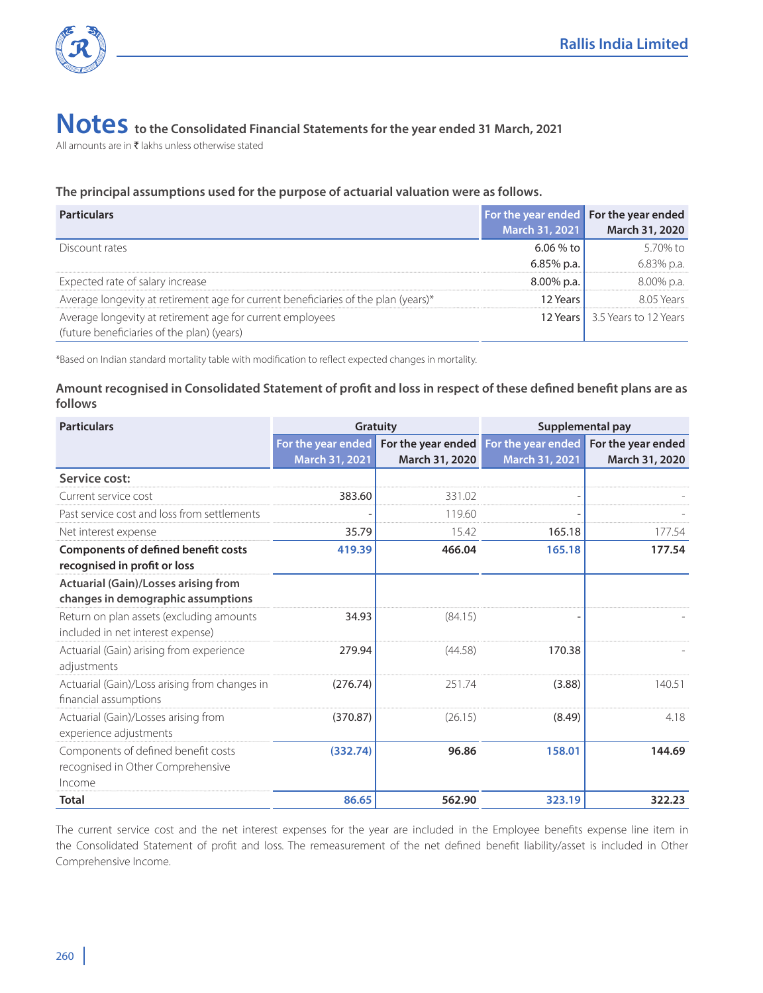

All amounts are in  $\bar{\tau}$  lakhs unless otherwise stated

### **The principal assumptions used for the purpose of actuarial valuation were as follows.**

| <b>Particulars</b>                                                                 | For the year ended For the year ended |                                |
|------------------------------------------------------------------------------------|---------------------------------------|--------------------------------|
|                                                                                    | March 31, 2021                        | March 31, 2020                 |
| Discount rates                                                                     | $6.06\%$ to                           | 570% to                        |
|                                                                                    | $6.85\%$ p.a.                         | 6.83% p.a.                     |
| Expected rate of salary increase                                                   | $8.00\%$ p.a.                         | $8.00\%$ p.a.                  |
| Average longevity at retirement age for current beneficiaries of the plan (years)* | 12 Years                              | 8.05 Years                     |
| Average longevity at retirement age for current employees                          |                                       | 12 Years 3.5 Years to 12 Years |
| (future beneficiaries of the plan) (years)                                         |                                       |                                |

\*Based on Indian standard mortality table with modification to reflect expected changes in mortality.

### **Amount recognised in Consolidated Statement of profit and loss in respect of these defined benefit plans are as follows**

| <b>Particulars</b>                                                                 | Gratuity           |                    | Supplemental pay   |                    |
|------------------------------------------------------------------------------------|--------------------|--------------------|--------------------|--------------------|
|                                                                                    | For the year ended | For the year ended | For the year ended | For the year ended |
|                                                                                    | March 31, 2021     | March 31, 2020     | March 31, 2021     | March 31, 2020     |
| Service cost:                                                                      |                    |                    |                    |                    |
| Current service cost                                                               | 383.60             | 331.02             |                    |                    |
| Past service cost and loss from settlements                                        |                    | 119.60             |                    |                    |
| Net interest expense                                                               | 35.79              | 15.42              | 165.18             | 177.54             |
| <b>Components of defined benefit costs</b><br>recognised in profit or loss         | 419.39             | 466.04             | 165.18             | 177.54             |
| <b>Actuarial (Gain)/Losses arising from</b>                                        |                    |                    |                    |                    |
| changes in demographic assumptions                                                 |                    |                    |                    |                    |
| Return on plan assets (excluding amounts<br>included in net interest expense)      | 34.93              | (84.15)            |                    |                    |
| Actuarial (Gain) arising from experience<br>adjustments                            | 279.94             | (44.58)            | 170.38             |                    |
| Actuarial (Gain)/Loss arising from changes in<br>financial assumptions             | (276.74)           | 251.74             | (3.88)             | 140.51             |
| Actuarial (Gain)/Losses arising from<br>experience adjustments                     | (370.87)           | (26.15)            | (8.49)             | 4.18               |
| Components of defined benefit costs<br>recognised in Other Comprehensive<br>Income | (332.74)           | 96.86              | 158.01             | 144.69             |
| <b>Total</b>                                                                       | 86.65              | 562.90             | 323.19             | 322.23             |

The current service cost and the net interest expenses for the year are included in the Employee benefits expense line item in the Consolidated Statement of profit and loss. The remeasurement of the net defined benefit liability/asset is included in Other Comprehensive Income.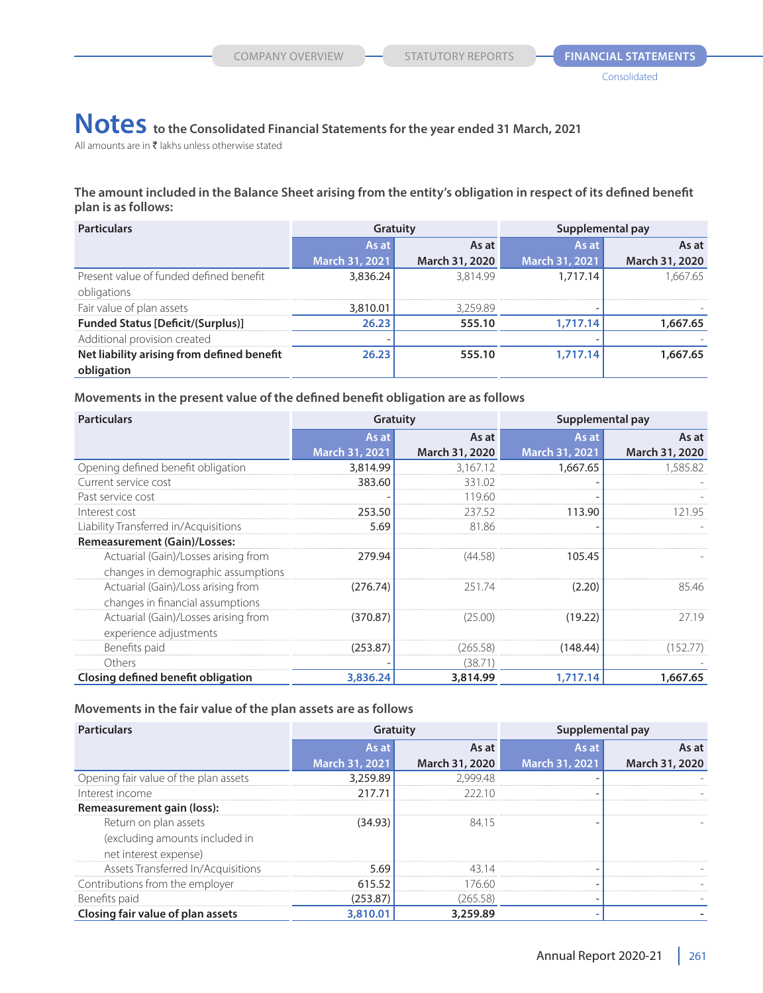All amounts are in  $\bar{\tau}$  lakhs unless otherwise stated

### **The amount included in the Balance Sheet arising from the entity's obligation in respect of its defined benefit plan is as follows:**

| <b>Particulars</b>                         | Gratuity       |                | Supplemental pay |                |
|--------------------------------------------|----------------|----------------|------------------|----------------|
|                                            | As at          | As at          | As at            | As at          |
|                                            | March 31, 2021 | March 31, 2020 | March 31, 2021   | March 31, 2020 |
| Present value of funded defined benefit    | 3,836.24       | 3.814.99       | 1.717.14         | 1.667.65       |
| obligations                                |                |                |                  |                |
| Fair value of plan assets                  | 3,810.01       | 3.259.89       |                  |                |
| <b>Funded Status [Deficit/(Surplus)]</b>   | 26.23          | 555.10         | 1,717.14         | 1,667.65       |
| Additional provision created               |                |                |                  |                |
| Net liability arising from defined benefit | 26.23          | 555.10         | 1,717.14         | 1,667.65       |
| obligation                                 |                |                |                  |                |

### **Movements in the present value of the defined benefit obligation are as follows**

| <b>Particulars</b>                    | Gratuity       |                | Supplemental pay |                |
|---------------------------------------|----------------|----------------|------------------|----------------|
|                                       | As at          | As at          | As at            | As at          |
|                                       | March 31, 2021 | March 31, 2020 | March 31, 2021   | March 31, 2020 |
| Opening defined benefit obligation    | 3,814.99       | 3,167.12       | 1,667.65         | 1,585.82       |
| Current service cost                  | 383.60         | 331.02         |                  |                |
| Past service cost                     |                | 119.60         |                  |                |
| Interest cost                         | 253.50         | 237.52         | 113.90           | 121.95         |
| Liability Transferred in/Acquisitions | 5.69           | 81.86          |                  |                |
| <b>Remeasurement (Gain)/Losses:</b>   |                |                |                  |                |
| Actuarial (Gain)/Losses arising from  | 279.94         | (44.58)        | 105.45           |                |
| changes in demographic assumptions    |                |                |                  |                |
| Actuarial (Gain)/Loss arising from    | (276.74)       | 251.74         | (2.20)           | 85.46          |
| changes in financial assumptions      |                |                |                  |                |
| Actuarial (Gain)/Losses arising from  | (370.87)       | (25.00)        | (19.22)          | 27.19          |
| experience adjustments                |                |                |                  |                |
| Benefits paid                         | (253.87)       | (265.58)       | (148.44)         | (152.77)       |
| Others                                |                | (38.71)        |                  |                |
| Closing defined benefit obligation    | 3,836.24       | 3,814.99       | 1,717.14         | 1,667.65       |

### **Movements in the fair value of the plan assets are as follows**

| <b>Particulars</b>                    | Gratuity              |                       | Supplemental pay      |                |
|---------------------------------------|-----------------------|-----------------------|-----------------------|----------------|
|                                       | As at                 | As at                 | As at                 | As at          |
|                                       | <b>March 31, 2021</b> | <b>March 31, 2020</b> | <b>March 31, 2021</b> | March 31, 2020 |
| Opening fair value of the plan assets | 3,259.89              | 2.999.48              |                       |                |
| Interest income                       | 21771                 | 222 1A                |                       |                |
| Remeasurement gain (loss):            |                       |                       |                       |                |
| Return on plan assets                 | (34.93)               | 8415                  |                       |                |
| (excluding amounts included in        |                       |                       |                       |                |
| net interest expense)                 |                       |                       |                       |                |
| Assets Transferred In/Acquisitions    | 5 69                  |                       |                       |                |
| Contributions from the employer       | 615.52                | 176.60                |                       |                |
| Benefits paid                         | (253.87)              | (265.58)              |                       |                |
| Closing fair value of plan assets     | 3,810.01              | 3,259.89              |                       |                |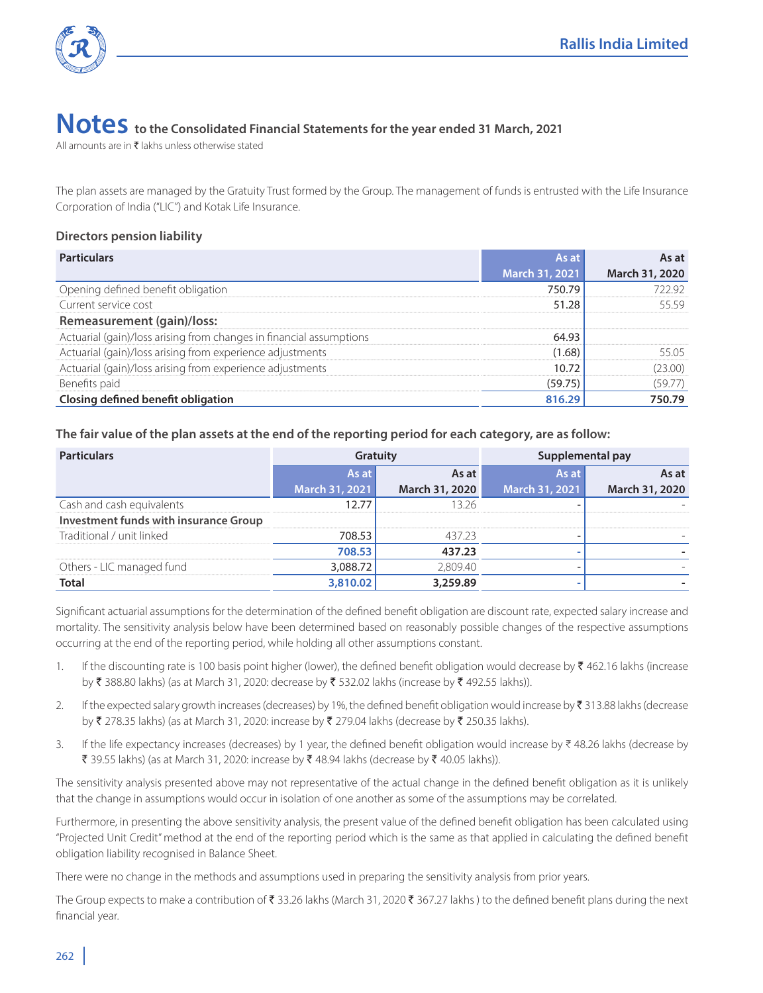

All amounts are in  $\bar{\tau}$  lakhs unless otherwise stated

The plan assets are managed by the Gratuity Trust formed by the Group. The management of funds is entrusted with the Life Insurance Corporation of India ("LIC") and Kotak Life Insurance.

#### **Directors pension liability**

| <b>Particulars</b>                                                  |                |                |
|---------------------------------------------------------------------|----------------|----------------|
|                                                                     | March 31, 2021 | March 31, 2020 |
| Opening defined benefit obligation                                  |                |                |
| Current service cost                                                | 51 28          | 559            |
| Remeasurement (gain)/loss:                                          |                |                |
| Actuarial (gain)/loss arising from changes in financial assumptions |                |                |
| Actuarial (gain)/loss arising from experience adjustments           | 1.68           |                |
| Actuarial (gain)/loss arising from experience adjustments           |                |                |
| Benefits paid                                                       |                |                |
| Closing defined benefit obligation                                  |                |                |

**The fair value of the plan assets at the end of the reporting period for each category, are as follow:**

| <b>Particulars</b>                    | Gratuity       |                | Supplemental pay      |                |
|---------------------------------------|----------------|----------------|-----------------------|----------------|
|                                       | As at          | As at          | As at                 | As at          |
|                                       | March 31, 2021 | March 31, 2020 | <b>March 31, 2021</b> | March 31, 2020 |
| Cash and cash equivalents             | 7 77           | 376            |                       |                |
| Investment funds with insurance Group |                |                |                       |                |
| Traditional / unit linked             | 708.53         | 437.23         |                       |                |
|                                       | 708.53         | 437.23         |                       |                |
| Others - LIC managed fund             | 3,088.72       | 2,809.40       |                       |                |
| <b>Total</b>                          | 3,810.02       | 3,259.89       |                       |                |

Significant actuarial assumptions for the determination of the defined benefit obligation are discount rate, expected salary increase and mortality. The sensitivity analysis below have been determined based on reasonably possible changes of the respective assumptions occurring at the end of the reporting period, while holding all other assumptions constant.

- 1. If the discounting rate is 100 basis point higher (lower), the defined benefit obligation would decrease by  $\bar{\zeta}$  462.16 lakhs (increase by ₹ 388.80 lakhs) (as at March 31, 2020: decrease by ₹ 532.02 lakhs (increase by ₹ 492.55 lakhs)).
- 2. If the expected salary growth increases (decreases) by 1%, the defined benefit obligation would increase by  $\bar{\tau}$  313.88 lakhs (decrease by ₹ 278.35 lakhs) (as at March 31, 2020: increase by ₹ 279.04 lakhs (decrease by ₹ 250.35 lakhs).
- 3. If the life expectancy increases (decreases) by 1 year, the defined benefit obligation would increase by ₹ 48.26 lakhs (decrease by ₹ 39.55 lakhs) (as at March 31, 2020: increase by ₹ 48.94 lakhs (decrease by ₹ 40.05 lakhs)).

The sensitivity analysis presented above may not representative of the actual change in the defined benefit obligation as it is unlikely that the change in assumptions would occur in isolation of one another as some of the assumptions may be correlated.

Furthermore, in presenting the above sensitivity analysis, the present value of the defined benefit obligation has been calculated using "Projected Unit Credit" method at the end of the reporting period which is the same as that applied in calculating the defined benefit obligation liability recognised in Balance Sheet.

There were no change in the methods and assumptions used in preparing the sensitivity analysis from prior years.

The Group expects to make a contribution of  $\bar{\xi}$  33.26 lakhs (March 31, 2020  $\bar{\xi}$  367.27 lakhs) to the defined benefit plans during the next financial year.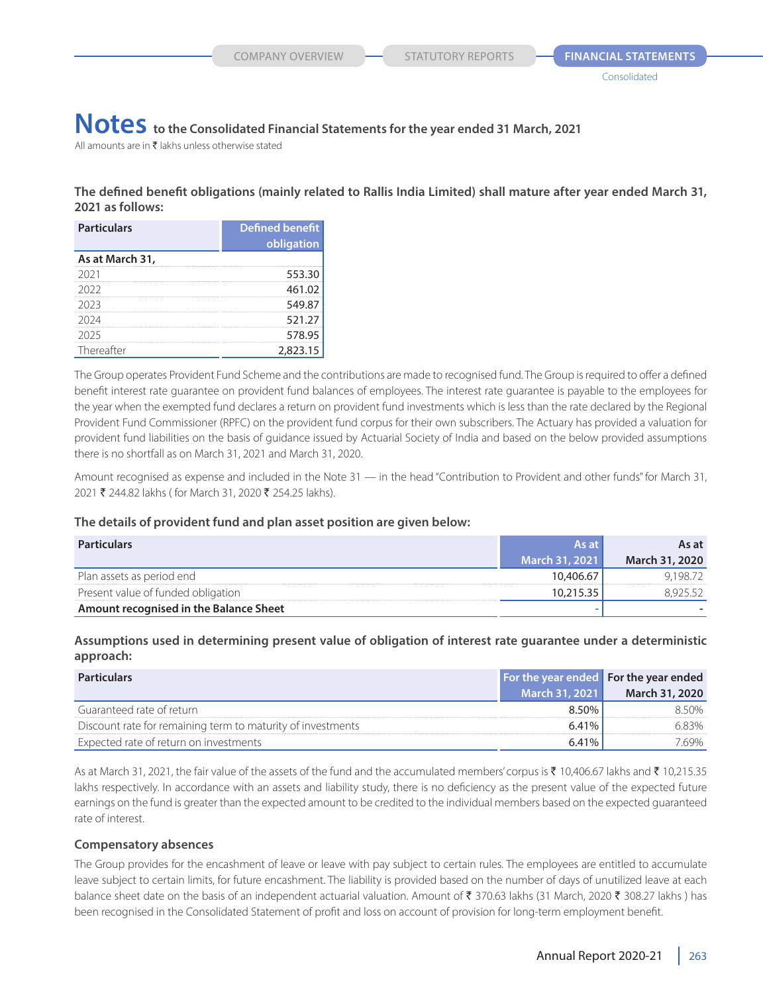All amounts are in  $\bar{\tau}$  lakhs unless otherwise stated

### **The defined benefit obligations (mainly related to Rallis India Limited) shall mature after year ended March 31, 2021 as follows:**

| <b>Defined benefit</b><br><b>Particulars</b> |            |
|----------------------------------------------|------------|
|                                              | obligation |
| As at March 31,                              |            |
| 2021                                         | 553.30     |
| 2022                                         | 461.02     |
| 2023                                         | 549.87     |
| 2024                                         | 521.27     |
| 2025                                         | 578.95     |
| Thereafter                                   | 2,823.15   |

The Group operates Provident Fund Scheme and the contributions are made to recognised fund. The Group is required to offer a defined benefit interest rate guarantee on provident fund balances of employees. The interest rate guarantee is payable to the employees for the year when the exempted fund declares a return on provident fund investments which is less than the rate declared by the Regional Provident Fund Commissioner (RPFC) on the provident fund corpus for their own subscribers. The Actuary has provided a valuation for provident fund liabilities on the basis of guidance issued by Actuarial Society of India and based on the below provided assumptions there is no shortfall as on March 31, 2021 and March 31, 2020.

Amount recognised as expense and included in the Note 31 — in the head "Contribution to Provident and other funds" for March 31, 2021 ₹ 244.82 lakhs ( for March 31, 2020 ₹ 254.25 lakhs).

#### **The details of provident fund and plan asset position are given below:**

| <b>Particulars</b>                     | As at                 | As at          |
|----------------------------------------|-----------------------|----------------|
|                                        | <b>March 31, 2021</b> | March 31, 2020 |
| Plan assets as period end              | 10.406.67             | , QR 7         |
| Present value of funded obligation     | 10.215.35             |                |
| Amount recognised in the Balance Sheet |                       |                |

### **Assumptions used in determining present value of obligation of interest rate guarantee under a deterministic approach:**

| <b>Particulars</b>                                          |                       | For the year ended For the year ended |
|-------------------------------------------------------------|-----------------------|---------------------------------------|
|                                                             | <b>March 31, 2021</b> | March 31, 2020                        |
| Guaranteed rate of return                                   | 850%                  | 850%                                  |
| Discount rate for remaining term to maturity of investments | 6.41%                 | 6.83%                                 |
| Expected rate of return on investments                      | 6.41%                 | 69%                                   |

As at March 31, 2021, the fair value of the assets of the fund and the accumulated members' corpus is ₹ 10,406.67 lakhs and ₹ 10,215.35 lakhs respectively. In accordance with an assets and liability study, there is no deficiency as the present value of the expected future earnings on the fund is greater than the expected amount to be credited to the individual members based on the expected guaranteed rate of interest.

#### **Compensatory absences**

The Group provides for the encashment of leave or leave with pay subject to certain rules. The employees are entitled to accumulate leave subject to certain limits, for future encashment. The liability is provided based on the number of days of unutilized leave at each balance sheet date on the basis of an independent actuarial valuation. Amount of ₹ 370.63 lakhs (31 March, 2020 ₹ 308.27 lakhs ) has been recognised in the Consolidated Statement of profit and loss on account of provision for long-term employment benefit.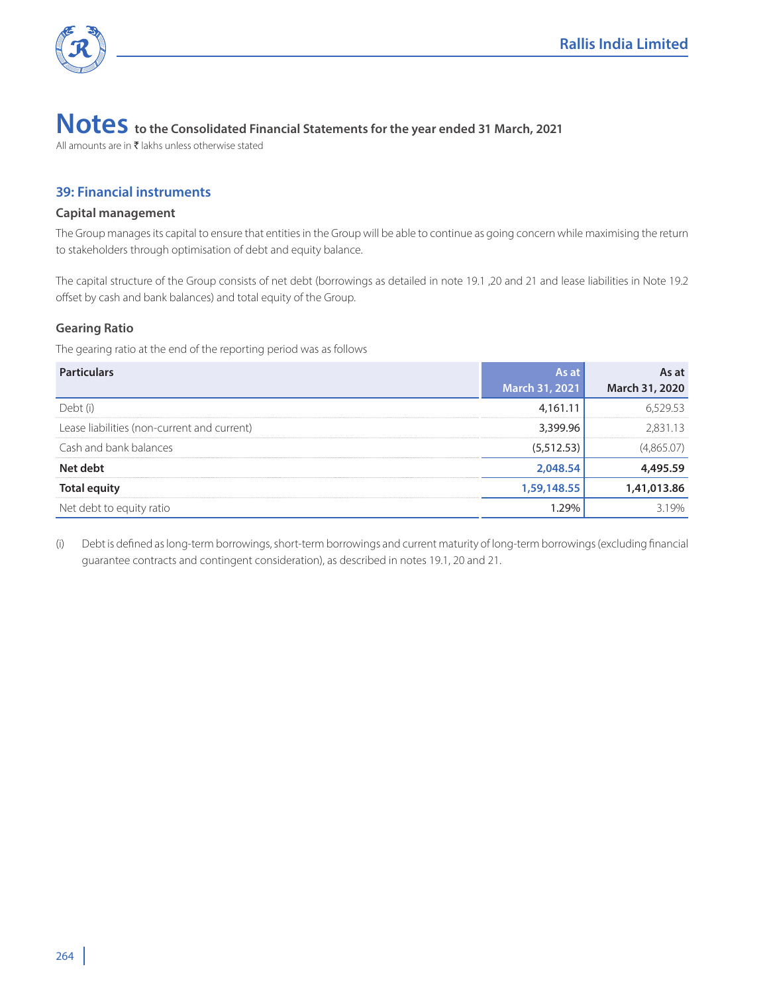

All amounts are in  $\bar{\tau}$  lakhs unless otherwise stated

## **39: Financial instruments**

#### **Capital management**

The Group manages its capital to ensure that entities in the Group will be able to continue as going concern while maximising the return to stakeholders through optimisation of debt and equity balance.

The capital structure of the Group consists of net debt (borrowings as detailed in note 19.1 ,20 and 21 and lease liabilities in Note 19.2 offset by cash and bank balances) and total equity of the Group.

#### **Gearing Ratio**

The gearing ratio at the end of the reporting period was as follows

| <b>Particulars</b>                          | As at<br>March 31, 2021 | As at<br>March 31, 2020 |
|---------------------------------------------|-------------------------|-------------------------|
| Debt (i)                                    | 4.161.11                | 29.53                   |
| Lease liabilities (non-current and current) | 3,399.96                | 2 831 13                |
| Cash and bank balances                      | (5, 512.53)             | (4,865.07)              |
| Net debt                                    | 2.048.54                | 4.495.59                |
| <b>Total equity</b>                         | 1,59,148.55             | 1,41,013.86             |
| Net debt to equity ratio                    | 29%                     | 3.19%                   |

(i) Debt is defined as long-term borrowings, short-term borrowings and current maturity of long-term borrowings (excluding financial guarantee contracts and contingent consideration), as described in notes 19.1, 20 and 21.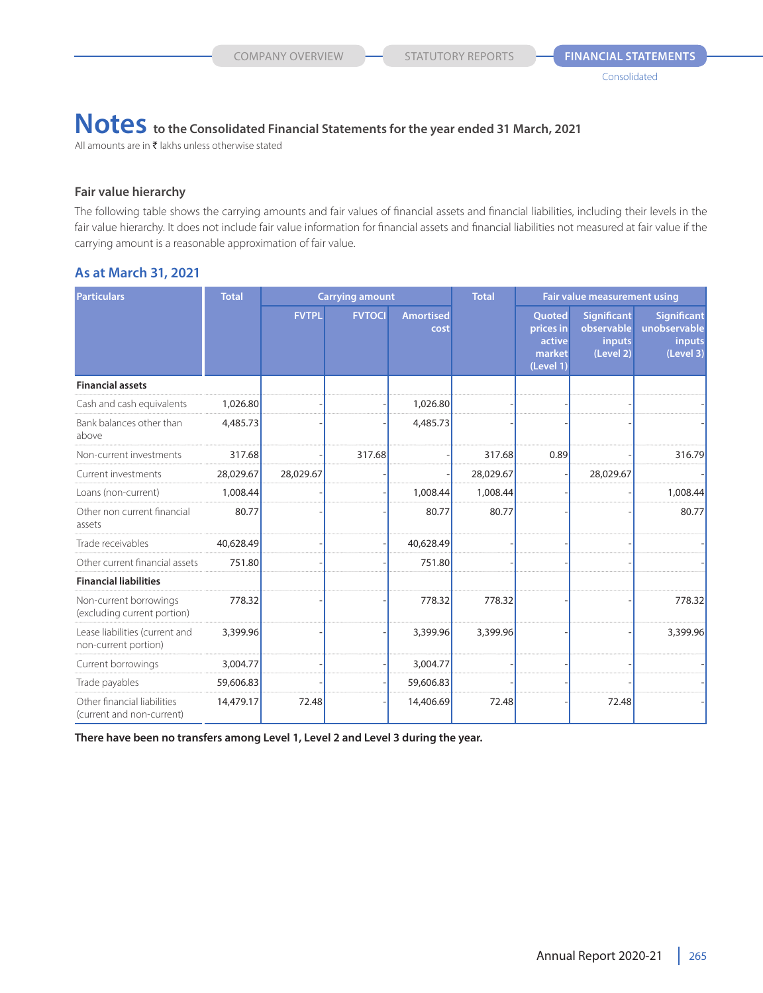All amounts are in  $\bar{\tau}$  lakhs unless otherwise stated

#### **Fair value hierarchy**

The following table shows the carrying amounts and fair values of financial assets and financial liabilities, including their levels in the fair value hierarchy. It does not include fair value information for financial assets and financial liabilities not measured at fair value if the carrying amount is a reasonable approximation of fair value.

## **As at March 31, 2021**

| <b>Particulars</b>                                       | <b>Total</b> | <b>Carrying amount</b> |               |                          | <b>Total</b> |                                                             | <b>Fair value measurement using</b>                     |                                                    |
|----------------------------------------------------------|--------------|------------------------|---------------|--------------------------|--------------|-------------------------------------------------------------|---------------------------------------------------------|----------------------------------------------------|
|                                                          |              | <b>FVTPL</b>           | <b>FVTOCI</b> | <b>Amortised</b><br>cost |              | <b>Ouoted</b><br>prices in<br>active<br>market<br>(Level 1) | <b>Significant</b><br>observable<br>inputs<br>(Level 2) | Significant<br>unobservable<br>inputs<br>(Level 3) |
| <b>Financial assets</b>                                  |              |                        |               |                          |              |                                                             |                                                         |                                                    |
| Cash and cash equivalents                                | 1,026.80     |                        |               | 1,026.80                 |              |                                                             |                                                         |                                                    |
| Bank balances other than<br>above                        | 4,485.73     |                        |               | 4,485.73                 |              |                                                             |                                                         |                                                    |
| Non-current investments                                  | 317.68       |                        | 317.68        |                          | 317.68       | 0.89                                                        |                                                         | 316.79                                             |
| Current investments                                      | 28,029.67    | 28,029.67              |               |                          | 28,029.67    |                                                             | 28,029.67                                               |                                                    |
| Loans (non-current)                                      | 1,008.44     |                        |               | 1,008.44                 | 1,008.44     |                                                             |                                                         | 1,008.44                                           |
| Other non current financial<br>assets                    | 80.77        |                        |               | 80.77                    | 80.77        |                                                             |                                                         | 80.77                                              |
| Trade receivables                                        | 40,628.49    |                        |               | 40,628.49                |              |                                                             |                                                         |                                                    |
| Other current financial assets                           | 751.80       |                        |               | 751.80                   |              |                                                             |                                                         |                                                    |
| <b>Financial liabilities</b>                             |              |                        |               |                          |              |                                                             |                                                         |                                                    |
| Non-current borrowings<br>(excluding current portion)    | 778.32       |                        |               | 778.32                   | 778.32       |                                                             |                                                         | 778.32                                             |
| Lease liabilities (current and<br>non-current portion)   | 3,399.96     |                        |               | 3,399.96                 | 3,399.96     |                                                             |                                                         | 3,399.96                                           |
| Current borrowings                                       | 3,004.77     |                        |               | 3,004.77                 |              |                                                             |                                                         |                                                    |
| Trade payables                                           | 59,606.83    |                        |               | 59,606.83                |              |                                                             |                                                         |                                                    |
| Other financial liabilities<br>(current and non-current) | 14,479.17    | 72.48                  |               | 14,406.69                | 72.48        |                                                             | 72.48                                                   |                                                    |

**There have been no transfers among Level 1, Level 2 and Level 3 during the year.**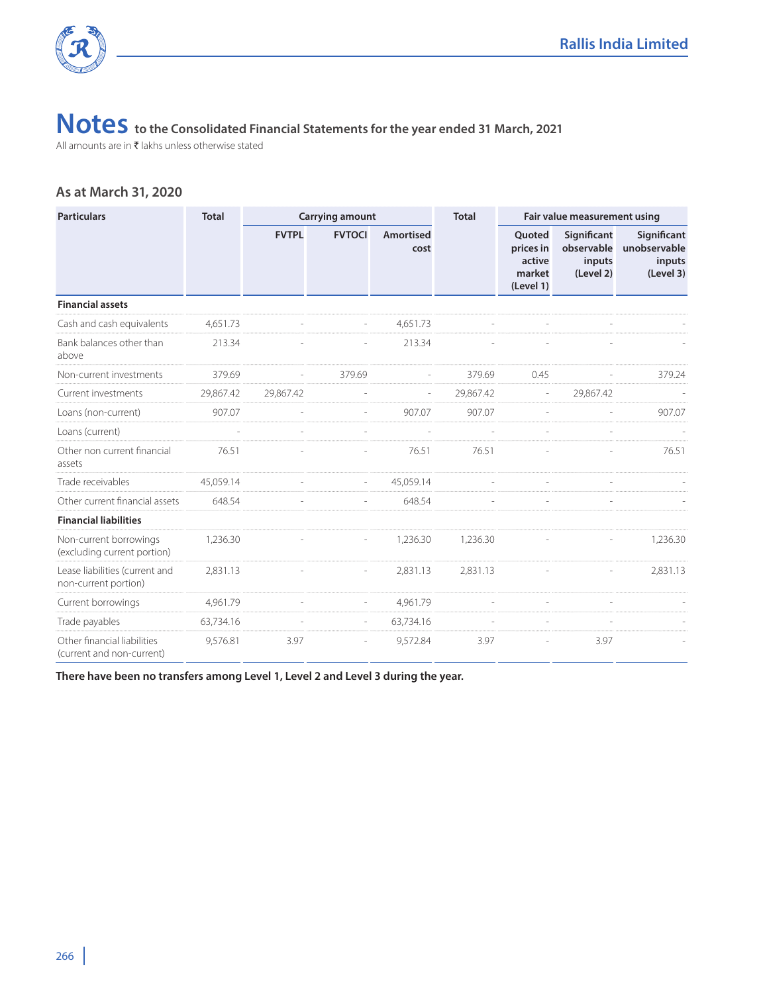

All amounts are in  $\bar{\tau}$  lakhs unless otherwise stated

## **As at March 31, 2020**

| <b>Particulars</b>                                       | <b>Total</b><br><b>Carrying amount</b> |              | <b>Total</b>  |                   | Fair value measurement using |                                                      |                                                  |                                                    |
|----------------------------------------------------------|----------------------------------------|--------------|---------------|-------------------|------------------------------|------------------------------------------------------|--------------------------------------------------|----------------------------------------------------|
|                                                          |                                        | <b>FVTPL</b> | <b>FVTOCI</b> | Amortised<br>cost |                              | Quoted<br>prices in<br>active<br>market<br>(Level 1) | Significant<br>observable<br>inputs<br>(Level 2) | Significant<br>unobservable<br>inputs<br>(Level 3) |
| <b>Financial assets</b>                                  |                                        |              |               |                   |                              |                                                      |                                                  |                                                    |
| Cash and cash equivalents                                | 4,651.73                               |              |               | 4,651.73          |                              |                                                      |                                                  |                                                    |
| Bank balances other than<br>above                        | 213.34                                 |              |               | 213.34            |                              |                                                      |                                                  |                                                    |
| Non-current investments                                  | 379.69                                 |              | 379.69        |                   | 379.69                       | 0.45                                                 |                                                  | 379.24                                             |
| Current investments                                      | 29,867.42                              | 29,867.42    |               |                   | 29,867.42                    |                                                      | 29,867.42                                        |                                                    |
| Loans (non-current)                                      | 907.07                                 |              |               | 907.07            | 907.07                       |                                                      |                                                  | 907.07                                             |
| Loans (current)                                          |                                        |              |               |                   |                              |                                                      |                                                  |                                                    |
| Other non current financial<br>assets                    | 76.51                                  |              |               | 76.51             | 76.51                        |                                                      |                                                  | 76.51                                              |
| Trade receivables                                        | 45,059.14                              |              |               | 45,059.14         |                              |                                                      |                                                  |                                                    |
| Other current financial assets                           | 648.54                                 |              |               | 648.54            |                              |                                                      |                                                  |                                                    |
| <b>Financial liabilities</b>                             |                                        |              |               |                   |                              |                                                      |                                                  |                                                    |
| Non-current borrowings<br>(excluding current portion)    | 1,236.30                               |              |               | 1,236.30          | 1,236.30                     |                                                      |                                                  | 1,236.30                                           |
| Lease liabilities (current and<br>non-current portion)   | 2,831.13                               |              |               | 2,831.13          | 2,831.13                     |                                                      |                                                  | 2,831.13                                           |
| Current borrowings                                       | 4,961.79                               |              |               | 4,961.79          |                              |                                                      |                                                  |                                                    |
| Trade payables                                           | 63,734.16                              |              |               | 63,734.16         |                              |                                                      |                                                  |                                                    |
| Other financial liabilities<br>(current and non-current) | 9,576.81                               | 3.97         |               | 9,572.84          | 3.97                         |                                                      | 3.97                                             |                                                    |

**There have been no transfers among Level 1, Level 2 and Level 3 during the year.**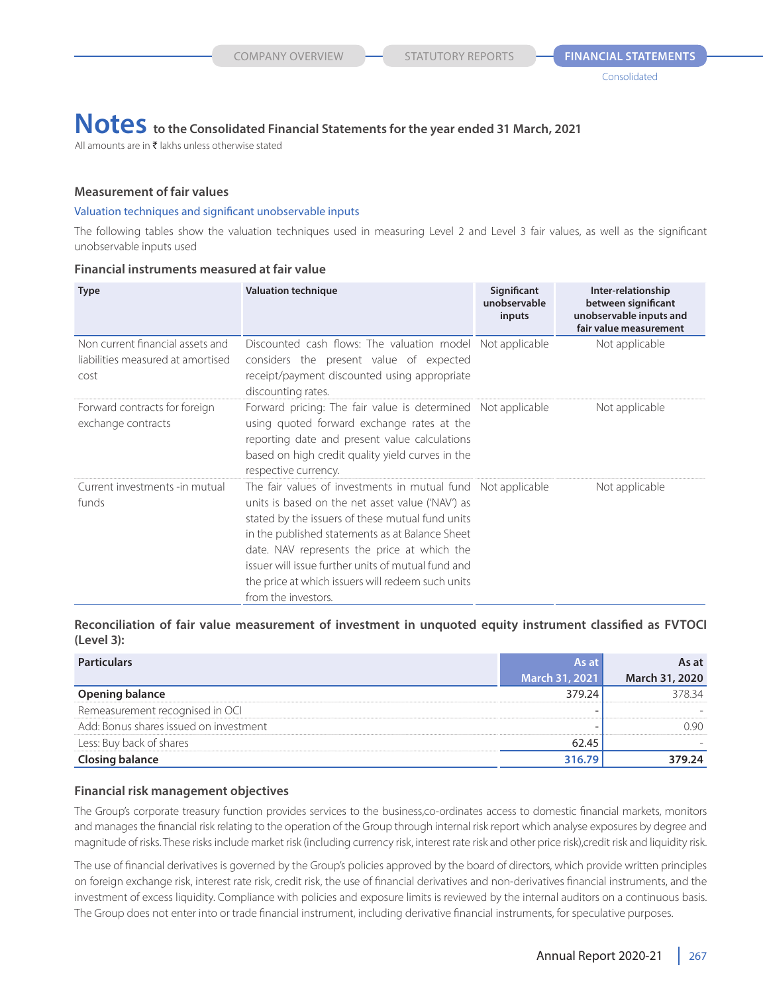All amounts are in  $\bar{\tau}$  lakhs unless otherwise stated

### **Measurement of fair values**

### Valuation techniques and significant unobservable inputs

The following tables show the valuation techniques used in measuring Level 2 and Level 3 fair values, as well as the significant unobservable inputs used

### **Financial instruments measured at fair value**

| <b>Type</b>                                                                   | <b>Valuation technique</b>                                                                                                                                                                                                                                                                                                                                                                               | Significant<br>unobservable<br>inputs | Inter-relationship<br>between significant<br>unobservable inputs and<br>fair value measurement |
|-------------------------------------------------------------------------------|----------------------------------------------------------------------------------------------------------------------------------------------------------------------------------------------------------------------------------------------------------------------------------------------------------------------------------------------------------------------------------------------------------|---------------------------------------|------------------------------------------------------------------------------------------------|
| Non current financial assets and<br>liabilities measured at amortised<br>cost | Discounted cash flows: The valuation model Not applicable<br>considers the present value of expected<br>receipt/payment discounted using appropriate<br>discounting rates.                                                                                                                                                                                                                               |                                       | Not applicable                                                                                 |
| Forward contracts for foreign<br>exchange contracts                           | Forward pricing: The fair value is determined Not applicable<br>using quoted forward exchange rates at the<br>reporting date and present value calculations<br>based on high credit quality yield curves in the<br>respective currency.                                                                                                                                                                  |                                       | Not applicable                                                                                 |
| Current investments -in mutual<br>funds                                       | The fair values of investments in mutual fund Not applicable<br>units is based on the net asset value ('NAV') as<br>stated by the issuers of these mutual fund units<br>in the published statements as at Balance Sheet<br>date. NAV represents the price at which the<br>issuer will issue further units of mutual fund and<br>the price at which issuers will redeem such units<br>from the investors. |                                       | Not applicable                                                                                 |

**Reconciliation of fair value measurement of investment in unquoted equity instrument classified as FVTOCI (Level 3):**

| <b>Particulars</b>                     | As at          |                |
|----------------------------------------|----------------|----------------|
|                                        | March 31, 2021 | March 31, 2020 |
| <b>Opening balance</b>                 | 379 74         | 378.34         |
| Remeasurement recognised in OCI        |                |                |
| Add: Bonus shares issued on investment |                |                |
| Less: Buy back of shares               | 6245           |                |
|                                        |                | '9 74          |

#### **Financial risk management objectives**

The Group's corporate treasury function provides services to the business,co-ordinates access to domestic financial markets, monitors and manages the financial risk relating to the operation of the Group through internal risk report which analyse exposures by degree and magnitude of risks. These risks include market risk (including currency risk, interest rate risk and other price risk),credit risk and liquidity risk.

The use of financial derivatives is governed by the Group's policies approved by the board of directors, which provide written principles on foreign exchange risk, interest rate risk, credit risk, the use of financial derivatives and non-derivatives financial instruments, and the investment of excess liquidity. Compliance with policies and exposure limits is reviewed by the internal auditors on a continuous basis. The Group does not enter into or trade financial instrument, including derivative financial instruments, for speculative purposes.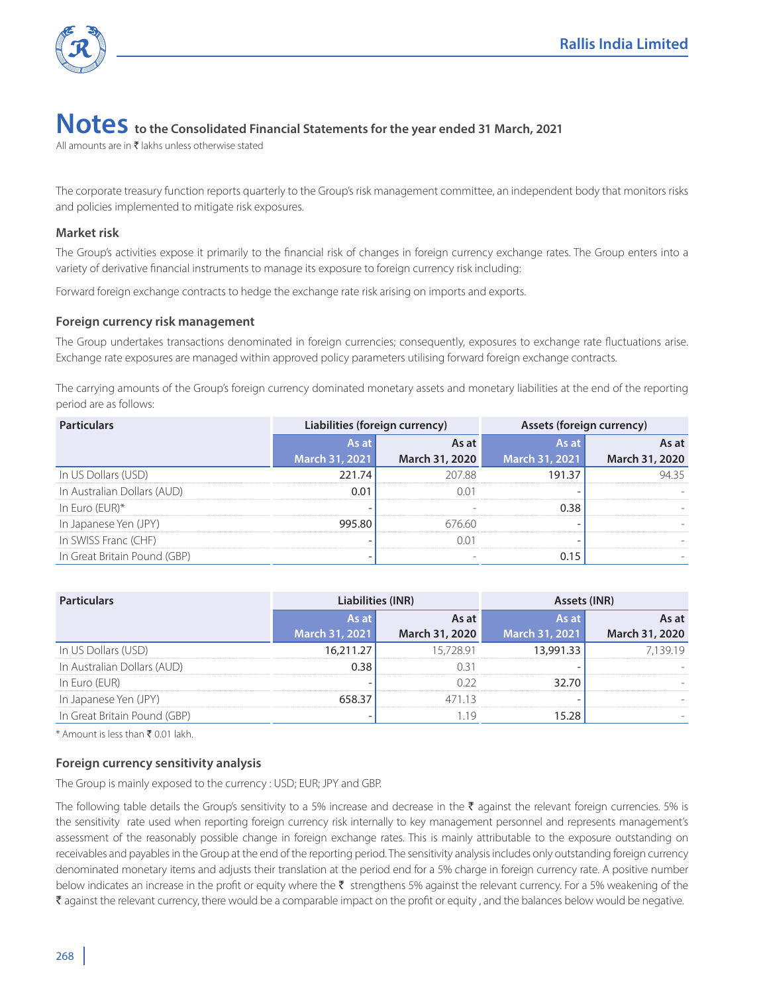

All amounts are in  $\bar{\tau}$  lakhs unless otherwise stated

The corporate treasury function reports quarterly to the Group's risk management committee, an independent body that monitors risks and policies implemented to mitigate risk exposures.

#### **Market risk**

The Group's activities expose it primarily to the financial risk of changes in foreign currency exchange rates. The Group enters into a variety of derivative financial instruments to manage its exposure to foreign currency risk including:

Forward foreign exchange contracts to hedge the exchange rate risk arising on imports and exports.

#### **Foreign currency risk management**

The Group undertakes transactions denominated in foreign currencies; consequently, exposures to exchange rate fluctuations arise. Exchange rate exposures are managed within approved policy parameters utilising forward foreign exchange contracts.

The carrying amounts of the Group's foreign currency dominated monetary assets and monetary liabilities at the end of the reporting period are as follows:

| iculars                      | Liabilities (foreign currency) |                       | Assets (foreign currency) |                |
|------------------------------|--------------------------------|-----------------------|---------------------------|----------------|
|                              |                                | As at                 |                           |                |
|                              | March 31, 2021                 | <b>March 31, 2020</b> | March 31, 2021            | March 31, 2020 |
| In US Dollars (USD)          |                                | 207 88                |                           |                |
| In Australian Dollars (AUD)  |                                |                       |                           |                |
| In Euro (EUR)*               |                                |                       |                           |                |
| In Japanese Yen (JPY)        | -95.80                         |                       |                           |                |
| In SWISS Franc (CHF)         |                                |                       |                           |                |
| In Great Britain Pound (GBP) |                                |                       |                           |                |

| iculars                      | Liabilities (INR)     |                | Assets (INR)          |                       |
|------------------------------|-----------------------|----------------|-----------------------|-----------------------|
|                              |                       | As at          | As at                 | s at                  |
|                              | <b>March 31, 2021</b> | March 31, 2020 | <b>March 31, 2021</b> | <b>March 31, 2020</b> |
| In US Dollars (USD)          |                       |                | । २ ००१ २२            |                       |
| In Australian Dollars (AUD)  |                       |                |                       |                       |
| In Euro (EUR)                |                       |                | 32 70                 |                       |
| In Japanese Yen (JPY)        |                       |                |                       |                       |
| In Great Britain Pound (GBP) |                       |                |                       |                       |

\* Amount is less than  $\bar{\bar{\xi}}$  0.01 lakh.

#### **Foreign currency sensitivity analysis**

The Group is mainly exposed to the currency : USD; EUR; JPY and GBP.

The following table details the Group's sensitivity to a 5% increase and decrease in the  $\bar{\xi}$  against the relevant foreign currencies. 5% is the sensitivity rate used when reporting foreign currency risk internally to key management personnel and represents management's assessment of the reasonably possible change in foreign exchange rates. This is mainly attributable to the exposure outstanding on receivables and payables in the Group at the end of the reporting period. The sensitivity analysis includes only outstanding foreign currency denominated monetary items and adjusts their translation at the period end for a 5% charge in foreign currency rate. A positive number below indicates an increase in the profit or equity where the  $\bar{\tau}$  strengthens 5% against the relevant currency. For a 5% weakening of the ₹ against the relevant currency, there would be a comparable impact on the profit or equity, and the balances below would be negative.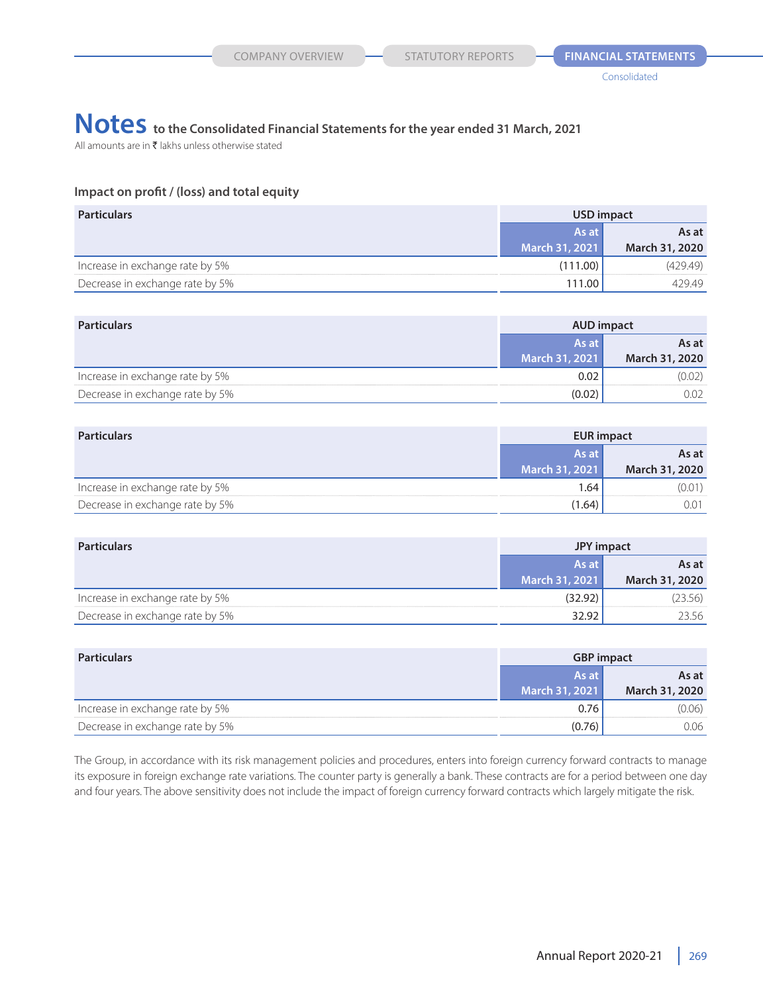All amounts are in  $\bar{\tau}$  lakhs unless otherwise stated

#### **Impact on profit / (loss) and total equity**

| <b>Particulars</b>              | USD impact            |                |
|---------------------------------|-----------------------|----------------|
|                                 | As at                 | As at          |
|                                 | <b>March 31, 2021</b> | March 31, 2020 |
| Increase in exchange rate by 5% | (111.00)              | 29.49)         |
| Decrease in exchange rate by 5% | 111.00                | 29 49          |

| ulars                           | <b>AUD</b> impact     |                |
|---------------------------------|-----------------------|----------------|
|                                 | As at                 | As at          |
|                                 | <b>March 31, 2021</b> | March 31, 2020 |
| Increase in exchange rate by 5% |                       |                |
| Decrease in exchange rate by 5% | $0.02^{\circ}$        |                |

| <b>Particulars</b>              | <b>EUR</b> impact     |                |
|---------------------------------|-----------------------|----------------|
|                                 | As at                 | As at          |
|                                 | <b>March 31, 2021</b> | March 31, 2020 |
| Increase in exchange rate by 5% | 1.64                  |                |
| Decrease in exchange rate by 5% | (1.64)                |                |

| ticulars                        | <b>JPY</b> impact |                       |
|---------------------------------|-------------------|-----------------------|
|                                 | As at             | As at                 |
|                                 | March 31, 2021    | <b>March 31, 2020</b> |
| Increase in exchange rate by 5% |                   |                       |
| Decrease in exchange rate by 5% |                   |                       |

| :iculars                        | <b>GBP</b> impact |                |
|---------------------------------|-------------------|----------------|
|                                 | As at             | As at          |
|                                 | March 31, 2021    | March 31, 2020 |
| Increase in exchange rate by 5% |                   |                |
| Decrease in exchange rate by 5% | 0.76              |                |

The Group, in accordance with its risk management policies and procedures, enters into foreign currency forward contracts to manage its exposure in foreign exchange rate variations. The counter party is generally a bank. These contracts are for a period between one day and four years. The above sensitivity does not include the impact of foreign currency forward contracts which largely mitigate the risk.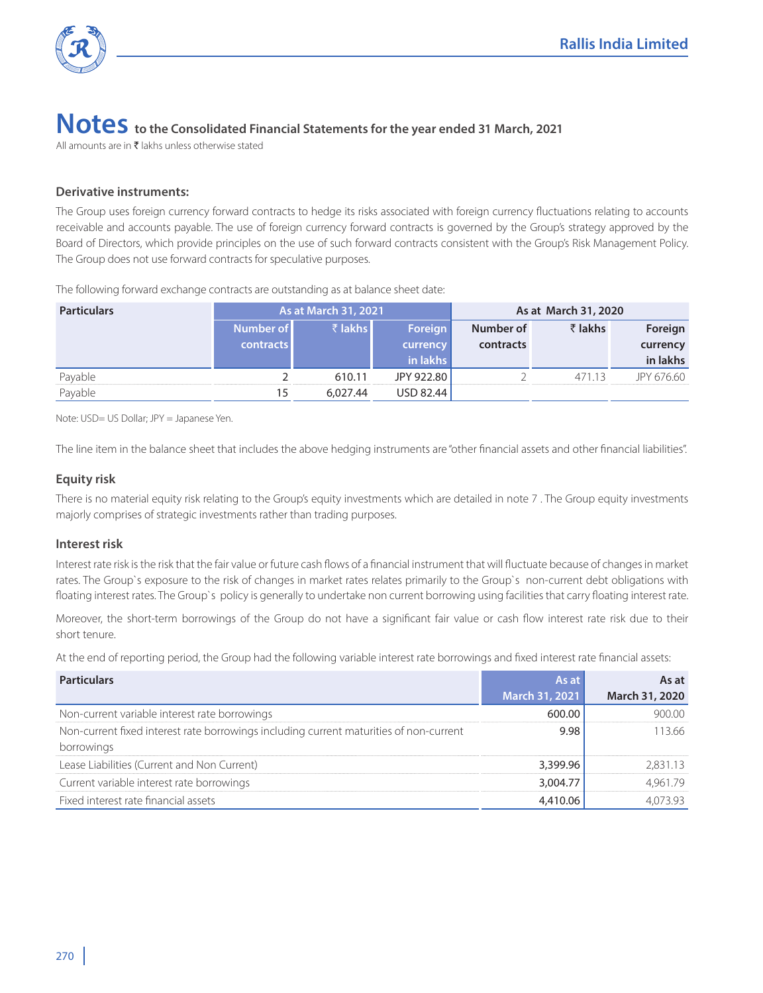

All amounts are in  $\bar{\tau}$  lakhs unless otherwise stated

#### **Derivative instruments:**

The Group uses foreign currency forward contracts to hedge its risks associated with foreign currency fluctuations relating to accounts receivable and accounts payable. The use of foreign currency forward contracts is governed by the Group's strategy approved by the Board of Directors, which provide principles on the use of such forward contracts consistent with the Group's Risk Management Policy. The Group does not use forward contracts for speculative purposes.

| <b>Particulars</b> | As at March 31, 2021 |          |            | As at March 31, 2020 |         |            |
|--------------------|----------------------|----------|------------|----------------------|---------|------------|
|                    | Number of            | ₹ lakhs  | Foreign    | Number of            | ₹ lakhs | Foreign    |
|                    | <b>contracts</b>     |          | currency   | contracts            |         | currency   |
|                    |                      |          | in lakhs   |                      |         | in lakhs   |
| Payable            |                      | 610.11   | JPY 922.80 |                      | 47113   | JPY 676.60 |
| Payable            |                      | 6.027.44 | USD 82.44  |                      |         |            |

The following forward exchange contracts are outstanding as at balance sheet date:

Note: USD= US Dollar; JPY = Japanese Yen.

The line item in the balance sheet that includes the above hedging instruments are "other financial assets and other financial liabilities".

#### **Equity risk**

There is no material equity risk relating to the Group's equity investments which are detailed in note 7 . The Group equity investments majorly comprises of strategic investments rather than trading purposes.

#### **Interest risk**

Interest rate risk is the risk that the fair value or future cash flows of a financial instrument that will fluctuate because of changes in market rates. The Group`s exposure to the risk of changes in market rates relates primarily to the Group`s non-current debt obligations with floating interest rates. The Group's policy is generally to undertake non current borrowing using facilities that carry floating interest rate.

Moreover, the short-term borrowings of the Group do not have a significant fair value or cash flow interest rate risk due to their short tenure.

At the end of reporting period, the Group had the following variable interest rate borrowings and fixed interest rate financial assets:

| <b>Particulars</b>                                                                     |                |                |
|----------------------------------------------------------------------------------------|----------------|----------------|
|                                                                                        | March 31, 2021 | March 31, 2020 |
| Non-current variable interest rate borrowings                                          |                |                |
| Non-current fixed interest rate borrowings including current maturities of non-current | 998            | 13.66          |
| borrowings                                                                             |                |                |
| Lease Liabilities (Current and Non Current)                                            | २ २९९ ९६       |                |
| Current variable interest rate borrowings                                              | 3,004.77       |                |
| Fixed interest rate financial assets                                                   |                |                |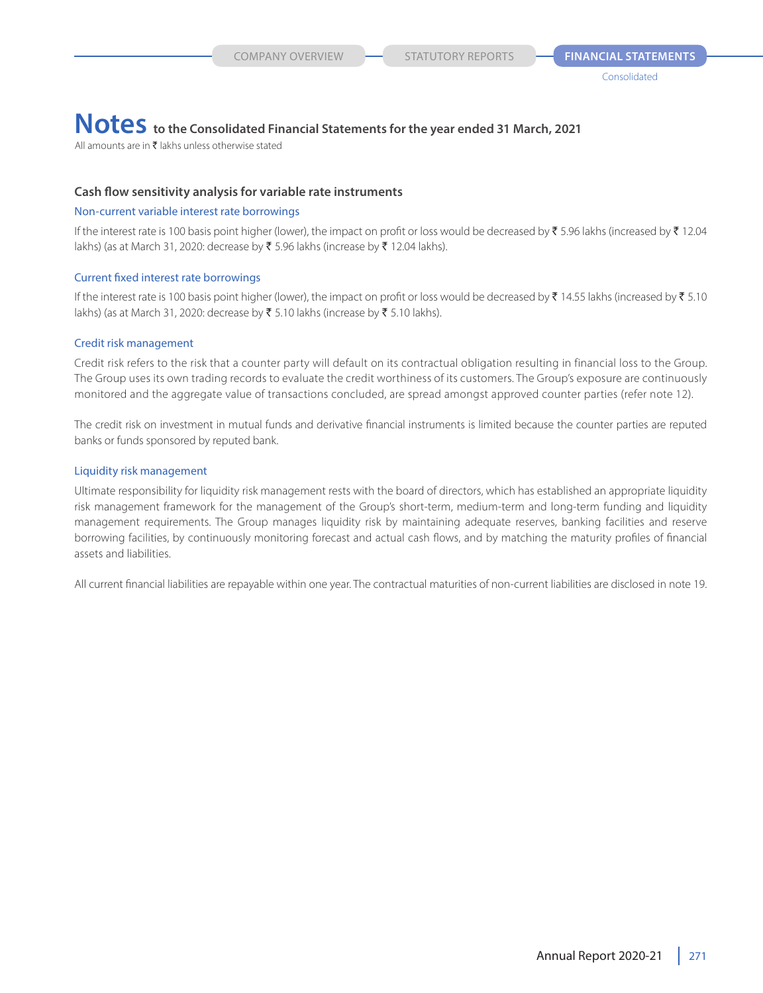All amounts are in  $\bar{\tau}$  lakhs unless otherwise stated

#### **Cash flow sensitivity analysis for variable rate instruments**

#### Non-current variable interest rate borrowings

If the interest rate is 100 basis point higher (lower), the impact on profit or loss would be decreased by  $\bar{\tau}$  5.96 lakhs (increased by  $\bar{\tau}$  12.04 lakhs) (as at March 31, 2020: decrease by ₹ 5.96 lakhs (increase by ₹ 12.04 lakhs).

#### Current fixed interest rate borrowings

If the interest rate is 100 basis point higher (lower), the impact on profit or loss would be decreased by  $\bar{\tau}$  14.55 lakhs (increased by  $\bar{\tau}$  5.10 lakhs) (as at March 31, 2020: decrease by ₹ 5.10 lakhs (increase by ₹ 5.10 lakhs).

#### Credit risk management

Credit risk refers to the risk that a counter party will default on its contractual obligation resulting in financial loss to the Group. The Group uses its own trading records to evaluate the credit worthiness of its customers. The Group's exposure are continuously monitored and the aggregate value of transactions concluded, are spread amongst approved counter parties (refer note 12).

The credit risk on investment in mutual funds and derivative financial instruments is limited because the counter parties are reputed banks or funds sponsored by reputed bank.

#### Liquidity risk management

Ultimate responsibility for liquidity risk management rests with the board of directors, which has established an appropriate liquidity risk management framework for the management of the Group's short-term, medium-term and long-term funding and liquidity management requirements. The Group manages liquidity risk by maintaining adequate reserves, banking facilities and reserve borrowing facilities, by continuously monitoring forecast and actual cash flows, and by matching the maturity profiles of financial assets and liabilities.

All current financial liabilities are repayable within one year. The contractual maturities of non-current liabilities are disclosed in note 19.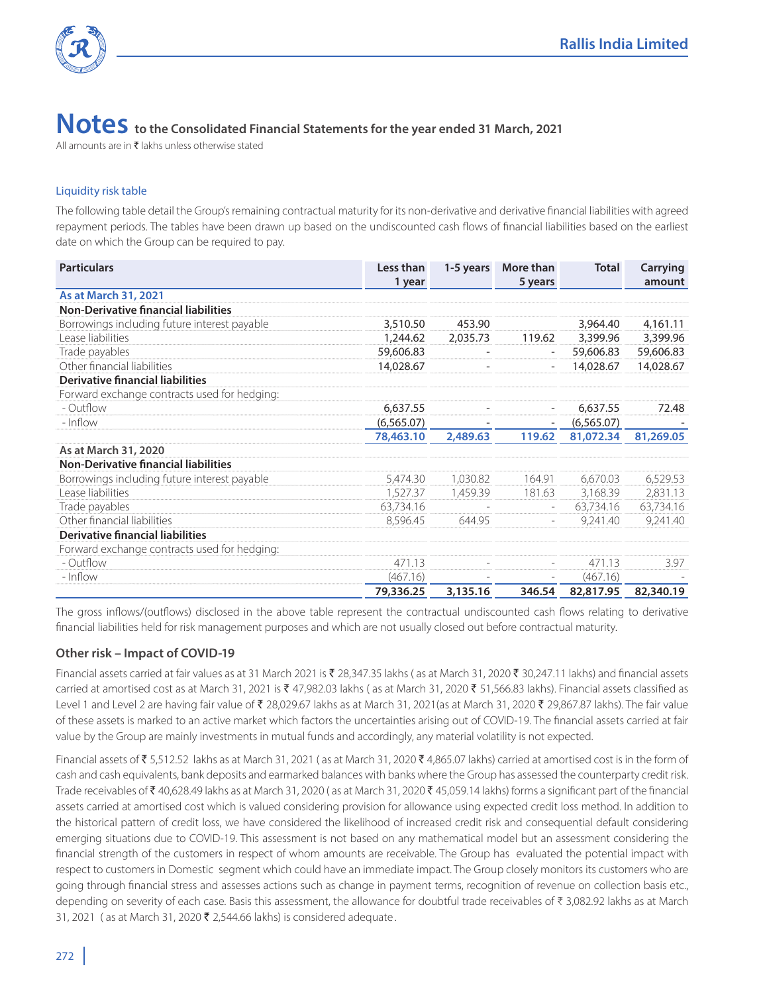

All amounts are in  $\bar{\tau}$  lakhs unless otherwise stated

#### Liquidity risk table

The following table detail the Group's remaining contractual maturity for its non-derivative and derivative financial liabilities with agreed repayment periods. The tables have been drawn up based on the undiscounted cash flows of financial liabilities based on the earliest date on which the Group can be required to pay.

| <b>Particulars</b>                           | Less than   | 1-5 years | More than                | <b>Total</b> | Carrying  |
|----------------------------------------------|-------------|-----------|--------------------------|--------------|-----------|
|                                              | 1 year      |           | 5 years                  |              | amount    |
| As at March 31, 2021                         |             |           |                          |              |           |
| <b>Non-Derivative financial liabilities</b>  |             |           |                          |              |           |
| Borrowings including future interest payable | 3,510.50    | 453.90    |                          | 3,964.40     | 4,161.11  |
| Lease liabilities                            | 1,244.62    | 2,035.73  | 119.62                   | 3,399.96     | 3,399.96  |
| Trade payables                               | 59,606.83   |           | $\overline{\phantom{0}}$ | 59,606.83    | 59,606.83 |
| Other financial liabilities                  | 14,028.67   |           |                          | 14,028.67    | 14,028.67 |
| <b>Derivative financial liabilities</b>      |             |           |                          |              |           |
| Forward exchange contracts used for hedging: |             |           |                          |              |           |
| - Outflow                                    | 6,637.55    |           |                          | 6,637.55     | 72.48     |
| - Inflow                                     | (6, 565.07) |           | $\overline{\phantom{a}}$ | (6, 565.07)  |           |
|                                              | 78,463.10   | 2,489.63  | 119.62                   | 81,072.34    | 81,269.05 |
| As at March 31, 2020                         |             |           |                          |              |           |
| <b>Non-Derivative financial liabilities</b>  |             |           |                          |              |           |
| Borrowings including future interest payable | 5,474.30    | 1,030.82  | 164.91                   | 6,670.03     | 6,529.53  |
| Lease liabilities                            | 1.527.37    | 1.459.39  | 181.63                   | 3.168.39     | 2,831.13  |
| Trade payables                               | 63.734.16   |           |                          | 63.734.16    | 63,734.16 |
| Other financial liabilities                  | 8,596.45    | 644.95    |                          | 9.241.40     | 9,241.40  |
| <b>Derivative financial liabilities</b>      |             |           |                          |              |           |
| Forward exchange contracts used for hedging: |             |           |                          |              |           |
| - Outflow                                    | 471.13      |           |                          | 471.13       | 3.97      |
| - Inflow                                     | (467.16)    |           |                          | (467.16)     |           |
|                                              | 79,336.25   | 3,135.16  | 346.54                   | 82,817.95    | 82,340.19 |

The gross inflows/(outflows) disclosed in the above table represent the contractual undiscounted cash flows relating to derivative financial liabilities held for risk management purposes and which are not usually closed out before contractual maturity.

### **Other risk – Impact of COVID-19**

Financial assets carried at fair values as at 31 March 2021 is ₹ 28,347.35 lakhs (as at March 31, 2020 ₹ 30,247.11 lakhs) and financial assets carried at amortised cost as at March 31, 2021 is  $\bar{\xi}$  47,982.03 lakhs (as at March 31, 2020  $\bar{\xi}$  51,566.83 lakhs). Financial assets classified as Level 1 and Level 2 are having fair value of  $\bar{\tau}$  28,029.67 lakhs as at March 31, 2021 (as at March 31, 2020  $\bar{\tau}$  29,867.87 lakhs). The fair value of these assets is marked to an active market which factors the uncertainties arising out of COVID-19. The financial assets carried at fair value by the Group are mainly investments in mutual funds and accordingly, any material volatility is not expected.

Financial assets of  $\xi$  5,512.52 lakhs as at March 31, 2021 (as at March 31, 2020  $\xi$  4,865.07 lakhs) carried at amortised cost is in the form of cash and cash equivalents, bank deposits and earmarked balances with banks where the Group has assessed the counterparty credit risk. Trade receivables of ₹40,628.49 lakhs as at March 31, 2020 (as at March 31, 2020 ₹45,059.14 lakhs) forms a significant part of the financial assets carried at amortised cost which is valued considering provision for allowance using expected credit loss method. In addition to the historical pattern of credit loss, we have considered the likelihood of increased credit risk and consequential default considering emerging situations due to COVID-19. This assessment is not based on any mathematical model but an assessment considering the financial strength of the customers in respect of whom amounts are receivable. The Group has evaluated the potential impact with respect to customers in Domestic segment which could have an immediate impact. The Group closely monitors its customers who are going through financial stress and assesses actions such as change in payment terms, recognition of revenue on collection basis etc., depending on severity of each case. Basis this assessment, the allowance for doubtful trade receivables of ₹ 3,082.92 lakhs as at March 31, 2021 (as at March 31, 2020 ₹ 2,544.66 lakhs) is considered adequate.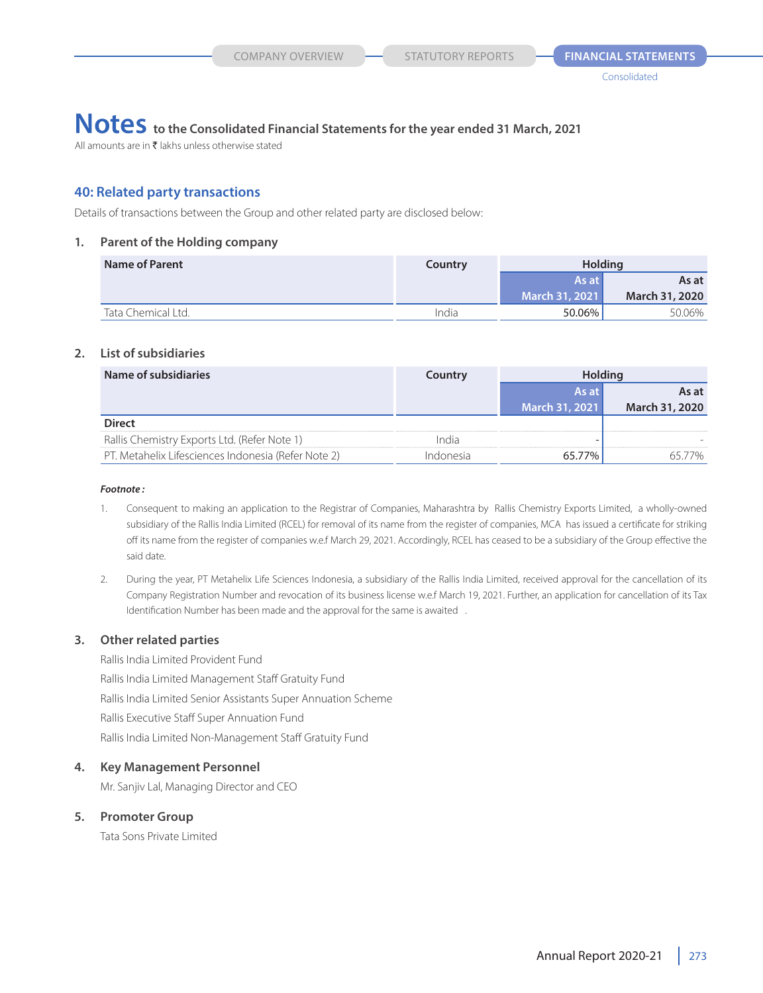All amounts are in  $\bar{\tau}$  lakhs unless otherwise stated

### **40: Related party transactions**

Details of transactions between the Group and other related party are disclosed below:

#### **1. Parent of the Holding company**

| <b>Name of Parent</b> | Country | <b>Holding</b> |                |
|-----------------------|---------|----------------|----------------|
|                       |         | As at $ $      | As at          |
|                       |         | March 31, 2021 | March 31, 2020 |
| Tata Chemical Ltd.    | India   | $50.06\%$      | 50.06%         |

#### **2. List of subsidiaries**

| Name of subsidiaries                                | Countrv | <del>n</del> olding   |                |
|-----------------------------------------------------|---------|-----------------------|----------------|
|                                                     |         | As at                 |                |
|                                                     |         | <b>March 31, 2021</b> | March 31, 2020 |
| Direct                                              |         |                       |                |
| Rallis Chemistry Exports Ltd. (Refer Note 1)        |         |                       |                |
| PT. Metahelix Lifesciences Indonesia (Refer Note 2) |         | 577%                  |                |

#### *Footnote :*

- 1. Consequent to making an application to the Registrar of Companies, Maharashtra by Rallis Chemistry Exports Limited, a wholly-owned subsidiary of the Rallis India Limited (RCEL) for removal of its name from the register of companies, MCA has issued a certificate for striking off its name from the register of companies w.e.f March 29, 2021. Accordingly, RCEL has ceased to be a subsidiary of the Group effective the said date.
- 2. During the year, PT Metahelix Life Sciences Indonesia, a subsidiary of the Rallis India Limited, received approval for the cancellation of its Company Registration Number and revocation of its business license w.e.f March 19, 2021. Further, an application for cancellation of its Tax Identification Number has been made and the approval for the same is awaited .

### **3. Other related parties**

Rallis India Limited Provident Fund Rallis India Limited Management Staff Gratuity Fund Rallis India Limited Senior Assistants Super Annuation Scheme Rallis Executive Staff Super Annuation Fund Rallis India Limited Non-Management Staff Gratuity Fund

#### **4. Key Management Personnel**

Mr. Sanjiv Lal, Managing Director and CEO

#### **5. Promoter Group**

Tata Sons Private Limited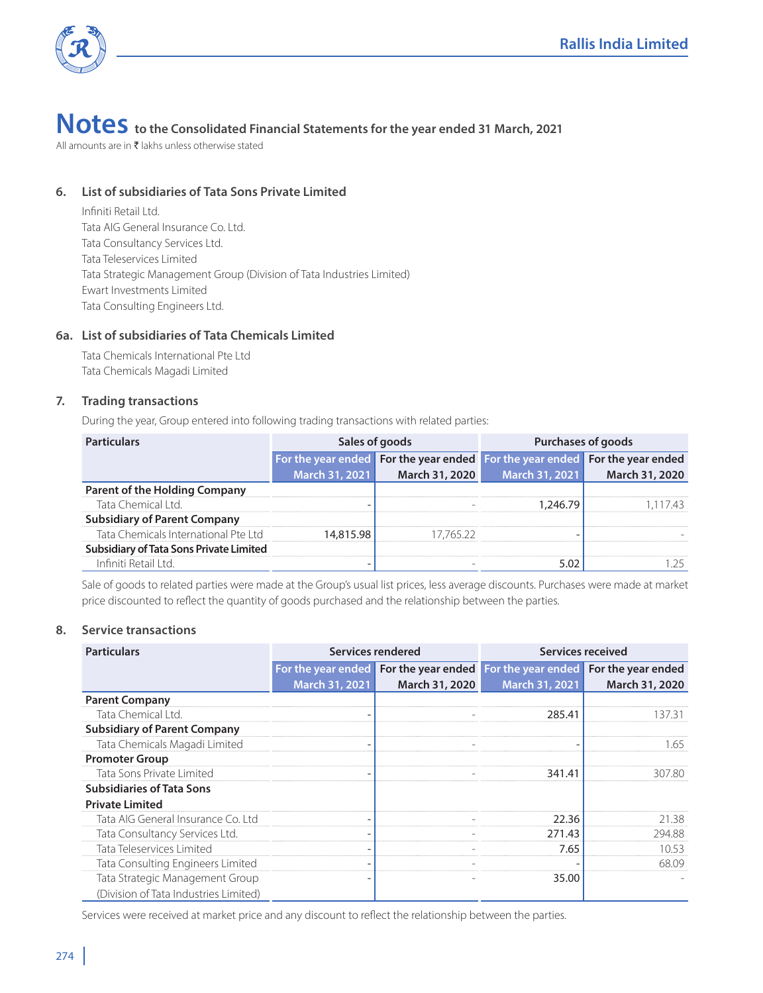

All amounts are in  $\bar{\tau}$  lakhs unless otherwise stated

### **6. List of subsidiaries of Tata Sons Private Limited**

Infiniti Retail Ltd. Tata AIG General Insurance Co. Ltd. Tata Consultancy Services Ltd. Tata Teleservices Limited Tata Strategic Management Group (Division of Tata Industries Limited) Ewart Investments Limited Tata Consulting Engineers Ltd.

### **6a. List of subsidiaries of Tata Chemicals Limited**

Tata Chemicals International Pte Ltd Tata Chemicals Magadi Limited

#### **7. Trading transactions**

During the year, Group entered into following trading transactions with related parties:

| <b>Particulars</b>                    | Sales of goods |                                                                             | Purchases of goods |  |
|---------------------------------------|----------------|-----------------------------------------------------------------------------|--------------------|--|
|                                       |                | For the year ended For the year ended For the year ended For the year ended |                    |  |
|                                       |                | March 31, 2021 March 31, 2020 March 31, 2021 March 31, 2020                 |                    |  |
| <b>Parent of the Holding Company</b>  |                |                                                                             |                    |  |
| Tata Chemical I td.                   |                |                                                                             |                    |  |
| <b>Subsidiary of Parent Company</b>   |                |                                                                             |                    |  |
| Tata Chemicals International Pte I td |                |                                                                             |                    |  |
| bsidiary of Tata Sons Private Limited |                |                                                                             |                    |  |
| Infiniti Retail I td                  |                |                                                                             |                    |  |

 Sale of goods to related parties were made at the Group's usual list prices, less average discounts. Purchases were made at market price discounted to reflect the quantity of goods purchased and the relationship between the parties.

#### **8. Service transactions**

| <b>Particulars</b>                    |                | Services rendered                                                           |                | Services received |
|---------------------------------------|----------------|-----------------------------------------------------------------------------|----------------|-------------------|
|                                       |                | For the year ended For the year ended For the year ended For the year ended |                |                   |
|                                       | March 31, 2021 | <b>March 31, 2020</b>                                                       | March 31, 2021 | March 31, 2020    |
| <b>Parent Company</b>                 |                |                                                                             |                |                   |
| Tata Chemical Ltd.                    |                |                                                                             | 285.41         | 13731             |
| <b>Subsidiary of Parent Company</b>   |                |                                                                             |                |                   |
| Tata Chemicals Magadi Limited         |                |                                                                             |                | 165               |
| <b>Promoter Group</b>                 |                |                                                                             |                |                   |
| Tata Sons Private Limited             |                |                                                                             | 341.41         | 307.80            |
| <b>Subsidiaries of Tata Sons</b>      |                |                                                                             |                |                   |
| <b>Private Limited</b>                |                |                                                                             |                |                   |
| Tata AIG General Insurance Co. Ltd    |                |                                                                             | 22.36          | 21.38             |
| Tata Consultancy Services Ltd.        |                |                                                                             | 271.43         | 294.88            |
| Tata Teleservices Limited             |                |                                                                             | 7.65           | 1053              |
| Tata Consulting Engineers Limited     |                |                                                                             |                | 68.09             |
| Tata Strategic Management Group       |                |                                                                             | 35.00          |                   |
| (Division of Tata Industries Limited) |                |                                                                             |                |                   |

Services were received at market price and any discount to reflect the relationship between the parties.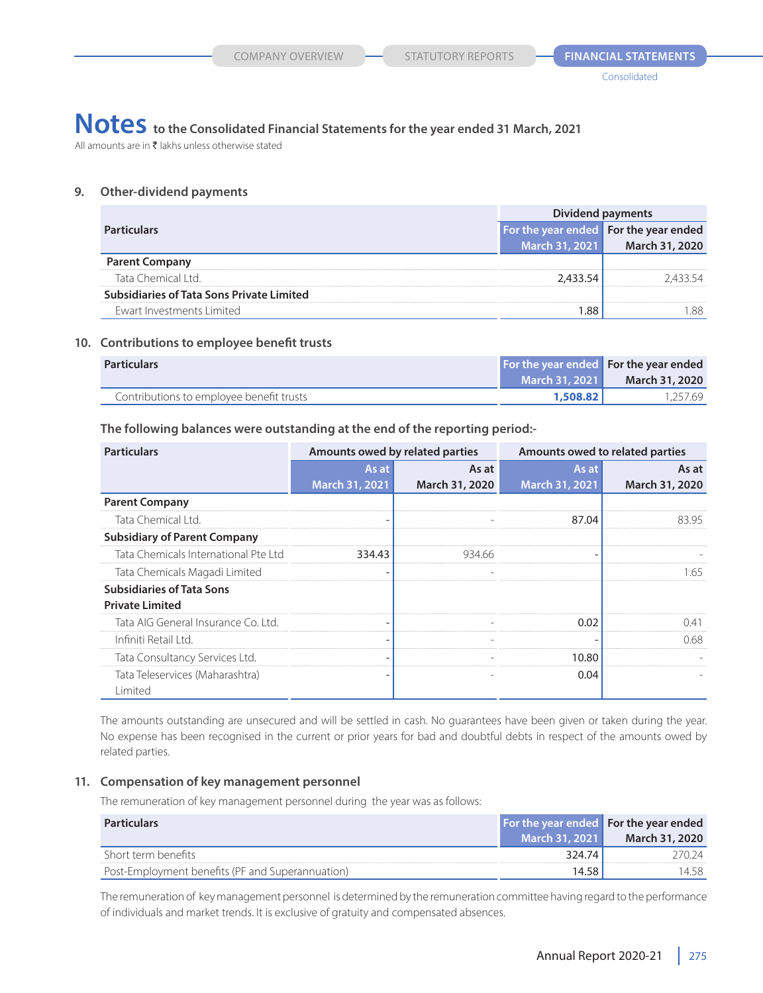All amounts are in  $\bar{\tau}$  lakhs unless otherwise stated

#### **9. Other-dividend payments**

|                                                  | Dividend payments |                                       |  |  |
|--------------------------------------------------|-------------------|---------------------------------------|--|--|
| <b>Particulars</b>                               |                   | For the year ended For the year ended |  |  |
|                                                  | March 31, 2021    | March 31, 2020                        |  |  |
| <b>Parent Company</b>                            |                   |                                       |  |  |
| Tata Chemical I td                               |                   |                                       |  |  |
| <b>Subsidiaries of Tata Sons Private Limited</b> |                   |                                       |  |  |
| Ewart Investments Limited                        |                   |                                       |  |  |

#### **10. Contributions to employee benefit trusts**

| <b>Particulars</b>                       | For the year ended For the year ended |                |
|------------------------------------------|---------------------------------------|----------------|
|                                          | March 31, 2021                        | March 31, 2020 |
| Contributions to employee benefit trusts | 1,508.82                              | 1.257.69       |

#### **The following balances were outstanding at the end of the reporting period:-**

| <b>Particulars</b>                   | Amounts owed by related parties |                | Amounts owed to related parties |                |  |
|--------------------------------------|---------------------------------|----------------|---------------------------------|----------------|--|
|                                      | As at                           | As at          |                                 | As at          |  |
|                                      | <b>March 31, 2021</b>           | March 31, 2020 | March 31, 2021                  | March 31, 2020 |  |
| <b>Parent Company</b>                |                                 |                |                                 |                |  |
| Tata Chemical I td.                  |                                 |                | 87.04                           | 83.95          |  |
| <b>Subsidiary of Parent Company</b>  |                                 |                |                                 |                |  |
| Tata Chemicals International Pte Ltd | 334.43                          | 934.66         |                                 |                |  |
| Tata Chemicals Magadi Limited        |                                 |                |                                 | 1 65           |  |
| <b>Subsidiaries of Tata Sons</b>     |                                 |                |                                 |                |  |
| <b>Private Limited</b>               |                                 |                |                                 |                |  |
| Tata AIG General Insurance Co. I td. |                                 |                | 0.02                            | 041            |  |
| Infiniti Retail Ltd.                 |                                 |                |                                 | 0.68           |  |
| Tata Consultancy Services Ltd.       |                                 |                | 10.80                           |                |  |
| Tata Teleservices (Maharashtra)      |                                 |                | 0.04                            |                |  |
| I imited                             |                                 |                |                                 |                |  |

The amounts outstanding are unsecured and will be settled in cash. No guarantees have been given or taken during the year. No expense has been recognised in the current or prior years for bad and doubtful debts in respect of the amounts owed by related parties.

### **11. Compensation of key management personnel**

The remuneration of key management personnel during the year was as follows:

| <b>Particulars</b>                               |                | For the year ended For the year ended |
|--------------------------------------------------|----------------|---------------------------------------|
|                                                  | March 31, 2021 | March 31, 2020                        |
| Short term benefits                              | 324.74         | 70.24                                 |
| Post-Employment benefits (PF and Superannuation) | 14.58          | 458                                   |

 The remuneration of key management personnel is determined by the remuneration committee having regard to the performance of individuals and market trends. It is exclusive of gratuity and compensated absences.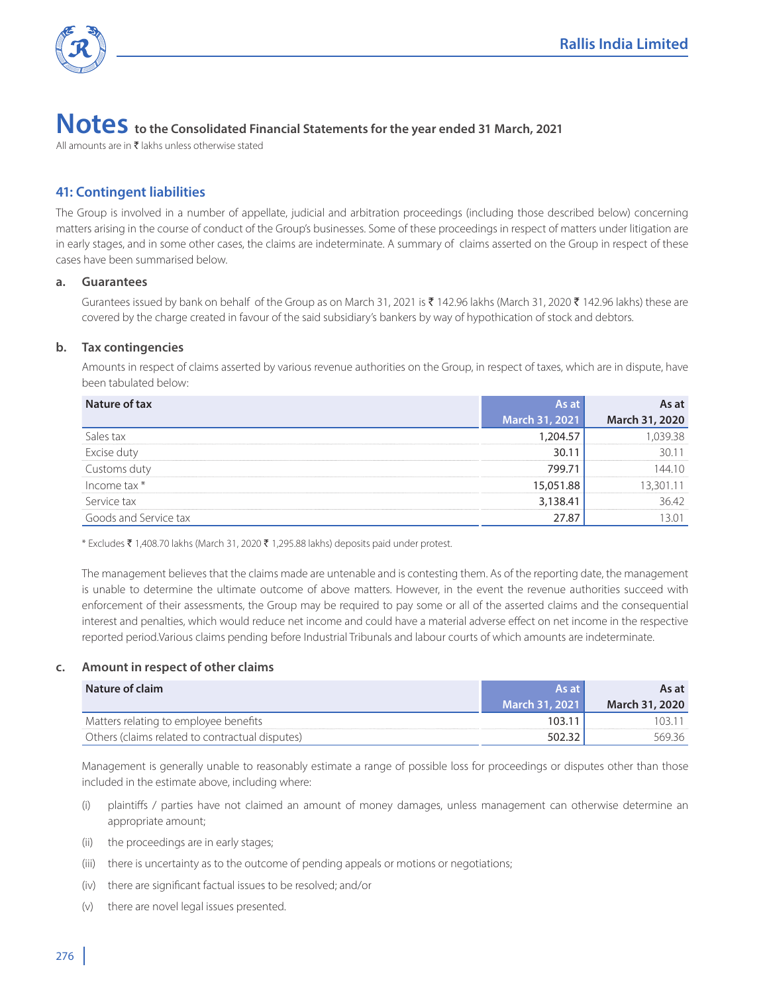

All amounts are in  $\bar{\tau}$  lakhs unless otherwise stated

# **41: Contingent liabilities**

The Group is involved in a number of appellate, judicial and arbitration proceedings (including those described below) concerning matters arising in the course of conduct of the Group's businesses. Some of these proceedings in respect of matters under litigation are in early stages, and in some other cases, the claims are indeterminate. A summary of claims asserted on the Group in respect of these cases have been summarised below.

### **a. Guarantees**

Gurantees issued by bank on behalf of the Group as on March 31, 2021 is  $\bar{\tau}$  142.96 lakhs (March 31, 2020  $\bar{\tau}$  142.96 lakhs) these are covered by the charge created in favour of the said subsidiary's bankers by way of hypothication of stock and debtors.

## **b. Tax contingencies**

 Amounts in respect of claims asserted by various revenue authorities on the Group, in respect of taxes, which are in dispute, have been tabulated below:

| Nature of tax      |                  |                |
|--------------------|------------------|----------------|
|                    | March 31, 2021 N | March 31, 2020 |
| Sales tax          |                  |                |
| ise dutv           |                  |                |
|                    |                  | 44 10          |
| Income tax *       | 15.051.88        |                |
| Service tax        | 138.41 ،         | 3642           |
| ds and Service tax | - 187            |                |

\* Excludes ₹ 1,408.70 lakhs (March 31, 2020 ₹ 1,295.88 lakhs) deposits paid under protest.

 The management believes that the claims made are untenable and is contesting them. As of the reporting date, the management is unable to determine the ultimate outcome of above matters. However, in the event the revenue authorities succeed with enforcement of their assessments, the Group may be required to pay some or all of the asserted claims and the consequential interest and penalties, which would reduce net income and could have a material adverse effect on net income in the respective reported period.Various claims pending before Industrial Tribunals and labour courts of which amounts are indeterminate.

## **c. Amount in respect of other claims**

| Nature of claim                                 | As at          | As at          |
|-------------------------------------------------|----------------|----------------|
|                                                 | March 31, 2021 | March 31, 2020 |
| Matters relating to employee benefits           |                |                |
| Others (claims related to contractual disputes) |                | 6936           |

 Management is generally unable to reasonably estimate a range of possible loss for proceedings or disputes other than those included in the estimate above, including where:

- (i) plaintiffs / parties have not claimed an amount of money damages, unless management can otherwise determine an appropriate amount;
- (ii) the proceedings are in early stages;
- (iii) there is uncertainty as to the outcome of pending appeals or motions or negotiations;
- (iv) there are significant factual issues to be resolved; and/or
- (v) there are novel legal issues presented.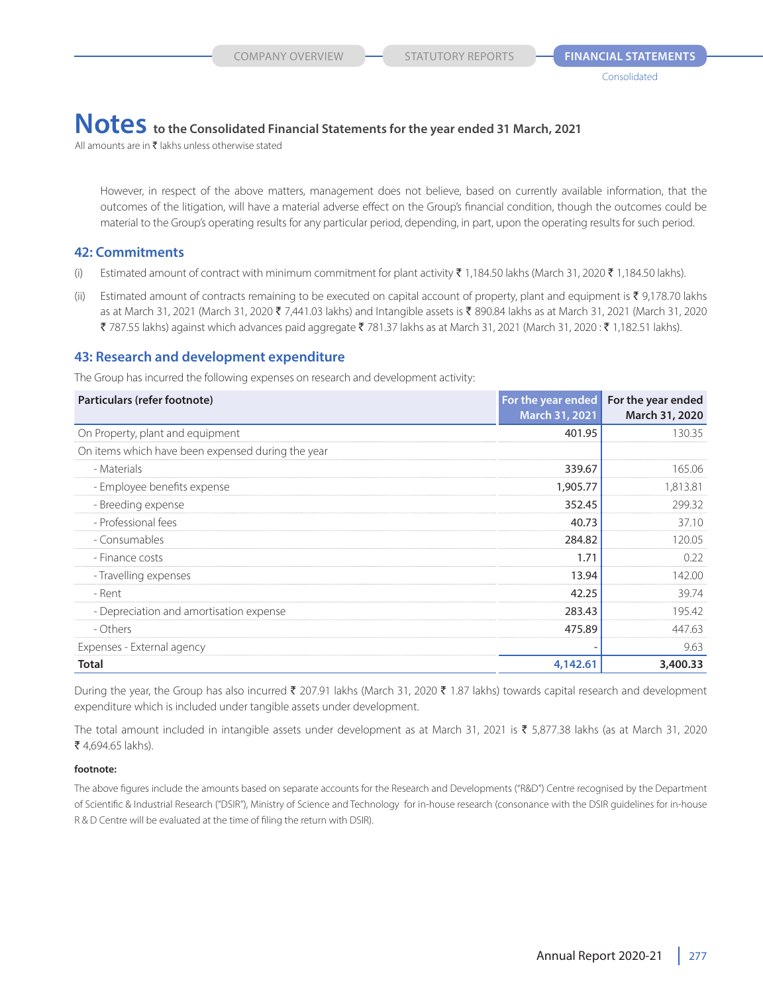All amounts are in  $\bar{\tau}$  lakhs unless otherwise stated

 However, in respect of the above matters, management does not believe, based on currently available information, that the outcomes of the litigation, will have a material adverse effect on the Group's financial condition, though the outcomes could be material to the Group's operating results for any particular period, depending, in part, upon the operating results for such period.

# **42: Commitments**

- (i) Estimated amount of contract with minimum commitment for plant activity ₹ 1,184.50 lakhs (March 31, 2020 ₹ 1,184.50 lakhs).
- (ii) Estimated amount of contracts remaining to be executed on capital account of property, plant and equipment is  $\bar{\tau}$  9,178.70 lakhs as at March 31, 2021 (March 31, 2020 ₹ 7,441.03 lakhs) and Intangible assets is ₹ 890.84 lakhs as at March 31, 2021 (March 31, 2020 ₹ 787.55 lakhs) against which advances paid aggregate ₹ 781.37 lakhs as at March 31, 2021 (March 31, 2020 : ₹ 1,182.51 lakhs).

#### **43: Research and development expenditure**

The Group has incurred the following expenses on research and development activity:

| Particulars (refer footnote)                      | For the year ended<br>March 31, 2021 | For the year ended<br>March 31, 2020 |
|---------------------------------------------------|--------------------------------------|--------------------------------------|
| On Property, plant and equipment                  | 401.95                               | 130.35                               |
| On items which have been expensed during the year |                                      |                                      |
| - Materials                                       | 339.67                               | 165.06                               |
| - Employee benefits expense                       | 1,905.77                             | 1,813.81                             |
| - Breeding expense                                | 352.45                               | 299.32                               |
| - Professional fees                               | 40.73                                | 37.10                                |
| - Consumables                                     | 284.82                               | 120.05                               |
| - Finance costs                                   | 1.71                                 | 0.22                                 |
| - Travelling expenses                             | 13.94                                | 142.00                               |
| - Rent                                            | 42.25                                | 39.74                                |
| - Depreciation and amortisation expense           | 283.43                               | 195.42                               |
| - Others                                          | 475.89                               | 447.63                               |
| Expenses - External agency                        |                                      | 9.63                                 |
| Total                                             | 4,142.61                             | 3,400.33                             |

During the year, the Group has also incurred ₹ 207.91 lakhs (March 31, 2020 ₹ 1.87 lakhs) towards capital research and development expenditure which is included under tangible assets under development.

The total amount included in intangible assets under development as at March 31, 2021 is  $\bar{z}$  5,877.38 lakhs (as at March 31, 2020  $\bar{z}$  4,694.65 lakhs).

#### **footnote:**

The above figures include the amounts based on separate accounts for the Research and Developments ("R&D") Centre recognised by the Department of Scientific & Industrial Research ("DSIR"), Ministry of Science and Technology for in-house research (consonance with the DSIR guidelines for in-house R & D Centre will be evaluated at the time of filing the return with DSIR).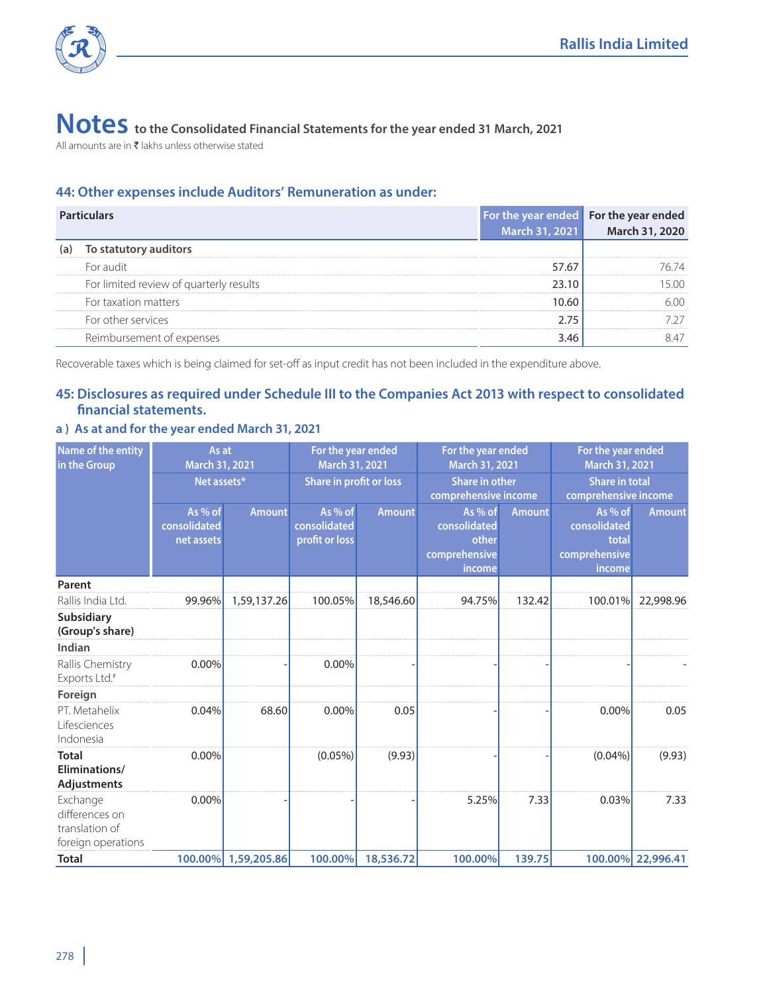

All amounts are in  $\bar{\tau}$  lakhs unless otherwise stated

# **44: Other expenses include Auditors' Remuneration as under:**

|   | ticulars                                |       | For the year ended<br>March 31, 2021 March 31, 2020 |
|---|-----------------------------------------|-------|-----------------------------------------------------|
| a | To statutory auditors                   |       |                                                     |
|   | For audit                               | 57.67 | $\sqrt{4}$                                          |
|   | For limited review of quarterly results | 23 10 | $\cap$                                              |
|   | For taxation matters                    |       |                                                     |
|   | For other services                      |       |                                                     |
|   | Reimbursement of expenses               |       |                                                     |

Recoverable taxes which is being claimed for set-off as input credit has not been included in the expenditure above.

# **45: Disclosures as required under Schedule III to the Companies Act 2013 with respect to consolidated financial statements.**

## **a ) As at and for the year ended March 31, 2021**

| Name of the entity<br>in the Group                                 | As at<br>March 31, 2021               |               | For the year ended<br>For the year ended<br>March 31, 2021<br>March 31, 2021<br>Share in other<br><b>Share in total</b><br>Share in profit or loss<br>comprehensive income<br>comprehensive income |               |                                                             |               | For the year ended<br><b>March 31, 2021</b>                 |                   |
|--------------------------------------------------------------------|---------------------------------------|---------------|----------------------------------------------------------------------------------------------------------------------------------------------------------------------------------------------------|---------------|-------------------------------------------------------------|---------------|-------------------------------------------------------------|-------------------|
|                                                                    | Net assets*                           |               |                                                                                                                                                                                                    |               |                                                             |               |                                                             |                   |
|                                                                    | As % of<br>consolidated<br>net assets | <b>Amount</b> | As % of<br>consolidated<br>profit or loss                                                                                                                                                          | <b>Amount</b> | As % of<br>consolidated<br>other<br>comprehensive<br>income | <b>Amount</b> | As % of<br>consolidated<br>total<br>comprehensive<br>income | <b>Amount</b>     |
| Parent                                                             |                                       |               |                                                                                                                                                                                                    |               |                                                             |               |                                                             |                   |
| Rallis India Ltd.                                                  | 99.96%                                | 1,59,137.26   | 100.05%                                                                                                                                                                                            | 18,546.60     | 94.75%                                                      | 132.42        | 100.01%                                                     | 22,998.96         |
| <b>Subsidiary</b><br>(Group's share)                               |                                       |               |                                                                                                                                                                                                    |               |                                                             |               |                                                             |                   |
| Indian                                                             |                                       |               |                                                                                                                                                                                                    |               |                                                             |               |                                                             |                   |
| Rallis Chemistry<br>Exports Ltd. <sup>#</sup>                      | $0.00\%$                              |               | 0.00%                                                                                                                                                                                              |               |                                                             |               |                                                             |                   |
| Foreign                                                            |                                       |               |                                                                                                                                                                                                    |               |                                                             |               |                                                             |                   |
| PT. Metahelix<br>l ifesciences<br>Indonesia                        | 0.04%                                 | 68.60         | 0.00%                                                                                                                                                                                              | 0.05          |                                                             |               | 0.00%                                                       | 0.05              |
| <b>Total</b><br>Eliminations/<br>Adjustments                       | $0.00\%$                              |               | $(0.05\%)$                                                                                                                                                                                         | (9.93)        |                                                             |               | $(0.04\%)$                                                  | (9.93)            |
| Exchange<br>differences on<br>translation of<br>foreign operations | 0.00%                                 |               |                                                                                                                                                                                                    |               | 5.25%                                                       | 7.33          | 0.03%                                                       | 7.33              |
| <b>Total</b>                                                       | 100.00%                               | 1,59,205.86   | 100.00%                                                                                                                                                                                            | 18,536.72     | 100.00%                                                     | 139.75        |                                                             | 100.00% 22,996.41 |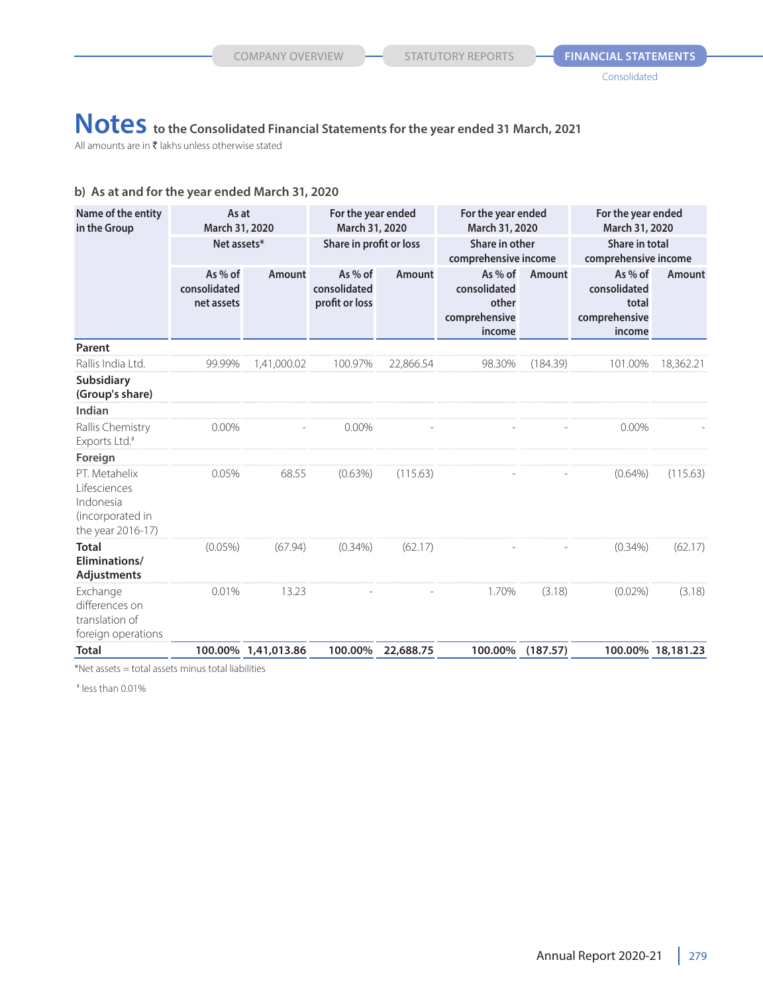All amounts are in  $\bar{\tau}$  lakhs unless otherwise stated

# **b) As at and for the year ended March 31, 2020**

| Name of the entity<br>in the Group                                                   |                                         | As at<br>March 31, 2020 |                                             | For the year ended<br>March 31, 2020 |                                                               | For the year ended<br>March 31, 2020 | For the year ended<br>March 31, 2020                          |                   |
|--------------------------------------------------------------------------------------|-----------------------------------------|-------------------------|---------------------------------------------|--------------------------------------|---------------------------------------------------------------|--------------------------------------|---------------------------------------------------------------|-------------------|
|                                                                                      | Net assets*                             |                         | Share in profit or loss                     |                                      | Share in other<br>comprehensive income                        |                                      | Share in total<br>comprehensive income                        |                   |
|                                                                                      | As $%$ of<br>consolidated<br>net assets | Amount                  | As $%$ of<br>consolidated<br>profit or loss | Amount                               | As $%$ of<br>consolidated<br>other<br>comprehensive<br>income | Amount                               | As $%$ of<br>consolidated<br>total<br>comprehensive<br>income | Amount            |
| Parent                                                                               |                                         |                         |                                             |                                      |                                                               |                                      |                                                               |                   |
| Rallis India I td.                                                                   | 99.99%                                  | 1,41,000.02             | 100.97%                                     | 22.866.54                            | 98.30%                                                        | (184.39)                             | 101.00%                                                       | 18,362.21         |
| <b>Subsidiary</b><br>(Group's share)                                                 |                                         |                         |                                             |                                      |                                                               |                                      |                                                               |                   |
| Indian                                                                               |                                         |                         |                                             |                                      |                                                               |                                      |                                                               |                   |
| Rallis Chemistry<br>Exports Ltd. <sup>#</sup>                                        | 0.00%                                   |                         | 0.00%                                       |                                      |                                                               |                                      | 0.00%                                                         |                   |
| Foreign                                                                              |                                         |                         |                                             |                                      |                                                               |                                      |                                                               |                   |
| PT. Metahelix<br>l ifesciences<br>Indonesia<br>(incorporated in<br>the year 2016-17) | 0.05%                                   | 68.55                   | $(0.63\%)$                                  | (115.63)                             |                                                               |                                      | $(0.64\%)$                                                    | (115.63)          |
| <b>Total</b><br>Eliminations/<br>Adjustments                                         | $(0.05\%)$                              | (67.94)                 | $(0.34\%)$                                  | (62.17)                              |                                                               |                                      | $(0.34\%)$                                                    | (62.17)           |
| Exchange<br>differences on<br>translation of<br>foreign operations                   | 0.01%                                   | 13.23                   |                                             |                                      | 1.70%                                                         | (3.18)                               | $(0.02\%)$                                                    | (3.18)            |
| <b>Total</b>                                                                         |                                         | 100.00% 1,41,013.86     | 100.00%                                     | 22,688.75                            | 100.00%                                                       | (187.57)                             |                                                               | 100.00% 18,181.23 |

\*Net assets = total assets minus total liabilities

# less than 0.01%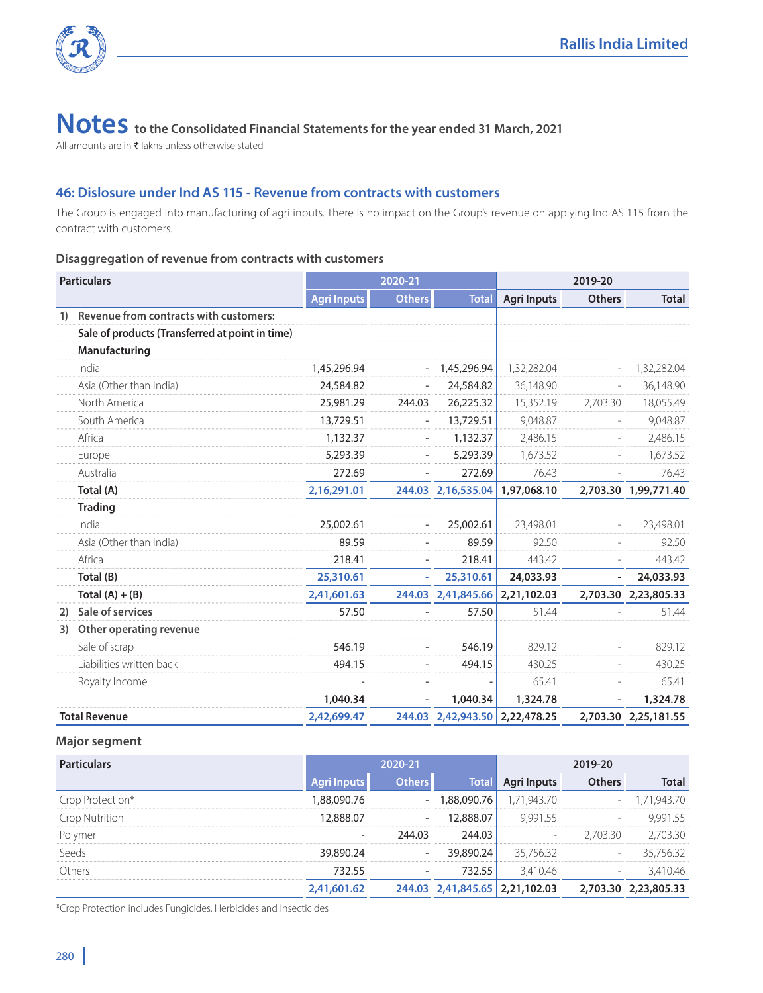

All amounts are in  $\bar{\tau}$  lakhs unless otherwise stated

# **46: Dislosure under Ind AS 115 - Revenue from contracts with customers**

The Group is engaged into manufacturing of agri inputs. There is no impact on the Group's revenue on applying Ind AS 115 from the contract with customers.

# **Disaggregation of revenue from contracts with customers**

| <b>Particulars</b> |                                                 | 2020-21            |                          |                    | 2019-20            |                          |                      |
|--------------------|-------------------------------------------------|--------------------|--------------------------|--------------------|--------------------|--------------------------|----------------------|
|                    |                                                 | <b>Agri Inputs</b> | <b>Others</b>            | <b>Total</b>       | <b>Agri Inputs</b> | <b>Others</b>            | <b>Total</b>         |
| 1)                 | Revenue from contracts with customers:          |                    |                          |                    |                    |                          |                      |
|                    | Sale of products (Transferred at point in time) |                    |                          |                    |                    |                          |                      |
|                    | Manufacturing                                   |                    |                          |                    |                    |                          |                      |
|                    | India                                           | 1,45,296.94        |                          | 1,45,296.94        | 1,32,282.04        | $\overline{a}$           | 1,32,282.04          |
|                    | Asia (Other than India)                         | 24,584.82          | $\overline{\phantom{a}}$ | 24,584.82          | 36.148.90          |                          | 36,148.90            |
|                    | North America                                   | 25,981.29          | 244.03                   | 26,225.32          | 15,352.19          | 2,703.30                 | 18,055.49            |
|                    | South America                                   | 13,729.51          |                          | 13,729.51          | 9.048.87           |                          | 9,048.87             |
|                    | Africa                                          | 1,132.37           |                          | 1,132.37           | 2,486.15           |                          | 2,486.15             |
|                    | Europe                                          | 5,293.39           | $\overline{\phantom{a}}$ | 5,293.39           | 1,673.52           | $\overline{\phantom{a}}$ | 1,673.52             |
|                    | Australia                                       | 272.69             |                          | 272.69             | 76.43              |                          | 76.43                |
|                    | Total (A)                                       | 2,16,291.01        |                          | 244.03 2,16,535.04 | 1,97,068.10        |                          | 2,703.30 1,99,771.40 |
|                    | <b>Trading</b>                                  |                    |                          |                    |                    |                          |                      |
|                    | India                                           | 25,002.61          |                          | 25,002.61          | 23,498.01          | ٠                        | 23,498.01            |
|                    | Asia (Other than India)                         | 89.59              |                          | 89.59              | 92.50              |                          | 92.50                |
|                    | Africa                                          | 218.41             |                          | 218.41             | 443.42             |                          | 443.42               |
|                    | Total (B)                                       | 25,310.61          |                          | 25,310.61          | 24,033.93          | $\overline{\phantom{a}}$ | 24,033.93            |
|                    | Total $(A) + (B)$                               | 2,41,601.63        |                          | 244.03 2,41,845.66 | 2,21,102.03        |                          | 2,703.30 2,23,805.33 |
| 2)                 | Sale of services                                | 57.50              |                          | 57.50              | 51.44              |                          | 51.44                |
| 3)                 | Other operating revenue                         |                    |                          |                    |                    |                          |                      |
|                    | Sale of scrap                                   | 546.19             |                          | 546.19             | 829.12             |                          | 829.12               |
|                    | Liabilities written back                        | 494.15             |                          | 494.15             | 430.25             |                          | 430.25               |
|                    | Royalty Income                                  |                    |                          |                    | 65.41              |                          | 65.41                |
|                    |                                                 | 1,040.34           |                          | 1,040.34           | 1,324.78           | $\overline{\phantom{a}}$ | 1,324.78             |
|                    | <b>Total Revenue</b>                            | 2,42,699.47        | 244.03                   | 2,42,943.50        | 2,22,478.25        |                          | 2,703.30 2,25,181.55 |

#### **Major segment**

| Par            | 2020-21     |        |                                | 2019-20            |                          |                      |
|----------------|-------------|--------|--------------------------------|--------------------|--------------------------|----------------------|
|                |             | Others | Tota                           | <b>Agri Inputs</b> | Others                   | otal                 |
| Protection*    | 88 N90 76   |        |                                | .943.70            |                          |                      |
| Crop Nutrition | 2.888.07    |        |                                | 9.991.55           |                          | J 991 55             |
| Polvmer        |             | 244.03 | 244.03                         |                    | 13 30                    | . 1330.              |
| Seed           | 39,890.24   |        | 390 24 I                       | 35,756.32          | $\overline{\phantom{a}}$ | '56 32               |
| `)thers        | 732.55      |        | 732.55 I                       | 3,410.46           | -                        | 0.46                 |
|                | 2,41,601.62 |        | 244.03 2,41,845.65 2,21,102.03 |                    |                          | 2,703.30 2,23,805.33 |

\*Crop Protection includes Fungicides, Herbicides and Insecticides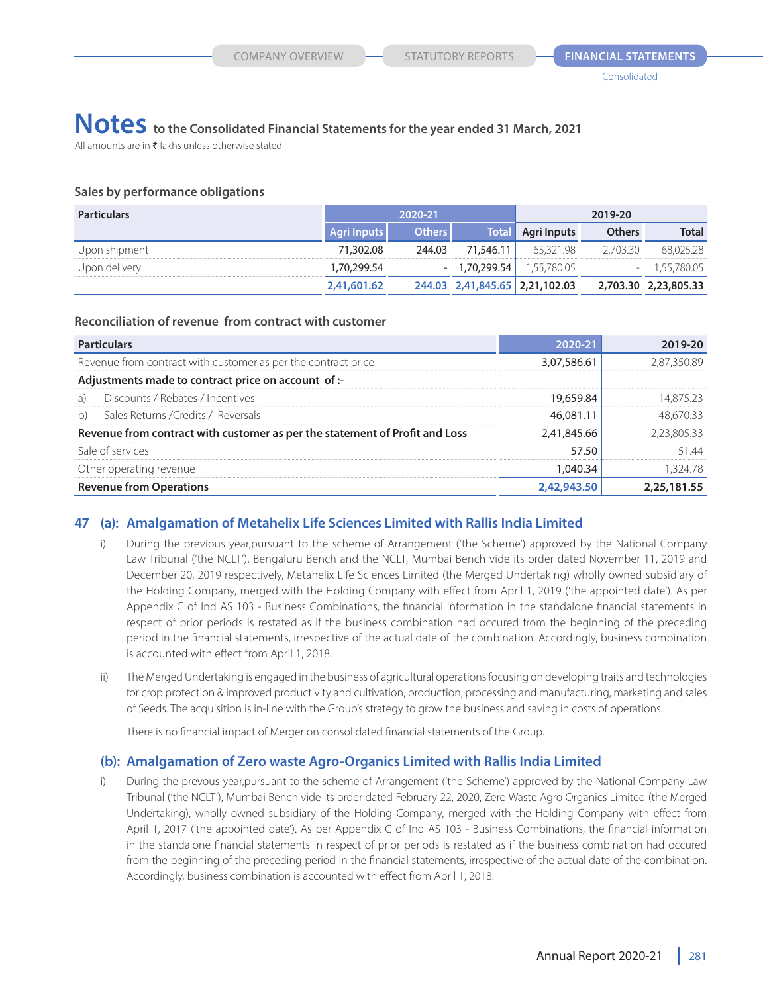All amounts are in  $\bar{\tau}$  lakhs unless otherwise stated

#### **Sales by performance obligations**

| <b>Particulars</b> | 2020-21     |               |                                | 2019-20     |          |                      |
|--------------------|-------------|---------------|--------------------------------|-------------|----------|----------------------|
|                    |             | <b>Others</b> | Total                          | Agri Inputs | Others   | <b>Total</b>         |
| Upon shipment      | 71.302.08   | 244.03        | 11.546.1                       | 6532198     | 2.703.30 | 68 025 28            |
| Upon delivery      | ,70,299.54  |               | 1,70,299.54                    | 1,55,780.05 | -        | ,55,780.05           |
|                    | 2,41,601.62 |               | 244.03 2,41,845.65 2,21,102.03 |             |          | 2,703.30 2,23,805.33 |

### **Reconciliation of revenue from contract with customer**

| <b>Particulars</b>                                                          | $2020 - 21$ | 2019-20     |
|-----------------------------------------------------------------------------|-------------|-------------|
| Revenue from contract with customer as per the contract price               | 3,07,586.61 | 2.87.350.89 |
| Adjustments made to contract price on account of :-                         |             |             |
| Discounts / Rebates / Incentives<br>a)                                      | 19.659.84   |             |
| Sales Returns / Credits / Reversals<br>b)                                   | 46.081.11   |             |
| Revenue from contract with customer as per the statement of Profit and Loss | 2.41.845.66 |             |
| Sale of services                                                            | 57.50       | 1 44        |
| Other operating revenue                                                     | 1.040.34    | -324.78     |
| <b>Revenue from Operations</b>                                              | 2,42,943.50 | 2,25,181.55 |

## **47 (a): Amalgamation of Metahelix Life Sciences Limited with Rallis India Limited**

- i) During the previous year,pursuant to the scheme of Arrangement ('the Scheme') approved by the National Company Law Tribunal ('the NCLT'), Bengaluru Bench and the NCLT, Mumbai Bench vide its order dated November 11, 2019 and December 20, 2019 respectively, Metahelix Life Sciences Limited (the Merged Undertaking) wholly owned subsidiary of the Holding Company, merged with the Holding Company with effect from April 1, 2019 ('the appointed date'). As per Appendix C of Ind AS 103 - Business Combinations, the financial information in the standalone financial statements in respect of prior periods is restated as if the business combination had occured from the beginning of the preceding period in the financial statements, irrespective of the actual date of the combination. Accordingly, business combination is accounted with effect from April 1, 2018.
- ii) The Merged Undertaking is engaged in the business of agricultural operations focusing on developing traits and technologies for crop protection & improved productivity and cultivation, production, processing and manufacturing, marketing and sales of Seeds. The acquisition is in-line with the Group's strategy to grow the business and saving in costs of operations.

There is no financial impact of Merger on consolidated financial statements of the Group.

### **(b): Amalgamation of Zero waste Agro-Organics Limited with Rallis India Limited**

 i) During the prevous year,pursuant to the scheme of Arrangement ('the Scheme') approved by the National Company Law Tribunal ('the NCLT'), Mumbai Bench vide its order dated February 22, 2020, Zero Waste Agro Organics Limited (the Merged Undertaking), wholly owned subsidiary of the Holding Company, merged with the Holding Company with effect from April 1, 2017 ('the appointed date'). As per Appendix C of Ind AS 103 - Business Combinations, the financial information in the standalone financial statements in respect of prior periods is restated as if the business combination had occured from the beginning of the preceding period in the financial statements, irrespective of the actual date of the combination. Accordingly, business combination is accounted with effect from April 1, 2018.